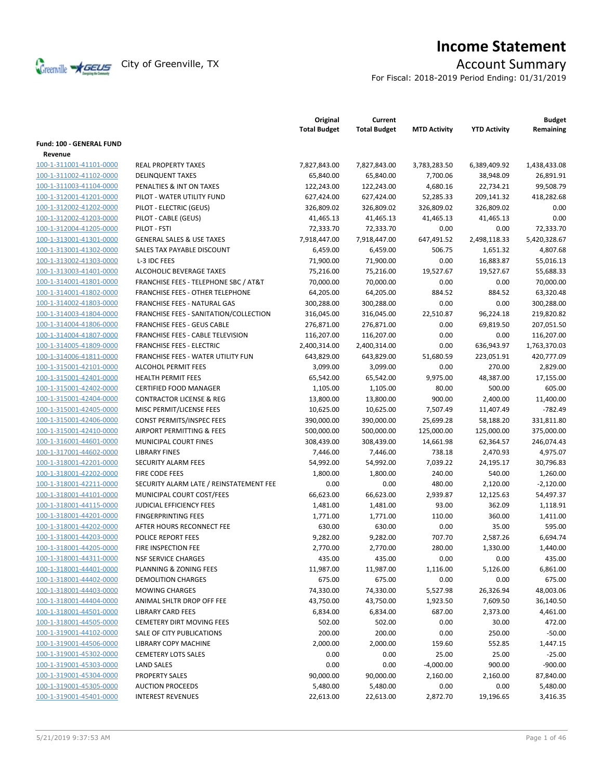

# **Income Statement**

For Fiscal: 2018-2019 Period Ending: 01/31/2019

|                                                    |                                                    | Original<br><b>Total Budget</b> | Current<br><b>Total Budget</b> | <b>MTD Activity</b>     | <b>YTD Activity</b>     | <b>Budget</b><br>Remaining |
|----------------------------------------------------|----------------------------------------------------|---------------------------------|--------------------------------|-------------------------|-------------------------|----------------------------|
| Fund: 100 - GENERAL FUND                           |                                                    |                                 |                                |                         |                         |                            |
| Revenue                                            |                                                    |                                 |                                |                         |                         |                            |
| 100-1-311001-41101-0000                            | <b>REAL PROPERTY TAXES</b>                         | 7,827,843.00                    | 7,827,843.00                   | 3,783,283.50            | 6,389,409.92            | 1,438,433.08               |
| 100-1-311002-41102-0000                            | <b>DELINQUENT TAXES</b>                            | 65,840.00                       | 65,840.00                      | 7,700.06                | 38,948.09               | 26,891.91                  |
| 100-1-311003-41104-0000                            | PENALTIES & INT ON TAXES                           | 122,243.00                      | 122,243.00                     | 4,680.16                | 22,734.21               | 99,508.79                  |
| 100-1-312001-41201-0000                            | PILOT - WATER UTILITY FUND                         | 627,424.00                      | 627,424.00                     | 52,285.33               | 209,141.32              | 418,282.68                 |
| 100-1-312002-41202-0000                            | PILOT - ELECTRIC (GEUS)                            | 326,809.02                      | 326,809.02                     | 326,809.02              | 326,809.02              | 0.00                       |
| 100-1-312002-41203-0000                            | PILOT - CABLE (GEUS)                               | 41,465.13                       | 41,465.13                      | 41,465.13               | 41,465.13               | 0.00                       |
| 100-1-312004-41205-0000                            | PILOT - FSTI                                       | 72,333.70                       | 72,333.70                      | 0.00                    | 0.00                    | 72,333.70                  |
| 100-1-313001-41301-0000                            | <b>GENERAL SALES &amp; USE TAXES</b>               | 7,918,447.00                    | 7,918,447.00                   | 647,491.52              | 2,498,118.33            | 5,420,328.67               |
| 100-1-313001-41302-0000                            | SALES TAX PAYABLE DISCOUNT                         | 6,459.00                        | 6,459.00                       | 506.75                  | 1,651.32                | 4,807.68                   |
| 100-1-313002-41303-0000                            | L-3 IDC FEES                                       | 71,900.00                       | 71,900.00                      | 0.00                    | 16,883.87               | 55,016.13                  |
| 100-1-313003-41401-0000                            | ALCOHOLIC BEVERAGE TAXES                           | 75,216.00                       | 75,216.00                      | 19,527.67               | 19,527.67               | 55,688.33                  |
| 100-1-314001-41801-0000                            | FRANCHISE FEES - TELEPHONE SBC / AT&T              | 70,000.00                       | 70,000.00                      | 0.00                    | 0.00                    | 70,000.00                  |
| 100-1-314001-41802-0000                            | <b>FRANCHISE FEES - OTHER TELEPHONE</b>            | 64,205.00                       | 64,205.00                      | 884.52                  | 884.52                  | 63,320.48                  |
| 100-1-314002-41803-0000                            | FRANCHISE FEES - NATURAL GAS                       | 300,288.00                      | 300,288.00                     | 0.00                    | 0.00                    | 300,288.00                 |
| 100-1-314003-41804-0000                            | FRANCHISE FEES - SANITATION/COLLECTION             | 316,045.00                      | 316,045.00                     | 22,510.87               | 96,224.18               | 219,820.82                 |
| 100-1-314004-41806-0000                            | <b>FRANCHISE FEES - GEUS CABLE</b>                 | 276,871.00                      | 276,871.00                     | 0.00                    | 69,819.50               | 207,051.50                 |
| 100-1-314004-41807-0000                            | <b>FRANCHISE FEES - CABLE TELEVISION</b>           | 116,207.00                      | 116,207.00                     | 0.00                    | 0.00                    | 116,207.00                 |
| 100-1-314005-41809-0000                            | <b>FRANCHISE FEES - ELECTRIC</b>                   | 2,400,314.00                    | 2,400,314.00                   | 0.00                    | 636,943.97              | 1,763,370.03               |
| 100-1-314006-41811-0000                            | <b>FRANCHISE FEES - WATER UTILITY FUN</b>          | 643,829.00                      | 643,829.00                     | 51,680.59               | 223,051.91              | 420,777.09                 |
| 100-1-315001-42101-0000                            | <b>ALCOHOL PERMIT FEES</b>                         | 3,099.00                        | 3,099.00                       | 0.00                    | 270.00                  | 2,829.00                   |
| 100-1-315001-42401-0000                            | <b>HEALTH PERMIT FEES</b>                          | 65,542.00                       | 65,542.00                      | 9,975.00                | 48,387.00               | 17,155.00                  |
| 100-1-315001-42402-0000                            | <b>CERTIFIED FOOD MANAGER</b>                      | 1,105.00                        | 1,105.00                       | 80.00                   | 500.00                  | 605.00                     |
| 100-1-315001-42404-0000                            | <b>CONTRACTOR LICENSE &amp; REG</b>                | 13,800.00                       | 13,800.00                      | 900.00                  | 2,400.00                | 11,400.00                  |
| 100-1-315001-42405-0000                            | MISC PERMIT/LICENSE FEES                           | 10,625.00                       | 10,625.00                      | 7,507.49                | 11,407.49               | $-782.49$                  |
| 100-1-315001-42406-0000                            | CONST PERMITS/INSPEC FEES                          | 390,000.00                      | 390,000.00                     | 25,699.28               | 58,188.20               | 331,811.80                 |
| 100-1-315001-42410-0000<br>100-1-316001-44601-0000 | AIRPORT PERMITTING & FEES<br>MUNICIPAL COURT FINES | 500,000.00<br>308,439.00        | 500,000.00<br>308,439.00       | 125,000.00<br>14,661.98 | 125,000.00<br>62,364.57 | 375,000.00<br>246,074.43   |
| 100-1-317001-44602-0000                            | <b>LIBRARY FINES</b>                               | 7,446.00                        | 7,446.00                       | 738.18                  | 2,470.93                | 4,975.07                   |
| 100-1-318001-42201-0000                            | <b>SECURITY ALARM FEES</b>                         | 54,992.00                       | 54,992.00                      | 7,039.22                | 24,195.17               | 30,796.83                  |
| 100-1-318001-42202-0000                            | FIRE CODE FEES                                     | 1,800.00                        | 1,800.00                       | 240.00                  | 540.00                  | 1,260.00                   |
| 100-1-318001-42211-0000                            | SECURITY ALARM LATE / REINSTATEMENT FEE            | 0.00                            | 0.00                           | 480.00                  | 2,120.00                | $-2,120.00$                |
| 100-1-318001-44101-0000                            | MUNICIPAL COURT COST/FEES                          | 66,623.00                       | 66,623.00                      | 2,939.87                | 12,125.63               | 54,497.37                  |
| 100-1-318001-44115-0000                            | <b>JUDICIAL EFFICIENCY FEES</b>                    | 1,481.00                        | 1,481.00                       | 93.00                   | 362.09                  | 1,118.91                   |
| 100-1-318001-44201-0000                            | <b>FINGERPRINTING FEES</b>                         | 1,771.00                        | 1,771.00                       | 110.00                  | 360.00                  | 1,411.00                   |
| 100-1-318001-44202-0000                            | AFTER HOURS RECONNECT FEE                          | 630.00                          | 630.00                         | 0.00                    | 35.00                   | 595.00                     |
| 100-1-318001-44203-0000                            | POLICE REPORT FEES                                 | 9,282.00                        | 9,282.00                       | 707.70                  | 2,587.26                | 6,694.74                   |
| 100-1-318001-44205-0000                            | FIRE INSPECTION FEE                                | 2,770.00                        | 2,770.00                       | 280.00                  | 1,330.00                | 1,440.00                   |
| 100-1-318001-44311-0000                            | <b>NSF SERVICE CHARGES</b>                         | 435.00                          | 435.00                         | 0.00                    | 0.00                    | 435.00                     |
| 100-1-318001-44401-0000                            | PLANNING & ZONING FEES                             | 11,987.00                       | 11,987.00                      | 1,116.00                | 5,126.00                | 6,861.00                   |
| 100-1-318001-44402-0000                            | <b>DEMOLITION CHARGES</b>                          | 675.00                          | 675.00                         | 0.00                    | 0.00                    | 675.00                     |
| 100-1-318001-44403-0000                            | <b>MOWING CHARGES</b>                              | 74,330.00                       | 74,330.00                      | 5,527.98                | 26,326.94               | 48,003.06                  |
| 100-1-318001-44404-0000                            | ANIMAL SHLTR DROP OFF FEE                          | 43,750.00                       | 43,750.00                      | 1,923.50                | 7,609.50                | 36,140.50                  |
| 100-1-318001-44501-0000                            | <b>LIBRARY CARD FEES</b>                           | 6,834.00                        | 6,834.00                       | 687.00                  | 2,373.00                | 4,461.00                   |
| 100-1-318001-44505-0000                            | <b>CEMETERY DIRT MOVING FEES</b>                   | 502.00                          | 502.00                         | 0.00                    | 30.00                   | 472.00                     |
| 100-1-319001-44102-0000                            | SALE OF CITY PUBLICATIONS                          | 200.00                          | 200.00                         | 0.00                    | 250.00                  | $-50.00$                   |
| 100-1-319001-44506-0000                            | <b>LIBRARY COPY MACHINE</b>                        | 2,000.00                        | 2,000.00                       | 159.60                  | 552.85                  | 1,447.15                   |
| 100-1-319001-45302-0000                            | <b>CEMETERY LOTS SALES</b>                         | 0.00                            | 0.00                           | 25.00                   | 25.00                   | $-25.00$                   |
| 100-1-319001-45303-0000                            | <b>LAND SALES</b>                                  | 0.00                            | 0.00                           | $-4,000.00$             | 900.00                  | $-900.00$                  |
| 100-1-319001-45304-0000                            | PROPERTY SALES                                     | 90,000.00                       | 90,000.00                      | 2,160.00                | 2,160.00                | 87,840.00                  |
| 100-1-319001-45305-0000                            | <b>AUCTION PROCEEDS</b>                            | 5,480.00                        | 5,480.00                       | 0.00                    | 0.00                    | 5,480.00                   |
| 100-1-319001-45401-0000                            | <b>INTEREST REVENUES</b>                           | 22,613.00                       | 22,613.00                      | 2,872.70                | 19,196.65               | 3,416.35                   |
|                                                    |                                                    |                                 |                                |                         |                         |                            |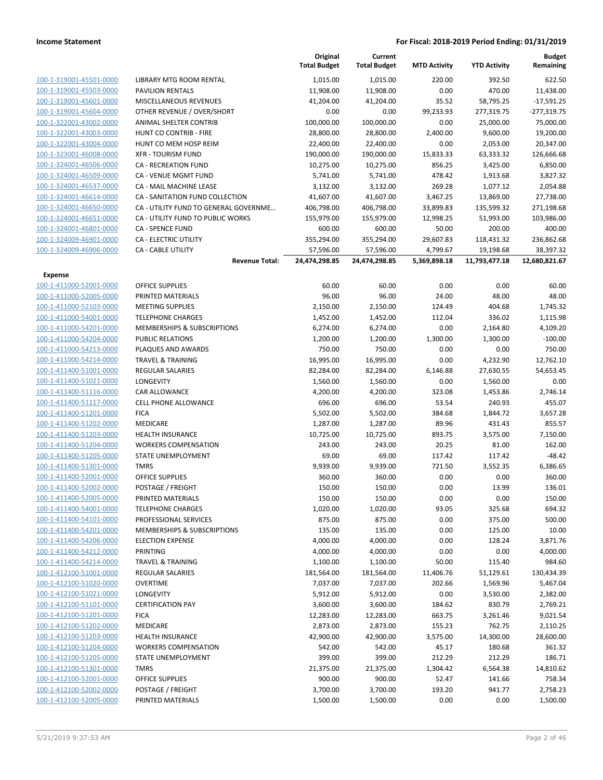|                                                    |                                               | Original<br><b>Total Budget</b> | Current<br><b>Total Budget</b> | <b>MTD Activity</b> | <b>YTD Activity</b> | Budget<br>Remaining   |
|----------------------------------------------------|-----------------------------------------------|---------------------------------|--------------------------------|---------------------|---------------------|-----------------------|
| 100-1-319001-45501-0000                            | LIBRARY MTG ROOM RENTAL                       | 1,015.00                        | 1,015.00                       | 220.00              | 392.50              | 622.50                |
| 100-1-319001-45503-0000                            | <b>PAVILION RENTALS</b>                       | 11,908.00                       | 11,908.00                      | 0.00                | 470.00              | 11,438.00             |
| 100-1-319001-45601-0000                            | MISCELLANEOUS REVENUES                        | 41,204.00                       | 41,204.00                      | 35.52               | 58,795.25           | $-17,591.25$          |
| 100-1-319001-45604-0000                            | OTHER REVENUE / OVER/SHORT                    | 0.00                            | 0.00                           | 99,233.93           | 277,319.75          | $-277,319.75$         |
| 100-1-322001-43002-0000                            | ANIMAL SHELTER CONTRIB                        | 100,000.00                      | 100,000.00                     | 0.00                | 25,000.00           | 75,000.00             |
| 100-1-322001-43003-0000                            | HUNT CO CONTRIB - FIRE                        | 28,800.00                       | 28,800.00                      | 2,400.00            | 9,600.00            | 19,200.00             |
| 100-1-322001-43004-0000                            | HUNT CO MEM HOSP REIM                         | 22,400.00                       | 22,400.00                      | 0.00                | 2,053.00            | 20,347.00             |
| 100-1-323001-46008-0000                            | <b>XFR - TOURISM FUND</b>                     | 190,000.00                      | 190,000.00                     | 15,833.33           | 63,333.32           | 126,666.68            |
| 100-1-324001-46506-0000                            | CA - RECREATION FUND                          | 10,275.00                       | 10,275.00                      | 856.25              | 3,425.00            | 6,850.00              |
| 100-1-324001-46509-0000                            | CA - VENUE MGMT FUND                          | 5,741.00                        | 5,741.00                       | 478.42              | 1,913.68            | 3,827.32              |
| 100-1-324001-46537-0000                            | CA - MAIL MACHINE LEASE                       | 3,132.00                        | 3,132.00                       | 269.28              | 1,077.12            | 2,054.88              |
| 100-1-324001-46614-0000                            | CA - SANITATION FUND COLLECTION               | 41,607.00                       | 41,607.00                      | 3,467.25            | 13,869.00           | 27,738.00             |
| 100-1-324001-46650-0000                            | CA - UTILITY FUND TO GENERAL GOVERNME         | 406,798.00                      | 406,798.00                     | 33,899.83           | 135,599.32          | 271,198.68            |
| 100-1-324001-46651-0000                            | CA - UTILITY FUND TO PUBLIC WORKS             | 155,979.00                      | 155,979.00                     | 12,998.25           | 51,993.00           | 103,986.00            |
| 100-1-324001-46801-0000                            | CA - SPENCE FUND                              | 600.00                          | 600.00                         | 50.00               | 200.00              | 400.00                |
| 100-1-324009-46901-0000                            | <b>CA - ELECTRIC UTILITY</b>                  | 355,294.00                      | 355,294.00                     | 29,607.83           | 118,431.32          | 236,862.68            |
| 100-1-324009-46906-0000                            | <b>CA - CABLE UTILITY</b>                     | 57,596.00                       | 57,596.00                      | 4,799.67            | 19,198.68           | 38,397.32             |
|                                                    | <b>Revenue Total:</b>                         | 24,474,298.85                   | 24,474,298.85                  | 5,369,898.18        | 11,793,477.18       | 12,680,821.67         |
| <b>Expense</b>                                     |                                               |                                 |                                |                     |                     |                       |
| 100-1-411000-52001-0000                            | <b>OFFICE SUPPLIES</b>                        | 60.00                           | 60.00                          | 0.00                | 0.00                | 60.00                 |
| 100-1-411000-52005-0000<br>100-1-411000-52103-0000 | PRINTED MATERIALS                             | 96.00                           | 96.00                          | 24.00               | 48.00               | 48.00                 |
|                                                    | <b>MEETING SUPPLIES</b>                       | 2,150.00                        | 2,150.00                       | 124.49              | 404.68              | 1,745.32              |
| 100-1-411000-54001-0000                            | <b>TELEPHONE CHARGES</b>                      | 1,452.00                        | 1,452.00                       | 112.04              | 336.02              | 1,115.98              |
| 100-1-411000-54201-0000<br>100-1-411000-54204-0000 | MEMBERSHIPS & SUBSCRIPTIONS                   | 6,274.00                        | 6,274.00                       | 0.00                | 2,164.80            | 4,109.20<br>$-100.00$ |
| 100-1-411000-54213-0000                            | <b>PUBLIC RELATIONS</b><br>PLAQUES AND AWARDS | 1,200.00<br>750.00              | 1,200.00<br>750.00             | 1,300.00<br>0.00    | 1,300.00<br>0.00    | 750.00                |
| 100-1-411000-54214-0000                            | <b>TRAVEL &amp; TRAINING</b>                  | 16,995.00                       | 16,995.00                      | 0.00                | 4,232.90            | 12,762.10             |
| 100-1-411400-51001-0000                            | <b>REGULAR SALARIES</b>                       | 82,284.00                       | 82,284.00                      | 6,146.88            | 27,630.55           | 54,653.45             |
| 100-1-411400-51021-0000                            | LONGEVITY                                     | 1,560.00                        | 1,560.00                       | 0.00                | 1,560.00            | 0.00                  |
| 100-1-411400-51116-0000                            | CAR ALLOWANCE                                 | 4,200.00                        | 4,200.00                       | 323.08              | 1,453.86            | 2,746.14              |
| 100-1-411400-51117-0000                            | <b>CELL PHONE ALLOWANCE</b>                   | 696.00                          | 696.00                         | 53.54               | 240.93              | 455.07                |
| 100-1-411400-51201-0000                            | <b>FICA</b>                                   | 5,502.00                        | 5,502.00                       | 384.68              | 1,844.72            | 3,657.28              |
| 100-1-411400-51202-0000                            | MEDICARE                                      | 1,287.00                        | 1,287.00                       | 89.96               | 431.43              | 855.57                |
| 100-1-411400-51203-0000                            | <b>HEALTH INSURANCE</b>                       | 10,725.00                       | 10,725.00                      | 893.75              | 3,575.00            | 7,150.00              |
| 100-1-411400-51204-0000                            | <b>WORKERS COMPENSATION</b>                   | 243.00                          | 243.00                         | 20.25               | 81.00               | 162.00                |
| 100-1-411400-51205-0000                            | STATE UNEMPLOYMENT                            | 69.00                           | 69.00                          | 117.42              | 117.42              | $-48.42$              |
| 100-1-411400-51301-0000                            | <b>TMRS</b>                                   | 9,939.00                        | 9,939.00                       | 721.50              | 3,552.35            | 6,386.65              |
| 100-1-411400-52001-0000                            | <b>OFFICE SUPPLIES</b>                        | 360.00                          | 360.00                         | 0.00                | 0.00                | 360.00                |
| 100-1-411400-52002-0000                            | POSTAGE / FREIGHT                             | 150.00                          | 150.00                         | 0.00                | 13.99               | 136.01                |
| 100-1-411400-52005-0000                            | PRINTED MATERIALS                             | 150.00                          | 150.00                         | 0.00                | 0.00                | 150.00                |
| 100-1-411400-54001-0000                            | <b>TELEPHONE CHARGES</b>                      | 1,020.00                        | 1,020.00                       | 93.05               | 325.68              | 694.32                |
| 100-1-411400-54101-0000                            | PROFESSIONAL SERVICES                         | 875.00                          | 875.00                         | 0.00                | 375.00              | 500.00                |
| 100-1-411400-54201-0000                            | MEMBERSHIPS & SUBSCRIPTIONS                   | 135.00                          | 135.00                         | 0.00                | 125.00              | 10.00                 |
| 100-1-411400-54206-0000                            | <b>ELECTION EXPENSE</b>                       | 4,000.00                        | 4,000.00                       | 0.00                | 128.24              | 3,871.76              |
| 100-1-411400-54212-0000                            | <b>PRINTING</b>                               | 4,000.00                        | 4,000.00                       | 0.00                | 0.00                | 4,000.00              |
| 100-1-411400-54214-0000                            | <b>TRAVEL &amp; TRAINING</b>                  | 1,100.00                        | 1,100.00                       | 50.00               | 115.40              | 984.60                |
| 100-1-412100-51001-0000                            | <b>REGULAR SALARIES</b>                       | 181,564.00                      | 181,564.00                     | 11,406.76           | 51,129.61           | 130,434.39            |
| 100-1-412100-51020-0000                            | <b>OVERTIME</b>                               | 7,037.00                        | 7,037.00                       | 202.66              | 1,569.96            | 5,467.04              |
| 100-1-412100-51021-0000                            | LONGEVITY                                     | 5,912.00                        | 5,912.00                       | 0.00                | 3,530.00            | 2,382.00              |
| 100-1-412100-51101-0000                            | <b>CERTIFICATION PAY</b>                      | 3,600.00                        | 3,600.00                       | 184.62              | 830.79              | 2,769.21              |
| 100-1-412100-51201-0000                            | <b>FICA</b>                                   | 12,283.00                       | 12,283.00                      | 663.75              | 3,261.46            | 9,021.54              |
| 100-1-412100-51202-0000                            | MEDICARE                                      | 2,873.00                        | 2,873.00                       | 155.23              | 762.75              | 2,110.25              |
| 100-1-412100-51203-0000                            | <b>HEALTH INSURANCE</b>                       | 42,900.00                       | 42,900.00                      | 3,575.00            | 14,300.00           | 28,600.00             |
| 100-1-412100-51204-0000                            | <b>WORKERS COMPENSATION</b>                   | 542.00                          | 542.00                         | 45.17               | 180.68              | 361.32                |
| 100-1-412100-51205-0000                            | STATE UNEMPLOYMENT                            | 399.00                          | 399.00                         | 212.29              | 212.29              | 186.71                |
| 100-1-412100-51301-0000                            | <b>TMRS</b>                                   | 21,375.00                       | 21,375.00                      | 1,304.42            | 6,564.38            | 14,810.62             |
| 100-1-412100-52001-0000                            | <b>OFFICE SUPPLIES</b>                        | 900.00                          | 900.00                         | 52.47               | 141.66              | 758.34                |
| 100-1-412100-52002-0000                            | POSTAGE / FREIGHT                             | 3,700.00                        | 3,700.00                       | 193.20              | 941.77              | 2,758.23              |
| 100-1-412100-52005-0000                            | PRINTED MATERIALS                             | 1,500.00                        | 1,500.00                       | 0.00                | 0.00                | 1,500.00              |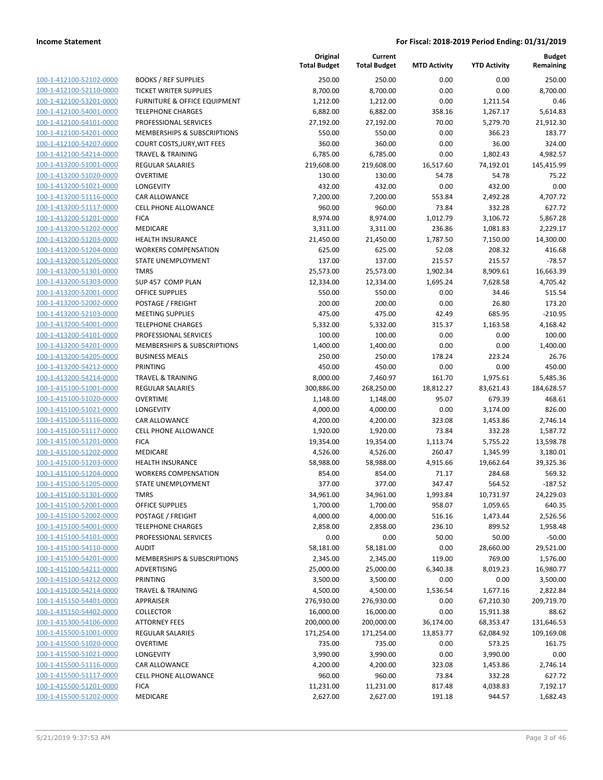**Current**

**Original**

**Budget**

|                                                    |                                                 | <b>Total Budget</b> | <b>Total Budget</b>    | <b>MTD Activity</b> | <b>YTD Activity</b>   | Remaining          |
|----------------------------------------------------|-------------------------------------------------|---------------------|------------------------|---------------------|-----------------------|--------------------|
| 100-1-412100-52102-0000                            | <b>BOOKS / REF SUPPLIES</b>                     | 250.00              | 250.00                 | 0.00                | 0.00                  | 250.00             |
| 100-1-412100-52110-0000                            | <b>TICKET WRITER SUPPLIES</b>                   | 8,700.00            | 8,700.00               | 0.00                | 0.00                  | 8,700.00           |
| 100-1-412100-53201-0000                            | <b>FURNITURE &amp; OFFICE EQUIPMENT</b>         | 1,212.00            | 1,212.00               | 0.00                | 1,211.54              | 0.46               |
| 100-1-412100-54001-0000                            | <b>TELEPHONE CHARGES</b>                        | 6,882.00            | 6,882.00               | 358.16              | 1,267.17              | 5,614.83           |
| 100-1-412100-54101-0000                            | PROFESSIONAL SERVICES                           | 27,192.00           | 27,192.00              | 70.00               | 5,279.70              | 21,912.30          |
| 100-1-412100-54201-0000                            | MEMBERSHIPS & SUBSCRIPTIONS                     | 550.00              | 550.00                 | 0.00                | 366.23                | 183.77             |
| 100-1-412100-54207-0000                            | COURT COSTS, JURY, WIT FEES                     | 360.00              | 360.00                 | 0.00                | 36.00                 | 324.00             |
| 100-1-412100-54214-0000                            | <b>TRAVEL &amp; TRAINING</b>                    | 6,785.00            | 6,785.00               | 0.00                | 1,802.43              | 4,982.57           |
| 100-1-413200-51001-0000                            | <b>REGULAR SALARIES</b>                         | 219,608.00          | 219,608.00             | 16,517.60           | 74,192.01             | 145,415.99         |
| 100-1-413200-51020-0000                            | <b>OVERTIME</b>                                 | 130.00              | 130.00                 | 54.78               | 54.78                 | 75.22              |
| 100-1-413200-51021-0000                            | LONGEVITY                                       | 432.00              | 432.00                 | 0.00                | 432.00                | 0.00               |
| 100-1-413200-51116-0000                            | CAR ALLOWANCE                                   | 7,200.00            | 7,200.00               | 553.84              | 2,492.28              | 4,707.72           |
| 100-1-413200-51117-0000                            | CELL PHONE ALLOWANCE                            | 960.00              | 960.00                 | 73.84               | 332.28                | 627.72             |
| 100-1-413200-51201-0000                            | <b>FICA</b>                                     | 8,974.00            | 8,974.00               | 1,012.79            | 3,106.72              | 5,867.28           |
| 100-1-413200-51202-0000                            | MEDICARE                                        | 3,311.00            | 3,311.00               | 236.86              | 1,081.83              | 2,229.17           |
| 100-1-413200-51203-0000                            | <b>HEALTH INSURANCE</b>                         | 21,450.00           | 21,450.00              | 1,787.50            | 7,150.00              | 14,300.00          |
| 100-1-413200-51204-0000                            | <b>WORKERS COMPENSATION</b>                     | 625.00              | 625.00                 | 52.08               | 208.32                | 416.68             |
| 100-1-413200-51205-0000                            | STATE UNEMPLOYMENT                              | 137.00              | 137.00                 | 215.57              | 215.57                | $-78.57$           |
| 100-1-413200-51301-0000                            | <b>TMRS</b>                                     | 25,573.00           | 25,573.00              | 1,902.34            | 8,909.61              | 16,663.39          |
| 100-1-413200-51303-0000                            | SUP 457 COMP PLAN                               | 12,334.00           | 12,334.00              | 1,695.24            | 7,628.58              | 4,705.42           |
| 100-1-413200-52001-0000                            | <b>OFFICE SUPPLIES</b>                          | 550.00              | 550.00                 | 0.00                | 34.46                 | 515.54             |
| 100-1-413200-52002-0000                            | POSTAGE / FREIGHT                               | 200.00              | 200.00                 | 0.00                | 26.80                 | 173.20             |
| 100-1-413200-52103-0000                            | <b>MEETING SUPPLIES</b>                         | 475.00              | 475.00                 | 42.49               | 685.95                | $-210.95$          |
| 100-1-413200-54001-0000                            | <b>TELEPHONE CHARGES</b>                        | 5,332.00            | 5,332.00               | 315.37              | 1,163.58              | 4,168.42           |
| 100-1-413200-54101-0000                            | PROFESSIONAL SERVICES                           | 100.00              | 100.00                 | 0.00                | 0.00                  | 100.00             |
| 100-1-413200-54201-0000                            | MEMBERSHIPS & SUBSCRIPTIONS                     | 1,400.00            | 1,400.00               | 0.00                | 0.00                  | 1,400.00           |
| 100-1-413200-54205-0000                            | <b>BUSINESS MEALS</b>                           | 250.00              | 250.00                 | 178.24              | 223.24                | 26.76              |
| 100-1-413200-54212-0000<br>100-1-413200-54214-0000 | <b>PRINTING</b><br><b>TRAVEL &amp; TRAINING</b> | 450.00<br>8,000.00  | 450.00                 | 0.00                | 0.00                  | 450.00<br>5,485.36 |
| 100-1-415100-51001-0000                            | <b>REGULAR SALARIES</b>                         | 300,886.00          | 7,460.97<br>268,250.00 | 161.70<br>18,812.27 | 1,975.61<br>83,621.43 | 184,628.57         |
| 100-1-415100-51020-0000                            | <b>OVERTIME</b>                                 | 1,148.00            | 1,148.00               | 95.07               | 679.39                | 468.61             |
| 100-1-415100-51021-0000                            | LONGEVITY                                       | 4,000.00            | 4,000.00               | 0.00                | 3,174.00              | 826.00             |
| 100-1-415100-51116-0000                            | CAR ALLOWANCE                                   | 4,200.00            | 4,200.00               | 323.08              | 1,453.86              | 2,746.14           |
| 100-1-415100-51117-0000                            | <b>CELL PHONE ALLOWANCE</b>                     | 1,920.00            | 1,920.00               | 73.84               | 332.28                | 1,587.72           |
| 100-1-415100-51201-0000                            | <b>FICA</b>                                     | 19,354.00           | 19,354.00              | 1,113.74            | 5,755.22              | 13,598.78          |
| 100-1-415100-51202-0000                            | MEDICARE                                        | 4,526.00            | 4,526.00               | 260.47              | 1,345.99              | 3,180.01           |
| 100-1-415100-51203-0000                            | <b>HEALTH INSURANCE</b>                         | 58,988.00           | 58,988.00              | 4,915.66            | 19,662.64             | 39,325.36          |
| 100-1-415100-51204-0000                            | <b>WORKERS COMPENSATION</b>                     | 854.00              | 854.00                 | 71.17               | 284.68                | 569.32             |
| 100-1-415100-51205-0000                            | <b>STATE UNEMPLOYMENT</b>                       | 377.00              | 377.00                 | 347.47              | 564.52                | $-187.52$          |
| 100-1-415100-51301-0000                            | <b>TMRS</b>                                     | 34,961.00           | 34,961.00              | 1,993.84            | 10,731.97             | 24,229.03          |
| <u>100-1-415100-52001-0000</u>                     | OFFICE SUPPLIES                                 | 1,700.00            | 1,700.00               | 958.07              | 1,059.65              | 640.35             |
| 100-1-415100-52002-0000                            | POSTAGE / FREIGHT                               | 4,000.00            | 4,000.00               | 516.16              | 1,473.44              | 2,526.56           |
| 100-1-415100-54001-0000                            | <b>TELEPHONE CHARGES</b>                        | 2,858.00            | 2,858.00               | 236.10              | 899.52                | 1,958.48           |
| 100-1-415100-54101-0000                            | PROFESSIONAL SERVICES                           | 0.00                | 0.00                   | 50.00               | 50.00                 | $-50.00$           |
| 100-1-415100-54110-0000                            | <b>AUDIT</b>                                    | 58,181.00           | 58,181.00              | 0.00                | 28,660.00             | 29,521.00          |
| 100-1-415100-54201-0000                            | <b>MEMBERSHIPS &amp; SUBSCRIPTIONS</b>          | 2,345.00            | 2,345.00               | 119.00              | 769.00                | 1,576.00           |
| 100-1-415100-54211-0000                            | ADVERTISING                                     | 25,000.00           | 25,000.00              | 6,340.38            | 8,019.23              | 16,980.77          |
| 100-1-415100-54212-0000                            | <b>PRINTING</b>                                 | 3,500.00            | 3,500.00               | 0.00                | 0.00                  | 3,500.00           |
| 100-1-415100-54214-0000                            | <b>TRAVEL &amp; TRAINING</b>                    | 4,500.00            | 4,500.00               | 1,536.54            | 1,677.16              | 2,822.84           |
| 100-1-415150-54401-0000                            | <b>APPRAISER</b>                                | 276,930.00          | 276,930.00             | 0.00                | 67,210.30             | 209,719.70         |
| 100-1-415150-54402-0000                            | <b>COLLECTOR</b>                                | 16,000.00           | 16,000.00              | 0.00                | 15,911.38             | 88.62              |
| 100-1-415300-54106-0000                            | <b>ATTORNEY FEES</b>                            | 200,000.00          | 200,000.00             | 36,174.00           | 68,353.47             | 131,646.53         |
| 100-1-415500-51001-0000                            | REGULAR SALARIES                                | 171,254.00          | 171,254.00             | 13,853.77           | 62,084.92             | 109,169.08         |
| 100-1-415500-51020-0000                            | <b>OVERTIME</b>                                 | 735.00              | 735.00                 | 0.00                | 573.25                | 161.75             |
| 100-1-415500-51021-0000                            | LONGEVITY                                       | 3,990.00            | 3,990.00               | 0.00                | 3,990.00              | 0.00               |
| 100-1-415500-51116-0000                            | CAR ALLOWANCE                                   | 4,200.00            | 4,200.00               | 323.08              | 1,453.86              | 2,746.14           |
| 100-1-415500-51117-0000                            | <b>CELL PHONE ALLOWANCE</b>                     | 960.00              | 960.00                 | 73.84               | 332.28                | 627.72             |
| 100-1-415500-51201-0000                            | <b>FICA</b>                                     | 11,231.00           | 11,231.00              | 817.48              | 4,038.83              | 7,192.17           |
| 100-1-415500-51202-0000                            | MEDICARE                                        | 2,627.00            | 2,627.00               | 191.18              | 944.57                | 1,682.43           |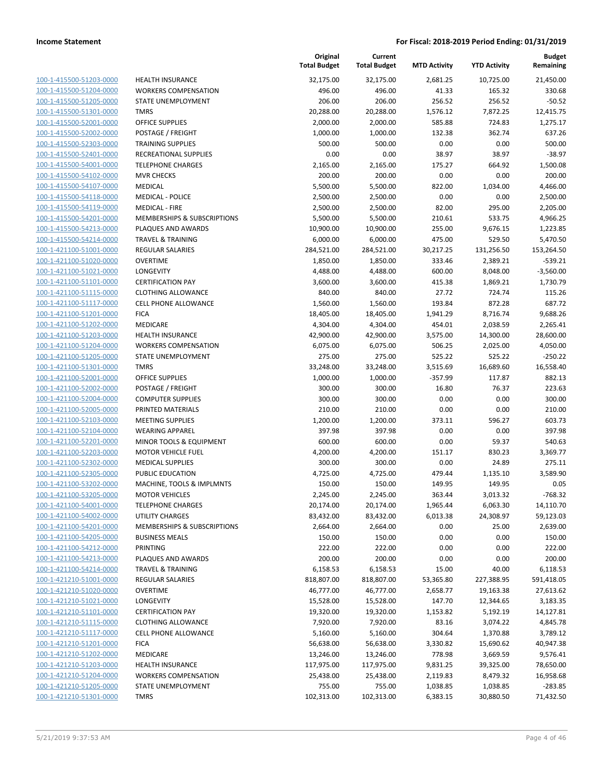| 100-1-415500-51203-0000                                   |
|-----------------------------------------------------------|
| 100-1-415500-51204-0000                                   |
| 100-1-415500-51205-0000                                   |
| 100-1-415500-51301-0000                                   |
| 100-1-415500-52001-0000                                   |
| 100-1-415500-52002-0000                                   |
| 100-1-415500-52303-0000                                   |
| 100-1-415500-52401-0000                                   |
| 100-1-415500-54001-0000                                   |
| 100-1-415500-54102-0000                                   |
| 100-1-415500-54107-0000                                   |
| 100-1-415500-54118-0000                                   |
| 100-1-415500-54119-0000                                   |
| 100-1-415500-54201-0000                                   |
|                                                           |
| 100-1-415500-54213-0000                                   |
| 100-1-415500-54214-0000                                   |
| 100-1-421100-51001-0000                                   |
| 100-1-421100-51020-0000                                   |
| 100-1-421100-51021-0000                                   |
| 100-1-421100-51101-0000                                   |
| 100-1-421100-51115-0000                                   |
| 100-1-421100-51117-0000                                   |
| 100-1-421100-51201-0000                                   |
| 100-1-421100-51202-0000                                   |
| 100-1-421100-51203-0000                                   |
| 100-1-421100-51204-0000                                   |
| 100-1-421100-51205-0000                                   |
| 100-1-421100-51301-0000                                   |
|                                                           |
| 100-1-421100-52001-0000                                   |
| 100-1-421100-52002-0000                                   |
| 100-1-421100-52004-0000                                   |
| 100-1-421100-52005-0000                                   |
| 100-1-421100-52103-0000                                   |
| 100-1-421100-52104-0000                                   |
| 100-1-421100-52201-0000                                   |
| 100-1-421100-52203-0000                                   |
| 100-1-421100-52302-0000                                   |
| 100-1-421100-52305-0000                                   |
| 100-1-421100-53202-0000                                   |
| 100-1-421100-53205-0000                                   |
| 100-1-421100-54001-0000                                   |
| <u>100-1-421100-54002-0000</u>                            |
| <u>100-1-421100-54201-0000</u>                            |
|                                                           |
| 100-1-421100-54205-0000                                   |
| 100-1-421100-54212-0000                                   |
| 100-1-421100-54213-0000                                   |
| 100-1-421100-54214-0000                                   |
| <u>100-1-421210-51001-0000</u>                            |
| <u>100-1-421210-51020-0000</u>                            |
| <u>100-1-421210-51021-0000</u>                            |
| 100-1-421210-51101-0000                                   |
| 100-1-421210-51115-0000                                   |
| <u>100-1-421210-51117-0000</u>                            |
|                                                           |
|                                                           |
| <u>100-1-421210-51201-0000</u>                            |
| <u>100-1-421210-51202-0000</u>                            |
| <u>100-1-421210-51203-0000</u>                            |
| <u>100-1-421210-51204-0000</u>                            |
| <u>100-1-421210-51205-0000</u><br>100-1-421210-51301-0000 |

|                         |                              | Original<br><b>Total Budget</b> | Current<br><b>Total Budget</b> | <b>MTD Activity</b> | <b>YTD Activity</b> | <b>Budget</b><br>Remaining |
|-------------------------|------------------------------|---------------------------------|--------------------------------|---------------------|---------------------|----------------------------|
| 100-1-415500-51203-0000 | <b>HEALTH INSURANCE</b>      | 32,175.00                       | 32,175.00                      | 2,681.25            | 10,725.00           | 21,450.00                  |
| 100-1-415500-51204-0000 | <b>WORKERS COMPENSATION</b>  | 496.00                          | 496.00                         | 41.33               | 165.32              | 330.68                     |
| 100-1-415500-51205-0000 | STATE UNEMPLOYMENT           | 206.00                          | 206.00                         | 256.52              | 256.52              | $-50.52$                   |
| 100-1-415500-51301-0000 | <b>TMRS</b>                  | 20,288.00                       | 20,288.00                      | 1,576.12            | 7,872.25            | 12,415.75                  |
| 100-1-415500-52001-0000 | <b>OFFICE SUPPLIES</b>       | 2,000.00                        | 2,000.00                       | 585.88              | 724.83              | 1,275.17                   |
| 100-1-415500-52002-0000 | POSTAGE / FREIGHT            | 1,000.00                        | 1,000.00                       | 132.38              | 362.74              | 637.26                     |
| 100-1-415500-52303-0000 | <b>TRAINING SUPPLIES</b>     | 500.00                          | 500.00                         | 0.00                | 0.00                | 500.00                     |
| 100-1-415500-52401-0000 | <b>RECREATIONAL SUPPLIES</b> | 0.00                            | 0.00                           | 38.97               | 38.97               | $-38.97$                   |
| 100-1-415500-54001-0000 | <b>TELEPHONE CHARGES</b>     | 2,165.00                        | 2,165.00                       | 175.27              | 664.92              | 1,500.08                   |
| 100-1-415500-54102-0000 | <b>MVR CHECKS</b>            | 200.00                          | 200.00                         | 0.00                | 0.00                | 200.00                     |
| 100-1-415500-54107-0000 | <b>MEDICAL</b>               | 5,500.00                        | 5,500.00                       | 822.00              | 1,034.00            | 4,466.00                   |
| 100-1-415500-54118-0000 | <b>MEDICAL - POLICE</b>      | 2,500.00                        | 2,500.00                       | 0.00                | 0.00                | 2,500.00                   |
| 100-1-415500-54119-0000 | <b>MEDICAL - FIRE</b>        | 2,500.00                        | 2,500.00                       | 82.00               | 295.00              | 2,205.00                   |
| 100-1-415500-54201-0000 | MEMBERSHIPS & SUBSCRIPTIONS  | 5,500.00                        | 5,500.00                       | 210.61              | 533.75              | 4,966.25                   |
| 100-1-415500-54213-0000 | PLAQUES AND AWARDS           | 10,900.00                       | 10,900.00                      | 255.00              | 9,676.15            | 1,223.85                   |
| 100-1-415500-54214-0000 | <b>TRAVEL &amp; TRAINING</b> | 6,000.00                        | 6,000.00                       | 475.00              | 529.50              | 5,470.50                   |
| 100-1-421100-51001-0000 | REGULAR SALARIES             | 284,521.00                      | 284,521.00                     | 30,217.25           | 131,256.50          | 153,264.50                 |
| 100-1-421100-51020-0000 | <b>OVERTIME</b>              | 1,850.00                        | 1,850.00                       | 333.46              | 2,389.21            | $-539.21$                  |
| 100-1-421100-51021-0000 | LONGEVITY                    | 4,488.00                        | 4,488.00                       | 600.00              | 8,048.00            | $-3,560.00$                |
| 100-1-421100-51101-0000 | <b>CERTIFICATION PAY</b>     | 3,600.00                        | 3,600.00                       | 415.38              | 1,869.21            | 1,730.79                   |
| 100-1-421100-51115-0000 | <b>CLOTHING ALLOWANCE</b>    | 840.00                          | 840.00                         | 27.72               | 724.74              | 115.26                     |
| 100-1-421100-51117-0000 | CELL PHONE ALLOWANCE         | 1,560.00                        | 1,560.00                       | 193.84              | 872.28              | 687.72                     |
| 100-1-421100-51201-0000 | <b>FICA</b>                  | 18,405.00                       | 18,405.00                      | 1,941.29            | 8,716.74            | 9,688.26                   |
| 100-1-421100-51202-0000 | MEDICARE                     | 4,304.00                        | 4,304.00                       | 454.01              | 2,038.59            | 2,265.41                   |
| 100-1-421100-51203-0000 | <b>HEALTH INSURANCE</b>      | 42,900.00                       | 42,900.00                      | 3,575.00            | 14,300.00           | 28,600.00                  |
| 100-1-421100-51204-0000 | <b>WORKERS COMPENSATION</b>  | 6,075.00                        | 6,075.00                       | 506.25              | 2,025.00            | 4,050.00                   |
| 100-1-421100-51205-0000 | STATE UNEMPLOYMENT           | 275.00                          | 275.00                         | 525.22              | 525.22              | $-250.22$                  |
| 100-1-421100-51301-0000 | <b>TMRS</b>                  | 33,248.00                       | 33,248.00                      | 3,515.69            | 16,689.60           | 16,558.40                  |
| 100-1-421100-52001-0000 | <b>OFFICE SUPPLIES</b>       | 1,000.00                        | 1,000.00                       | $-357.99$           | 117.87              | 882.13                     |
| 100-1-421100-52002-0000 | POSTAGE / FREIGHT            | 300.00                          | 300.00                         | 16.80               | 76.37               | 223.63                     |
| 100-1-421100-52004-0000 | <b>COMPUTER SUPPLIES</b>     | 300.00                          | 300.00                         | 0.00                | 0.00                | 300.00                     |
| 100-1-421100-52005-0000 | PRINTED MATERIALS            | 210.00                          | 210.00                         | 0.00                | 0.00                | 210.00                     |
| 100-1-421100-52103-0000 | <b>MEETING SUPPLIES</b>      | 1,200.00                        | 1,200.00                       | 373.11              | 596.27              | 603.73                     |
| 100-1-421100-52104-0000 | <b>WEARING APPAREL</b>       | 397.98                          | 397.98                         | 0.00                | 0.00                | 397.98                     |
| 100-1-421100-52201-0000 | MINOR TOOLS & EQUIPMENT      | 600.00                          | 600.00                         | 0.00                | 59.37               | 540.63                     |
| 100-1-421100-52203-0000 | <b>MOTOR VEHICLE FUEL</b>    | 4,200.00                        | 4,200.00                       | 151.17              | 830.23              | 3,369.77                   |
| 100-1-421100-52302-0000 | <b>MEDICAL SUPPLIES</b>      | 300.00                          | 300.00                         | 0.00                | 24.89               | 275.11                     |
| 100-1-421100-52305-0000 | PUBLIC EDUCATION             | 4,725.00                        | 4,725.00                       | 479.44              | 1,135.10            | 3,589.90                   |
| 100-1-421100-53202-0000 | MACHINE, TOOLS & IMPLMNTS    | 150.00                          | 150.00                         | 149.95              | 149.95              | 0.05                       |
| 100-1-421100-53205-0000 | <b>MOTOR VEHICLES</b>        | 2,245.00                        | 2,245.00                       | 363.44              | 3,013.32            | $-768.32$                  |
| 100-1-421100-54001-0000 | <b>TELEPHONE CHARGES</b>     | 20,174.00                       | 20,174.00                      | 1,965.44            | 6,063.30            | 14,110.70                  |
| 100-1-421100-54002-0000 | UTILITY CHARGES              | 83,432.00                       | 83,432.00                      | 6,013.38            | 24,308.97           | 59,123.03                  |
| 100-1-421100-54201-0000 | MEMBERSHIPS & SUBSCRIPTIONS  | 2,664.00                        | 2,664.00                       | 0.00                | 25.00               | 2,639.00                   |
| 100-1-421100-54205-0000 | <b>BUSINESS MEALS</b>        | 150.00                          | 150.00                         | 0.00                | 0.00                | 150.00                     |
| 100-1-421100-54212-0000 | <b>PRINTING</b>              | 222.00                          | 222.00                         | 0.00                | 0.00                | 222.00                     |
| 100-1-421100-54213-0000 | PLAQUES AND AWARDS           | 200.00                          | 200.00                         | 0.00                | 0.00                | 200.00                     |
| 100-1-421100-54214-0000 | <b>TRAVEL &amp; TRAINING</b> | 6,158.53                        | 6,158.53                       | 15.00               | 40.00               | 6,118.53                   |
| 100-1-421210-51001-0000 | REGULAR SALARIES             | 818,807.00                      | 818,807.00                     | 53,365.80           | 227,388.95          | 591,418.05                 |
| 100-1-421210-51020-0000 | <b>OVERTIME</b>              | 46,777.00                       | 46,777.00                      | 2,658.77            | 19,163.38           | 27,613.62                  |
| 100-1-421210-51021-0000 | LONGEVITY                    | 15,528.00                       | 15,528.00                      | 147.70              | 12,344.65           | 3,183.35                   |
| 100-1-421210-51101-0000 | <b>CERTIFICATION PAY</b>     | 19,320.00                       | 19,320.00                      | 1,153.82            | 5,192.19            | 14,127.81                  |
| 100-1-421210-51115-0000 | <b>CLOTHING ALLOWANCE</b>    | 7,920.00                        | 7,920.00                       | 83.16               | 3,074.22            | 4,845.78                   |
| 100-1-421210-51117-0000 | CELL PHONE ALLOWANCE         | 5,160.00                        | 5,160.00                       | 304.64              | 1,370.88            | 3,789.12                   |
| 100-1-421210-51201-0000 | <b>FICA</b>                  | 56,638.00                       | 56,638.00                      | 3,330.82            | 15,690.62           | 40,947.38                  |
| 100-1-421210-51202-0000 | MEDICARE                     | 13,246.00                       | 13,246.00                      | 778.98              | 3,669.59            | 9,576.41                   |
| 100-1-421210-51203-0000 | <b>HEALTH INSURANCE</b>      | 117,975.00                      | 117,975.00                     | 9,831.25            | 39,325.00           | 78,650.00                  |
| 100-1-421210-51204-0000 | <b>WORKERS COMPENSATION</b>  | 25,438.00                       | 25,438.00                      | 2,119.83            | 8,479.32            | 16,958.68                  |
| 100-1-421210-51205-0000 | STATE UNEMPLOYMENT           | 755.00                          | 755.00                         | 1,038.85            | 1,038.85            | $-283.85$                  |
| 100-1-421210-51301-0000 | <b>TMRS</b>                  | 102,313.00                      | 102,313.00                     | 6,383.15            | 30,880.50           | 71,432.50                  |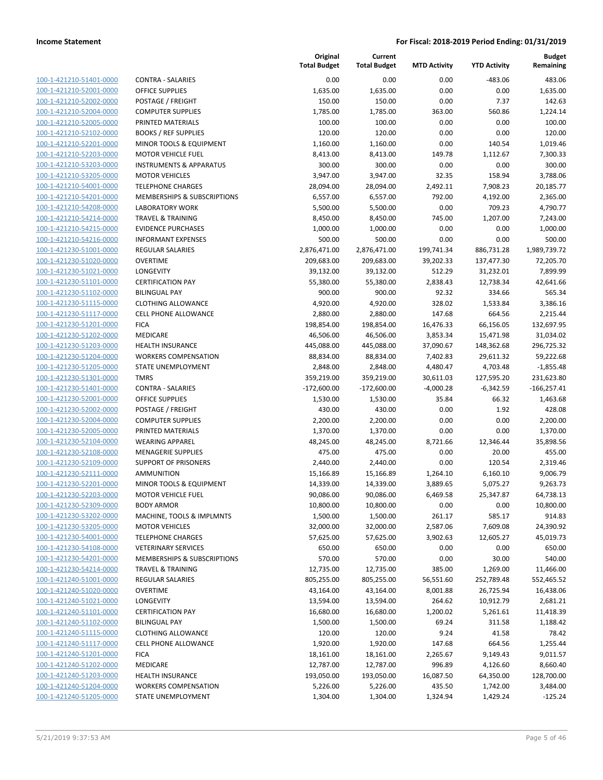| 100-1-421210-51401-0000                                   |
|-----------------------------------------------------------|
| 100-1-421210-52001-0000                                   |
| 100-1-421210-52002-0000                                   |
| 100-1-421210-52004-0000                                   |
| 100-1-421210-52005-0000                                   |
| 100-1-421210-52102-0000                                   |
|                                                           |
| 100-1-421210-52201-0000                                   |
| 100-1-421210-52203-0000                                   |
| 100-1-421210-53203-0000                                   |
| 100-1-421210-53205-0000                                   |
| 100-1-421210-54001-0000                                   |
| 100-1-421210-54201-0000                                   |
| 100-1-421210-54208-0000                                   |
| 100-1-421210-54214-0000                                   |
| 100-1-421210-54215-0000                                   |
| 100-1-421210-54216-0000                                   |
| 100-1-421230-51001-0000                                   |
| 100-1-421230-51020-0000                                   |
| 100-1-421230-51021-0000                                   |
| 1-421230-51101-0000<br>$100-$                             |
| 100-1-421230-51102-0000                                   |
|                                                           |
| 100-1-421230-51115-0000                                   |
| 100-1-421230-51117-0000                                   |
| 100-1-421230-51201-0000                                   |
| 100-1-421230-51202-0000                                   |
| 100-1-421230-51203-0000                                   |
| 100-1-421230-51204-0000                                   |
| 100-1-421230-51205-0000                                   |
| 100-1-421230-51301-0000                                   |
| 1-421230-51401-0000<br>$100-$                             |
| 100-1-421230-52001-0000                                   |
| 100-1-421230-52002-0000                                   |
| 100-1-421230-52004-0000                                   |
|                                                           |
| 100-1-421230-52005-0000                                   |
| 100-1-421230-52104-0000                                   |
| 100-1-421230-52108-0000                                   |
| 100-1-421230-52109-0000                                   |
| 100-1-421230-52111-0000                                   |
| 100-1-421230-52201-0000                                   |
| 100-1-421230-52203-0000                                   |
| 100-1-421230-52309-0000                                   |
| 100-1-421230-53202-0000                                   |
| <u>100-1-421230-53205-0000</u>                            |
| <u>100-1-421230-54001-0000</u>                            |
| 100-1-421230-54108-0000                                   |
|                                                           |
| 100-1-421230-54201-0000                                   |
| 100-1-421230-54214-0000                                   |
| <u>100-1-421240-51001-0000</u>                            |
| <u>100-1-421240-51020-0000</u>                            |
| 100-1-421240-51021-0000                                   |
| 100-1-421240-51101-0000                                   |
| 100-1-421240-51102-0000                                   |
| 100-1-421240-51115-0000                                   |
| <u>100-1-421240-51117-0000</u>                            |
| 100-1-421240-51201-0000                                   |
| 100-1-421240-51202-0000                                   |
| 100-1-421240-51203-0000                                   |
|                                                           |
| 100-1-421240-51204-0000<br><u>100-1-421240-51205-0000</u> |
|                                                           |

|                         |                                    | Original<br><b>Total Budget</b> | Current<br><b>Total Budget</b> | <b>MTD Activity</b> | <b>YTD Activity</b> | <b>Budget</b><br>Remaining |
|-------------------------|------------------------------------|---------------------------------|--------------------------------|---------------------|---------------------|----------------------------|
| 100-1-421210-51401-0000 | <b>CONTRA - SALARIES</b>           | 0.00                            | 0.00                           | 0.00                | $-483.06$           | 483.06                     |
| 100-1-421210-52001-0000 | <b>OFFICE SUPPLIES</b>             | 1,635.00                        | 1,635.00                       | 0.00                | 0.00                | 1,635.00                   |
| 100-1-421210-52002-0000 | POSTAGE / FREIGHT                  | 150.00                          | 150.00                         | 0.00                | 7.37                | 142.63                     |
| 100-1-421210-52004-0000 | <b>COMPUTER SUPPLIES</b>           | 1,785.00                        | 1,785.00                       | 363.00              | 560.86              | 1,224.14                   |
| 100-1-421210-52005-0000 | PRINTED MATERIALS                  | 100.00                          | 100.00                         | 0.00                | 0.00                | 100.00                     |
| 100-1-421210-52102-0000 | <b>BOOKS / REF SUPPLIES</b>        | 120.00                          | 120.00                         | 0.00                | 0.00                | 120.00                     |
| 100-1-421210-52201-0000 | MINOR TOOLS & EQUIPMENT            | 1,160.00                        | 1,160.00                       | 0.00                | 140.54              | 1,019.46                   |
| 100-1-421210-52203-0000 | <b>MOTOR VEHICLE FUEL</b>          | 8,413.00                        | 8,413.00                       | 149.78              | 1,112.67            | 7,300.33                   |
| 100-1-421210-53203-0000 | <b>INSTRUMENTS &amp; APPARATUS</b> | 300.00                          | 300.00                         | 0.00                | 0.00                | 300.00                     |
| 100-1-421210-53205-0000 | <b>MOTOR VEHICLES</b>              | 3,947.00                        | 3,947.00                       | 32.35               | 158.94              | 3,788.06                   |
| 100-1-421210-54001-0000 | <b>TELEPHONE CHARGES</b>           | 28,094.00                       | 28,094.00                      | 2,492.11            | 7,908.23            | 20,185.77                  |
| 100-1-421210-54201-0000 | MEMBERSHIPS & SUBSCRIPTIONS        | 6,557.00                        | 6,557.00                       | 792.00              | 4,192.00            | 2,365.00                   |
| 100-1-421210-54208-0000 | <b>LABORATORY WORK</b>             | 5,500.00                        | 5,500.00                       | 0.00                | 709.23              | 4,790.77                   |
| 100-1-421210-54214-0000 | <b>TRAVEL &amp; TRAINING</b>       | 8,450.00                        | 8,450.00                       | 745.00              | 1,207.00            | 7,243.00                   |
| 100-1-421210-54215-0000 | <b>EVIDENCE PURCHASES</b>          | 1,000.00                        | 1,000.00                       | 0.00                | 0.00                | 1,000.00                   |
| 100-1-421210-54216-0000 | <b>INFORMANT EXPENSES</b>          | 500.00                          | 500.00                         | 0.00                | 0.00                | 500.00                     |
| 100-1-421230-51001-0000 | <b>REGULAR SALARIES</b>            | 2,876,471.00                    | 2,876,471.00                   | 199,741.34          | 886,731.28          | 1,989,739.72               |
| 100-1-421230-51020-0000 | <b>OVERTIME</b>                    | 209,683.00                      | 209,683.00                     | 39,202.33           | 137,477.30          | 72,205.70                  |
| 100-1-421230-51021-0000 | LONGEVITY                          | 39,132.00                       | 39,132.00                      | 512.29              | 31,232.01           | 7,899.99                   |
| 100-1-421230-51101-0000 | <b>CERTIFICATION PAY</b>           | 55,380.00                       | 55,380.00                      | 2,838.43            | 12,738.34           | 42,641.66                  |
| 100-1-421230-51102-0000 | <b>BILINGUAL PAY</b>               | 900.00                          | 900.00                         | 92.32               | 334.66              | 565.34                     |
| 100-1-421230-51115-0000 | <b>CLOTHING ALLOWANCE</b>          | 4,920.00                        | 4,920.00                       | 328.02              | 1,533.84            | 3,386.16                   |
| 100-1-421230-51117-0000 | <b>CELL PHONE ALLOWANCE</b>        | 2,880.00                        | 2,880.00                       | 147.68              | 664.56              | 2,215.44                   |
| 100-1-421230-51201-0000 | <b>FICA</b>                        | 198,854.00                      | 198,854.00                     | 16,476.33           | 66,156.05           | 132,697.95                 |
| 100-1-421230-51202-0000 | MEDICARE                           | 46,506.00                       | 46,506.00                      | 3,853.34            | 15,471.98           | 31,034.02                  |
| 100-1-421230-51203-0000 | HEALTH INSURANCE                   | 445,088.00                      | 445,088.00                     | 37,090.67           | 148,362.68          | 296,725.32                 |
| 100-1-421230-51204-0000 | <b>WORKERS COMPENSATION</b>        | 88,834.00                       | 88,834.00                      | 7,402.83            | 29,611.32           | 59,222.68                  |
| 100-1-421230-51205-0000 | STATE UNEMPLOYMENT                 | 2,848.00                        | 2,848.00                       | 4,480.47            | 4,703.48            | $-1,855.48$                |
| 100-1-421230-51301-0000 | <b>TMRS</b>                        | 359,219.00                      | 359,219.00                     | 30,611.03           | 127,595.20          | 231,623.80                 |
| 100-1-421230-51401-0000 | <b>CONTRA - SALARIES</b>           | $-172,600.00$                   | $-172,600.00$                  | $-4,000.28$         | $-6,342.59$         | $-166,257.41$              |
| 100-1-421230-52001-0000 | OFFICE SUPPLIES                    | 1,530.00                        | 1,530.00                       | 35.84               | 66.32               | 1,463.68                   |
| 100-1-421230-52002-0000 | POSTAGE / FREIGHT                  | 430.00                          | 430.00                         | 0.00                | 1.92                | 428.08                     |
| 100-1-421230-52004-0000 | <b>COMPUTER SUPPLIES</b>           | 2,200.00                        | 2,200.00                       | 0.00                | 0.00                | 2,200.00                   |
| 100-1-421230-52005-0000 | PRINTED MATERIALS                  | 1,370.00                        | 1,370.00                       | 0.00                | 0.00                | 1,370.00                   |
| 100-1-421230-52104-0000 | <b>WEARING APPAREL</b>             | 48,245.00                       | 48,245.00                      | 8,721.66            | 12,346.44           | 35,898.56                  |
| 100-1-421230-52108-0000 | <b>MENAGERIE SUPPLIES</b>          | 475.00                          | 475.00                         | 0.00                | 20.00               | 455.00                     |
| 100-1-421230-52109-0000 | SUPPORT OF PRISONERS               | 2,440.00                        | 2,440.00                       | 0.00                | 120.54              | 2,319.46                   |
| 100-1-421230-52111-0000 | <b>AMMUNITION</b>                  | 15,166.89                       | 15,166.89                      | 1,264.10            | 6,160.10            | 9,006.79                   |
| 100-1-421230-52201-0000 | MINOR TOOLS & EQUIPMENT            | 14,339.00                       | 14,339.00                      | 3,889.65            | 5,075.27            | 9,263.73                   |
| 100-1-421230-52203-0000 | <b>MOTOR VEHICLE FUEL</b>          | 90,086.00                       | 90,086.00                      | 6,469.58            | 25,347.87           | 64,738.13                  |
| 100-1-421230-52309-0000 | <b>BODY ARMOR</b>                  | 10,800.00                       | 10,800.00                      | 0.00                | 0.00                | 10,800.00                  |
| 100-1-421230-53202-0000 | MACHINE, TOOLS & IMPLMNTS          | 1,500.00                        | 1,500.00                       | 261.17              | 585.17              | 914.83                     |
| 100-1-421230-53205-0000 | <b>MOTOR VEHICLES</b>              | 32,000.00                       | 32,000.00                      | 2,587.06            | 7,609.08            | 24,390.92                  |
| 100-1-421230-54001-0000 | <b>TELEPHONE CHARGES</b>           | 57,625.00                       | 57,625.00                      | 3,902.63            | 12,605.27           | 45,019.73                  |
| 100-1-421230-54108-0000 | <b>VETERINARY SERVICES</b>         | 650.00                          | 650.00                         | 0.00                | 0.00                | 650.00                     |
| 100-1-421230-54201-0000 | MEMBERSHIPS & SUBSCRIPTIONS        | 570.00                          | 570.00                         | 0.00                | 30.00               | 540.00                     |
| 100-1-421230-54214-0000 | <b>TRAVEL &amp; TRAINING</b>       | 12,735.00                       | 12,735.00                      | 385.00              | 1,269.00            | 11,466.00                  |
| 100-1-421240-51001-0000 | <b>REGULAR SALARIES</b>            | 805,255.00                      | 805,255.00                     | 56,551.60           | 252,789.48          | 552,465.52                 |
| 100-1-421240-51020-0000 | <b>OVERTIME</b>                    | 43,164.00                       | 43,164.00                      | 8,001.88            | 26,725.94           | 16,438.06                  |
| 100-1-421240-51021-0000 | LONGEVITY                          | 13,594.00                       | 13,594.00                      | 264.62              | 10,912.79           | 2,681.21                   |
| 100-1-421240-51101-0000 | <b>CERTIFICATION PAY</b>           | 16,680.00                       | 16,680.00                      | 1,200.02            | 5,261.61            | 11,418.39                  |
| 100-1-421240-51102-0000 | <b>BILINGUAL PAY</b>               | 1,500.00                        | 1,500.00                       | 69.24               | 311.58              | 1,188.42                   |
| 100-1-421240-51115-0000 | <b>CLOTHING ALLOWANCE</b>          | 120.00                          | 120.00                         | 9.24                | 41.58               | 78.42                      |
| 100-1-421240-51117-0000 | CELL PHONE ALLOWANCE               | 1,920.00                        | 1,920.00                       | 147.68              | 664.56              | 1,255.44                   |
| 100-1-421240-51201-0000 | <b>FICA</b>                        | 18,161.00                       | 18,161.00                      | 2,265.67            | 9,149.43            | 9,011.57                   |
| 100-1-421240-51202-0000 | MEDICARE                           | 12,787.00                       | 12,787.00                      | 996.89              | 4,126.60            | 8,660.40                   |
| 100-1-421240-51203-0000 | HEALTH INSURANCE                   | 193,050.00                      | 193,050.00                     | 16,087.50           | 64,350.00           | 128,700.00                 |
| 100-1-421240-51204-0000 | <b>WORKERS COMPENSATION</b>        | 5,226.00                        | 5,226.00                       | 435.50              | 1,742.00            | 3,484.00                   |
| 100-1-421240-51205-0000 | STATE UNEMPLOYMENT                 | 1,304.00                        | 1,304.00                       | 1,324.94            | 1,429.24            | $-125.24$                  |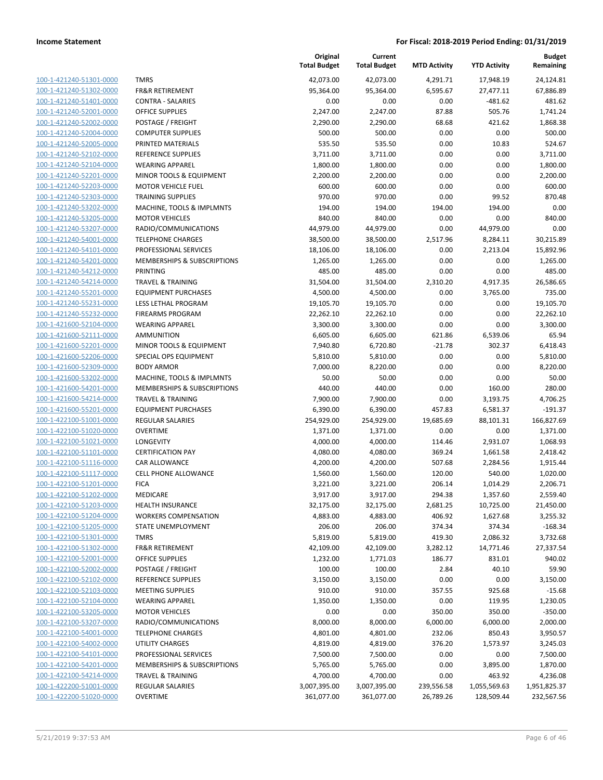| 100-1-421240-51301-0000        |
|--------------------------------|
| 100-1-421240-51302-0000        |
| 100-1-421240-51401-0000        |
| 100-1-421240-52001-0000        |
| <u>100-1-421240-52002-0000</u> |
| 100-1-421240-52004-0000        |
| 100-1-421240-52005-0000        |
| 100-1-421240-52102-0000        |
| 100-1-421240-52104-0000        |
| 100-1-421240-52201-0000        |
| 100-1-421240-52203-0000        |
| 100-1-421240-52303-0000        |
| 100-1-421240-53202-0000        |
| 100-1-421240-53205-0000        |
|                                |
| <u>100-1-421240-53207-0000</u> |
| <u>100-1-421240-54001-0000</u> |
| 100-1-421240-54101-0000        |
| 100-1-421240-54201-0000        |
| 100-1-421240-54212-0000        |
| 100-1-421240-54214-0000        |
| 100-1-421240-55201-0000        |
| 100-1-421240-55231-0000        |
| 100-1-421240-55232-0000        |
| 100-1-421600-52104-0000        |
| 100-1-421600-52111-0000        |
| 100-1-421600-52201-0000        |
| 100-1-421600-52206-0000        |
| 100-1-421600-52309-0000        |
| 100-1-421600-53202-0000        |
| <u>100-1-421600-54201-0000</u> |
| 100-1-421600-54214-0000        |
| 100-1-421600-55201-0000        |
| 100-1-422100-51001-0000        |
| 100-1-422100-51020-0000        |
|                                |
| <u>100-1-422100-51021-0000</u> |
| <u>100-1-422100-51101-0000</u> |
| 100-1-422100-51116-0000        |
| 100-1-422100-51117-0000        |
| 100-1-422100-51201-0000        |
| 100-1-422100-51202-0000        |
| 100-1-422100-51203-0000        |
| 100-1-422100-51204-0000        |
| 100-1-422100-51205-0000        |
| <u>100-1-422100-51301-0000</u> |
| <u>100-1-422100-51302-0000</u> |
| <u>100-1-422100-52001-0000</u> |
| 100-1-422100-52002-0000        |
| 100-1-422100-52102-0000        |
| <u>100-1-422100-52103-0000</u> |
| <u>100-1-422100-52104-0000</u> |
| <u>100-1-422100-53205-0000</u> |
|                                |
| 100-1-422100-53207-0000        |
| 100-1-422100-54001-0000        |
| 100-1-422100-54002-0000        |
| <u>100-1-422100-54101-0000</u> |
| <u>100-1-422100-54201-0000</u> |
| 100-1-422100-54214-0000        |
| 100-1-422200-51001-0000        |
| 100-1-422200-51020-0000        |
|                                |

|                         |                              | Original<br><b>Total Budget</b> | Current<br><b>Total Budget</b> | <b>MTD Activity</b> | <b>YTD Activity</b> | <b>Budget</b><br>Remaining |
|-------------------------|------------------------------|---------------------------------|--------------------------------|---------------------|---------------------|----------------------------|
| 100-1-421240-51301-0000 | <b>TMRS</b>                  | 42,073.00                       | 42,073.00                      | 4,291.71            | 17,948.19           | 24,124.81                  |
| 100-1-421240-51302-0000 | <b>FR&amp;R RETIREMENT</b>   | 95,364.00                       | 95,364.00                      | 6,595.67            | 27,477.11           | 67,886.89                  |
| 100-1-421240-51401-0000 | <b>CONTRA - SALARIES</b>     | 0.00                            | 0.00                           | 0.00                | $-481.62$           | 481.62                     |
| 100-1-421240-52001-0000 | <b>OFFICE SUPPLIES</b>       | 2,247.00                        | 2,247.00                       | 87.88               | 505.76              | 1,741.24                   |
| 100-1-421240-52002-0000 | POSTAGE / FREIGHT            | 2,290.00                        | 2,290.00                       | 68.68               | 421.62              | 1,868.38                   |
| 100-1-421240-52004-0000 | <b>COMPUTER SUPPLIES</b>     | 500.00                          | 500.00                         | 0.00                | 0.00                | 500.00                     |
| 100-1-421240-52005-0000 | PRINTED MATERIALS            | 535.50                          | 535.50                         | 0.00                | 10.83               | 524.67                     |
| 100-1-421240-52102-0000 | <b>REFERENCE SUPPLIES</b>    | 3,711.00                        | 3,711.00                       | 0.00                | 0.00                | 3,711.00                   |
| 100-1-421240-52104-0000 | <b>WEARING APPAREL</b>       | 1,800.00                        | 1,800.00                       | 0.00                | 0.00                | 1,800.00                   |
| 100-1-421240-52201-0000 | MINOR TOOLS & EQUIPMENT      | 2,200.00                        | 2,200.00                       | 0.00                | 0.00                | 2,200.00                   |
| 100-1-421240-52203-0000 | <b>MOTOR VEHICLE FUEL</b>    | 600.00                          | 600.00                         | 0.00                | 0.00                | 600.00                     |
| 100-1-421240-52303-0000 | <b>TRAINING SUPPLIES</b>     | 970.00                          | 970.00                         | 0.00                | 99.52               | 870.48                     |
| 100-1-421240-53202-0000 | MACHINE, TOOLS & IMPLMNTS    | 194.00                          | 194.00                         | 194.00              | 194.00              | 0.00                       |
| 100-1-421240-53205-0000 | <b>MOTOR VEHICLES</b>        | 840.00                          | 840.00                         | 0.00                | 0.00                | 840.00                     |
| 100-1-421240-53207-0000 | RADIO/COMMUNICATIONS         | 44,979.00                       | 44,979.00                      | 0.00                | 44,979.00           | 0.00                       |
| 100-1-421240-54001-0000 | <b>TELEPHONE CHARGES</b>     | 38,500.00                       | 38,500.00                      | 2,517.96            | 8,284.11            | 30,215.89                  |
| 100-1-421240-54101-0000 | PROFESSIONAL SERVICES        | 18,106.00                       | 18,106.00                      | 0.00                | 2,213.04            | 15,892.96                  |
| 100-1-421240-54201-0000 | MEMBERSHIPS & SUBSCRIPTIONS  | 1,265.00                        | 1,265.00                       | 0.00                | 0.00                | 1,265.00                   |
| 100-1-421240-54212-0000 | PRINTING                     | 485.00                          | 485.00                         | 0.00                | 0.00                | 485.00                     |
| 100-1-421240-54214-0000 | <b>TRAVEL &amp; TRAINING</b> | 31,504.00                       | 31,504.00                      | 2,310.20            | 4,917.35            | 26,586.65                  |
| 100-1-421240-55201-0000 | <b>EQUIPMENT PURCHASES</b>   | 4,500.00                        | 4,500.00                       | 0.00                | 3,765.00            | 735.00                     |
| 100-1-421240-55231-0000 | LESS LETHAL PROGRAM          | 19,105.70                       | 19,105.70                      | 0.00                | 0.00                | 19,105.70                  |
| 100-1-421240-55232-0000 | <b>FIREARMS PROGRAM</b>      | 22,262.10                       | 22,262.10                      | 0.00                | 0.00                | 22,262.10                  |
| 100-1-421600-52104-0000 | <b>WEARING APPAREL</b>       | 3,300.00                        | 3,300.00                       | 0.00                | 0.00                | 3,300.00                   |
| 100-1-421600-52111-0000 | AMMUNITION                   | 6,605.00                        | 6,605.00                       | 621.86              | 6,539.06            | 65.94                      |
| 100-1-421600-52201-0000 | MINOR TOOLS & EQUIPMENT      | 7,940.80                        | 6,720.80                       | $-21.78$            | 302.37              | 6,418.43                   |
| 100-1-421600-52206-0000 | SPECIAL OPS EQUIPMENT        | 5,810.00                        | 5,810.00                       | 0.00                | 0.00                | 5,810.00                   |
| 100-1-421600-52309-0000 | <b>BODY ARMOR</b>            | 7,000.00                        | 8,220.00                       | 0.00                | 0.00                | 8,220.00                   |
| 100-1-421600-53202-0000 | MACHINE, TOOLS & IMPLMNTS    | 50.00                           | 50.00                          | 0.00                | 0.00                | 50.00                      |
| 100-1-421600-54201-0000 | MEMBERSHIPS & SUBSCRIPTIONS  | 440.00                          | 440.00                         | 0.00                | 160.00              | 280.00                     |
| 100-1-421600-54214-0000 | <b>TRAVEL &amp; TRAINING</b> | 7,900.00                        | 7,900.00                       | 0.00                | 3,193.75            | 4,706.25                   |
| 100-1-421600-55201-0000 | <b>EQUIPMENT PURCHASES</b>   | 6,390.00                        | 6,390.00                       | 457.83              | 6,581.37            | $-191.37$                  |
| 100-1-422100-51001-0000 | <b>REGULAR SALARIES</b>      | 254,929.00                      | 254,929.00                     | 19,685.69           | 88,101.31           | 166,827.69                 |
| 100-1-422100-51020-0000 | <b>OVERTIME</b>              | 1,371.00                        | 1,371.00                       | 0.00                | 0.00                | 1,371.00                   |
| 100-1-422100-51021-0000 | LONGEVITY                    | 4,000.00                        | 4,000.00                       | 114.46              | 2,931.07            | 1,068.93                   |
| 100-1-422100-51101-0000 | <b>CERTIFICATION PAY</b>     | 4,080.00                        | 4,080.00                       | 369.24              | 1,661.58            | 2,418.42                   |
| 100-1-422100-51116-0000 | <b>CAR ALLOWANCE</b>         | 4,200.00                        | 4,200.00                       | 507.68              | 2,284.56            | 1,915.44                   |
| 100-1-422100-51117-0000 | <b>CELL PHONE ALLOWANCE</b>  | 1,560.00                        | 1,560.00                       | 120.00              | 540.00              | 1,020.00                   |
| 100-1-422100-51201-0000 | <b>FICA</b>                  | 3,221.00                        | 3,221.00                       | 206.14              | 1,014.29            | 2,206.71                   |
| 100-1-422100-51202-0000 | MEDICARE                     | 3,917.00                        | 3,917.00                       | 294.38              | 1,357.60            | 2,559.40                   |
| 100-1-422100-51203-0000 | <b>HEALTH INSURANCE</b>      | 32,175.00                       | 32,175.00                      | 2,681.25            | 10,725.00           | 21,450.00                  |
| 100-1-422100-51204-0000 | <b>WORKERS COMPENSATION</b>  | 4,883.00                        | 4,883.00                       | 406.92              | 1,627.68            | 3,255.32                   |
| 100-1-422100-51205-0000 | STATE UNEMPLOYMENT           | 206.00                          | 206.00                         | 374.34              | 374.34              | $-168.34$                  |
| 100-1-422100-51301-0000 | <b>TMRS</b>                  | 5,819.00                        | 5,819.00                       | 419.30              | 2,086.32            | 3,732.68                   |
| 100-1-422100-51302-0000 | <b>FR&amp;R RETIREMENT</b>   | 42,109.00                       | 42,109.00                      | 3,282.12            | 14,771.46           | 27,337.54                  |
| 100-1-422100-52001-0000 | OFFICE SUPPLIES              | 1,232.00                        | 1,771.03                       | 186.77              | 831.01              | 940.02                     |
| 100-1-422100-52002-0000 | POSTAGE / FREIGHT            | 100.00                          | 100.00                         | 2.84                | 40.10               | 59.90                      |
| 100-1-422100-52102-0000 | <b>REFERENCE SUPPLIES</b>    | 3,150.00                        | 3,150.00                       | 0.00                | 0.00                | 3,150.00                   |
| 100-1-422100-52103-0000 | <b>MEETING SUPPLIES</b>      | 910.00                          | 910.00                         | 357.55              | 925.68              | $-15.68$                   |
| 100-1-422100-52104-0000 | <b>WEARING APPAREL</b>       | 1,350.00                        | 1,350.00                       | 0.00                | 119.95              | 1,230.05                   |
| 100-1-422100-53205-0000 | <b>MOTOR VEHICLES</b>        | 0.00                            | 0.00                           | 350.00              | 350.00              | $-350.00$                  |
| 100-1-422100-53207-0000 | RADIO/COMMUNICATIONS         | 8,000.00                        | 8,000.00                       | 6,000.00            | 6,000.00            | 2,000.00                   |
| 100-1-422100-54001-0000 | <b>TELEPHONE CHARGES</b>     | 4,801.00                        | 4,801.00                       | 232.06              | 850.43              | 3,950.57                   |
| 100-1-422100-54002-0000 | UTILITY CHARGES              | 4,819.00                        | 4,819.00                       | 376.20              | 1,573.97            | 3,245.03                   |
| 100-1-422100-54101-0000 | PROFESSIONAL SERVICES        | 7,500.00                        | 7,500.00                       | 0.00                | 0.00                | 7,500.00                   |
| 100-1-422100-54201-0000 | MEMBERSHIPS & SUBSCRIPTIONS  | 5,765.00                        | 5,765.00                       | 0.00                | 3,895.00            | 1,870.00                   |
| 100-1-422100-54214-0000 | <b>TRAVEL &amp; TRAINING</b> | 4,700.00                        | 4,700.00                       | 0.00                | 463.92              | 4,236.08                   |
| 100-1-422200-51001-0000 | <b>REGULAR SALARIES</b>      | 3,007,395.00                    | 3,007,395.00                   | 239,556.58          | 1,055,569.63        | 1,951,825.37               |
| 100-1-422200-51020-0000 | <b>OVERTIME</b>              | 361,077.00                      | 361,077.00                     | 26,789.26           | 128,509.44          | 232,567.56                 |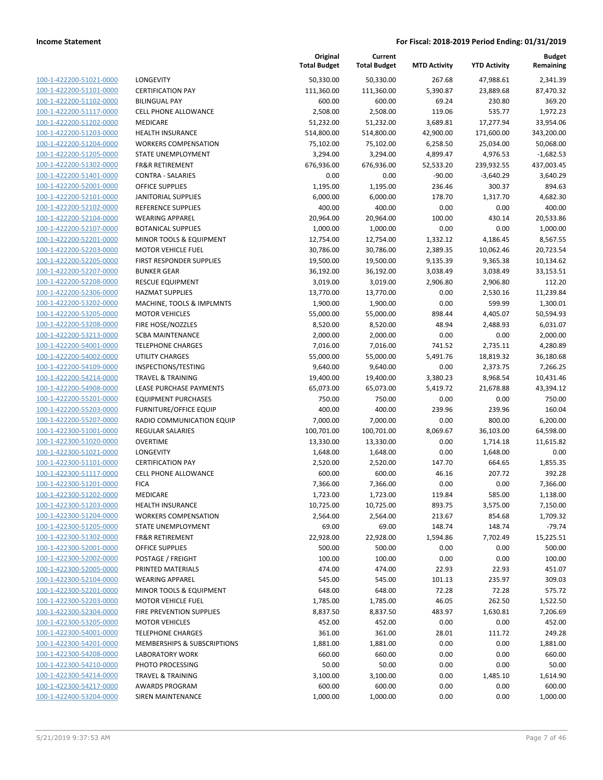| 100-1-422200-51021-0000        |
|--------------------------------|
| 100-1-422200-51101-0000        |
| 100-1-422200-51102-0000        |
| 100-1-422200-51117-0000        |
| <u>100-1-422200-51202-0000</u> |
| <u>100-1-422200-51203-0000</u> |
| 100-1-422200-51204-0000        |
| 100-1-422200-51205-0000        |
| 100-1-422200-51302-0000        |
| <u>100-1-422200-51401-0000</u> |
| 100-1-422200-52001-0000        |
| 100-1-422200-52101-0000        |
| 100-1-422200-52102-0000        |
| <u>100-1-422200-52104-0000</u> |
| <u>100-1-422200-52107-0000</u> |
| 100-1-422200-52201-0000        |
| 100-1-422200-52203-0000        |
| 100-1-422200-52205-0000        |
| 100-1-422200-52207-0000        |
| <u>100-1-422200-52208-0000</u> |
| 100-1-422200-52306-0000        |
| 100-1-422200-53202-0000        |
| 100-1-422200-53205-0000        |
| 100-1-422200-53208-0000        |
|                                |
| <u>100-1-422200-53213-0000</u> |
| 100-1-422200-54001-0000        |
| 100-1-422200-54002-0000        |
| 100-1-422200-54109-0000        |
| 100-1-422200-54214-0000        |
| <u>100-1-422200-54908-0000</u> |
| 100-1-422200-55201-0000        |
| 100-1-422200-55203-0000        |
| 100-1-422200-55207-0000        |
| 100-1-422300-51001-0000        |
| <u>100-1-422300-51020-0000</u> |
| 100-1-422300-51021-0000        |
| 100-1-422300-51101-0000        |
| 100-1-422300-51117-0000        |
| 100-1-422300-51201-0000        |
| 100-1-422300-51202-0000        |
| <u>100-1-422300-51203-0000</u> |
| 100-1-422300-51204-0000        |
| 100-1-422300-51205-0000        |
| <u>100-1-422300-51302-0000</u> |
| <u>100-1-422300-52001-0000</u> |
| 100-1-422300-52002-0000        |
| 100-1-422300-52005-0000        |
| <u>100-1-422300-52104-0000</u> |
| <u>100-1-422300-52201-0000</u> |
| <u>100-1-422300-52203-0000</u> |
| 100-1-422300-52304-0000        |
| 100-1-422300-53205-0000        |
| 100-1-422300-54001-0000        |
| <u>100-1-422300-54201-0000</u> |
| <u>100-1-422300-54208-0000</u> |
| 100-1-422300-54210-0000        |
| <u>100-1-422300-54214-0000</u> |
| 100-1-422300-54217-0000        |
| 100-1-422400-53204-0000        |
|                                |

| LONGEVITY                              |
|----------------------------------------|
| <b>CERTIFICATION PAY</b>               |
| <b>BILINGUAL PAY</b>                   |
| <b>CELL PHONE ALLOWANCE</b>            |
| <b>MEDICARE</b>                        |
| <b>HEALTH INSURANCE</b>                |
|                                        |
| <b>WORKERS COMPENSATION</b>            |
| <b>STATE UNEMPLOYMENT</b>              |
| <b>FR&amp;R RETIREMENT</b>             |
| <b>CONTRA - SALARIES</b>               |
| <b>OFFICE SUPPLIES</b>                 |
| <b>JANITORIAL SUPPLIES</b>             |
| <b>REFERENCE SUPPLIES</b>              |
| <b>WEARING APPAREL</b>                 |
| <b>BOTANICAL SUPPLIES</b>              |
| <b>MINOR TOOLS &amp; EQUIPMENT</b>     |
| <b>MOTOR VEHICLE FUEL</b>              |
| <b>FIRST RESPONDER SUPPLIES</b>        |
| <b>BUNKER GEAR</b>                     |
| <b>RESCUE EQUIPMENT</b>                |
| <b>HAZMAT SUPPLIES</b>                 |
| <b>MACHINE. TOOLS &amp; IMPLMNTS</b>   |
| <b>MOTOR VEHICLES</b>                  |
| FIRE HOSE/NOZZLES                      |
| <b>SCBA MAINTENANCE</b>                |
| <b>TELEPHONE CHARGES</b>               |
| <b>UTILITY CHARGES</b>                 |
|                                        |
| INSPECTIONS/TESTING                    |
| <b>TRAVEL &amp; TRAINING</b>           |
| LEASE PURCHASE PAYMENTS                |
| <b>EQUIPMENT PURCHASES</b>             |
| <b>FURNITURE/OFFICE EQUIP</b>          |
| RADIO COMMUNICATION EQUIP              |
| <b>REGULAR SALARIES</b>                |
| OVERTIME                               |
| LONGEVITY                              |
| <b>CERTIFICATION PAY</b>               |
| <b>CELL PHONE ALLOWANCE</b>            |
| <b>FICA</b>                            |
| MEDICARE                               |
| <b>HEALTH INSURANCE</b>                |
| <b>WORKERS COMPENSATION</b>            |
| <b>STATE UNEMPLOYMENT</b>              |
| <b>FR&amp;R RETIREMENT</b>             |
| <b>OFFICE SUPPLIES</b>                 |
| POSTAGE / FREIGHT                      |
| PRINTED MATERIALS                      |
| <b>WEARING APPAREL</b>                 |
| MINOR TOOLS & EQUIPMENT                |
| <b>MOTOR VEHICLE FUEL</b>              |
| <b>FIRE PREVENTION SUPPLIES</b>        |
| <b>MOTOR VEHICLES</b>                  |
| <b>TELEPHONE CHARGES</b>               |
|                                        |
| <b>MEMBERSHIPS &amp; SUBSCRIPTIONS</b> |
| <b>LABORATORY WORK</b>                 |
| PHOTO PROCESSING                       |
| <b>TRAVEL &amp; TRAINING</b>           |
| <b>AWARDS PROGRAM</b>                  |
| <b>SIREN MAINTENANCE</b>               |

|                                                    |                                       | Original<br><b>Total Budget</b> | Current<br><b>Total Budget</b> | <b>MTD Activity</b> | <b>YTD Activity</b> | <b>Budget</b><br>Remaining |
|----------------------------------------------------|---------------------------------------|---------------------------------|--------------------------------|---------------------|---------------------|----------------------------|
| 100-1-422200-51021-0000                            | <b>LONGEVITY</b>                      | 50,330.00                       | 50,330.00                      | 267.68              | 47,988.61           | 2,341.39                   |
| 100-1-422200-51101-0000                            | <b>CERTIFICATION PAY</b>              | 111,360.00                      | 111,360.00                     | 5,390.87            | 23,889.68           | 87,470.32                  |
| 100-1-422200-51102-0000                            | <b>BILINGUAL PAY</b>                  | 600.00                          | 600.00                         | 69.24               | 230.80              | 369.20                     |
| 100-1-422200-51117-0000                            | <b>CELL PHONE ALLOWANCE</b>           | 2,508.00                        | 2,508.00                       | 119.06              | 535.77              | 1,972.23                   |
| 100-1-422200-51202-0000                            | MEDICARE                              | 51,232.00                       | 51,232.00                      | 3,689.81            | 17,277.94           | 33,954.06                  |
| 100-1-422200-51203-0000                            | <b>HEALTH INSURANCE</b>               | 514,800.00                      | 514,800.00                     | 42,900.00           | 171,600.00          | 343,200.00                 |
| 100-1-422200-51204-0000                            | <b>WORKERS COMPENSATION</b>           | 75,102.00                       | 75,102.00                      | 6,258.50            | 25,034.00           | 50,068.00                  |
| 100-1-422200-51205-0000                            | STATE UNEMPLOYMENT                    | 3,294.00                        | 3,294.00                       | 4,899.47            | 4,976.53            | $-1,682.53$                |
| 100-1-422200-51302-0000                            | <b>FR&amp;R RETIREMENT</b>            | 676,936.00                      | 676,936.00                     | 52,533.20           | 239,932.55          | 437,003.45                 |
| 100-1-422200-51401-0000                            | <b>CONTRA - SALARIES</b>              | 0.00                            | 0.00                           | $-90.00$            | $-3,640.29$         | 3,640.29                   |
| 100-1-422200-52001-0000                            | <b>OFFICE SUPPLIES</b>                | 1,195.00                        | 1,195.00                       | 236.46              | 300.37              | 894.63                     |
| 100-1-422200-52101-0000                            | JANITORIAL SUPPLIES                   | 6,000.00                        | 6,000.00                       | 178.70              | 1,317.70            | 4,682.30                   |
| 100-1-422200-52102-0000                            | REFERENCE SUPPLIES                    | 400.00                          | 400.00                         | 0.00                | 0.00                | 400.00                     |
| 100-1-422200-52104-0000                            | <b>WEARING APPAREL</b>                | 20,964.00                       | 20,964.00                      | 100.00              | 430.14              | 20,533.86                  |
| 100-1-422200-52107-0000                            | <b>BOTANICAL SUPPLIES</b>             | 1,000.00                        | 1,000.00                       | 0.00                | 0.00                | 1,000.00                   |
| 100-1-422200-52201-0000                            | MINOR TOOLS & EQUIPMENT               | 12,754.00                       | 12,754.00                      | 1,332.12            | 4,186.45            | 8,567.55                   |
| 100-1-422200-52203-0000                            | <b>MOTOR VEHICLE FUEL</b>             | 30,786.00                       | 30,786.00                      | 2,389.35            | 10,062.46           | 20,723.54                  |
| 100-1-422200-52205-0000                            | FIRST RESPONDER SUPPLIES              | 19,500.00                       | 19,500.00                      | 9,135.39            | 9,365.38            | 10,134.62                  |
| 100-1-422200-52207-0000                            | <b>BUNKER GEAR</b>                    | 36,192.00                       | 36,192.00                      | 3,038.49            | 3,038.49            | 33,153.51                  |
| 100-1-422200-52208-0000                            | <b>RESCUE EQUIPMENT</b>               | 3,019.00                        | 3,019.00                       | 2,906.80            | 2,906.80            | 112.20                     |
| 100-1-422200-52306-0000                            | <b>HAZMAT SUPPLIES</b>                | 13,770.00                       | 13,770.00                      | 0.00                | 2,530.16            | 11,239.84                  |
| 100-1-422200-53202-0000                            | MACHINE, TOOLS & IMPLMNTS             | 1,900.00                        | 1,900.00                       | 0.00                | 599.99              | 1,300.01                   |
| 100-1-422200-53205-0000                            | <b>MOTOR VEHICLES</b>                 | 55,000.00                       | 55,000.00                      | 898.44              | 4,405.07            | 50,594.93                  |
| 100-1-422200-53208-0000                            | FIRE HOSE/NOZZLES                     | 8,520.00                        | 8,520.00                       | 48.94               | 2,488.93            | 6,031.07                   |
| 100-1-422200-53213-0000                            | <b>SCBA MAINTENANCE</b>               | 2,000.00                        | 2,000.00                       | 0.00                | 0.00                | 2,000.00                   |
| 100-1-422200-54001-0000                            | <b>TELEPHONE CHARGES</b>              | 7,016.00                        | 7,016.00                       | 741.52              | 2,735.11            | 4,280.89                   |
| 100-1-422200-54002-0000                            | UTILITY CHARGES                       | 55,000.00                       | 55,000.00                      | 5,491.76            | 18,819.32           | 36,180.68                  |
| 100-1-422200-54109-0000                            | INSPECTIONS/TESTING                   | 9,640.00                        | 9,640.00                       | 0.00                | 2,373.75            | 7,266.25                   |
| 100-1-422200-54214-0000                            | <b>TRAVEL &amp; TRAINING</b>          | 19,400.00                       | 19,400.00                      | 3,380.23            | 8,968.54            | 10,431.46                  |
| 100-1-422200-54908-0000                            | LEASE PURCHASE PAYMENTS               | 65,073.00                       | 65,073.00                      | 5,419.72            | 21,678.88           | 43,394.12                  |
| 100-1-422200-55201-0000                            | <b>EQUIPMENT PURCHASES</b>            | 750.00                          | 750.00                         | 0.00                | 0.00                | 750.00                     |
| 100-1-422200-55203-0000                            | <b>FURNITURE/OFFICE EQUIP</b>         | 400.00                          | 400.00                         | 239.96              | 239.96              | 160.04                     |
| 100-1-422200-55207-0000                            | RADIO COMMUNICATION EQUIP             | 7,000.00                        | 7,000.00                       | 0.00                | 800.00              | 6,200.00                   |
| 100-1-422300-51001-0000                            | <b>REGULAR SALARIES</b>               | 100,701.00                      | 100,701.00                     | 8,069.67            | 36,103.00           | 64,598.00                  |
| 100-1-422300-51020-0000                            | <b>OVERTIME</b>                       | 13,330.00                       | 13,330.00                      | 0.00                | 1,714.18            | 11,615.82                  |
| 100-1-422300-51021-0000                            | LONGEVITY<br><b>CERTIFICATION PAY</b> | 1,648.00                        | 1,648.00                       | 0.00                | 1,648.00            | 0.00                       |
| 100-1-422300-51101-0000<br>100-1-422300-51117-0000 | <b>CELL PHONE ALLOWANCE</b>           | 2,520.00<br>600.00              | 2,520.00<br>600.00             | 147.70<br>46.16     | 664.65<br>207.72    | 1,855.35<br>392.28         |
| 100-1-422300-51201-0000                            | <b>FICA</b>                           | 7,366.00                        | 7,366.00                       | 0.00                | 0.00                | 7,366.00                   |
| 100-1-422300-51202-0000                            | MEDICARE                              | 1,723.00                        | 1,723.00                       | 119.84              | 585.00              | 1,138.00                   |
| 100-1-422300-51203-0000                            | <b>HEALTH INSURANCE</b>               | 10,725.00                       | 10,725.00                      | 893.75              | 3,575.00            | 7,150.00                   |
| 100-1-422300-51204-0000                            | <b>WORKERS COMPENSATION</b>           | 2,564.00                        | 2,564.00                       | 213.67              | 854.68              | 1,709.32                   |
| 100-1-422300-51205-0000                            | STATE UNEMPLOYMENT                    | 69.00                           | 69.00                          | 148.74              | 148.74              | $-79.74$                   |
| 100-1-422300-51302-0000                            | <b>FR&amp;R RETIREMENT</b>            | 22,928.00                       | 22,928.00                      | 1,594.86            | 7,702.49            | 15,225.51                  |
| 100-1-422300-52001-0000                            | <b>OFFICE SUPPLIES</b>                | 500.00                          | 500.00                         | 0.00                | 0.00                | 500.00                     |
| 100-1-422300-52002-0000                            | POSTAGE / FREIGHT                     | 100.00                          | 100.00                         | 0.00                | 0.00                | 100.00                     |
| 100-1-422300-52005-0000                            | PRINTED MATERIALS                     | 474.00                          | 474.00                         | 22.93               | 22.93               | 451.07                     |
| 100-1-422300-52104-0000                            | <b>WEARING APPAREL</b>                | 545.00                          | 545.00                         | 101.13              | 235.97              | 309.03                     |
| 100-1-422300-52201-0000                            | <b>MINOR TOOLS &amp; EQUIPMENT</b>    | 648.00                          | 648.00                         | 72.28               | 72.28               | 575.72                     |
| 100-1-422300-52203-0000                            | <b>MOTOR VEHICLE FUEL</b>             | 1,785.00                        | 1,785.00                       | 46.05               | 262.50              | 1,522.50                   |
| 100-1-422300-52304-0000                            | FIRE PREVENTION SUPPLIES              | 8,837.50                        | 8,837.50                       | 483.97              | 1,630.81            | 7,206.69                   |
| 100-1-422300-53205-0000                            | <b>MOTOR VEHICLES</b>                 | 452.00                          | 452.00                         | 0.00                | 0.00                | 452.00                     |
| 100-1-422300-54001-0000                            | <b>TELEPHONE CHARGES</b>              | 361.00                          | 361.00                         | 28.01               | 111.72              | 249.28                     |
| 100-1-422300-54201-0000                            | MEMBERSHIPS & SUBSCRIPTIONS           | 1,881.00                        | 1,881.00                       | 0.00                | 0.00                | 1,881.00                   |
| 100-1-422300-54208-0000                            | <b>LABORATORY WORK</b>                | 660.00                          | 660.00                         | 0.00                | 0.00                | 660.00                     |
| 100-1-422300-54210-0000                            | PHOTO PROCESSING                      | 50.00                           | 50.00                          | 0.00                | 0.00                | 50.00                      |
| 100-1-422300-54214-0000                            | <b>TRAVEL &amp; TRAINING</b>          | 3,100.00                        | 3,100.00                       | 0.00                | 1,485.10            | 1,614.90                   |
| 100-1-422300-54217-0000                            | <b>AWARDS PROGRAM</b>                 | 600.00                          | 600.00                         | 0.00                | 0.00                | 600.00                     |
| 100-1-422400-53204-0000                            | SIREN MAINTENANCE                     | 1,000.00                        | 1,000.00                       | 0.00                | 0.00                | 1,000.00                   |
|                                                    |                                       |                                 |                                |                     |                     |                            |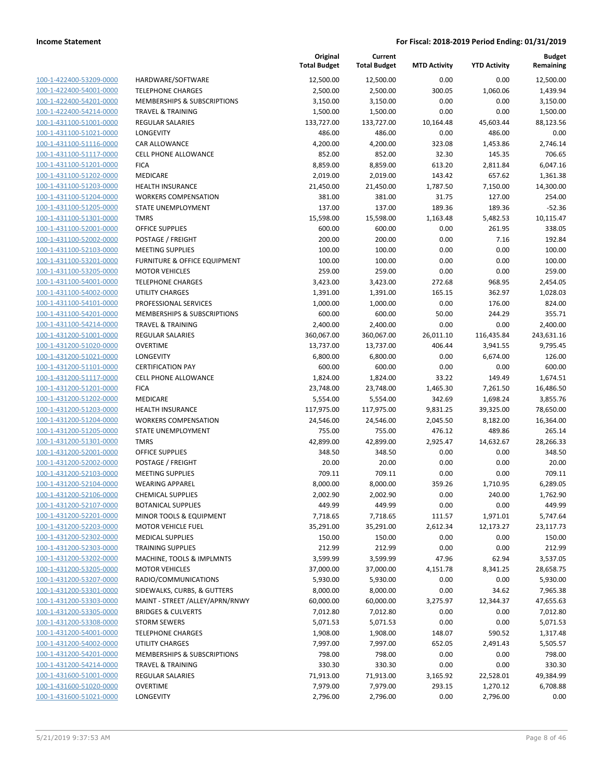|                                                    |                                         | Original<br><b>Total Budget</b> | Current<br><b>Total Budget</b> | <b>MTD Activity</b> | <b>YTD Activity</b> | Budget<br>Remaining |
|----------------------------------------------------|-----------------------------------------|---------------------------------|--------------------------------|---------------------|---------------------|---------------------|
| 100-1-422400-53209-0000                            | HARDWARE/SOFTWARE                       | 12,500.00                       | 12,500.00                      | 0.00                | 0.00                | 12,500.00           |
| 100-1-422400-54001-0000                            | <b>TELEPHONE CHARGES</b>                | 2,500.00                        | 2,500.00                       | 300.05              | 1,060.06            | 1,439.94            |
| 100-1-422400-54201-0000                            | <b>MEMBERSHIPS &amp; SUBSCRIPTIONS</b>  | 3,150.00                        | 3,150.00                       | 0.00                | 0.00                | 3,150.00            |
| 100-1-422400-54214-0000                            | <b>TRAVEL &amp; TRAINING</b>            | 1,500.00                        | 1,500.00                       | 0.00                | 0.00                | 1,500.00            |
| 100-1-431100-51001-0000                            | REGULAR SALARIES                        | 133,727.00                      | 133,727.00                     | 10,164.48           | 45,603.44           | 88,123.56           |
| 100-1-431100-51021-0000                            | LONGEVITY                               | 486.00                          | 486.00                         | 0.00                | 486.00              | 0.00                |
| 100-1-431100-51116-0000                            | CAR ALLOWANCE                           | 4,200.00                        | 4,200.00                       | 323.08              | 1,453.86            | 2,746.14            |
| 100-1-431100-51117-0000                            | <b>CELL PHONE ALLOWANCE</b>             | 852.00                          | 852.00                         | 32.30               | 145.35              | 706.65              |
| 100-1-431100-51201-0000                            | <b>FICA</b>                             | 8,859.00                        | 8,859.00                       | 613.20              | 2,811.84            | 6,047.16            |
| 100-1-431100-51202-0000                            | MEDICARE                                | 2,019.00                        | 2,019.00                       | 143.42              | 657.62              | 1,361.38            |
| 100-1-431100-51203-0000                            | <b>HEALTH INSURANCE</b>                 | 21,450.00                       | 21,450.00                      | 1,787.50            | 7,150.00            | 14,300.00           |
| 100-1-431100-51204-0000                            | <b>WORKERS COMPENSATION</b>             | 381.00                          | 381.00                         | 31.75               | 127.00              | 254.00              |
| 100-1-431100-51205-0000                            | STATE UNEMPLOYMENT                      | 137.00                          | 137.00                         | 189.36              | 189.36              | $-52.36$            |
| 100-1-431100-51301-0000                            | <b>TMRS</b>                             | 15,598.00                       | 15,598.00                      | 1,163.48            | 5,482.53            | 10,115.47           |
| 100-1-431100-52001-0000                            | <b>OFFICE SUPPLIES</b>                  | 600.00                          | 600.00                         | 0.00                | 261.95              | 338.05              |
| 100-1-431100-52002-0000                            | POSTAGE / FREIGHT                       | 200.00                          | 200.00                         | 0.00                | 7.16                | 192.84              |
| 100-1-431100-52103-0000                            | <b>MEETING SUPPLIES</b>                 | 100.00                          | 100.00                         | 0.00                | 0.00                | 100.00              |
| 100-1-431100-53201-0000                            | <b>FURNITURE &amp; OFFICE EQUIPMENT</b> | 100.00                          | 100.00                         | 0.00                | 0.00                | 100.00              |
| 100-1-431100-53205-0000                            | <b>MOTOR VEHICLES</b>                   | 259.00                          | 259.00                         | 0.00                | 0.00                | 259.00              |
| 100-1-431100-54001-0000                            | <b>TELEPHONE CHARGES</b>                | 3,423.00                        | 3,423.00                       | 272.68              | 968.95              | 2,454.05            |
| 100-1-431100-54002-0000                            | <b>UTILITY CHARGES</b>                  | 1,391.00                        | 1,391.00                       | 165.15              | 362.97              | 1,028.03            |
| 100-1-431100-54101-0000                            | PROFESSIONAL SERVICES                   | 1,000.00                        | 1,000.00                       | 0.00                | 176.00              | 824.00              |
| 100-1-431100-54201-0000                            | MEMBERSHIPS & SUBSCRIPTIONS             | 600.00                          | 600.00                         | 50.00               | 244.29              | 355.71              |
| 100-1-431100-54214-0000                            | <b>TRAVEL &amp; TRAINING</b>            | 2,400.00                        | 2,400.00                       | 0.00                | 0.00                | 2,400.00            |
| 100-1-431200-51001-0000                            | REGULAR SALARIES                        | 360,067.00                      | 360,067.00                     | 26,011.10           | 116,435.84          | 243,631.16          |
| 100-1-431200-51020-0000                            | <b>OVERTIME</b>                         | 13,737.00                       | 13,737.00                      | 406.44              | 3,941.55            | 9,795.45            |
| 100-1-431200-51021-0000                            | <b>LONGEVITY</b>                        | 6,800.00                        | 6,800.00                       | 0.00                | 6,674.00            | 126.00              |
| 100-1-431200-51101-0000                            | <b>CERTIFICATION PAY</b>                | 600.00                          | 600.00                         | 0.00                | 0.00                | 600.00              |
| 100-1-431200-51117-0000                            | <b>CELL PHONE ALLOWANCE</b>             | 1,824.00                        | 1,824.00                       | 33.22               | 149.49              | 1,674.51            |
| 100-1-431200-51201-0000                            | <b>FICA</b>                             | 23,748.00                       | 23,748.00                      | 1,465.30            | 7,261.50            | 16,486.50           |
| 100-1-431200-51202-0000                            | MEDICARE                                | 5,554.00                        | 5,554.00                       | 342.69              | 1,698.24            | 3,855.76            |
| 100-1-431200-51203-0000                            | <b>HEALTH INSURANCE</b>                 | 117,975.00                      | 117,975.00                     | 9,831.25            | 39,325.00           | 78,650.00           |
| 100-1-431200-51204-0000<br>100-1-431200-51205-0000 | <b>WORKERS COMPENSATION</b>             | 24,546.00                       | 24,546.00                      | 2,045.50            | 8,182.00            | 16,364.00<br>265.14 |
| 100-1-431200-51301-0000                            | STATE UNEMPLOYMENT<br><b>TMRS</b>       | 755.00<br>42,899.00             | 755.00<br>42,899.00            | 476.12<br>2,925.47  | 489.86<br>14,632.67 | 28,266.33           |
| 100-1-431200-52001-0000                            | <b>OFFICE SUPPLIES</b>                  | 348.50                          | 348.50                         | 0.00                | 0.00                | 348.50              |
| 100-1-431200-52002-0000                            | POSTAGE / FREIGHT                       | 20.00                           | 20.00                          | 0.00                | 0.00                | 20.00               |
| 100-1-431200-52103-0000                            | <b>MEETING SUPPLIES</b>                 | 709.11                          | 709.11                         | 0.00                | 0.00                | 709.11              |
| 100-1-431200-52104-0000                            | <b>WEARING APPAREL</b>                  | 8,000.00                        | 8,000.00                       | 359.26              | 1,710.95            | 6,289.05            |
| 100-1-431200-52106-0000                            | <b>CHEMICAL SUPPLIES</b>                | 2,002.90                        | 2,002.90                       | 0.00                | 240.00              | 1,762.90            |
| 100-1-431200-52107-0000                            | <b>BOTANICAL SUPPLIES</b>               | 449.99                          | 449.99                         | 0.00                | 0.00                | 449.99              |
| 100-1-431200-52201-0000                            | MINOR TOOLS & EQUIPMENT                 | 7,718.65                        | 7,718.65                       | 111.57              | 1,971.01            | 5,747.64            |
| 100-1-431200-52203-0000                            | <b>MOTOR VEHICLE FUEL</b>               | 35,291.00                       | 35,291.00                      | 2,612.34            | 12,173.27           | 23,117.73           |
| 100-1-431200-52302-0000                            | <b>MEDICAL SUPPLIES</b>                 | 150.00                          | 150.00                         | 0.00                | 0.00                | 150.00              |
| 100-1-431200-52303-0000                            | <b>TRAINING SUPPLIES</b>                | 212.99                          | 212.99                         | 0.00                | 0.00                | 212.99              |
| 100-1-431200-53202-0000                            | MACHINE, TOOLS & IMPLMNTS               | 3,599.99                        | 3,599.99                       | 47.96               | 62.94               | 3,537.05            |
| 100-1-431200-53205-0000                            | <b>MOTOR VEHICLES</b>                   | 37,000.00                       | 37,000.00                      | 4,151.78            | 8,341.25            | 28,658.75           |
| 100-1-431200-53207-0000                            | RADIO/COMMUNICATIONS                    | 5,930.00                        | 5,930.00                       | 0.00                | 0.00                | 5,930.00            |
| 100-1-431200-53301-0000                            | SIDEWALKS, CURBS, & GUTTERS             | 8,000.00                        | 8,000.00                       | 0.00                | 34.62               | 7,965.38            |
| 100-1-431200-53303-0000                            | MAINT - STREET /ALLEY/APRN/RNWY         | 60,000.00                       | 60,000.00                      | 3,275.97            | 12,344.37           | 47,655.63           |
| 100-1-431200-53305-0000                            | <b>BRIDGES &amp; CULVERTS</b>           | 7,012.80                        | 7,012.80                       | 0.00                | 0.00                | 7,012.80            |
| 100-1-431200-53308-0000                            | <b>STORM SEWERS</b>                     | 5,071.53                        | 5,071.53                       | 0.00                | 0.00                | 5,071.53            |
| 100-1-431200-54001-0000                            | <b>TELEPHONE CHARGES</b>                | 1,908.00                        | 1,908.00                       | 148.07              | 590.52              | 1,317.48            |
| 100-1-431200-54002-0000                            | <b>UTILITY CHARGES</b>                  | 7,997.00                        | 7,997.00                       | 652.05              | 2,491.43            | 5,505.57            |
| 100-1-431200-54201-0000                            | MEMBERSHIPS & SUBSCRIPTIONS             | 798.00                          | 798.00                         | 0.00                | 0.00                | 798.00              |
| 100-1-431200-54214-0000                            | <b>TRAVEL &amp; TRAINING</b>            | 330.30                          | 330.30                         | 0.00                | 0.00                | 330.30              |
| 100-1-431600-51001-0000                            | REGULAR SALARIES                        | 71,913.00                       | 71,913.00                      | 3,165.92            | 22,528.01           | 49,384.99           |
| 100-1-431600-51020-0000                            | <b>OVERTIME</b>                         | 7,979.00                        | 7,979.00                       | 293.15              | 1,270.12            | 6,708.88            |
| 100-1-431600-51021-0000                            | LONGEVITY                               | 2,796.00                        | 2,796.00                       | 0.00                | 2,796.00            | 0.00                |
|                                                    |                                         |                                 |                                |                     |                     |                     |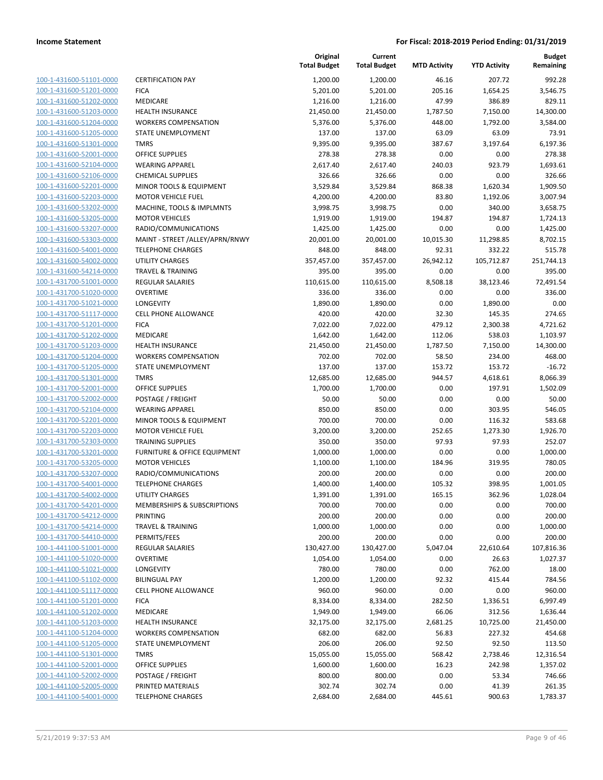| 100-1-431600-51101-0000        |
|--------------------------------|
| 100-1-431600-51201-0000        |
| 100-1-431600-51202-0000        |
| 100-1-431600-51203-0000        |
| 100-1-431600-51204-0000        |
| 100-1-431600-51205-0000        |
| 100-1-431600-51301-0000        |
| 100-1-431600-52001-0000        |
| 100-1-431600-52104-0000        |
| 100-1-431600-52106-0000        |
| 100-1-431600-52201-0000        |
| 100-1-431600-52203-0000        |
| 100-1-431600-53202-0000        |
| <u>100-1-431600-53205-0000</u> |
| 100-1-431600-53207-0000        |
| 100-1-431600-53303-0000        |
| 100-1-431600-54001-0000        |
| 100-1-431600-54002-0000        |
| 100-1-431600-54214-0000        |
| 100-1-431700-51001-0000        |
| 100-1-431700-51020-0000        |
| 100-1-431700-51021-0000        |
|                                |
| 100-1-431700-51117-0000        |
| 100-1-431700-51201-0000        |
| 100-1-431700-51202-0000        |
| 100-1-431700-51203-0000        |
| 100-1-431700-51204-0000        |
| 100-1-431700-51205-0000        |
| 100-1-431700-51301-0000        |
| 100-1-431700-52001-0000        |
| 100-1-431700-52002-0000        |
| 100-1-431700-52104-0000        |
| 100-1-431700-52201-0000        |
| 100-1-431700-52203-0000        |
| 100-1-431700-52303-0000        |
| 100-1-431700-53201-0000        |
| 100-1-431700-53205-0000        |
| 100-1-431700-53207-0000        |
| 100-1-431700-54001-0000        |
| 100-1-431700-54002-0000        |
| 100-1-431700-54201-0000        |
| 100-1-431700-54212-0000        |
| <u>100-1-431700-54214-0000</u> |
| 100-1-431700-54410-0000        |
| 100-1-441100-51001-0000        |
| <u>100-1-441100-51020-0000</u> |
| 100-1-441100-51021-0000        |
| <u>100-1-441100-51102-0000</u> |
| <u>100-1-441100-51117-0000</u> |
| <u>100-1-441100-51201-0000</u> |
| 100-1-441100-51202-0000        |
| 100-1-441100-51203-0000        |
| 100-1-441100-51204-0000        |
| <u>100-1-441100-51205-0000</u> |
|                                |
| <u>100-1-441100-51301-0000</u> |
| <u>100-1-441100-52001-0000</u> |
| 100-1-441100-52002-0000        |
| <u>100-1-441100-52005-0000</u> |
| <u>100-1-441100-54001-0000</u> |

|                                                    |                                        | Original<br><b>Total Budget</b> | Current<br><b>Total Budget</b> | <b>MTD Activity</b> | <b>YTD Activity</b> | <b>Budget</b><br>Remaining |
|----------------------------------------------------|----------------------------------------|---------------------------------|--------------------------------|---------------------|---------------------|----------------------------|
| 100-1-431600-51101-0000                            | <b>CERTIFICATION PAY</b>               | 1,200.00                        | 1,200.00                       | 46.16               | 207.72              | 992.28                     |
| 100-1-431600-51201-0000                            | <b>FICA</b>                            | 5,201.00                        | 5,201.00                       | 205.16              | 1,654.25            | 3,546.75                   |
| 100-1-431600-51202-0000                            | MEDICARE                               | 1,216.00                        | 1,216.00                       | 47.99               | 386.89              | 829.11                     |
| 100-1-431600-51203-0000                            | <b>HEALTH INSURANCE</b>                | 21,450.00                       | 21,450.00                      | 1,787.50            | 7,150.00            | 14,300.00                  |
| 100-1-431600-51204-0000                            | <b>WORKERS COMPENSATION</b>            | 5,376.00                        | 5,376.00                       | 448.00              | 1,792.00            | 3,584.00                   |
| 100-1-431600-51205-0000                            | STATE UNEMPLOYMENT                     | 137.00                          | 137.00                         | 63.09               | 63.09               | 73.91                      |
| 100-1-431600-51301-0000                            | <b>TMRS</b>                            | 9,395.00                        | 9,395.00                       | 387.67              | 3,197.64            | 6,197.36                   |
| 100-1-431600-52001-0000                            | <b>OFFICE SUPPLIES</b>                 | 278.38                          | 278.38                         | 0.00                | 0.00                | 278.38                     |
| 100-1-431600-52104-0000                            | <b>WEARING APPAREL</b>                 | 2,617.40                        | 2,617.40                       | 240.03              | 923.79              | 1,693.61                   |
| 100-1-431600-52106-0000                            | <b>CHEMICAL SUPPLIES</b>               | 326.66                          | 326.66                         | 0.00                | 0.00                | 326.66                     |
| 100-1-431600-52201-0000                            | MINOR TOOLS & EQUIPMENT                | 3,529.84                        | 3,529.84                       | 868.38              | 1,620.34            | 1,909.50                   |
| 100-1-431600-52203-0000                            | <b>MOTOR VEHICLE FUEL</b>              | 4,200.00                        | 4,200.00                       | 83.80               | 1,192.06            | 3,007.94                   |
| 100-1-431600-53202-0000                            | MACHINE, TOOLS & IMPLMNTS              | 3,998.75                        | 3,998.75                       | 0.00                | 340.00              | 3,658.75                   |
| 100-1-431600-53205-0000                            | <b>MOTOR VEHICLES</b>                  | 1,919.00                        | 1,919.00                       | 194.87              | 194.87              | 1,724.13                   |
| 100-1-431600-53207-0000                            | RADIO/COMMUNICATIONS                   | 1,425.00                        | 1,425.00                       | 0.00                | 0.00                | 1,425.00                   |
| 100-1-431600-53303-0000                            | MAINT - STREET /ALLEY/APRN/RNWY        | 20,001.00                       | 20,001.00                      | 10,015.30           | 11,298.85           | 8,702.15                   |
| 100-1-431600-54001-0000                            | <b>TELEPHONE CHARGES</b>               | 848.00                          | 848.00                         | 92.31               | 332.22              | 515.78                     |
| 100-1-431600-54002-0000                            | <b>UTILITY CHARGES</b>                 | 357,457.00                      | 357,457.00                     | 26,942.12           | 105,712.87          | 251,744.13                 |
| 100-1-431600-54214-0000                            | <b>TRAVEL &amp; TRAINING</b>           | 395.00                          | 395.00                         | 0.00                | 0.00                | 395.00                     |
| 100-1-431700-51001-0000                            | <b>REGULAR SALARIES</b>                | 110,615.00                      | 110,615.00                     | 8,508.18            | 38,123.46           | 72,491.54                  |
| 100-1-431700-51020-0000                            | <b>OVERTIME</b>                        | 336.00                          | 336.00                         | 0.00                | 0.00                | 336.00                     |
| 100-1-431700-51021-0000                            | LONGEVITY                              | 1,890.00                        | 1,890.00                       | 0.00                | 1,890.00            | 0.00                       |
| 100-1-431700-51117-0000                            | <b>CELL PHONE ALLOWANCE</b>            | 420.00                          | 420.00                         | 32.30               | 145.35              | 274.65                     |
| 100-1-431700-51201-0000                            | <b>FICA</b>                            | 7,022.00                        | 7,022.00                       | 479.12              | 2,300.38            | 4,721.62                   |
| 100-1-431700-51202-0000                            | MEDICARE                               | 1,642.00                        | 1,642.00                       | 112.06              | 538.03              | 1,103.97                   |
| 100-1-431700-51203-0000                            | <b>HEALTH INSURANCE</b>                | 21,450.00                       | 21,450.00                      | 1,787.50            | 7,150.00            | 14,300.00                  |
| 100-1-431700-51204-0000                            | <b>WORKERS COMPENSATION</b>            | 702.00                          | 702.00                         | 58.50               | 234.00              | 468.00                     |
| 100-1-431700-51205-0000<br>100-1-431700-51301-0000 | STATE UNEMPLOYMENT<br><b>TMRS</b>      | 137.00                          | 137.00                         | 153.72              | 153.72              | $-16.72$                   |
| 100-1-431700-52001-0000                            | <b>OFFICE SUPPLIES</b>                 | 12,685.00<br>1,700.00           | 12,685.00<br>1,700.00          | 944.57<br>0.00      | 4,618.61<br>197.91  | 8,066.39<br>1,502.09       |
| 100-1-431700-52002-0000                            | POSTAGE / FREIGHT                      | 50.00                           | 50.00                          | 0.00                | 0.00                | 50.00                      |
| 100-1-431700-52104-0000                            | <b>WEARING APPAREL</b>                 | 850.00                          | 850.00                         | 0.00                | 303.95              | 546.05                     |
| 100-1-431700-52201-0000                            | MINOR TOOLS & EQUIPMENT                | 700.00                          | 700.00                         | 0.00                | 116.32              | 583.68                     |
| 100-1-431700-52203-0000                            | <b>MOTOR VEHICLE FUEL</b>              | 3,200.00                        | 3,200.00                       | 252.65              | 1,273.30            | 1,926.70                   |
| 100-1-431700-52303-0000                            | <b>TRAINING SUPPLIES</b>               | 350.00                          | 350.00                         | 97.93               | 97.93               | 252.07                     |
| 100-1-431700-53201-0000                            | FURNITURE & OFFICE EQUIPMENT           | 1,000.00                        | 1,000.00                       | 0.00                | 0.00                | 1,000.00                   |
| 100-1-431700-53205-0000                            | <b>MOTOR VEHICLES</b>                  | 1,100.00                        | 1,100.00                       | 184.96              | 319.95              | 780.05                     |
| 100-1-431700-53207-0000                            | RADIO/COMMUNICATIONS                   | 200.00                          | 200.00                         | 0.00                | 0.00                | 200.00                     |
| 100-1-431700-54001-0000                            | <b>TELEPHONE CHARGES</b>               | 1,400.00                        | 1,400.00                       | 105.32              | 398.95              | 1,001.05                   |
| 100-1-431700-54002-0000                            | <b>UTILITY CHARGES</b>                 | 1,391.00                        | 1,391.00                       | 165.15              | 362.96              | 1,028.04                   |
| 100-1-431700-54201-0000                            | <b>MEMBERSHIPS &amp; SUBSCRIPTIONS</b> | 700.00                          | 700.00                         | 0.00                | 0.00                | 700.00                     |
| 100-1-431700-54212-0000                            | PRINTING                               | 200.00                          | 200.00                         | 0.00                | 0.00                | 200.00                     |
| 100-1-431700-54214-0000                            | <b>TRAVEL &amp; TRAINING</b>           | 1,000.00                        | 1,000.00                       | 0.00                | 0.00                | 1,000.00                   |
| 100-1-431700-54410-0000                            | PERMITS/FEES                           | 200.00                          | 200.00                         | 0.00                | 0.00                | 200.00                     |
| 100-1-441100-51001-0000                            | <b>REGULAR SALARIES</b>                | 130,427.00                      | 130,427.00                     | 5,047.04            | 22,610.64           | 107,816.36                 |
| 100-1-441100-51020-0000                            | <b>OVERTIME</b>                        | 1,054.00                        | 1,054.00                       | 0.00                | 26.63               | 1,027.37                   |
| 100-1-441100-51021-0000                            | LONGEVITY                              | 780.00                          | 780.00                         | 0.00                | 762.00              | 18.00                      |
| 100-1-441100-51102-0000                            | <b>BILINGUAL PAY</b>                   | 1,200.00                        | 1,200.00                       | 92.32               | 415.44              | 784.56                     |
| 100-1-441100-51117-0000                            | <b>CELL PHONE ALLOWANCE</b>            | 960.00                          | 960.00                         | 0.00                | 0.00                | 960.00                     |
| 100-1-441100-51201-0000                            | <b>FICA</b>                            | 8,334.00                        | 8,334.00                       | 282.50              | 1,336.51            | 6,997.49                   |
| 100-1-441100-51202-0000                            | MEDICARE                               | 1,949.00                        | 1,949.00                       | 66.06               | 312.56              | 1,636.44                   |
| 100-1-441100-51203-0000                            | <b>HEALTH INSURANCE</b>                | 32,175.00                       | 32,175.00                      | 2,681.25            | 10,725.00           | 21,450.00                  |
| 100-1-441100-51204-0000                            | <b>WORKERS COMPENSATION</b>            | 682.00                          | 682.00                         | 56.83               | 227.32              | 454.68                     |
| 100-1-441100-51205-0000                            | STATE UNEMPLOYMENT                     | 206.00                          | 206.00                         | 92.50               | 92.50               | 113.50                     |
| 100-1-441100-51301-0000                            | <b>TMRS</b>                            | 15,055.00                       | 15,055.00                      | 568.42              | 2,738.46            | 12,316.54                  |
| 100-1-441100-52001-0000                            | <b>OFFICE SUPPLIES</b>                 | 1,600.00                        | 1,600.00                       | 16.23               | 242.98              | 1,357.02                   |
| 100-1-441100-52002-0000                            | POSTAGE / FREIGHT                      | 800.00                          | 800.00                         | 0.00                | 53.34               | 746.66                     |
| 100-1-441100-52005-0000                            | PRINTED MATERIALS                      | 302.74                          | 302.74                         | 0.00                | 41.39               | 261.35                     |
| 100-1-441100-54001-0000                            | <b>TELEPHONE CHARGES</b>               | 2,684.00                        | 2,684.00                       | 445.61              | 900.63              | 1,783.37                   |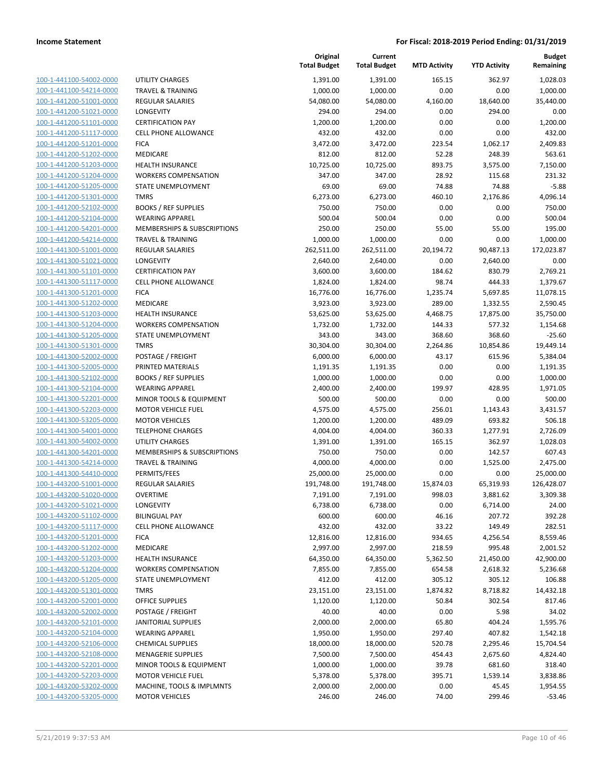| 100-1-441100-54002-0000        |
|--------------------------------|
| 100-1-441100-54214-0000        |
| 100-1-441200-51001-0000        |
| 100-1-441200-51021-0000        |
| 100-1-441200-51101-0000        |
| 100-1-441200-51117-0000        |
| 100-1-441200-51201-0000        |
| 100-1-441200-51202-0000        |
| 100-1-441200-51203-0000        |
| 100-1-441200-51204-0000        |
| 100-1-441200-51205-0000        |
| 100-1-441200-51301-0000        |
| 100-1-441200-52102-0000        |
| 100-1-441200-52104-0000        |
| 100-1-441200-54201-0000        |
| 100-1-441200-54214-0000        |
|                                |
| 100-1-441300-51001-0000        |
| 100-1-441300-51021-0000        |
| 100-1-441300-51101-0000        |
| 1-441300-51117-0000<br>$100-$  |
| 100-1-441300-51201-0000        |
| 100-1-441300-51202-0000        |
| 100-1-441300-51203-0000        |
| 100-1-441300-51204-0000        |
| 100-1-441300-51205-0000        |
| 100-1-441300-51301-0000        |
| 100-1-441300-52002-0000        |
| 100-1-441300-52005-0000        |
| 100-1-441300-52102-0000        |
| 1-441300-52104-0000<br>$100-$  |
| 100-1-441300-52201-0000        |
| 100-1-441300-52203-0000        |
| 100-1-441300-53205-0000        |
| 100-1-441300-54001-0000        |
|                                |
| 100-1-441300-54002-0000        |
| 100-1-441300-54201-0000        |
| 100-1-441300-54214-0000        |
| 100-1-441300-54410-0000        |
| 100-1-443200-51001-0000        |
| 100-1-443200-51020-0000        |
| 100-1-443200-51021-0000        |
| 100-1-443200-51102-0000        |
| <u>100-1-443200-51117-0000</u> |
| <u>100-1-443200-51201-0000</u> |
| 100-1-443200-51202-0000        |
| 100-1-443200-51203-0000        |
| 100-1-443200-51204-0000        |
| 100-1-443200-51205-0000        |
| 100-1-443200-51301-0000        |
| 100-1-443200-52001-0000        |
| 100-1-443200-52002-0000        |
| 100-1-443200-52101-0000        |
|                                |
| 100-1-443200-52104-0000        |
| 100-1-443200-52106-0000        |
| 100-1-443200-52108-0000        |
| 100-1-443200-52201-0000        |
| 100-1-443200-52203-0000        |
| 100-1-443200-53202-0000        |
| <u>100-1-443200-53205-0000</u> |

|                                                    |                                                      | Original<br><b>Total Budget</b> | Current<br><b>Total Budget</b> | <b>MTD Activity</b> | <b>YTD Activity</b> | <b>Budget</b><br>Remaining |
|----------------------------------------------------|------------------------------------------------------|---------------------------------|--------------------------------|---------------------|---------------------|----------------------------|
| 100-1-441100-54002-0000                            | <b>UTILITY CHARGES</b>                               | 1,391.00                        | 1,391.00                       | 165.15              | 362.97              | 1,028.03                   |
| 100-1-441100-54214-0000                            | <b>TRAVEL &amp; TRAINING</b>                         | 1,000.00                        | 1,000.00                       | 0.00                | 0.00                | 1,000.00                   |
| 100-1-441200-51001-0000                            | <b>REGULAR SALARIES</b>                              | 54,080.00                       | 54,080.00                      | 4,160.00            | 18,640.00           | 35,440.00                  |
| 100-1-441200-51021-0000                            | LONGEVITY                                            | 294.00                          | 294.00                         | 0.00                | 294.00              | 0.00                       |
| 100-1-441200-51101-0000                            | <b>CERTIFICATION PAY</b>                             | 1,200.00                        | 1,200.00                       | 0.00                | 0.00                | 1,200.00                   |
| 100-1-441200-51117-0000                            | <b>CELL PHONE ALLOWANCE</b>                          | 432.00                          | 432.00                         | 0.00                | 0.00                | 432.00                     |
| 100-1-441200-51201-0000                            | <b>FICA</b>                                          | 3,472.00                        | 3,472.00                       | 223.54              | 1,062.17            | 2,409.83                   |
| 100-1-441200-51202-0000                            | MEDICARE                                             | 812.00                          | 812.00                         | 52.28               | 248.39              | 563.61                     |
| 100-1-441200-51203-0000                            | HEALTH INSURANCE                                     | 10,725.00                       | 10,725.00                      | 893.75              | 3,575.00            | 7,150.00                   |
| 100-1-441200-51204-0000                            | <b>WORKERS COMPENSATION</b>                          | 347.00                          | 347.00                         | 28.92               | 115.68              | 231.32                     |
| 100-1-441200-51205-0000<br>100-1-441200-51301-0000 | STATE UNEMPLOYMENT<br><b>TMRS</b>                    | 69.00<br>6,273.00               | 69.00<br>6,273.00              | 74.88<br>460.10     | 74.88<br>2,176.86   | $-5.88$<br>4,096.14        |
| 100-1-441200-52102-0000                            | <b>BOOKS / REF SUPPLIES</b>                          | 750.00                          | 750.00                         | 0.00                | 0.00                | 750.00                     |
| 100-1-441200-52104-0000                            | <b>WEARING APPAREL</b>                               | 500.04                          | 500.04                         | 0.00                | 0.00                | 500.04                     |
| 100-1-441200-54201-0000                            | MEMBERSHIPS & SUBSCRIPTIONS                          | 250.00                          | 250.00                         | 55.00               | 55.00               | 195.00                     |
| 100-1-441200-54214-0000                            | <b>TRAVEL &amp; TRAINING</b>                         | 1,000.00                        | 1,000.00                       | 0.00                | 0.00                | 1,000.00                   |
| 100-1-441300-51001-0000                            | <b>REGULAR SALARIES</b>                              | 262,511.00                      | 262,511.00                     | 20,194.72           | 90,487.13           | 172,023.87                 |
| 100-1-441300-51021-0000                            | LONGEVITY                                            | 2,640.00                        | 2,640.00                       | 0.00                | 2,640.00            | 0.00                       |
| 100-1-441300-51101-0000                            | <b>CERTIFICATION PAY</b>                             | 3,600.00                        | 3,600.00                       | 184.62              | 830.79              | 2,769.21                   |
| 100-1-441300-51117-0000                            | <b>CELL PHONE ALLOWANCE</b>                          | 1,824.00                        | 1,824.00                       | 98.74               | 444.33              | 1,379.67                   |
| 100-1-441300-51201-0000                            | <b>FICA</b>                                          | 16,776.00                       | 16,776.00                      | 1,235.74            | 5,697.85            | 11,078.15                  |
| 100-1-441300-51202-0000                            | <b>MEDICARE</b>                                      | 3,923.00                        | 3,923.00                       | 289.00              | 1,332.55            | 2,590.45                   |
| 100-1-441300-51203-0000                            | <b>HEALTH INSURANCE</b>                              | 53,625.00                       | 53,625.00                      | 4,468.75            | 17,875.00           | 35,750.00                  |
| 100-1-441300-51204-0000                            | <b>WORKERS COMPENSATION</b>                          | 1,732.00                        | 1,732.00                       | 144.33              | 577.32              | 1,154.68                   |
| 100-1-441300-51205-0000                            | STATE UNEMPLOYMENT                                   | 343.00                          | 343.00                         | 368.60              | 368.60              | $-25.60$                   |
| 100-1-441300-51301-0000                            | <b>TMRS</b>                                          | 30,304.00                       | 30,304.00                      | 2,264.86            | 10,854.86           | 19,449.14                  |
| 100-1-441300-52002-0000                            | POSTAGE / FREIGHT                                    | 6,000.00                        | 6,000.00                       | 43.17               | 615.96              | 5,384.04                   |
| 100-1-441300-52005-0000                            | PRINTED MATERIALS                                    | 1,191.35                        | 1,191.35                       | 0.00                | 0.00                | 1,191.35                   |
| 100-1-441300-52102-0000                            | <b>BOOKS / REF SUPPLIES</b>                          | 1,000.00                        | 1,000.00                       | 0.00                | 0.00                | 1,000.00                   |
| 100-1-441300-52104-0000                            | <b>WEARING APPAREL</b>                               | 2,400.00                        | 2,400.00                       | 199.97              | 428.95              | 1,971.05                   |
| 100-1-441300-52201-0000<br>100-1-441300-52203-0000 | MINOR TOOLS & EQUIPMENT<br><b>MOTOR VEHICLE FUEL</b> | 500.00                          | 500.00                         | 0.00                | 0.00                | 500.00                     |
| 100-1-441300-53205-0000                            | <b>MOTOR VEHICLES</b>                                | 4,575.00<br>1,200.00            | 4,575.00<br>1,200.00           | 256.01<br>489.09    | 1,143.43<br>693.82  | 3,431.57<br>506.18         |
| 100-1-441300-54001-0000                            | <b>TELEPHONE CHARGES</b>                             | 4,004.00                        | 4,004.00                       | 360.33              | 1,277.91            | 2,726.09                   |
| 100-1-441300-54002-0000                            | <b>UTILITY CHARGES</b>                               | 1,391.00                        | 1,391.00                       | 165.15              | 362.97              | 1,028.03                   |
| 100-1-441300-54201-0000                            | MEMBERSHIPS & SUBSCRIPTIONS                          | 750.00                          | 750.00                         | 0.00                | 142.57              | 607.43                     |
| 100-1-441300-54214-0000                            | <b>TRAVEL &amp; TRAINING</b>                         | 4,000.00                        | 4,000.00                       | 0.00                | 1,525.00            | 2,475.00                   |
| 100-1-441300-54410-0000                            | PERMITS/FEES                                         | 25,000.00                       | 25,000.00                      | 0.00                | 0.00                | 25,000.00                  |
| 100-1-443200-51001-0000                            | REGULAR SALARIES                                     | 191,748.00                      | 191,748.00                     | 15,874.03           | 65,319.93           | 126,428.07                 |
| 100-1-443200-51020-0000                            | <b>OVERTIME</b>                                      | 7,191.00                        | 7,191.00                       | 998.03              | 3,881.62            | 3,309.38                   |
| 100-1-443200-51021-0000                            | <b>LONGEVITY</b>                                     | 6,738.00                        | 6,738.00                       | 0.00                | 6,714.00            | 24.00                      |
| 100-1-443200-51102-0000                            | <b>BILINGUAL PAY</b>                                 | 600.00                          | 600.00                         | 46.16               | 207.72              | 392.28                     |
| 100-1-443200-51117-0000                            | <b>CELL PHONE ALLOWANCE</b>                          | 432.00                          | 432.00                         | 33.22               | 149.49              | 282.51                     |
| 100-1-443200-51201-0000                            | <b>FICA</b>                                          | 12,816.00                       | 12,816.00                      | 934.65              | 4,256.54            | 8,559.46                   |
| 100-1-443200-51202-0000                            | MEDICARE                                             | 2,997.00                        | 2,997.00                       | 218.59              | 995.48              | 2,001.52                   |
| 100-1-443200-51203-0000                            | <b>HEALTH INSURANCE</b>                              | 64,350.00                       | 64,350.00                      | 5,362.50            | 21,450.00           | 42,900.00                  |
| 100-1-443200-51204-0000                            | <b>WORKERS COMPENSATION</b>                          | 7,855.00                        | 7,855.00                       | 654.58              | 2,618.32            | 5,236.68                   |
| 100-1-443200-51205-0000                            | STATE UNEMPLOYMENT                                   | 412.00                          | 412.00                         | 305.12              | 305.12              | 106.88                     |
| 100-1-443200-51301-0000                            | <b>TMRS</b>                                          | 23,151.00                       | 23,151.00                      | 1,874.82            | 8,718.82            | 14,432.18                  |
| 100-1-443200-52001-0000                            | <b>OFFICE SUPPLIES</b>                               | 1,120.00                        | 1,120.00                       | 50.84               | 302.54              | 817.46                     |
| 100-1-443200-52002-0000                            | POSTAGE / FREIGHT                                    | 40.00                           | 40.00                          | 0.00                | 5.98                | 34.02                      |
| 100-1-443200-52101-0000                            | <b>JANITORIAL SUPPLIES</b>                           | 2,000.00                        | 2,000.00                       | 65.80               | 404.24              | 1,595.76                   |
| 100-1-443200-52104-0000<br>100-1-443200-52106-0000 | <b>WEARING APPAREL</b><br><b>CHEMICAL SUPPLIES</b>   | 1,950.00<br>18,000.00           | 1,950.00<br>18,000.00          | 297.40<br>520.78    | 407.82<br>2,295.46  | 1,542.18<br>15,704.54      |
| 100-1-443200-52108-0000                            | <b>MENAGERIE SUPPLIES</b>                            | 7,500.00                        | 7,500.00                       | 454.43              | 2,675.60            | 4,824.40                   |
| 100-1-443200-52201-0000                            | MINOR TOOLS & EQUIPMENT                              | 1,000.00                        | 1,000.00                       | 39.78               | 681.60              | 318.40                     |
| 100-1-443200-52203-0000                            | <b>MOTOR VEHICLE FUEL</b>                            | 5,378.00                        | 5,378.00                       | 395.71              | 1,539.14            | 3,838.86                   |
| 100-1-443200-53202-0000                            | MACHINE, TOOLS & IMPLMNTS                            | 2,000.00                        | 2,000.00                       | 0.00                | 45.45               | 1,954.55                   |
| 100-1-443200-53205-0000                            | <b>MOTOR VEHICLES</b>                                | 246.00                          | 246.00                         | 74.00               | 299.46              | $-53.46$                   |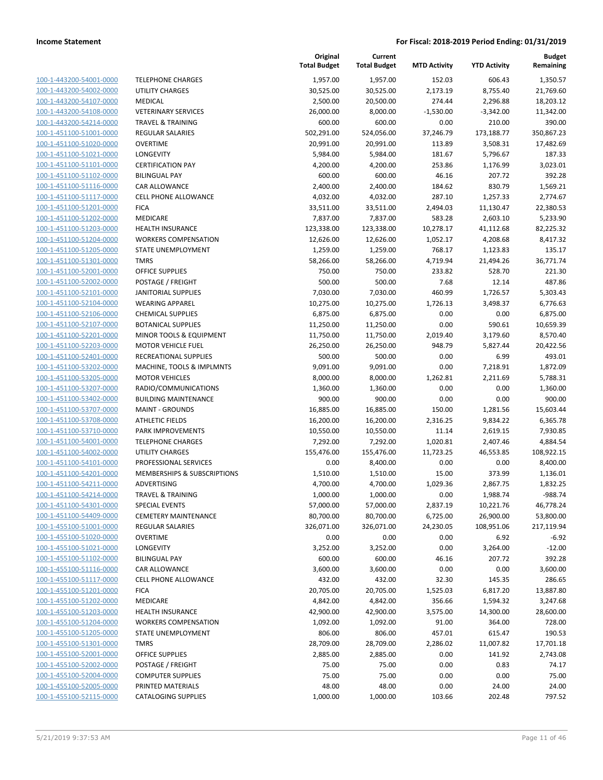| 100-1-443200-54001-0000        |
|--------------------------------|
| 100-1-443200-54002-0000        |
| 100-1-443200-54107-0000        |
| 100-1-443200-54108-0000        |
| 100-1-443200-54214-0000        |
| 100-1-451100-51001-0000        |
| 100-1-451100-51020-0000        |
| 100-1-451100-51021-0000        |
| 100-1-451100-51101-0000        |
| 100-1-451100-51102-0000        |
| 100-1-451100-51116-0000        |
| 100-1-451100-51117-0000        |
| 100-1-451100-51201-0000        |
| 100-1-451100-51202-0000        |
| 100-1-451100-51203-0000        |
| 100-1-451100-51204-0000        |
|                                |
| 100-1-451100-51205-0000        |
| 100-1-451100-51301-0000        |
| 100-1-451100-52001-0000        |
| 100-1-451100-52002-0000        |
| 100-1-451100-52101-0000        |
| 100-1-451100-52104-0000        |
| 100-1-451100-52106-0000        |
| 100-1-451100-52107-0000        |
| 100-1-451100-52201-0000        |
| 100-1-451100-52203-0000        |
| 100-1-451100-52401-0000        |
| 100-1-451100-53202-0000        |
| 100-1-451100-53205-0000        |
| 100-1-451100-53207-0000        |
| 100-1-451100-53402-0000        |
| 100-1-451100-53707-0000        |
|                                |
| 100-1-451100-53708-0000        |
| 100-1-451100-53710-0000        |
| 100-1-451100-54001-0000        |
| 100-1-451100-54002-0000        |
| 100-1-451100-54101-0000        |
| 100-1-451100-54201-0000        |
| 100-1-451100-54211-0000        |
| 100-1-451100-54214-0000        |
| 100-1-451100-54301-0000        |
| <u>100-1-451100-54409-0000</u> |
| 100-1-455100-51001-0000        |
| 100-1-455100-51020-0000        |
| 100-1-455100-51021-0000        |
| <u>100-1-455100-51102-0000</u> |
| <u>100-1-455100-51116-0000</u> |
| 100-1-455100-51117-0000        |
| 100-1-455100-51201-0000        |
| 100-1-455100-51202-0000        |
|                                |
| 100-1-455100-51203-0000        |
| 100-1-455100-51204-0000        |
| <u>100-1-455100-51205-0000</u> |
| 100-1-455100-51301-0000        |
| 100-1-455100-52001-0000        |
| 100-1-455100-52002-0000        |
| <u>100-1-455100-52004-0000</u> |
| <u>100-1-455100-52005-0000</u> |
| <u>100-1-455100-52115-0000</u> |
|                                |

|                                                    |                                                      | Original<br><b>Total Budget</b> | Current<br><b>Total Budget</b> | <b>MTD Activity</b>  | <b>YTD Activity</b>    | <b>Budget</b><br>Remaining |
|----------------------------------------------------|------------------------------------------------------|---------------------------------|--------------------------------|----------------------|------------------------|----------------------------|
| 100-1-443200-54001-0000                            | <b>TELEPHONE CHARGES</b>                             | 1,957.00                        | 1,957.00                       | 152.03               | 606.43                 | 1,350.57                   |
| 100-1-443200-54002-0000                            | <b>UTILITY CHARGES</b>                               | 30,525.00                       | 30,525.00                      | 2,173.19             | 8,755.40               | 21,769.60                  |
| 100-1-443200-54107-0000                            | MEDICAL                                              | 2,500.00                        | 20,500.00                      | 274.44               | 2,296.88               | 18,203.12                  |
| 100-1-443200-54108-0000                            | <b>VETERINARY SERVICES</b>                           | 26,000.00                       | 8,000.00                       | $-1,530.00$          | $-3,342.00$            | 11,342.00                  |
| 100-1-443200-54214-0000                            | <b>TRAVEL &amp; TRAINING</b>                         | 600.00                          | 600.00                         | 0.00                 | 210.00                 | 390.00                     |
| 100-1-451100-51001-0000                            | <b>REGULAR SALARIES</b>                              | 502,291.00                      | 524,056.00                     | 37,246.79            | 173,188.77             | 350,867.23                 |
| 100-1-451100-51020-0000                            | <b>OVERTIME</b>                                      | 20,991.00                       | 20,991.00                      | 113.89               | 3,508.31               | 17,482.69                  |
| 100-1-451100-51021-0000                            | LONGEVITY                                            | 5,984.00                        | 5,984.00                       | 181.67               | 5,796.67               | 187.33                     |
| 100-1-451100-51101-0000                            | <b>CERTIFICATION PAY</b>                             | 4,200.00                        | 4,200.00                       | 253.86               | 1,176.99               | 3,023.01                   |
| 100-1-451100-51102-0000                            | <b>BILINGUAL PAY</b>                                 | 600.00                          | 600.00                         | 46.16                | 207.72                 | 392.28                     |
| 100-1-451100-51116-0000                            | CAR ALLOWANCE                                        | 2,400.00                        | 2,400.00                       | 184.62               | 830.79                 | 1,569.21                   |
| 100-1-451100-51117-0000                            | CELL PHONE ALLOWANCE                                 | 4,032.00                        | 4,032.00                       | 287.10               | 1,257.33               | 2,774.67                   |
| 100-1-451100-51201-0000                            | <b>FICA</b>                                          | 33,511.00                       | 33,511.00                      | 2,494.03             | 11,130.47              | 22,380.53                  |
| 100-1-451100-51202-0000                            | MEDICARE                                             | 7,837.00                        | 7,837.00                       | 583.28               | 2,603.10               | 5,233.90                   |
| 100-1-451100-51203-0000                            | <b>HEALTH INSURANCE</b>                              | 123,338.00                      | 123,338.00                     | 10,278.17            | 41,112.68              | 82,225.32                  |
| 100-1-451100-51204-0000                            | <b>WORKERS COMPENSATION</b>                          | 12,626.00                       | 12,626.00                      | 1,052.17             | 4,208.68               | 8,417.32                   |
| 100-1-451100-51205-0000                            | <b>STATE UNEMPLOYMENT</b>                            | 1,259.00                        | 1,259.00                       | 768.17               | 1,123.83               | 135.17                     |
| 100-1-451100-51301-0000<br>100-1-451100-52001-0000 | <b>TMRS</b><br>OFFICE SUPPLIES                       | 58,266.00                       | 58,266.00                      | 4,719.94             | 21,494.26              | 36,771.74                  |
| 100-1-451100-52002-0000                            | POSTAGE / FREIGHT                                    | 750.00<br>500.00                | 750.00<br>500.00               | 233.82<br>7.68       | 528.70<br>12.14        | 221.30<br>487.86           |
| 100-1-451100-52101-0000                            | <b>JANITORIAL SUPPLIES</b>                           | 7,030.00                        | 7,030.00                       | 460.99               | 1,726.57               | 5,303.43                   |
| 100-1-451100-52104-0000                            | <b>WEARING APPAREL</b>                               | 10,275.00                       | 10,275.00                      | 1,726.13             | 3,498.37               | 6,776.63                   |
| 100-1-451100-52106-0000                            | <b>CHEMICAL SUPPLIES</b>                             | 6,875.00                        | 6,875.00                       | 0.00                 | 0.00                   | 6,875.00                   |
| 100-1-451100-52107-0000                            | <b>BOTANICAL SUPPLIES</b>                            | 11,250.00                       | 11,250.00                      | 0.00                 | 590.61                 | 10,659.39                  |
| 100-1-451100-52201-0000                            | MINOR TOOLS & EQUIPMENT                              | 11,750.00                       | 11,750.00                      | 2,019.40             | 3,179.60               | 8,570.40                   |
| 100-1-451100-52203-0000                            | <b>MOTOR VEHICLE FUEL</b>                            | 26,250.00                       | 26,250.00                      | 948.79               | 5,827.44               | 20,422.56                  |
| 100-1-451100-52401-0000                            | RECREATIONAL SUPPLIES                                | 500.00                          | 500.00                         | 0.00                 | 6.99                   | 493.01                     |
| 100-1-451100-53202-0000                            | MACHINE, TOOLS & IMPLMNTS                            | 9,091.00                        | 9,091.00                       | 0.00                 | 7,218.91               | 1,872.09                   |
| 100-1-451100-53205-0000                            | <b>MOTOR VEHICLES</b>                                | 8,000.00                        | 8,000.00                       | 1,262.81             | 2,211.69               | 5,788.31                   |
| 100-1-451100-53207-0000                            | RADIO/COMMUNICATIONS                                 | 1,360.00                        | 1,360.00                       | 0.00                 | 0.00                   | 1,360.00                   |
| 100-1-451100-53402-0000                            | <b>BUILDING MAINTENANCE</b>                          | 900.00                          | 900.00                         | 0.00                 | 0.00                   | 900.00                     |
| 100-1-451100-53707-0000                            | <b>MAINT - GROUNDS</b>                               | 16,885.00                       | 16,885.00                      | 150.00               | 1,281.56               | 15,603.44                  |
| 100-1-451100-53708-0000                            | <b>ATHLETIC FIELDS</b>                               | 16,200.00                       | 16,200.00                      | 2,316.25             | 9,834.22               | 6,365.78                   |
| 100-1-451100-53710-0000                            | PARK IMPROVEMENTS                                    | 10,550.00                       | 10,550.00                      | 11.14                | 2,619.15               | 7,930.85                   |
| 100-1-451100-54001-0000                            | <b>TELEPHONE CHARGES</b>                             | 7,292.00                        | 7,292.00                       | 1,020.81             | 2,407.46               | 4,884.54                   |
| 100-1-451100-54002-0000                            | UTILITY CHARGES                                      | 155,476.00                      | 155,476.00                     | 11,723.25            | 46,553.85              | 108,922.15                 |
| 100-1-451100-54101-0000                            | PROFESSIONAL SERVICES                                | 0.00                            | 8,400.00                       | 0.00                 | 0.00                   | 8,400.00                   |
| 100-1-451100-54201-0000                            | MEMBERSHIPS & SUBSCRIPTIONS                          | 1,510.00                        | 1,510.00                       | 15.00                | 373.99                 | 1,136.01                   |
| 100-1-451100-54211-0000                            | ADVERTISING                                          | 4,700.00                        | 4,700.00                       | 1,029.36             | 2,867.75               | 1,832.25                   |
| 100-1-451100-54214-0000                            | TRAVEL & TRAINING                                    | 1,000.00                        | 1,000.00                       | 0.00                 | 1,988.74               | $-988.74$                  |
| 100-1-451100-54301-0000<br>100-1-451100-54409-0000 | <b>SPECIAL EVENTS</b><br><b>CEMETERY MAINTENANCE</b> | 57,000.00<br>80,700.00          | 57,000.00<br>80,700.00         | 2,837.19<br>6,725.00 | 10,221.76<br>26,900.00 | 46,778.24<br>53,800.00     |
| 100-1-455100-51001-0000                            | <b>REGULAR SALARIES</b>                              | 326,071.00                      | 326,071.00                     | 24,230.05            | 108,951.06             | 217,119.94                 |
| 100-1-455100-51020-0000                            | <b>OVERTIME</b>                                      | 0.00                            | 0.00                           | 0.00                 | 6.92                   | $-6.92$                    |
| 100-1-455100-51021-0000                            | <b>LONGEVITY</b>                                     | 3,252.00                        | 3,252.00                       | 0.00                 | 3,264.00               | $-12.00$                   |
| 100-1-455100-51102-0000                            | <b>BILINGUAL PAY</b>                                 | 600.00                          | 600.00                         | 46.16                | 207.72                 | 392.28                     |
| 100-1-455100-51116-0000                            | CAR ALLOWANCE                                        | 3,600.00                        | 3,600.00                       | 0.00                 | 0.00                   | 3,600.00                   |
| 100-1-455100-51117-0000                            | <b>CELL PHONE ALLOWANCE</b>                          | 432.00                          | 432.00                         | 32.30                | 145.35                 | 286.65                     |
| 100-1-455100-51201-0000                            | <b>FICA</b>                                          | 20,705.00                       | 20,705.00                      | 1,525.03             | 6,817.20               | 13,887.80                  |
| 100-1-455100-51202-0000                            | MEDICARE                                             | 4,842.00                        | 4,842.00                       | 356.66               | 1,594.32               | 3,247.68                   |
| 100-1-455100-51203-0000                            | <b>HEALTH INSURANCE</b>                              | 42,900.00                       | 42,900.00                      | 3,575.00             | 14,300.00              | 28,600.00                  |
| 100-1-455100-51204-0000                            | <b>WORKERS COMPENSATION</b>                          | 1,092.00                        | 1,092.00                       | 91.00                | 364.00                 | 728.00                     |
| 100-1-455100-51205-0000                            | <b>STATE UNEMPLOYMENT</b>                            | 806.00                          | 806.00                         | 457.01               | 615.47                 | 190.53                     |
| 100-1-455100-51301-0000                            | <b>TMRS</b>                                          | 28,709.00                       | 28,709.00                      | 2,286.02             | 11,007.82              | 17,701.18                  |
| 100-1-455100-52001-0000                            | <b>OFFICE SUPPLIES</b>                               | 2,885.00                        | 2,885.00                       | 0.00                 | 141.92                 | 2,743.08                   |
| 100-1-455100-52002-0000                            | POSTAGE / FREIGHT                                    | 75.00                           | 75.00                          | 0.00                 | 0.83                   | 74.17                      |
| 100-1-455100-52004-0000                            | <b>COMPUTER SUPPLIES</b>                             | 75.00                           | 75.00                          | 0.00                 | 0.00                   | 75.00                      |
| 100-1-455100-52005-0000                            | PRINTED MATERIALS                                    | 48.00                           | 48.00                          | 0.00                 | 24.00                  | 24.00                      |
| 100-1-455100-52115-0000                            | <b>CATALOGING SUPPLIES</b>                           | 1,000.00                        | 1,000.00                       | 103.66               | 202.48                 | 797.52                     |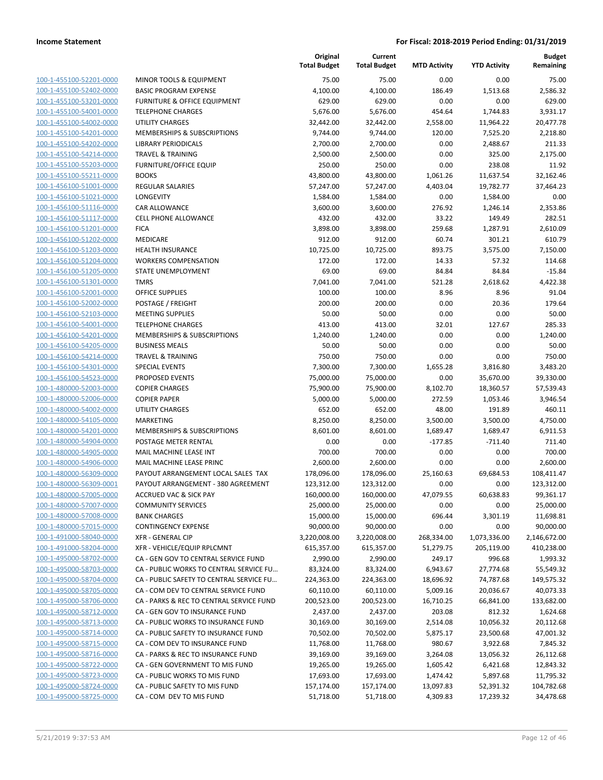| 100-1-455100-52201-0000        | N  |
|--------------------------------|----|
| 100-1-455100-52402-0000        | B, |
| 100-1-455100-53201-0000        | FI |
| 100-1-455100-54001-0000        | TI |
| 100-1-455100-54002-0000        | U  |
|                                |    |
| 100-1-455100-54201-0000        | N  |
| 100-1-455100-54202-0000        | Ц  |
| 100-1-455100-54214-0000        | TI |
| <u>100-1-455100-55203-0000</u> | FI |
| 100-1-455100-55211-0000        | B  |
| 100-1-456100-51001-0000        | R  |
| 100-1-456100-51021-0000        | L( |
| 100-1-456100-51116-0000        | C, |
| 100-1-456100-51117-0000        | C  |
| 100-1-456100-51201-0000        | FI |
| 100-1-456100-51202-0000        | N  |
| 100-1-456100-51203-0000        | н  |
| 100-1-456100-51204-0000        | N  |
| 100-1-456100-51205-0000        | ς. |
| 100-1-456100-51301-0000        | TI |
| 100-1-456100-52001-0000        | 0  |
|                                | P  |
| 100-1-456100-52002-0000        | M  |
| 100-1-456100-52103-0000        |    |
| 100-1-456100-54001-0000        | TI |
| 100-1-456100-54201-0000        | N  |
| 100-1-456100-54205-0000        | B  |
| 100-1-456100-54214-0000        | TI |
| 100-1-456100-54301-0000        | SI |
| 100-1-456100-54523-0000        | PI |
| 100-1-480000-52003-0000        | C  |
| 100-1-480000-52006-0000        | C  |
| 100-1-480000-54002-0000        | U  |
| 100-1-480000-54105-0000        | N  |
| 100-1-480000-54201-0000        | N  |
| 100-1-480000-54904-0000        | P  |
| 100-1-480000-54905-0000        | N  |
| 100-1-480000-54906-0000        | N  |
|                                | P, |
| 100-1-480000-56309-0000        |    |
| 100-1-480000-56309-0001        | P, |
| 100-1-480000-57005-0000        | Α  |
| 100-1-480000-57007-0000        | C  |
| 100-1-480000-57008-0000        | B, |
| 100-1-480000-57015-0000        | C١ |
| <u>100-1-491000-58040-0000</u> | XI |
| 100-1-491000-58204-0000        | XI |
| 100-1-495000-58702-0000        | C, |
| 100-1-495000-58703-0000        | C, |
| 100-1-495000-58704-0000        | C, |
| <u>100-1-495000-58705-0000</u> | C, |
| 100-1-495000-58706-0000        | C, |
| 100-1-495000-58712-0000        | C, |
| 100-1-495000-58713-0000        | C, |
| 100-1-495000-58714-0000        | C, |
|                                | C, |
| 100-1-495000-58715-0000        |    |
| 100-1-495000-58716-0000        | C, |
| 100-1-495000-58722-0000        | C, |
| 100-1-495000-58723-0000        | C, |
| 100-1-495000-58724-0000        | C, |
| <u>100-1-495000-58725-0000</u> | C, |
|                                |    |

|                                                    |                                                                                     | Original<br><b>Total Budget</b> | Current<br><b>Total Budget</b> | <b>MTD Activity</b>   | <b>YTD Activity</b>    | <b>Budget</b><br>Remaining |
|----------------------------------------------------|-------------------------------------------------------------------------------------|---------------------------------|--------------------------------|-----------------------|------------------------|----------------------------|
| 100-1-455100-52201-0000                            | <b>MINOR TOOLS &amp; EQUIPMENT</b>                                                  | 75.00                           | 75.00                          | 0.00                  | 0.00                   | 75.00                      |
| 100-1-455100-52402-0000                            | <b>BASIC PROGRAM EXPENSE</b>                                                        | 4,100.00                        | 4,100.00                       | 186.49                | 1,513.68               | 2,586.32                   |
| 100-1-455100-53201-0000                            | <b>FURNITURE &amp; OFFICE EQUIPMENT</b>                                             | 629.00                          | 629.00                         | 0.00                  | 0.00                   | 629.00                     |
| 100-1-455100-54001-0000                            | <b>TELEPHONE CHARGES</b>                                                            | 5,676.00                        | 5,676.00                       | 454.64                | 1,744.83               | 3,931.17                   |
| 100-1-455100-54002-0000                            | UTILITY CHARGES                                                                     | 32,442.00                       | 32,442.00                      | 2,558.00              | 11,964.22              | 20,477.78                  |
| 100-1-455100-54201-0000                            | MEMBERSHIPS & SUBSCRIPTIONS                                                         | 9,744.00                        | 9,744.00                       | 120.00                | 7,525.20               | 2,218.80                   |
| 100-1-455100-54202-0000                            | <b>LIBRARY PERIODICALS</b>                                                          | 2,700.00                        | 2,700.00                       | 0.00                  | 2,488.67               | 211.33                     |
| 100-1-455100-54214-0000                            | <b>TRAVEL &amp; TRAINING</b>                                                        | 2,500.00                        | 2,500.00                       | 0.00                  | 325.00                 | 2,175.00                   |
| 100-1-455100-55203-0000                            | <b>FURNITURE/OFFICE EQUIP</b>                                                       | 250.00                          | 250.00                         | 0.00                  | 238.08                 | 11.92                      |
| 100-1-455100-55211-0000                            | <b>BOOKS</b>                                                                        | 43,800.00                       | 43,800.00                      | 1,061.26              | 11,637.54              | 32,162.46                  |
| 100-1-456100-51001-0000                            | <b>REGULAR SALARIES</b>                                                             | 57,247.00                       | 57,247.00                      | 4,403.04              | 19,782.77              | 37,464.23                  |
| 100-1-456100-51021-0000                            | LONGEVITY                                                                           | 1,584.00                        | 1,584.00                       | 0.00                  | 1,584.00               | 0.00                       |
| 100-1-456100-51116-0000                            | <b>CAR ALLOWANCE</b>                                                                | 3,600.00                        | 3,600.00                       | 276.92                | 1,246.14               | 2,353.86                   |
| 100-1-456100-51117-0000                            | <b>CELL PHONE ALLOWANCE</b>                                                         | 432.00                          | 432.00                         | 33.22                 | 149.49                 | 282.51                     |
| 100-1-456100-51201-0000                            | <b>FICA</b>                                                                         | 3,898.00                        | 3,898.00                       | 259.68                | 1,287.91               | 2,610.09                   |
| 100-1-456100-51202-0000                            | <b>MEDICARE</b>                                                                     | 912.00                          | 912.00                         | 60.74                 | 301.21                 | 610.79                     |
| 100-1-456100-51203-0000                            | <b>HEALTH INSURANCE</b>                                                             | 10,725.00                       | 10,725.00                      | 893.75                | 3,575.00               | 7,150.00                   |
| 100-1-456100-51204-0000                            | <b>WORKERS COMPENSATION</b>                                                         | 172.00                          | 172.00                         | 14.33                 | 57.32                  | 114.68                     |
| 100-1-456100-51205-0000                            | STATE UNEMPLOYMENT                                                                  | 69.00                           | 69.00                          | 84.84                 | 84.84                  | $-15.84$                   |
| 100-1-456100-51301-0000                            | <b>TMRS</b>                                                                         | 7,041.00                        | 7,041.00                       | 521.28                | 2,618.62               | 4,422.38                   |
| 100-1-456100-52001-0000                            | <b>OFFICE SUPPLIES</b>                                                              | 100.00                          | 100.00                         | 8.96                  | 8.96                   | 91.04                      |
| 100-1-456100-52002-0000                            | POSTAGE / FREIGHT                                                                   | 200.00                          | 200.00                         | 0.00                  | 20.36                  | 179.64                     |
| 100-1-456100-52103-0000<br>100-1-456100-54001-0000 | <b>MEETING SUPPLIES</b><br><b>TELEPHONE CHARGES</b>                                 | 50.00<br>413.00                 | 50.00<br>413.00                | 0.00<br>32.01         | 0.00<br>127.67         | 50.00<br>285.33            |
| 100-1-456100-54201-0000                            | MEMBERSHIPS & SUBSCRIPTIONS                                                         | 1,240.00                        | 1,240.00                       | 0.00                  | 0.00                   | 1,240.00                   |
| 100-1-456100-54205-0000                            | <b>BUSINESS MEALS</b>                                                               | 50.00                           | 50.00                          | 0.00                  | 0.00                   | 50.00                      |
| 100-1-456100-54214-0000                            | <b>TRAVEL &amp; TRAINING</b>                                                        | 750.00                          | 750.00                         | 0.00                  | 0.00                   | 750.00                     |
| 100-1-456100-54301-0000                            | <b>SPECIAL EVENTS</b>                                                               | 7,300.00                        | 7,300.00                       | 1,655.28              | 3,816.80               | 3,483.20                   |
| 100-1-456100-54523-0000                            | <b>PROPOSED EVENTS</b>                                                              | 75,000.00                       | 75,000.00                      | 0.00                  | 35,670.00              | 39,330.00                  |
| 100-1-480000-52003-0000                            | <b>COPIER CHARGES</b>                                                               | 75,900.00                       | 75,900.00                      | 8,102.70              | 18,360.57              | 57,539.43                  |
| 100-1-480000-52006-0000                            | <b>COPIER PAPER</b>                                                                 | 5,000.00                        | 5,000.00                       | 272.59                | 1,053.46               | 3,946.54                   |
| 100-1-480000-54002-0000                            | UTILITY CHARGES                                                                     | 652.00                          | 652.00                         | 48.00                 | 191.89                 | 460.11                     |
| 100-1-480000-54105-0000                            | <b>MARKETING</b>                                                                    | 8,250.00                        | 8,250.00                       | 3,500.00              | 3,500.00               | 4,750.00                   |
| 100-1-480000-54201-0000                            | <b>MEMBERSHIPS &amp; SUBSCRIPTIONS</b>                                              | 8,601.00                        | 8,601.00                       | 1,689.47              | 1,689.47               | 6,911.53                   |
| 100-1-480000-54904-0000                            | POSTAGE METER RENTAL                                                                | 0.00                            | 0.00                           | $-177.85$             | $-711.40$              | 711.40                     |
| 100-1-480000-54905-0000                            | MAIL MACHINE LEASE INT                                                              | 700.00                          | 700.00                         | 0.00                  | 0.00                   | 700.00                     |
| 100-1-480000-54906-0000                            | MAIL MACHINE LEASE PRINC                                                            | 2,600.00                        | 2,600.00                       | 0.00                  | 0.00                   | 2,600.00                   |
| 100-1-480000-56309-0000                            | PAYOUT ARRANGEMENT LOCAL SALES TAX                                                  | 178,096.00                      | 178,096.00                     | 25,160.63             | 69,684.53              | 108,411.47                 |
| 100-1-480000-56309-0001                            | PAYOUT ARRANGEMENT - 380 AGREEMENT                                                  | 123,312.00                      | 123,312.00                     | 0.00                  | 0.00                   | 123,312.00                 |
| 100-1-480000-57005-0000                            | ACCRUED VAC & SICK PAY                                                              | 160,000.00                      | 160,000.00                     | 47,079.55             | 60,638.83              | 99,361.17                  |
| 100-1-480000-57007-0000                            | <b>COMMUNITY SERVICES</b>                                                           | 25,000.00                       | 25,000.00                      | 0.00                  | 0.00                   | 25,000.00                  |
| 100-1-480000-57008-0000                            | <b>BANK CHARGES</b>                                                                 | 15,000.00                       | 15,000.00                      | 696.44                | 3,301.19               | 11,698.81                  |
| 100-1-480000-57015-0000                            | <b>CONTINGENCY EXPENSE</b>                                                          | 90,000.00                       | 90,000.00                      | 0.00                  | 0.00                   | 90,000.00                  |
| 100-1-491000-58040-0000                            | <b>XFR - GENERAL CIP</b>                                                            | 3,220,008.00                    | 3,220,008.00                   | 268,334.00            | 1,073,336.00           | 2,146,672.00               |
| 100-1-491000-58204-0000                            | XFR - VEHICLE/EQUIP RPLCMNT                                                         | 615,357.00                      | 615,357.00                     | 51,279.75             | 205,119.00             | 410,238.00                 |
| 100-1-495000-58702-0000                            | CA - GEN GOV TO CENTRAL SERVICE FUND                                                | 2,990.00                        | 2,990.00                       | 249.17                | 996.68                 | 1,993.32                   |
| 100-1-495000-58703-0000<br>100-1-495000-58704-0000 | CA - PUBLIC WORKS TO CENTRAL SERVICE FU<br>CA - PUBLIC SAFETY TO CENTRAL SERVICE FU | 83,324.00                       | 83,324.00                      | 6,943.67              | 27,774.68              | 55,549.32                  |
| 100-1-495000-58705-0000                            | CA - COM DEV TO CENTRAL SERVICE FUND                                                | 224,363.00<br>60,110.00         | 224,363.00<br>60,110.00        | 18,696.92<br>5,009.16 | 74,787.68<br>20,036.67 | 149,575.32<br>40,073.33    |
| 100-1-495000-58706-0000                            | CA - PARKS & REC TO CENTRAL SERVICE FUND                                            | 200,523.00                      | 200,523.00                     | 16,710.25             | 66,841.00              | 133,682.00                 |
| 100-1-495000-58712-0000                            | CA - GEN GOV TO INSURANCE FUND                                                      | 2,437.00                        | 2,437.00                       | 203.08                | 812.32                 | 1,624.68                   |
| 100-1-495000-58713-0000                            | CA - PUBLIC WORKS TO INSURANCE FUND                                                 | 30,169.00                       | 30,169.00                      | 2,514.08              | 10,056.32              | 20,112.68                  |
| 100-1-495000-58714-0000                            | CA - PUBLIC SAFETY TO INSURANCE FUND                                                | 70,502.00                       | 70,502.00                      | 5,875.17              | 23,500.68              | 47,001.32                  |
| 100-1-495000-58715-0000                            | CA - COM DEV TO INSURANCE FUND                                                      | 11,768.00                       | 11,768.00                      | 980.67                | 3,922.68               | 7,845.32                   |
| 100-1-495000-58716-0000                            | CA - PARKS & REC TO INSURANCE FUND                                                  | 39,169.00                       | 39,169.00                      | 3,264.08              | 13,056.32              | 26,112.68                  |
| 100-1-495000-58722-0000                            | CA - GEN GOVERNMENT TO MIS FUND                                                     | 19,265.00                       | 19,265.00                      | 1,605.42              | 6,421.68               | 12,843.32                  |
| 100-1-495000-58723-0000                            | CA - PUBLIC WORKS TO MIS FUND                                                       | 17,693.00                       | 17,693.00                      | 1,474.42              | 5,897.68               | 11,795.32                  |
| 100-1-495000-58724-0000                            | CA - PUBLIC SAFETY TO MIS FUND                                                      | 157,174.00                      | 157,174.00                     | 13,097.83             | 52,391.32              | 104,782.68                 |
| 100-1-495000-58725-0000                            | CA - COM DEV TO MIS FUND                                                            | 51,718.00                       | 51,718.00                      | 4,309.83              | 17,239.32              | 34,478.68                  |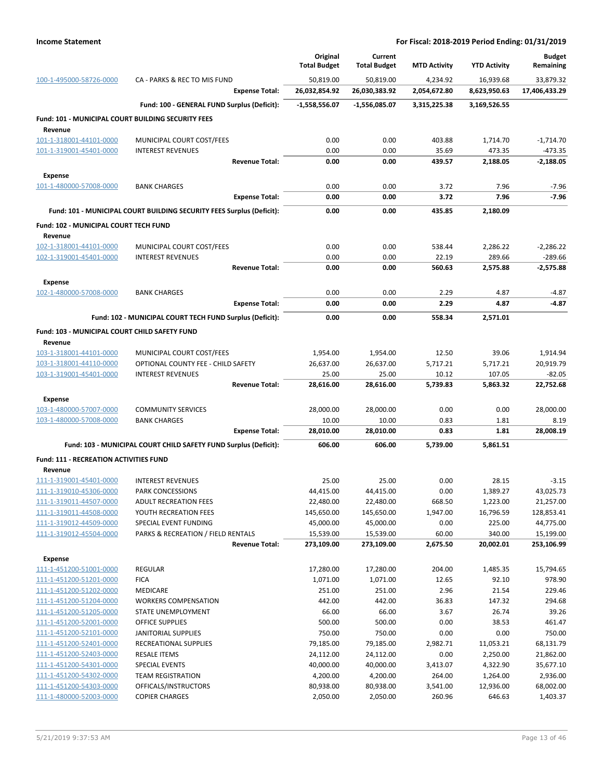|                                                               |                                                                       | Original<br><b>Total Budget</b> | Current<br><b>Total Budget</b> | <b>MTD Activity</b> | <b>YTD Activity</b> | <b>Budget</b><br>Remaining |
|---------------------------------------------------------------|-----------------------------------------------------------------------|---------------------------------|--------------------------------|---------------------|---------------------|----------------------------|
| 100-1-495000-58726-0000                                       | CA - PARKS & REC TO MIS FUND                                          | 50,819.00                       | 50,819.00                      | 4,234.92            | 16,939.68           | 33,879.32                  |
|                                                               | <b>Expense Total:</b>                                                 | 26,032,854.92                   | 26,030,383.92                  | 2,054,672.80        | 8,623,950.63        | 17,406,433.29              |
|                                                               | Fund: 100 - GENERAL FUND Surplus (Deficit):                           | $-1,558,556.07$                 | -1,556,085.07                  | 3,315,225.38        | 3,169,526.55        |                            |
| Fund: 101 - MUNICIPAL COURT BUILDING SECURITY FEES<br>Revenue |                                                                       |                                 |                                |                     |                     |                            |
| 101-1-318001-44101-0000                                       | MUNICIPAL COURT COST/FEES                                             | 0.00                            | 0.00                           | 403.88              | 1,714.70            | $-1,714.70$                |
| 101-1-319001-45401-0000                                       | <b>INTEREST REVENUES</b>                                              | 0.00                            | 0.00                           | 35.69               | 473.35              | -473.35                    |
|                                                               | <b>Revenue Total:</b>                                                 | 0.00                            | 0.00                           | 439.57              | 2,188.05            | $-2,188.05$                |
| <b>Expense</b>                                                |                                                                       |                                 |                                |                     |                     |                            |
| 101-1-480000-57008-0000                                       | <b>BANK CHARGES</b>                                                   | 0.00                            | 0.00                           | 3.72                | 7.96                | $-7.96$                    |
|                                                               | <b>Expense Total:</b>                                                 | 0.00                            | 0.00                           | 3.72                | 7.96                | $-7.96$                    |
|                                                               | Fund: 101 - MUNICIPAL COURT BUILDING SECURITY FEES Surplus (Deficit): | 0.00                            | 0.00                           | 435.85              | 2,180.09            |                            |
| Fund: 102 - MUNICIPAL COURT TECH FUND                         |                                                                       |                                 |                                |                     |                     |                            |
| Revenue                                                       |                                                                       |                                 |                                |                     |                     |                            |
| 102-1-318001-44101-0000                                       | MUNICIPAL COURT COST/FEES                                             | 0.00                            | 0.00                           | 538.44              | 2,286.22            | $-2,286.22$                |
| 102-1-319001-45401-0000                                       | <b>INTEREST REVENUES</b>                                              | 0.00                            | 0.00                           | 22.19               | 289.66              | -289.66                    |
|                                                               | <b>Revenue Total:</b>                                                 | 0.00                            | 0.00                           | 560.63              | 2,575.88            | $-2,575.88$                |
| Expense                                                       |                                                                       |                                 |                                |                     |                     |                            |
| 102-1-480000-57008-0000                                       | <b>BANK CHARGES</b>                                                   | 0.00                            | 0.00                           | 2.29                | 4.87                | -4.87                      |
|                                                               | <b>Expense Total:</b>                                                 | 0.00                            | 0.00                           | 2.29                | 4.87                | $-4.87$                    |
|                                                               | Fund: 102 - MUNICIPAL COURT TECH FUND Surplus (Deficit):              | 0.00                            | 0.00                           | 558.34              | 2,571.01            |                            |
| Fund: 103 - MUNICIPAL COURT CHILD SAFETY FUND<br>Revenue      |                                                                       |                                 |                                |                     |                     |                            |
| 103-1-318001-44101-0000                                       | MUNICIPAL COURT COST/FEES                                             | 1,954.00                        | 1,954.00                       | 12.50               | 39.06               | 1,914.94                   |
| 103-1-318001-44110-0000                                       | OPTIONAL COUNTY FEE - CHILD SAFETY                                    | 26,637.00                       | 26,637.00                      | 5,717.21            | 5,717.21            | 20,919.79                  |
| 103-1-319001-45401-0000                                       | <b>INTEREST REVENUES</b>                                              | 25.00                           | 25.00                          | 10.12               | 107.05              | $-82.05$                   |
|                                                               | <b>Revenue Total:</b>                                                 | 28,616.00                       | 28,616.00                      | 5,739.83            | 5,863.32            | 22,752.68                  |
| Expense                                                       |                                                                       |                                 |                                |                     |                     |                            |
| 103-1-480000-57007-0000                                       | <b>COMMUNITY SERVICES</b>                                             | 28,000.00                       | 28,000.00                      | 0.00                | 0.00                | 28,000.00                  |
| 103-1-480000-57008-0000                                       | <b>BANK CHARGES</b>                                                   | 10.00                           | 10.00                          | 0.83                | 1.81                | 8.19                       |
|                                                               | <b>Expense Total:</b>                                                 | 28,010.00                       | 28,010.00                      | 0.83                | 1.81                | 28,008.19                  |
|                                                               | Fund: 103 - MUNICIPAL COURT CHILD SAFETY FUND Surplus (Deficit):      | 606.00                          | 606.00                         | 5,739.00            | 5,861.51            |                            |
| <b>Fund: 111 - RECREATION ACTIVITIES FUND</b>                 |                                                                       |                                 |                                |                     |                     |                            |
| Revenue<br>111-1-319001-45401-0000                            | <b>INTEREST REVENUES</b>                                              | 25.00                           | 25.00                          | 0.00                | 28.15               | $-3.15$                    |
| 111-1-319010-45306-0000                                       | <b>PARK CONCESSIONS</b>                                               | 44,415.00                       | 44,415.00                      | 0.00                | 1,389.27            | 43,025.73                  |
| 111-1-319011-44507-0000                                       | <b>ADULT RECREATION FEES</b>                                          | 22,480.00                       | 22,480.00                      | 668.50              | 1,223.00            | 21,257.00                  |
| 111-1-319011-44508-0000                                       | YOUTH RECREATION FEES                                                 | 145,650.00                      | 145,650.00                     | 1,947.00            | 16,796.59           | 128,853.41                 |
| 111-1-319012-44509-0000                                       | SPECIAL EVENT FUNDING                                                 | 45,000.00                       | 45,000.00                      | 0.00                | 225.00              | 44,775.00                  |
| 111-1-319012-45504-0000                                       | PARKS & RECREATION / FIELD RENTALS                                    | 15,539.00                       | 15,539.00                      | 60.00               | 340.00              | 15,199.00                  |
|                                                               | <b>Revenue Total:</b>                                                 | 273,109.00                      | 273,109.00                     | 2,675.50            | 20,002.01           | 253,106.99                 |
| <b>Expense</b>                                                |                                                                       |                                 |                                |                     |                     |                            |
| 111-1-451200-51001-0000                                       | <b>REGULAR</b>                                                        | 17,280.00                       | 17,280.00                      | 204.00              | 1,485.35            | 15,794.65                  |
| 111-1-451200-51201-0000<br>111-1-451200-51202-0000            | <b>FICA</b><br>MEDICARE                                               | 1,071.00                        | 1,071.00                       | 12.65<br>2.96       | 92.10               | 978.90<br>229.46           |
| 111-1-451200-51204-0000                                       | <b>WORKERS COMPENSATION</b>                                           | 251.00<br>442.00                | 251.00<br>442.00               | 36.83               | 21.54<br>147.32     | 294.68                     |
| 111-1-451200-51205-0000                                       | STATE UNEMPLOYMENT                                                    | 66.00                           | 66.00                          | 3.67                | 26.74               | 39.26                      |
| 111-1-451200-52001-0000                                       | <b>OFFICE SUPPLIES</b>                                                | 500.00                          | 500.00                         | 0.00                | 38.53               | 461.47                     |
| 111-1-451200-52101-0000                                       | <b>JANITORIAL SUPPLIES</b>                                            | 750.00                          | 750.00                         | 0.00                | 0.00                | 750.00                     |
| 111-1-451200-52401-0000                                       | RECREATIONAL SUPPLIES                                                 | 79,185.00                       | 79,185.00                      | 2,982.71            | 11,053.21           | 68,131.79                  |
| 111-1-451200-52403-0000                                       | RESALE ITEMS                                                          | 24,112.00                       | 24,112.00                      | 0.00                | 2,250.00            | 21,862.00                  |
| 111-1-451200-54301-0000                                       | SPECIAL EVENTS                                                        | 40,000.00                       | 40,000.00                      | 3,413.07            | 4,322.90            | 35,677.10                  |
| 111-1-451200-54302-0000                                       | <b>TEAM REGISTRATION</b>                                              | 4,200.00                        | 4,200.00                       | 264.00              | 1,264.00            | 2,936.00                   |
| 111-1-451200-54303-0000                                       | OFFICALS/INSTRUCTORS                                                  | 80,938.00                       | 80,938.00                      | 3,541.00            | 12,936.00           | 68,002.00                  |
| 111-1-480000-52003-0000                                       | <b>COPIER CHARGES</b>                                                 | 2,050.00                        | 2,050.00                       | 260.96              | 646.63              | 1,403.37                   |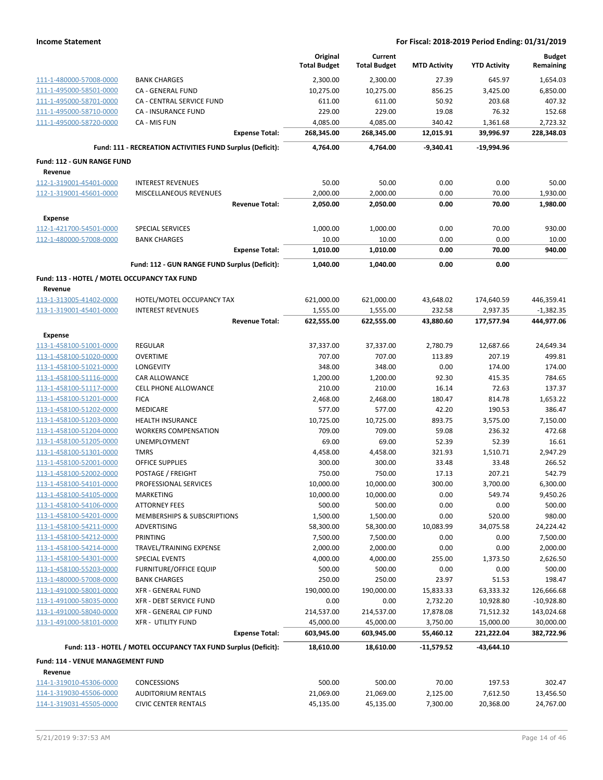|                                                         |                                                                 | Original<br><b>Total Budget</b> | Current<br><b>Total Budget</b> | <b>MTD Activity</b>   | <b>YTD Activity</b>     | <b>Budget</b><br>Remaining |
|---------------------------------------------------------|-----------------------------------------------------------------|---------------------------------|--------------------------------|-----------------------|-------------------------|----------------------------|
| 111-1-480000-57008-0000                                 | <b>BANK CHARGES</b>                                             | 2,300.00                        | 2,300.00                       | 27.39                 | 645.97                  | 1,654.03                   |
| 111-1-495000-58501-0000                                 | CA - GENERAL FUND                                               | 10,275.00                       | 10,275.00                      | 856.25                | 3,425.00                | 6,850.00                   |
| 111-1-495000-58701-0000                                 | CA - CENTRAL SERVICE FUND                                       | 611.00                          | 611.00                         | 50.92                 | 203.68                  | 407.32                     |
| 111-1-495000-58710-0000                                 | CA - INSURANCE FUND                                             | 229.00                          | 229.00                         | 19.08                 | 76.32                   | 152.68                     |
| 111-1-495000-58720-0000                                 | CA - MIS FUN                                                    | 4,085.00                        | 4,085.00                       | 340.42                | 1,361.68                | 2,723.32                   |
|                                                         | <b>Expense Total:</b>                                           | 268,345.00                      | 268,345.00                     | 12,015.91             | 39,996.97               | 228,348.03                 |
|                                                         | Fund: 111 - RECREATION ACTIVITIES FUND Surplus (Deficit):       | 4,764.00                        | 4,764.00                       | -9,340.41             | $-19,994.96$            |                            |
| <b>Fund: 112 - GUN RANGE FUND</b>                       |                                                                 |                                 |                                |                       |                         |                            |
| Revenue                                                 |                                                                 |                                 |                                |                       |                         |                            |
| 112-1-319001-45401-0000                                 | <b>INTEREST REVENUES</b><br><b>MISCELLANEOUS REVENUES</b>       | 50.00                           | 50.00                          | 0.00                  | 0.00                    | 50.00                      |
| 112-1-319001-45601-0000                                 | <b>Revenue Total:</b>                                           | 2,000.00<br>2,050.00            | 2,000.00<br>2,050.00           | 0.00<br>0.00          | 70.00<br>70.00          | 1,930.00<br>1,980.00       |
|                                                         |                                                                 |                                 |                                |                       |                         |                            |
| <b>Expense</b>                                          |                                                                 |                                 |                                |                       |                         |                            |
| 112-1-421700-54501-0000                                 | <b>SPECIAL SERVICES</b><br><b>BANK CHARGES</b>                  | 1,000.00<br>10.00               | 1,000.00<br>10.00              | 0.00<br>0.00          | 70.00<br>0.00           | 930.00<br>10.00            |
| 112-1-480000-57008-0000                                 | <b>Expense Total:</b>                                           | 1,010.00                        | 1,010.00                       | 0.00                  | 70.00                   | 940.00                     |
|                                                         | Fund: 112 - GUN RANGE FUND Surplus (Deficit):                   | 1,040.00                        | 1,040.00                       | 0.00                  | 0.00                    |                            |
|                                                         |                                                                 |                                 |                                |                       |                         |                            |
| Fund: 113 - HOTEL / MOTEL OCCUPANCY TAX FUND<br>Revenue |                                                                 |                                 |                                |                       |                         |                            |
| 113-1-313005-41402-0000                                 | HOTEL/MOTEL OCCUPANCY TAX                                       | 621,000.00                      | 621,000.00                     | 43,648.02             | 174,640.59              | 446,359.41                 |
| 113-1-319001-45401-0000                                 | <b>INTEREST REVENUES</b>                                        | 1,555.00                        | 1,555.00                       | 232.58                | 2,937.35                | $-1,382.35$                |
|                                                         | <b>Revenue Total:</b>                                           | 622,555.00                      | 622,555.00                     | 43,880.60             | 177,577.94              | 444,977.06                 |
| Expense                                                 |                                                                 |                                 |                                |                       |                         |                            |
| 113-1-458100-51001-0000                                 | <b>REGULAR</b>                                                  | 37,337.00                       | 37,337.00                      | 2,780.79              | 12,687.66               | 24,649.34                  |
| 113-1-458100-51020-0000                                 | <b>OVERTIME</b>                                                 | 707.00                          | 707.00                         | 113.89                | 207.19                  | 499.81                     |
| 113-1-458100-51021-0000                                 | LONGEVITY                                                       | 348.00                          | 348.00                         | 0.00                  | 174.00                  | 174.00                     |
| 113-1-458100-51116-0000                                 | CAR ALLOWANCE                                                   | 1,200.00                        | 1,200.00                       | 92.30                 | 415.35                  | 784.65                     |
| 113-1-458100-51117-0000                                 | <b>CELL PHONE ALLOWANCE</b>                                     | 210.00                          | 210.00                         | 16.14                 | 72.63                   | 137.37                     |
| 113-1-458100-51201-0000                                 | <b>FICA</b>                                                     | 2,468.00                        | 2,468.00                       | 180.47                | 814.78                  | 1,653.22                   |
| 113-1-458100-51202-0000                                 | MEDICARE                                                        | 577.00                          | 577.00                         | 42.20                 | 190.53                  | 386.47                     |
| 113-1-458100-51203-0000                                 | <b>HEALTH INSURANCE</b>                                         | 10,725.00                       | 10,725.00                      | 893.75                | 3,575.00                | 7,150.00                   |
| 113-1-458100-51204-0000                                 | <b>WORKERS COMPENSATION</b><br>UNEMPLOYMENT                     | 709.00<br>69.00                 | 709.00                         | 59.08                 | 236.32<br>52.39         | 472.68<br>16.61            |
| 113-1-458100-51205-0000<br>113-1-458100-51301-0000      | <b>TMRS</b>                                                     | 4,458.00                        | 69.00<br>4,458.00              | 52.39<br>321.93       | 1,510.71                | 2,947.29                   |
| 113-1-458100-52001-0000                                 | <b>OFFICE SUPPLIES</b>                                          | 300.00                          | 300.00                         | 33.48                 | 33.48                   | 266.52                     |
| 113-1-458100-52002-0000                                 | POSTAGE / FREIGHT                                               | 750.00                          | 750.00                         | 17.13                 | 207.21                  | 542.79                     |
| 113-1-458100-54101-0000                                 | PROFESSIONAL SERVICES                                           | 10,000.00                       | 10,000.00                      | 300.00                | 3,700.00                | 6,300.00                   |
| 113-1-458100-54105-0000                                 | MARKETING                                                       | 10,000.00                       | 10,000.00                      | 0.00                  | 549.74                  | 9,450.26                   |
| 113-1-458100-54106-0000                                 | <b>ATTORNEY FEES</b>                                            | 500.00                          | 500.00                         | 0.00                  | 0.00                    | 500.00                     |
| 113-1-458100-54201-0000                                 | MEMBERSHIPS & SUBSCRIPTIONS                                     | 1,500.00                        | 1,500.00                       | 0.00                  | 520.00                  | 980.00                     |
| 113-1-458100-54211-0000                                 | ADVERTISING                                                     | 58,300.00                       | 58,300.00                      | 10,083.99             | 34,075.58               | 24,224.42                  |
| 113-1-458100-54212-0000                                 | <b>PRINTING</b>                                                 | 7,500.00                        | 7,500.00                       | 0.00                  | 0.00                    | 7,500.00                   |
| 113-1-458100-54214-0000                                 | TRAVEL/TRAINING EXPENSE                                         | 2,000.00                        | 2,000.00                       | 0.00                  | 0.00                    | 2,000.00                   |
| 113-1-458100-54301-0000                                 | <b>SPECIAL EVENTS</b>                                           | 4,000.00                        | 4,000.00                       | 255.00                | 1,373.50                | 2,626.50                   |
| 113-1-458100-55203-0000                                 | <b>FURNITURE/OFFICE EQUIP</b>                                   | 500.00                          | 500.00                         | 0.00                  | 0.00                    | 500.00                     |
| 113-1-480000-57008-0000                                 | <b>BANK CHARGES</b>                                             | 250.00                          | 250.00                         | 23.97                 | 51.53                   | 198.47                     |
| 113-1-491000-58001-0000                                 | <b>XFR - GENERAL FUND</b>                                       | 190,000.00                      | 190,000.00                     | 15,833.33             | 63,333.32               | 126,666.68                 |
| 113-1-491000-58035-0000                                 | XFR - DEBT SERVICE FUND                                         | 0.00                            | 0.00                           | 2,732.20              | 10,928.80               | $-10,928.80$               |
| 113-1-491000-58040-0000                                 | XFR - GENERAL CIP FUND                                          | 214,537.00                      | 214,537.00                     | 17,878.08             | 71,512.32               | 143,024.68                 |
| 113-1-491000-58101-0000                                 | <b>XFR - UTILITY FUND</b><br><b>Expense Total:</b>              | 45,000.00<br>603,945.00         | 45,000.00<br>603,945.00        | 3,750.00<br>55,460.12 | 15,000.00<br>221,222.04 | 30,000.00<br>382,722.96    |
|                                                         |                                                                 |                                 |                                |                       |                         |                            |
|                                                         | Fund: 113 - HOTEL / MOTEL OCCUPANCY TAX FUND Surplus (Deficit): | 18,610.00                       | 18,610.00                      | -11,579.52            | -43,644.10              |                            |
| Fund: 114 - VENUE MANAGEMENT FUND                       |                                                                 |                                 |                                |                       |                         |                            |
| Revenue<br>114-1-319010-45306-0000                      | CONCESSIONS                                                     | 500.00                          | 500.00                         | 70.00                 | 197.53                  | 302.47                     |
| 114-1-319030-45506-0000                                 | <b>AUDITORIUM RENTALS</b>                                       | 21,069.00                       | 21,069.00                      | 2,125.00              | 7,612.50                | 13,456.50                  |
| 114-1-319031-45505-0000                                 | <b>CIVIC CENTER RENTALS</b>                                     | 45,135.00                       | 45,135.00                      | 7,300.00              | 20,368.00               | 24,767.00                  |
|                                                         |                                                                 |                                 |                                |                       |                         |                            |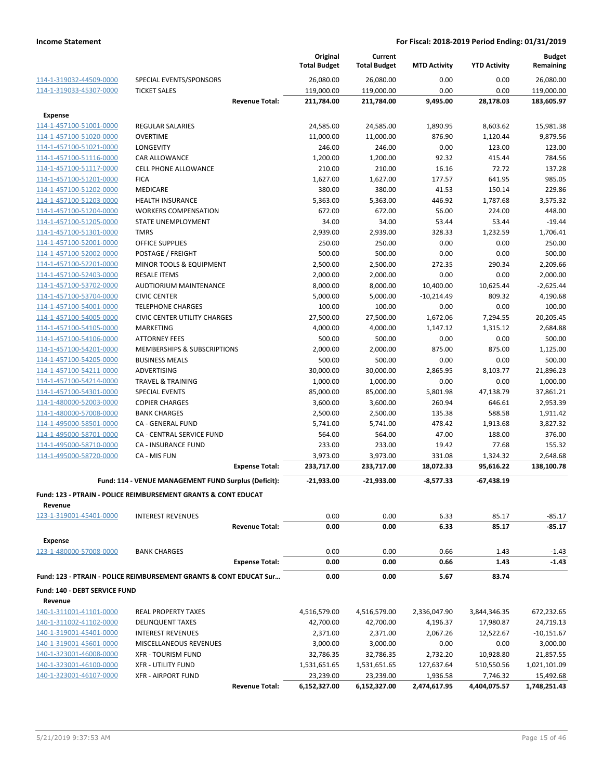|                                           |                                                                    |                       | Original<br><b>Total Budget</b> | Current<br><b>Total Budget</b> | <b>MTD Activity</b> | <b>YTD Activity</b> | <b>Budget</b><br>Remaining |
|-------------------------------------------|--------------------------------------------------------------------|-----------------------|---------------------------------|--------------------------------|---------------------|---------------------|----------------------------|
| 114-1-319032-44509-0000                   | SPECIAL EVENTS/SPONSORS                                            |                       | 26,080.00                       | 26,080.00                      | 0.00                | 0.00                | 26,080.00                  |
| 114-1-319033-45307-0000                   | <b>TICKET SALES</b>                                                |                       | 119,000.00                      | 119,000.00                     | 0.00                | 0.00                | 119,000.00                 |
|                                           |                                                                    | <b>Revenue Total:</b> | 211,784.00                      | 211,784.00                     | 9,495.00            | 28,178.03           | 183,605.97                 |
| <b>Expense</b>                            |                                                                    |                       |                                 |                                |                     |                     |                            |
| 114-1-457100-51001-0000                   | <b>REGULAR SALARIES</b>                                            |                       | 24,585.00                       | 24,585.00                      | 1,890.95            | 8,603.62            | 15,981.38                  |
| 114-1-457100-51020-0000                   | <b>OVERTIME</b>                                                    |                       | 11,000.00                       | 11,000.00                      | 876.90              | 1,120.44            | 9,879.56                   |
| 114-1-457100-51021-0000                   | LONGEVITY                                                          |                       | 246.00                          | 246.00                         | 0.00                | 123.00              | 123.00                     |
| 114-1-457100-51116-0000                   | CAR ALLOWANCE                                                      |                       | 1,200.00                        | 1,200.00                       | 92.32               | 415.44              | 784.56                     |
| 114-1-457100-51117-0000                   | <b>CELL PHONE ALLOWANCE</b>                                        |                       | 210.00                          | 210.00                         | 16.16               | 72.72               | 137.28                     |
| 114-1-457100-51201-0000                   | <b>FICA</b>                                                        |                       | 1,627.00                        | 1,627.00                       | 177.57              | 641.95              | 985.05                     |
| 114-1-457100-51202-0000                   | MEDICARE                                                           |                       | 380.00                          | 380.00                         | 41.53               | 150.14              | 229.86                     |
| 114-1-457100-51203-0000                   | <b>HEALTH INSURANCE</b>                                            |                       | 5,363.00                        | 5,363.00                       | 446.92              | 1,787.68            | 3,575.32                   |
| 114-1-457100-51204-0000                   | <b>WORKERS COMPENSATION</b>                                        |                       | 672.00                          | 672.00                         | 56.00               | 224.00              | 448.00                     |
| 114-1-457100-51205-0000                   | STATE UNEMPLOYMENT                                                 |                       | 34.00                           | 34.00                          | 53.44               | 53.44               | $-19.44$                   |
| 114-1-457100-51301-0000                   | <b>TMRS</b>                                                        |                       | 2,939.00                        | 2,939.00                       | 328.33              | 1,232.59            | 1,706.41                   |
| 114-1-457100-52001-0000                   | <b>OFFICE SUPPLIES</b>                                             |                       | 250.00                          | 250.00                         | 0.00                | 0.00                | 250.00                     |
| 114-1-457100-52002-0000                   | POSTAGE / FREIGHT                                                  |                       | 500.00                          | 500.00                         | 0.00                | 0.00                | 500.00                     |
| 114-1-457100-52201-0000                   | MINOR TOOLS & EQUIPMENT                                            |                       | 2,500.00                        | 2,500.00                       | 272.35              | 290.34              | 2,209.66                   |
| 114-1-457100-52403-0000                   | <b>RESALE ITEMS</b>                                                |                       | 2,000.00                        | 2,000.00                       | 0.00                | 0.00                | 2,000.00                   |
| 114-1-457100-53702-0000                   | <b>AUDTIORIUM MAINTENANCE</b>                                      |                       | 8,000.00                        | 8,000.00                       | 10,400.00           | 10,625.44           | $-2,625.44$                |
| 114-1-457100-53704-0000                   | <b>CIVIC CENTER</b>                                                |                       | 5,000.00                        | 5,000.00                       | $-10,214.49$        | 809.32              | 4,190.68                   |
| 114-1-457100-54001-0000                   | <b>TELEPHONE CHARGES</b>                                           |                       | 100.00                          | 100.00                         | 0.00                | 0.00                | 100.00                     |
| 114-1-457100-54005-0000                   | <b>CIVIC CENTER UTILITY CHARGES</b>                                |                       | 27,500.00                       | 27,500.00                      | 1,672.06            | 7,294.55            | 20,205.45                  |
| 114-1-457100-54105-0000                   | <b>MARKETING</b>                                                   |                       | 4,000.00                        | 4,000.00                       | 1,147.12            | 1,315.12            | 2,684.88                   |
| 114-1-457100-54106-0000                   | <b>ATTORNEY FEES</b>                                               |                       | 500.00                          | 500.00                         | 0.00                | 0.00                | 500.00                     |
| 114-1-457100-54201-0000                   | MEMBERSHIPS & SUBSCRIPTIONS                                        |                       | 2,000.00                        | 2,000.00                       | 875.00              | 875.00              | 1,125.00                   |
| 114-1-457100-54205-0000                   | <b>BUSINESS MEALS</b>                                              |                       | 500.00                          | 500.00                         | 0.00                | 0.00                | 500.00                     |
| 114-1-457100-54211-0000                   | ADVERTISING                                                        |                       | 30,000.00                       | 30,000.00                      | 2,865.95            | 8,103.77            | 21,896.23                  |
| 114-1-457100-54214-0000                   | <b>TRAVEL &amp; TRAINING</b>                                       |                       | 1,000.00                        | 1,000.00                       | 0.00                | 0.00                | 1,000.00                   |
| 114-1-457100-54301-0000                   | <b>SPECIAL EVENTS</b>                                              |                       | 85,000.00                       | 85,000.00                      | 5,801.98            | 47,138.79           | 37,861.21                  |
| 114-1-480000-52003-0000                   | <b>COPIER CHARGES</b>                                              |                       | 3,600.00                        | 3,600.00                       | 260.94              | 646.61              | 2,953.39                   |
| 114-1-480000-57008-0000                   | <b>BANK CHARGES</b>                                                |                       | 2,500.00                        | 2,500.00                       | 135.38              | 588.58              | 1,911.42                   |
| 114-1-495000-58501-0000                   | CA - GENERAL FUND                                                  |                       | 5,741.00                        | 5,741.00                       | 478.42              | 1,913.68            | 3,827.32                   |
| 114-1-495000-58701-0000                   | CA - CENTRAL SERVICE FUND                                          |                       | 564.00                          | 564.00                         | 47.00               | 188.00              | 376.00                     |
| 114-1-495000-58710-0000                   | <b>CA - INSURANCE FUND</b>                                         |                       | 233.00                          | 233.00                         | 19.42               | 77.68               | 155.32                     |
| 114-1-495000-58720-0000                   | CA - MIS FUN                                                       |                       | 3,973.00                        | 3,973.00                       | 331.08              | 1,324.32            | 2,648.68                   |
|                                           |                                                                    | <b>Expense Total:</b> | 233,717.00                      | 233,717.00                     | 18,072.33           | 95,616.22           | 138,100.78                 |
|                                           | Fund: 114 - VENUE MANAGEMENT FUND Surplus (Deficit):               |                       | $-21,933.00$                    | $-21,933.00$                   | $-8,577.33$         | -67,438.19          |                            |
|                                           | Fund: 123 - PTRAIN - POLICE REIMBURSEMENT GRANTS & CONT EDUCAT     |                       |                                 |                                |                     |                     |                            |
| Revenue                                   |                                                                    |                       |                                 |                                |                     |                     |                            |
| 123-1-319001-45401-0000                   | <b>INTEREST REVENUES</b>                                           | <b>Revenue Total:</b> | 0.00<br>0.00                    | 0.00<br>0.00                   | 6.33<br>6.33        | 85.17<br>85.17      | $-85.17$<br>$-85.17$       |
|                                           |                                                                    |                       |                                 |                                |                     |                     |                            |
| <b>Expense</b><br>123-1-480000-57008-0000 | <b>BANK CHARGES</b>                                                |                       | 0.00                            | 0.00                           | 0.66                | 1.43                | $-1.43$                    |
|                                           |                                                                    | <b>Expense Total:</b> | 0.00                            | 0.00                           | 0.66                | 1.43                | $-1.43$                    |
|                                           | Fund: 123 - PTRAIN - POLICE REIMBURSEMENT GRANTS & CONT EDUCAT Sur |                       | 0.00                            | 0.00                           | 5.67                | 83.74               |                            |
|                                           |                                                                    |                       |                                 |                                |                     |                     |                            |
| Fund: 140 - DEBT SERVICE FUND             |                                                                    |                       |                                 |                                |                     |                     |                            |
| Revenue<br>140-1-311001-41101-0000        | <b>REAL PROPERTY TAXES</b>                                         |                       | 4,516,579.00                    | 4,516,579.00                   | 2,336,047.90        | 3,844,346.35        | 672,232.65                 |
| 140-1-311002-41102-0000                   | <b>DELINQUENT TAXES</b>                                            |                       | 42,700.00                       | 42,700.00                      | 4,196.37            | 17,980.87           | 24,719.13                  |
| 140-1-319001-45401-0000                   | <b>INTEREST REVENUES</b>                                           |                       | 2,371.00                        | 2,371.00                       | 2,067.26            | 12,522.67           | $-10,151.67$               |
| 140-1-319001-45601-0000                   | MISCELLANEOUS REVENUES                                             |                       | 3,000.00                        | 3,000.00                       | 0.00                | 0.00                | 3,000.00                   |
| 140-1-323001-46008-0000                   | <b>XFR - TOURISM FUND</b>                                          |                       | 32,786.35                       | 32,786.35                      | 2,732.20            | 10,928.80           | 21,857.55                  |
| 140-1-323001-46100-0000                   | <b>XFR - UTILITY FUND</b>                                          |                       | 1,531,651.65                    | 1,531,651.65                   | 127,637.64          | 510,550.56          | 1,021,101.09               |
| 140-1-323001-46107-0000                   | <b>XFR - AIRPORT FUND</b>                                          |                       | 23,239.00                       | 23,239.00                      | 1,936.58            | 7,746.32            | 15,492.68                  |
|                                           |                                                                    | <b>Revenue Total:</b> | 6,152,327.00                    | 6,152,327.00                   | 2,474,617.95        | 4,404,075.57        | 1,748,251.43               |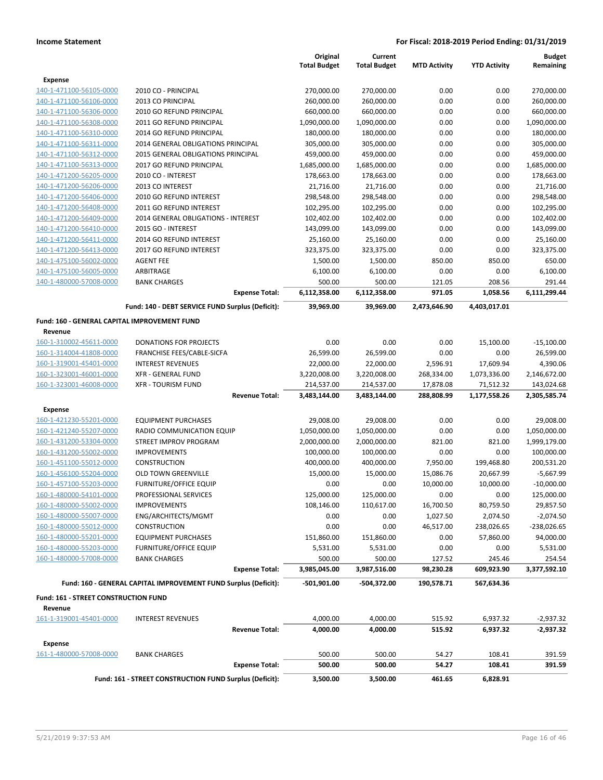|                                              |                                                                 | Original            | Current             |                     |                     | <b>Budget</b> |
|----------------------------------------------|-----------------------------------------------------------------|---------------------|---------------------|---------------------|---------------------|---------------|
|                                              |                                                                 | <b>Total Budget</b> | <b>Total Budget</b> | <b>MTD Activity</b> | <b>YTD Activity</b> | Remaining     |
| <b>Expense</b>                               |                                                                 |                     |                     |                     |                     |               |
| 140-1-471100-56105-0000                      | 2010 CO - PRINCIPAL                                             | 270,000.00          | 270,000.00          | 0.00                | 0.00                | 270,000.00    |
| 140-1-471100-56106-0000                      | 2013 CO PRINCIPAL                                               | 260,000.00          | 260,000.00          | 0.00                | 0.00                | 260,000.00    |
| 140-1-471100-56306-0000                      | 2010 GO REFUND PRINCIPAL                                        | 660,000.00          | 660,000.00          | 0.00                | 0.00                | 660,000.00    |
| 140-1-471100-56308-0000                      | 2011 GO REFUND PRINCIPAL                                        | 1,090,000.00        | 1,090,000.00        | 0.00                | 0.00                | 1,090,000.00  |
| 140-1-471100-56310-0000                      | 2014 GO REFUND PRINCIPAL                                        | 180,000.00          | 180,000.00          | 0.00                | 0.00                | 180,000.00    |
| 140-1-471100-56311-0000                      | 2014 GENERAL OBLIGATIONS PRINCIPAL                              | 305,000.00          | 305,000.00          | 0.00                | 0.00                | 305,000.00    |
| 140-1-471100-56312-0000                      | 2015 GENERAL OBLIGATIONS PRINCIPAL                              | 459,000.00          | 459,000.00          | 0.00                | 0.00                | 459,000.00    |
| 140-1-471100-56313-0000                      | 2017 GO REFUND PRINCIPAL                                        | 1,685,000.00        | 1,685,000.00        | 0.00                | 0.00                | 1,685,000.00  |
| 140-1-471200-56205-0000                      | 2010 CO - INTEREST                                              | 178,663.00          | 178,663.00          | 0.00                | 0.00                | 178,663.00    |
| 140-1-471200-56206-0000                      | 2013 CO INTEREST                                                | 21,716.00           | 21,716.00           | 0.00                | 0.00                | 21,716.00     |
| 140-1-471200-56406-0000                      | 2010 GO REFUND INTEREST                                         | 298,548.00          | 298,548.00          | 0.00                | 0.00                | 298,548.00    |
| 140-1-471200-56408-0000                      | 2011 GO REFUND INTEREST                                         | 102,295.00          | 102,295.00          | 0.00                | 0.00                | 102,295.00    |
| 140-1-471200-56409-0000                      | 2014 GENERAL OBLIGATIONS - INTEREST                             | 102,402.00          | 102,402.00          | 0.00                | 0.00                | 102,402.00    |
| 140-1-471200-56410-0000                      | 2015 GO - INTEREST                                              | 143,099.00          | 143,099.00          | 0.00                | 0.00                | 143,099.00    |
| 140-1-471200-56411-0000                      | 2014 GO REFUND INTEREST                                         | 25,160.00           | 25,160.00           | 0.00                | 0.00                | 25,160.00     |
| 140-1-471200-56413-0000                      | 2017 GO REFUND INTEREST                                         | 323,375.00          | 323,375.00          | 0.00                | 0.00                | 323,375.00    |
| 140-1-475100-56002-0000                      | <b>AGENT FEE</b>                                                | 1,500.00            | 1,500.00            | 850.00              | 850.00              | 650.00        |
| 140-1-475100-56005-0000                      | ARBITRAGE                                                       | 6,100.00            | 6,100.00            | 0.00                | 0.00                | 6,100.00      |
| 140-1-480000-57008-0000                      | <b>BANK CHARGES</b>                                             | 500.00              | 500.00              | 121.05              | 208.56              | 291.44        |
|                                              | <b>Expense Total:</b>                                           | 6,112,358.00        | 6,112,358.00        | 971.05              | 1,058.56            | 6,111,299.44  |
|                                              | Fund: 140 - DEBT SERVICE FUND Surplus (Deficit):                | 39,969.00           | 39,969.00           | 2,473,646.90        | 4,403,017.01        |               |
| Fund: 160 - GENERAL CAPITAL IMPROVEMENT FUND |                                                                 |                     |                     |                     |                     |               |
| Revenue                                      |                                                                 |                     |                     |                     |                     |               |
| 160-1-310002-45611-0000                      | <b>DONATIONS FOR PROJECTS</b>                                   | 0.00                | 0.00                | 0.00                | 15,100.00           | $-15,100.00$  |
| 160-1-314004-41808-0000                      | FRANCHISE FEES/CABLE-SICFA                                      | 26,599.00           | 26,599.00           | 0.00                | 0.00                | 26,599.00     |
| 160-1-319001-45401-0000                      | <b>INTEREST REVENUES</b>                                        | 22,000.00           | 22,000.00           | 2,596.91            | 17,609.94           | 4,390.06      |
| 160-1-323001-46001-0000                      | <b>XFR - GENERAL FUND</b>                                       | 3,220,008.00        | 3,220,008.00        | 268,334.00          |                     | 2,146,672.00  |
|                                              |                                                                 |                     |                     |                     | 1,073,336.00        |               |
| 160-1-323001-46008-0000                      | <b>XFR - TOURISM FUND</b><br><b>Revenue Total:</b>              | 214,537.00          | 214,537.00          | 17,878.08           | 71,512.32           | 143,024.68    |
|                                              |                                                                 | 3,483,144.00        | 3,483,144.00        | 288,808.99          | 1,177,558.26        | 2,305,585.74  |
| <b>Expense</b>                               |                                                                 |                     |                     |                     |                     |               |
| 160-1-421230-55201-0000                      | <b>EQUIPMENT PURCHASES</b>                                      | 29,008.00           | 29,008.00           | 0.00                | 0.00                | 29,008.00     |
| 160-1-421240-55207-0000                      | RADIO COMMUNICATION EQUIP                                       | 1,050,000.00        | 1,050,000.00        | 0.00                | 0.00                | 1,050,000.00  |
| 160-1-431200-53304-0000                      | STREET IMPROV PROGRAM                                           | 2,000,000.00        | 2,000,000.00        | 821.00              | 821.00              | 1,999,179.00  |
| 160-1-431200-55002-0000                      | <b>IMPROVEMENTS</b>                                             | 100,000.00          | 100,000.00          | 0.00                | 0.00                | 100,000.00    |
| 160-1-451100-55012-0000                      | CONSTRUCTION                                                    | 400,000.00          | 400,000.00          | 7,950.00            | 199,468.80          | 200,531.20    |
| 160-1-456100-55204-0000                      | <b>OLD TOWN GREENVILLE</b>                                      | 15,000.00           | 15,000.00           | 15,086.76           | 20,667.99           | $-5,667.99$   |
| 160-1-457100-55203-0000                      | <b>FURNITURE/OFFICE EQUIP</b>                                   | 0.00                | 0.00                | 10,000.00           | 10,000.00           | $-10,000.00$  |
| 160-1-480000-54101-0000                      | PROFESSIONAL SERVICES                                           | 125,000.00          | 125,000.00          | 0.00                | 0.00                | 125,000.00    |
| 160-1-480000-55002-0000                      | <b>IMPROVEMENTS</b>                                             | 108,146.00          | 110,617.00          | 16,700.50           | 80,759.50           | 29,857.50     |
| 160-1-480000-55007-0000                      | ENG/ARCHITECTS/MGMT                                             | 0.00                | 0.00                | 1,027.50            | 2,074.50            | $-2,074.50$   |
| 160-1-480000-55012-0000                      | CONSTRUCTION                                                    | 0.00                | 0.00                | 46,517.00           | 238,026.65          | $-238,026.65$ |
| 160-1-480000-55201-0000                      | <b>EQUIPMENT PURCHASES</b>                                      | 151,860.00          | 151,860.00          | 0.00                | 57,860.00           | 94,000.00     |
| 160-1-480000-55203-0000                      | <b>FURNITURE/OFFICE EQUIP</b>                                   | 5,531.00            | 5,531.00            | 0.00                | 0.00                | 5,531.00      |
| 160-1-480000-57008-0000                      | <b>BANK CHARGES</b>                                             | 500.00              | 500.00              | 127.52              | 245.46              | 254.54        |
|                                              | <b>Expense Total:</b>                                           | 3,985,045.00        | 3,987,516.00        | 98,230.28           | 609,923.90          | 3,377,592.10  |
|                                              | Fund: 160 - GENERAL CAPITAL IMPROVEMENT FUND Surplus (Deficit): | -501,901.00         | -504,372.00         | 190,578.71          | 567,634.36          |               |
| Fund: 161 - STREET CONSTRUCTION FUND         |                                                                 |                     |                     |                     |                     |               |
| Revenue                                      |                                                                 |                     |                     |                     |                     |               |
| 161-1-319001-45401-0000                      | <b>INTEREST REVENUES</b>                                        | 4,000.00            | 4,000.00            | 515.92              | 6,937.32            | $-2,937.32$   |
|                                              | <b>Revenue Total:</b>                                           | 4,000.00            | 4,000.00            | 515.92              | 6,937.32            | $-2,937.32$   |
| <b>Expense</b>                               |                                                                 |                     |                     |                     |                     |               |
| 161-1-480000-57008-0000                      | <b>BANK CHARGES</b>                                             | 500.00              | 500.00              | 54.27               | 108.41              | 391.59        |
|                                              | <b>Expense Total:</b>                                           | 500.00              | 500.00              | 54.27               | 108.41              | 391.59        |
|                                              | Fund: 161 - STREET CONSTRUCTION FUND Surplus (Deficit):         | 3,500.00            | 3,500.00            | 461.65              | 6,828.91            |               |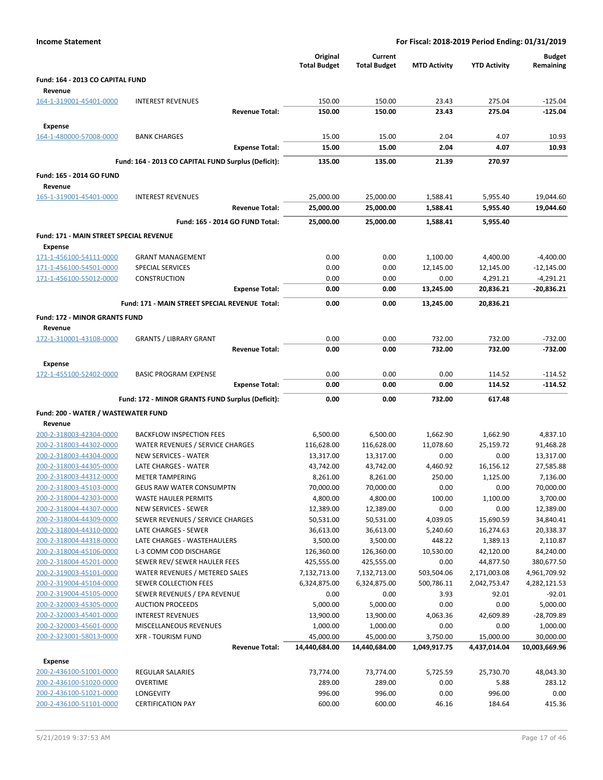| <b>Income Statement</b>                 |                                                     |                                 | For Fiscal: 2018-2019 Period Ending: 01/31/2019 |                     |                       |                           |
|-----------------------------------------|-----------------------------------------------------|---------------------------------|-------------------------------------------------|---------------------|-----------------------|---------------------------|
|                                         |                                                     | Original<br><b>Total Budget</b> | Current<br><b>Total Budget</b>                  | <b>MTD Activity</b> | <b>YTD Activity</b>   | Budget<br>Remaining       |
| Fund: 164 - 2013 CO CAPITAL FUND        |                                                     |                                 |                                                 |                     |                       |                           |
| Revenue                                 |                                                     |                                 |                                                 |                     |                       |                           |
| 164-1-319001-45401-0000                 | <b>INTEREST REVENUES</b>                            | 150.00                          | 150.00                                          | 23.43               | 275.04                | $-125.04$                 |
|                                         | <b>Revenue Total:</b>                               | 150.00                          | 150.00                                          | 23.43               | 275.04                | $-125.04$                 |
| <b>Expense</b>                          |                                                     |                                 |                                                 |                     |                       |                           |
| 164-1-480000-57008-0000                 | <b>BANK CHARGES</b>                                 | 15.00                           | 15.00                                           | 2.04                | 4.07                  | 10.93                     |
|                                         | <b>Expense Total:</b>                               | 15.00                           | 15.00                                           | 2.04                | 4.07                  | 10.93                     |
|                                         | Fund: 164 - 2013 CO CAPITAL FUND Surplus (Deficit): | 135.00                          | 135.00                                          | 21.39               | 270.97                |                           |
| Fund: 165 - 2014 GO FUND                |                                                     |                                 |                                                 |                     |                       |                           |
| Revenue                                 |                                                     |                                 |                                                 |                     |                       |                           |
| 165-1-319001-45401-0000                 | <b>INTEREST REVENUES</b>                            | 25,000.00                       | 25,000.00                                       | 1,588.41            | 5,955.40              | 19,044.60                 |
|                                         | <b>Revenue Total:</b>                               | 25,000.00                       | 25,000.00                                       | 1,588.41            | 5,955.40              | 19,044.60                 |
|                                         | Fund: 165 - 2014 GO FUND Total:                     | 25,000.00                       | 25,000.00                                       | 1,588.41            | 5,955.40              |                           |
| Fund: 171 - MAIN STREET SPECIAL REVENUE |                                                     |                                 |                                                 |                     |                       |                           |
| Expense                                 |                                                     |                                 |                                                 |                     |                       |                           |
| 171-1-456100-54111-0000                 | <b>GRANT MANAGEMENT</b>                             | 0.00                            | 0.00                                            | 1,100.00            | 4,400.00              | $-4,400.00$               |
| 171-1-456100-54501-0000                 | SPECIAL SERVICES                                    | 0.00                            | 0.00                                            | 12,145.00           | 12,145.00             | -12,145.00                |
| 171-1-456100-55012-0000                 | <b>CONSTRUCTION</b><br><b>Expense Total:</b>        | 0.00<br>0.00                    | 0.00<br>0.00                                    | 0.00<br>13,245.00   | 4,291.21<br>20,836.21 | $-4,291.21$<br>-20,836.21 |
|                                         | Fund: 171 - MAIN STREET SPECIAL REVENUE Total:      | 0.00                            |                                                 |                     | 20,836.21             |                           |
|                                         |                                                     |                                 | 0.00                                            | 13,245.00           |                       |                           |
| <b>Fund: 172 - MINOR GRANTS FUND</b>    |                                                     |                                 |                                                 |                     |                       |                           |
| Revenue<br>172-1-310001-43108-0000      | <b>GRANTS / LIBRARY GRANT</b>                       | 0.00                            | 0.00                                            | 732.00              | 732.00                | $-732.00$                 |
|                                         | <b>Revenue Total:</b>                               | 0.00                            | 0.00                                            | 732.00              | 732.00                | $-732.00$                 |
| Expense                                 |                                                     |                                 |                                                 |                     |                       |                           |
| 172-1-455100-52402-0000                 | <b>BASIC PROGRAM EXPENSE</b>                        | 0.00                            | 0.00                                            | 0.00                | 114.52                | $-114.52$                 |
|                                         | <b>Expense Total:</b>                               | 0.00                            | 0.00                                            | 0.00                | 114.52                | $-114.52$                 |
|                                         | Fund: 172 - MINOR GRANTS FUND Surplus (Deficit):    | 0.00                            | 0.00                                            | 732.00              | 617.48                |                           |
| Fund: 200 - WATER / WASTEWATER FUND     |                                                     |                                 |                                                 |                     |                       |                           |
| Revenue                                 |                                                     |                                 |                                                 |                     |                       |                           |
| 200-2-318003-42304-0000                 | <b>BACKFLOW INSPECTION FEES</b>                     | 6,500.00                        | 6,500.00                                        | 1,662.90            | 1,662.90              | 4,837.10                  |
| 200-2-318003-44302-0000                 | WATER REVENUES / SERVICE CHARGES                    | 116,628.00                      | 116,628.00                                      | 11,078.60           | 25,159.72             | 91,468.28                 |
| 200-2-318003-44304-0000                 | <b>NEW SERVICES - WATER</b>                         | 13,317.00                       | 13,317.00                                       | 0.00                | 0.00                  | 13,317.00                 |
| 200-2-318003-44305-0000                 | LATE CHARGES - WATER                                | 43,742.00                       | 43,742.00                                       | 4,460.92            | 16,156.12             | 27,585.88                 |
| 200-2-318003-44312-0000                 | <b>METER TAMPERING</b>                              | 8,261.00                        | 8,261.00                                        | 250.00              | 1,125.00              | 7,136.00                  |
| 200-2-318003-45103-0000                 | <b>GEUS RAW WATER CONSUMPTN</b>                     | 70,000.00                       | 70,000.00                                       | 0.00                | 0.00                  | 70,000.00                 |
| 200-2-318004-42303-0000                 | <b>WASTE HAULER PERMITS</b>                         | 4,800.00                        | 4,800.00                                        | 100.00              | 1,100.00              | 3,700.00                  |
| 200-2-318004-44307-0000                 | <b>NEW SERVICES - SEWER</b>                         | 12,389.00                       | 12,389.00                                       | 0.00                | 0.00                  | 12,389.00                 |
| 200-2-318004-44309-0000                 | SEWER REVENUES / SERVICE CHARGES                    | 50,531.00                       | 50,531.00                                       | 4,039.05            | 15,690.59             | 34,840.41                 |
| 200-2-318004-44310-0000                 | LATE CHARGES - SEWER                                | 36,613.00                       | 36,613.00                                       | 5,240.60            | 16,274.63             | 20,338.37                 |
| 200-2-318004-44318-0000                 | LATE CHARGES - WASTEHAULERS                         | 3,500.00                        | 3,500.00                                        | 448.22              | 1,389.13              | 2,110.87                  |
| 200-2-318004-45106-0000                 | L-3 COMM COD DISCHARGE                              | 126,360.00                      | 126,360.00                                      | 10,530.00           | 42,120.00             | 84,240.00                 |
| 200-2-318004-45201-0000                 | SEWER REV/ SEWER HAULER FEES                        | 425,555.00                      | 425,555.00                                      | 0.00                | 44,877.50             | 380,677.50                |
| 200-2-319003-45101-0000                 | WATER REVENUES / METERED SALES                      | 7,132,713.00                    | 7,132,713.00                                    | 503,504.06          | 2,171,003.08          | 4,961,709.92              |
| 200-2-319004-45104-0000                 | SEWER COLLECTION FEES                               | 6,324,875.00                    | 6,324,875.00                                    | 500,786.11          | 2,042,753.47          | 4,282,121.53              |
| 200-2-319004-45105-0000                 | SEWER REVENUES / EPA REVENUE                        | 0.00                            | 0.00                                            | 3.93                | 92.01                 | $-92.01$                  |
| 200-2-320003-45305-0000                 | <b>AUCTION PROCEEDS</b>                             | 5,000.00                        | 5,000.00                                        | 0.00                | 0.00                  | 5,000.00                  |
| 200-2-320003-45401-0000                 | <b>INTEREST REVENUES</b>                            | 13,900.00                       | 13,900.00                                       | 4,063.36            | 42,609.89             | -28,709.89                |
| 200-2-320003-45601-0000                 | MISCELLANEOUS REVENUES                              | 1,000.00                        | 1,000.00                                        | 0.00                | 0.00                  | 1,000.00                  |
| 200-2-323001-58013-0000                 | <b>XFR - TOURISM FUND</b>                           | 45,000.00                       | 45,000.00                                       | 3,750.00            | 15,000.00             | 30,000.00                 |
|                                         | <b>Revenue Total:</b>                               | 14,440,684.00                   | 14,440,684.00                                   | 1,049,917.75        | 4,437,014.04          | 10,003,669.96             |
| Expense                                 |                                                     |                                 |                                                 |                     |                       |                           |
| 200-2-436100-51001-0000                 | <b>REGULAR SALARIES</b>                             | 73,774.00                       | 73,774.00                                       | 5,725.59            | 25,730.70             | 48,043.30                 |
| 200-2-436100-51020-0000                 | <b>OVERTIME</b>                                     | 289.00                          | 289.00                                          | 0.00                | 5.88                  | 283.12                    |
| 200-2-436100-51021-0000                 | LONGEVITY                                           | 996.00                          | 996.00                                          | 0.00                | 996.00                | 0.00                      |
| 200-2-436100-51101-0000                 | <b>CERTIFICATION PAY</b>                            | 600.00                          | 600.00                                          | 46.16               | 184.64                | 415.36                    |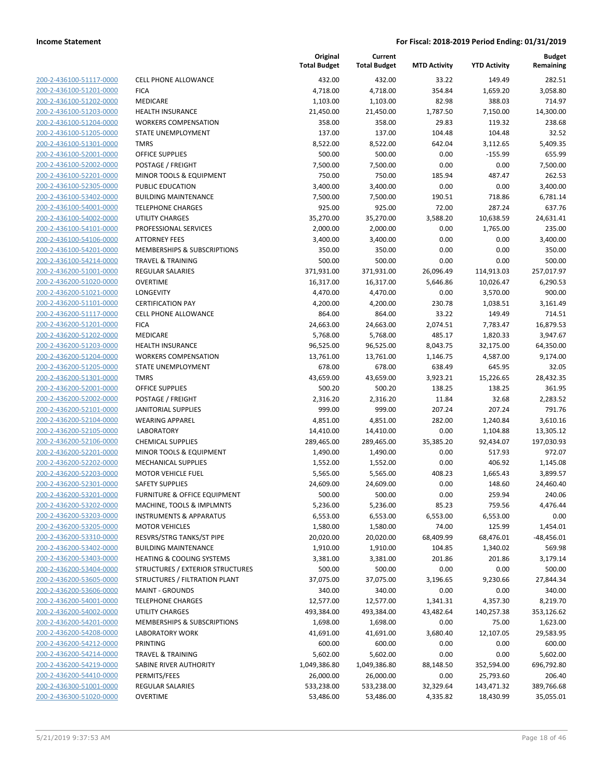| 200-2-436100-51117-0000        |
|--------------------------------|
| 200-2-436100-51201-0000        |
| 200-2-436100-51202-0000        |
| 200-2-436100-51203-0000        |
| <u>200-2-436100-51204-0000</u> |
| 200-2-436100-51205-0000        |
| 200-2-436100-51301-0000        |
| 200-2-436100-52001-0000        |
| 200-2-436100-52002-0000        |
| <u>200-2-436100-52201-0000</u> |
| 200-2-436100-52305-0000        |
| 200-2-436100-53402-0000        |
| 200-2-436100-54001-0000        |
| 200-2-436100-54002-0000        |
| <u>200-2-436100-54101-0000</u> |
| 200-2-436100-54106-0000        |
| 200-2-436100-54201-0000        |
| 200-2-436100-54214-0000        |
| 200-2-436200-51001-0000        |
| <u>200-2-436200-51020-0000</u> |
| 200-2-436200-51021-0000        |
| 200-2-436200-51101-0000        |
| 200-2-436200-51117-0000        |
| 200-2-436200-51201-0000        |
| <u>200-2-436200-51202-0000</u> |
| 200-2-436200-51203-0000        |
| 200-2-436200-51204-0000        |
| 200-2-436200-51205-0000        |
|                                |
| 200-2-436200-51301-0000        |
| 200-2-436200-52001-0000        |
| 200-2-436200-52002-0000        |
| 200-2-436200-52101-0000        |
| 200-2-436200-52104-0000        |
| 200-2-436200-52105-0000        |
| <u>200-2-436200-52106-0000</u> |
| 200-2-436200-52201-0000        |
| 200-2-436200-52202-0000        |
| 200-2-436200-52203-0000        |
| 200-2-436200-52301-0000        |
| 200-2-436200-53201-0000        |
| 200-2-436200-53202-0000        |
| 200-2-436200-53203-0000        |
| 200-2-436200-53205-0000        |
| 200-2-436200-53310-0000        |
| <u>200-2-436200-53402-0000</u> |
| 200-2-436200-53403-0000        |
| 200-2-436200-53404-0000        |
| 200-2-436200-53605-0000        |
| 200-2-436200-53606-0000        |
| <u>200-2-436200-54001-0000</u> |
| 200-2-436200-54002-0000        |
| 200-2-436200-54201-0000        |
| 200-2-436200-54208-0000        |
| 200-2-436200-54212-0000        |
| <u>200-2-436200-54214-0000</u> |
| 200-2-436200-54219-0000        |
| 200-2-436200-54410-0000        |
| 200-2-436300-51001-0000        |
| 200-2-436300-51020-0000        |
|                                |

|                                                    |                                             | Original<br><b>Total Budget</b> | Current<br><b>Total Budget</b> | <b>MTD Activity</b> | <b>YTD Activity</b>  | <b>Budget</b><br>Remaining |
|----------------------------------------------------|---------------------------------------------|---------------------------------|--------------------------------|---------------------|----------------------|----------------------------|
| 200-2-436100-51117-0000                            | <b>CELL PHONE ALLOWANCE</b>                 | 432.00                          | 432.00                         | 33.22               | 149.49               | 282.51                     |
| 200-2-436100-51201-0000                            | <b>FICA</b>                                 | 4,718.00                        | 4,718.00                       | 354.84              | 1,659.20             | 3,058.80                   |
| 200-2-436100-51202-0000                            | MEDICARE                                    | 1,103.00                        | 1,103.00                       | 82.98               | 388.03               | 714.97                     |
| 200-2-436100-51203-0000                            | <b>HEALTH INSURANCE</b>                     | 21,450.00                       | 21,450.00                      | 1,787.50            | 7,150.00             | 14,300.00                  |
| 200-2-436100-51204-0000                            | <b>WORKERS COMPENSATION</b>                 | 358.00                          | 358.00                         | 29.83               | 119.32               | 238.68                     |
| 200-2-436100-51205-0000                            | STATE UNEMPLOYMENT                          | 137.00                          | 137.00                         | 104.48              | 104.48               | 32.52                      |
| 200-2-436100-51301-0000                            | <b>TMRS</b>                                 | 8,522.00                        | 8,522.00                       | 642.04              | 3,112.65             | 5,409.35                   |
| 200-2-436100-52001-0000                            | <b>OFFICE SUPPLIES</b>                      | 500.00                          | 500.00                         | 0.00                | $-155.99$            | 655.99                     |
| 200-2-436100-52002-0000                            | POSTAGE / FREIGHT                           | 7,500.00                        | 7,500.00                       | 0.00                | 0.00                 | 7,500.00                   |
| 200-2-436100-52201-0000                            | MINOR TOOLS & EQUIPMENT                     | 750.00                          | 750.00                         | 185.94              | 487.47               | 262.53                     |
| 200-2-436100-52305-0000                            | PUBLIC EDUCATION                            | 3,400.00                        | 3,400.00                       | 0.00                | 0.00                 | 3,400.00                   |
| 200-2-436100-53402-0000                            | <b>BUILDING MAINTENANCE</b>                 | 7,500.00                        | 7,500.00                       | 190.51              | 718.86               | 6,781.14                   |
| 200-2-436100-54001-0000                            | <b>TELEPHONE CHARGES</b>                    | 925.00                          | 925.00                         | 72.00               | 287.24               | 637.76                     |
| 200-2-436100-54002-0000                            | UTILITY CHARGES                             | 35,270.00                       | 35,270.00                      | 3,588.20            | 10,638.59            | 24,631.41                  |
| 200-2-436100-54101-0000                            | PROFESSIONAL SERVICES                       | 2,000.00                        | 2,000.00                       | 0.00                | 1,765.00             | 235.00                     |
| 200-2-436100-54106-0000                            | <b>ATTORNEY FEES</b>                        | 3,400.00                        | 3,400.00                       | 0.00                | 0.00                 | 3,400.00                   |
| 200-2-436100-54201-0000                            | MEMBERSHIPS & SUBSCRIPTIONS                 | 350.00                          | 350.00                         | 0.00                | 0.00                 | 350.00                     |
| 200-2-436100-54214-0000                            | <b>TRAVEL &amp; TRAINING</b>                | 500.00                          | 500.00                         | 0.00                | 0.00                 | 500.00                     |
| 200-2-436200-51001-0000                            | REGULAR SALARIES                            | 371,931.00                      | 371,931.00                     | 26,096.49           | 114,913.03           | 257,017.97                 |
| 200-2-436200-51020-0000                            | <b>OVERTIME</b>                             | 16,317.00                       | 16,317.00                      | 5,646.86            | 10,026.47            | 6,290.53                   |
| 200-2-436200-51021-0000                            | LONGEVITY                                   | 4,470.00                        | 4,470.00                       | 0.00                | 3,570.00             | 900.00                     |
| 200-2-436200-51101-0000                            | <b>CERTIFICATION PAY</b>                    | 4,200.00                        | 4,200.00                       | 230.78              | 1,038.51             | 3,161.49                   |
| 200-2-436200-51117-0000                            | CELL PHONE ALLOWANCE                        | 864.00                          | 864.00                         | 33.22               | 149.49               | 714.51                     |
| 200-2-436200-51201-0000                            | <b>FICA</b>                                 | 24,663.00                       | 24,663.00                      | 2,074.51            | 7,783.47             | 16,879.53                  |
| 200-2-436200-51202-0000                            | <b>MEDICARE</b>                             | 5,768.00                        | 5,768.00                       | 485.17              | 1,820.33             | 3,947.67                   |
| 200-2-436200-51203-0000                            | <b>HEALTH INSURANCE</b>                     | 96,525.00                       | 96,525.00                      | 8,043.75            | 32,175.00            | 64,350.00                  |
| 200-2-436200-51204-0000                            | <b>WORKERS COMPENSATION</b>                 | 13,761.00                       | 13,761.00                      | 1,146.75            | 4,587.00             | 9,174.00                   |
| 200-2-436200-51205-0000                            | STATE UNEMPLOYMENT                          | 678.00                          | 678.00                         | 638.49              | 645.95               | 32.05                      |
| 200-2-436200-51301-0000                            | <b>TMRS</b>                                 | 43,659.00                       | 43,659.00                      | 3,923.21            | 15,226.65            | 28,432.35                  |
| 200-2-436200-52001-0000                            | <b>OFFICE SUPPLIES</b>                      | 500.20                          | 500.20                         | 138.25              | 138.25               | 361.95                     |
| 200-2-436200-52002-0000                            | POSTAGE / FREIGHT                           | 2,316.20<br>999.00              | 2,316.20<br>999.00             | 11.84               | 32.68                | 2,283.52<br>791.76         |
| 200-2-436200-52101-0000                            | <b>JANITORIAL SUPPLIES</b>                  |                                 |                                | 207.24              | 207.24               |                            |
| 200-2-436200-52104-0000<br>200-2-436200-52105-0000 | <b>WEARING APPAREL</b><br><b>LABORATORY</b> | 4,851.00<br>14,410.00           | 4,851.00<br>14,410.00          | 282.00<br>0.00      | 1,240.84<br>1,104.88 | 3,610.16<br>13,305.12      |
| 200-2-436200-52106-0000                            | <b>CHEMICAL SUPPLIES</b>                    | 289,465.00                      | 289,465.00                     | 35,385.20           | 92,434.07            | 197,030.93                 |
| 200-2-436200-52201-0000                            | MINOR TOOLS & EQUIPMENT                     | 1,490.00                        | 1,490.00                       | 0.00                | 517.93               | 972.07                     |
| 200-2-436200-52202-0000                            | <b>MECHANICAL SUPPLIES</b>                  | 1,552.00                        | 1,552.00                       | 0.00                | 406.92               | 1,145.08                   |
| 200-2-436200-52203-0000                            | <b>MOTOR VEHICLE FUEL</b>                   | 5,565.00                        | 5,565.00                       | 408.23              | 1,665.43             | 3,899.57                   |
| 200-2-436200-52301-0000                            | <b>SAFETY SUPPLIES</b>                      | 24,609.00                       | 24,609.00                      | 0.00                | 148.60               | 24,460.40                  |
| 200-2-436200-53201-0000                            | FURNITURE & OFFICE EQUIPMENT                | 500.00                          | 500.00                         | 0.00                | 259.94               | 240.06                     |
| 200-2-436200-53202-0000                            | MACHINE, TOOLS & IMPLMNTS                   | 5,236.00                        | 5,236.00                       | 85.23               | 759.56               | 4,476.44                   |
| 200-2-436200-53203-0000                            | <b>INSTRUMENTS &amp; APPARATUS</b>          | 6,553.00                        | 6,553.00                       | 6,553.00            | 6,553.00             | 0.00                       |
| 200-2-436200-53205-0000                            | <b>MOTOR VEHICLES</b>                       | 1,580.00                        | 1,580.00                       | 74.00               | 125.99               | 1,454.01                   |
| 200-2-436200-53310-0000                            | RESVRS/STRG TANKS/ST PIPE                   | 20,020.00                       | 20,020.00                      | 68,409.99           | 68,476.01            | $-48,456.01$               |
| 200-2-436200-53402-0000                            | <b>BUILDING MAINTENANCE</b>                 | 1,910.00                        | 1,910.00                       | 104.85              | 1,340.02             | 569.98                     |
| 200-2-436200-53403-0000                            | <b>HEATING &amp; COOLING SYSTEMS</b>        | 3,381.00                        | 3,381.00                       | 201.86              | 201.86               | 3,179.14                   |
| 200-2-436200-53404-0000                            | STRUCTURES / EXTERIOR STRUCTURES            | 500.00                          | 500.00                         | 0.00                | 0.00                 | 500.00                     |
| 200-2-436200-53605-0000                            | STRUCTURES / FILTRATION PLANT               | 37,075.00                       | 37,075.00                      | 3,196.65            | 9,230.66             | 27,844.34                  |
| 200-2-436200-53606-0000                            | <b>MAINT - GROUNDS</b>                      | 340.00                          | 340.00                         | 0.00                | 0.00                 | 340.00                     |
| 200-2-436200-54001-0000                            | <b>TELEPHONE CHARGES</b>                    | 12,577.00                       | 12,577.00                      | 1,341.31            | 4,357.30             | 8,219.70                   |
| 200-2-436200-54002-0000                            | UTILITY CHARGES                             | 493,384.00                      | 493,384.00                     | 43,482.64           | 140,257.38           | 353,126.62                 |
| 200-2-436200-54201-0000                            | MEMBERSHIPS & SUBSCRIPTIONS                 | 1,698.00                        | 1,698.00                       | 0.00                | 75.00                | 1,623.00                   |
| 200-2-436200-54208-0000                            | <b>LABORATORY WORK</b>                      | 41,691.00                       | 41,691.00                      | 3,680.40            | 12,107.05            | 29,583.95                  |
| 200-2-436200-54212-0000                            | <b>PRINTING</b>                             | 600.00                          | 600.00                         | 0.00                | 0.00                 | 600.00                     |
| 200-2-436200-54214-0000                            | <b>TRAVEL &amp; TRAINING</b>                | 5,602.00                        | 5,602.00                       | 0.00                | 0.00                 | 5,602.00                   |
| 200-2-436200-54219-0000                            | SABINE RIVER AUTHORITY                      | 1,049,386.80                    | 1,049,386.80                   | 88,148.50           | 352,594.00           | 696,792.80                 |
| 200-2-436200-54410-0000                            | PERMITS/FEES                                | 26,000.00                       | 26,000.00                      | 0.00                | 25,793.60            | 206.40                     |
| 200-2-436300-51001-0000                            | REGULAR SALARIES                            | 533,238.00                      | 533,238.00                     | 32,329.64           | 143,471.32           | 389,766.68                 |
| 200-2-436300-51020-0000                            | <b>OVERTIME</b>                             | 53,486.00                       | 53,486.00                      | 4,335.82            | 18,430.99            | 35,055.01                  |
|                                                    |                                             |                                 |                                |                     |                      |                            |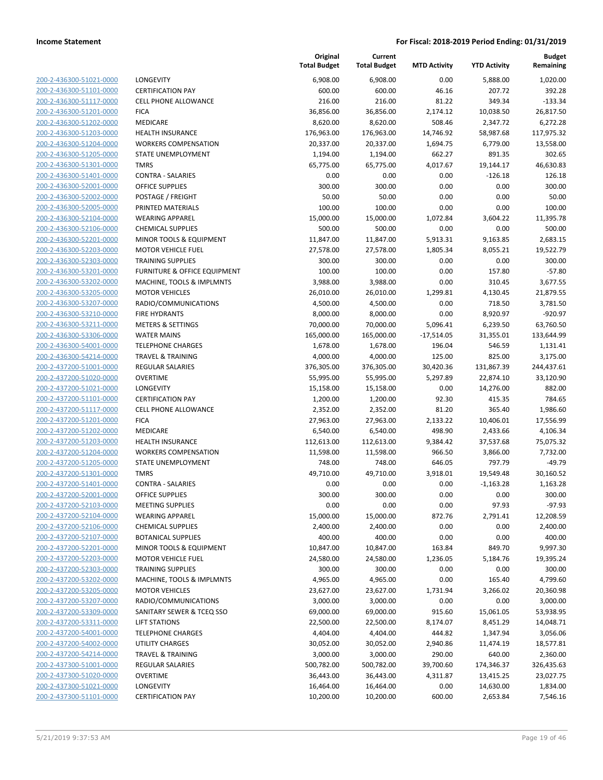| 200-2-436300-51021-0000                            |
|----------------------------------------------------|
| 200-2-436300-51101-0000                            |
| 200-2-436300-51117-0000                            |
| 200-2-436300-51201-0000                            |
| <u>200-2-436300-51202-0000</u>                     |
| 200-2-436300-51203-0000                            |
| 200-2-436300-51204-0000                            |
| 200-2-436300-51205-0000                            |
| 200-2-436300-51301-0000                            |
| <u>200-2-436300-51401-0000</u>                     |
| 200-2-436300-52001-0000                            |
| 200-2-436300-52002-0000                            |
| 200-2-436300-52005-0000                            |
| 200-2-436300-52104-0000                            |
| <u>200-2-436300-52106-0000</u>                     |
| 200-2-436300-52201-0000                            |
| 200-2-436300-52203-0000                            |
| 200-2-436300-52303-0000                            |
| 200-2-436300-53201-0000                            |
| 200-2-436300-53202-0000                            |
| 200-2-436300-53205-0000                            |
| 200-2-436300-53207-0000                            |
| 200-2-436300-53210-0000                            |
| 200-2-436300-53211-0000                            |
| 200-2-436300-53306-0000                            |
| 200-2-436300-54001-0000                            |
| 200-2-436300-54214-0000                            |
| 200-2-437200-51001-0000                            |
| 200-2-437200-51020-0000                            |
| 200-2-437200-51021-0000                            |
| 200-2-437200-51101-0000                            |
| 200-2-437200-51117-0000                            |
| 200-2-437200-51201-0000                            |
| 200-2-437200-51202-0000                            |
| 200-2-437200-51203-0000                            |
| 200-2-437200-51204-0000                            |
| 200-2-437200-51205-0000                            |
| 200-2-437200-51301-0000                            |
| 200-2-437200-51401-0000                            |
| 200-2-437200-52001-0000                            |
| 200-2-437200-52103-0000                            |
| <u>200-2-437200-52104-0000</u>                     |
| 200-2-437200-52106-0000                            |
| 200-2-437200-52107-0000                            |
| <u>200-2-437200-52201-0000</u>                     |
| <u>200-2-437200-52203-0000</u>                     |
| 200-2-437200-52303-0000                            |
| <u>200-2-437200-53202-0000</u>                     |
| 200-2-437200-53205-0000                            |
| <u>200-2-437200-53207-0000</u>                     |
| 200-2-437200-53309-0000                            |
| 200-2-437200-53311-0000                            |
| 200-2-437200-54001-0000                            |
| 200-2-437200-54002-0000                            |
| <u>200-2-437200-54214-0000</u>                     |
| <u>200-2-437300-51001-0000</u>                     |
| <u>200-2-437300-51020-0000</u>                     |
| 200-2-437300-51021-0000<br>200-2-437300-51101-0000 |
|                                                    |

| LONGEVITY                               |
|-----------------------------------------|
| <b>CERTIFICATION PAY</b>                |
| <b>CELL PHONE ALLOWANCE</b>             |
| <b>FICA</b>                             |
| <b>MEDICARE</b>                         |
| <b>HEALTH INSURANCE</b>                 |
| <b>WORKERS COMPENSATION</b>             |
| STATE UNEMPLOYMENT                      |
|                                         |
| TMRS                                    |
| <b>CONTRA - SALARIES</b>                |
| <b>OFFICE SUPPLIES</b>                  |
| POSTAGE / FREIGHT                       |
| PRINTED MATERIALS                       |
| <b>WEARING APPAREL</b>                  |
| <b>CHEMICAL SUPPLIES</b>                |
| MINOR TOOLS & EQUIPMENT                 |
| <b>MOTOR VEHICLE FUEL</b>               |
| <b>TRAINING SUPPLIES</b>                |
| <b>FURNITURE &amp; OFFICE EQUIPMENT</b> |
| <b>MACHINE, TOOLS &amp; IMPLMNTS</b>    |
| <b>MOTOR VEHICLES</b>                   |
| RADIO/COMMUNICATIONS                    |
| <b>FIRE HYDRANTS</b>                    |
| <b>METERS &amp; SETTINGS</b>            |
| <b>WATER MAINS</b>                      |
|                                         |
| <b>TELEPHONE CHARGES</b>                |
| <b>TRAVEL &amp; TRAINING</b>            |
| <b>REGULAR SALARIES</b>                 |
| OVERTIME                                |
| <b>LONGEVITY</b>                        |
| <b>CERTIFICATION PAY</b>                |
| <b>CELL PHONE ALLOWANCE</b>             |
| FICA                                    |
| MEDICARE                                |
| <b>HEALTH INSURANCE</b>                 |
| <b>WORKERS COMPENSATION</b>             |
| STATE UNEMPLOYMENT                      |
| <b>TMRS</b>                             |
| <b>CONTRA - SALARIES</b>                |
| <b>OFFICE SUPPLIES</b>                  |
| <b>MEETING SUPPLIES</b>                 |
|                                         |
| <b>WEARING APPAREL</b>                  |
| <b>CHEMICAL SUPPLIES</b>                |
| <b>BOTANICAL SUPPLIES</b>               |
| MINOR TOOLS & EQUIPMENT                 |
| <b>MOTOR VEHICLE FUEL</b>               |
| <b>TRAINING SUPPLIES</b>                |
| MACHINE, TOOLS & IMPLMNTS               |
| <b>MOTOR VEHICLES</b>                   |
| RADIO/COMMUNICATIONS                    |
| SANITARY SEWER & TCEQ SSO               |
| <b>LIFT STATIONS</b>                    |
| <b>TELEPHONE CHARGES</b>                |
| <b>UTILITY CHARGES</b>                  |
| <b>TRAVEL &amp; TRAINING</b>            |
| <b>REGULAR SALARIES</b>                 |
|                                         |
| <b>OVERTIME</b>                         |
| <b>LONGEVITY</b>                        |
| <b>CERTIFICATION PAY</b>                |

|                                                    |                                                    | Original<br><b>Total Budget</b> | Current<br><b>Total Budget</b> | <b>MTD Activity</b> | <b>YTD Activity</b> | <b>Budget</b><br>Remaining |
|----------------------------------------------------|----------------------------------------------------|---------------------------------|--------------------------------|---------------------|---------------------|----------------------------|
| 200-2-436300-51021-0000                            | <b>LONGEVITY</b>                                   | 6,908.00                        | 6,908.00                       | 0.00                | 5,888.00            | 1,020.00                   |
| 200-2-436300-51101-0000                            | <b>CERTIFICATION PAY</b>                           | 600.00                          | 600.00                         | 46.16               | 207.72              | 392.28                     |
| 200-2-436300-51117-0000                            | <b>CELL PHONE ALLOWANCE</b>                        | 216.00                          | 216.00                         | 81.22               | 349.34              | $-133.34$                  |
| 200-2-436300-51201-0000                            | <b>FICA</b>                                        | 36,856.00                       | 36,856.00                      | 2,174.12            | 10,038.50           | 26,817.50                  |
| 200-2-436300-51202-0000                            | MEDICARE                                           | 8,620.00                        | 8,620.00                       | 508.46              | 2,347.72            | 6,272.28                   |
| 200-2-436300-51203-0000                            | <b>HEALTH INSURANCE</b>                            | 176,963.00                      | 176,963.00                     | 14,746.92           | 58,987.68           | 117,975.32                 |
| 200-2-436300-51204-0000                            | <b>WORKERS COMPENSATION</b>                        | 20,337.00                       | 20,337.00                      | 1,694.75            | 6,779.00            | 13,558.00                  |
| 200-2-436300-51205-0000                            | <b>STATE UNEMPLOYMENT</b>                          | 1,194.00                        | 1,194.00                       | 662.27              | 891.35              | 302.65                     |
| 200-2-436300-51301-0000                            | <b>TMRS</b>                                        | 65,775.00                       | 65,775.00                      | 4,017.67            | 19,144.17           | 46,630.83                  |
| 200-2-436300-51401-0000                            | <b>CONTRA - SALARIES</b>                           | 0.00                            | 0.00                           | 0.00                | $-126.18$           | 126.18                     |
| 200-2-436300-52001-0000                            | <b>OFFICE SUPPLIES</b>                             | 300.00                          | 300.00                         | 0.00                | 0.00                | 300.00                     |
| 200-2-436300-52002-0000                            | POSTAGE / FREIGHT                                  | 50.00                           | 50.00                          | 0.00                | 0.00                | 50.00                      |
| 200-2-436300-52005-0000                            | PRINTED MATERIALS                                  | 100.00                          | 100.00                         | 0.00                | 0.00                | 100.00                     |
| 200-2-436300-52104-0000                            | <b>WEARING APPAREL</b>                             | 15,000.00                       | 15,000.00                      | 1,072.84            | 3,604.22            | 11,395.78                  |
| 200-2-436300-52106-0000                            | <b>CHEMICAL SUPPLIES</b>                           | 500.00                          | 500.00                         | 0.00                | 0.00                | 500.00                     |
| 200-2-436300-52201-0000                            | MINOR TOOLS & EQUIPMENT                            | 11,847.00                       | 11,847.00                      | 5,913.31            | 9,163.85            | 2,683.15                   |
| 200-2-436300-52203-0000                            | <b>MOTOR VEHICLE FUEL</b>                          | 27,578.00                       | 27,578.00                      | 1,805.34            | 8,055.21            | 19,522.79                  |
| 200-2-436300-52303-0000                            | <b>TRAINING SUPPLIES</b>                           | 300.00                          | 300.00                         | 0.00                | 0.00                | 300.00                     |
| 200-2-436300-53201-0000                            | <b>FURNITURE &amp; OFFICE EQUIPMENT</b>            | 100.00                          | 100.00                         | 0.00                | 157.80              | $-57.80$                   |
| 200-2-436300-53202-0000                            | MACHINE, TOOLS & IMPLMNTS                          | 3,988.00                        | 3,988.00                       | 0.00                | 310.45              | 3,677.55                   |
| 200-2-436300-53205-0000                            | <b>MOTOR VEHICLES</b>                              | 26,010.00                       | 26,010.00                      | 1,299.81            | 4,130.45            | 21,879.55                  |
| 200-2-436300-53207-0000                            | RADIO/COMMUNICATIONS                               | 4,500.00                        | 4,500.00                       | 0.00                | 718.50              | 3,781.50                   |
| 200-2-436300-53210-0000<br>200-2-436300-53211-0000 | <b>FIRE HYDRANTS</b>                               | 8,000.00                        | 8,000.00                       | 0.00                | 8,920.97            | $-920.97$                  |
|                                                    | <b>METERS &amp; SETTINGS</b><br><b>WATER MAINS</b> | 70,000.00                       | 70,000.00                      | 5,096.41            | 6,239.50            | 63,760.50                  |
| 200-2-436300-53306-0000<br>200-2-436300-54001-0000 | <b>TELEPHONE CHARGES</b>                           | 165,000.00<br>1,678.00          | 165,000.00                     | $-17,514.05$        | 31,355.01<br>546.59 | 133,644.99<br>1,131.41     |
| 200-2-436300-54214-0000                            | <b>TRAVEL &amp; TRAINING</b>                       | 4,000.00                        | 1,678.00<br>4,000.00           | 196.04<br>125.00    | 825.00              | 3,175.00                   |
| 200-2-437200-51001-0000                            | <b>REGULAR SALARIES</b>                            | 376,305.00                      | 376,305.00                     | 30,420.36           | 131,867.39          | 244,437.61                 |
| 200-2-437200-51020-0000                            | <b>OVERTIME</b>                                    | 55,995.00                       | 55,995.00                      | 5,297.89            | 22,874.10           | 33,120.90                  |
| 200-2-437200-51021-0000                            | LONGEVITY                                          | 15,158.00                       | 15,158.00                      | 0.00                | 14,276.00           | 882.00                     |
| 200-2-437200-51101-0000                            | <b>CERTIFICATION PAY</b>                           | 1,200.00                        | 1,200.00                       | 92.30               | 415.35              | 784.65                     |
| 200-2-437200-51117-0000                            | <b>CELL PHONE ALLOWANCE</b>                        | 2,352.00                        | 2,352.00                       | 81.20               | 365.40              | 1,986.60                   |
| 200-2-437200-51201-0000                            | <b>FICA</b>                                        | 27,963.00                       | 27,963.00                      | 2,133.22            | 10,406.01           | 17,556.99                  |
| 200-2-437200-51202-0000                            | MEDICARE                                           | 6,540.00                        | 6,540.00                       | 498.90              | 2,433.66            | 4,106.34                   |
| 200-2-437200-51203-0000                            | <b>HEALTH INSURANCE</b>                            | 112,613.00                      | 112,613.00                     | 9,384.42            | 37,537.68           | 75,075.32                  |
| 200-2-437200-51204-0000                            | <b>WORKERS COMPENSATION</b>                        | 11,598.00                       | 11,598.00                      | 966.50              | 3,866.00            | 7,732.00                   |
| 200-2-437200-51205-0000                            | STATE UNEMPLOYMENT                                 | 748.00                          | 748.00                         | 646.05              | 797.79              | $-49.79$                   |
| 200-2-437200-51301-0000                            | <b>TMRS</b>                                        | 49,710.00                       | 49,710.00                      | 3,918.01            | 19,549.48           | 30,160.52                  |
| 200-2-437200-51401-0000                            | <b>CONTRA - SALARIES</b>                           | 0.00                            | 0.00                           | 0.00                | $-1,163.28$         | 1,163.28                   |
| 200-2-437200-52001-0000                            | <b>OFFICE SUPPLIES</b>                             | 300.00                          | 300.00                         | 0.00                | 0.00                | 300.00                     |
| 200-2-437200-52103-0000                            | <b>MEETING SUPPLIES</b>                            | 0.00                            | 0.00                           | 0.00                | 97.93               | $-97.93$                   |
| 200-2-437200-52104-0000                            | <b>WEARING APPAREL</b>                             | 15,000.00                       | 15,000.00                      | 872.76              | 2,791.41            | 12,208.59                  |
| 200-2-437200-52106-0000                            | <b>CHEMICAL SUPPLIES</b>                           | 2,400.00                        | 2,400.00                       | 0.00                | 0.00                | 2,400.00                   |
| 200-2-437200-52107-0000                            | <b>BOTANICAL SUPPLIES</b>                          | 400.00                          | 400.00                         | 0.00                | 0.00                | 400.00                     |
| 200-2-437200-52201-0000                            | MINOR TOOLS & EQUIPMENT                            | 10,847.00                       | 10,847.00                      | 163.84              | 849.70              | 9,997.30                   |
| 200-2-437200-52203-0000                            | <b>MOTOR VEHICLE FUEL</b>                          | 24,580.00                       | 24,580.00                      | 1,236.05            | 5,184.76            | 19,395.24                  |
| 200-2-437200-52303-0000                            | <b>TRAINING SUPPLIES</b>                           | 300.00                          | 300.00                         | 0.00                | 0.00                | 300.00                     |
| 200-2-437200-53202-0000                            | MACHINE, TOOLS & IMPLMNTS                          | 4,965.00                        | 4,965.00                       | 0.00                | 165.40              | 4,799.60                   |
| 200-2-437200-53205-0000                            | <b>MOTOR VEHICLES</b>                              | 23,627.00                       | 23,627.00                      | 1,731.94            | 3,266.02            | 20,360.98                  |
| 200-2-437200-53207-0000                            | RADIO/COMMUNICATIONS                               | 3,000.00                        | 3,000.00                       | 0.00                | 0.00                | 3,000.00                   |
| 200-2-437200-53309-0000                            | SANITARY SEWER & TCEQ SSO                          | 69,000.00                       | 69,000.00                      | 915.60              | 15,061.05           | 53,938.95                  |
| 200-2-437200-53311-0000                            | <b>LIFT STATIONS</b>                               | 22,500.00                       | 22,500.00                      | 8,174.07            | 8,451.29            | 14,048.71                  |
| 200-2-437200-54001-0000                            | <b>TELEPHONE CHARGES</b>                           | 4,404.00                        | 4,404.00                       | 444.82              | 1,347.94            | 3,056.06                   |
| 200-2-437200-54002-0000                            | <b>UTILITY CHARGES</b>                             | 30,052.00                       | 30,052.00                      | 2,940.86            | 11,474.19           | 18,577.81                  |
| 200-2-437200-54214-0000                            | TRAVEL & TRAINING                                  | 3,000.00                        | 3,000.00                       | 290.00              | 640.00              | 2,360.00                   |
| 200-2-437300-51001-0000                            | REGULAR SALARIES                                   | 500,782.00                      | 500,782.00                     | 39,700.60           | 174,346.37          | 326,435.63                 |
| 200-2-437300-51020-0000                            | <b>OVERTIME</b>                                    | 36,443.00                       | 36,443.00                      | 4,311.87            | 13,415.25           | 23,027.75                  |
| 200-2-437300-51021-0000                            | LONGEVITY                                          | 16,464.00                       | 16,464.00                      | 0.00                | 14,630.00           | 1,834.00                   |
| 200-2-437300-51101-0000                            | <b>CERTIFICATION PAY</b>                           | 10,200.00                       | 10,200.00                      | 600.00              | 2,653.84            | 7,546.16                   |
|                                                    |                                                    |                                 |                                |                     |                     |                            |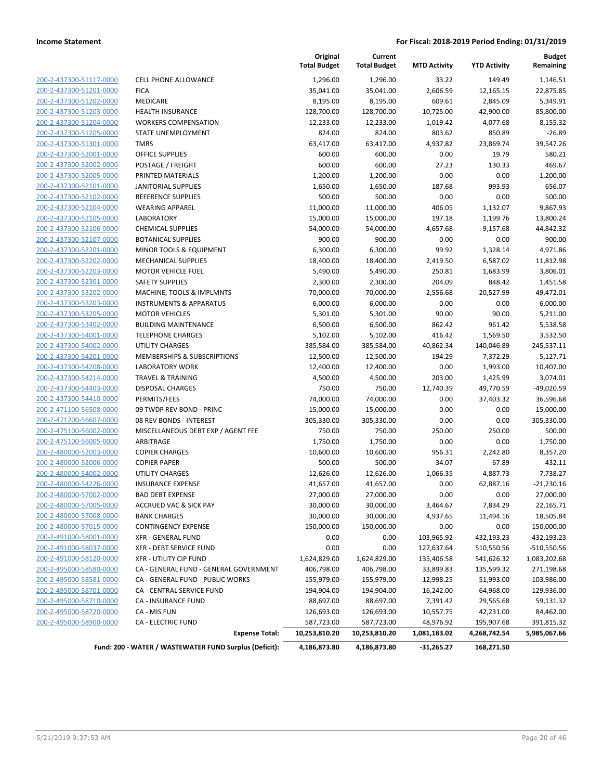|                         |                                                        | Original<br><b>Total Budget</b> | Current<br><b>Total Budget</b> | <b>MTD Activity</b> | <b>YTD Activity</b> | <b>Budget</b><br>Remaining |
|-------------------------|--------------------------------------------------------|---------------------------------|--------------------------------|---------------------|---------------------|----------------------------|
| 200-2-437300-51117-0000 | <b>CELL PHONE ALLOWANCE</b>                            | 1,296.00                        | 1,296.00                       | 33.22               | 149.49              | 1,146.51                   |
| 200-2-437300-51201-0000 | <b>FICA</b>                                            | 35,041.00                       | 35,041.00                      | 2,606.59            | 12,165.15           | 22,875.85                  |
| 200-2-437300-51202-0000 | MEDICARE                                               | 8,195.00                        | 8,195.00                       | 609.61              | 2,845.09            | 5,349.91                   |
| 200-2-437300-51203-0000 | <b>HEALTH INSURANCE</b>                                | 128,700.00                      | 128,700.00                     | 10,725.00           | 42,900.00           | 85,800.00                  |
| 200-2-437300-51204-0000 | <b>WORKERS COMPENSATION</b>                            | 12,233.00                       | 12,233.00                      | 1,019.42            | 4,077.68            | 8,155.32                   |
| 200-2-437300-51205-0000 | STATE UNEMPLOYMENT                                     | 824.00                          | 824.00                         | 803.62              | 850.89              | $-26.89$                   |
| 200-2-437300-51301-0000 | <b>TMRS</b>                                            | 63,417.00                       | 63,417.00                      | 4,937.82            | 23,869.74           | 39,547.26                  |
| 200-2-437300-52001-0000 | <b>OFFICE SUPPLIES</b>                                 | 600.00                          | 600.00                         | 0.00                | 19.79               | 580.21                     |
| 200-2-437300-52002-0000 | POSTAGE / FREIGHT                                      | 600.00                          | 600.00                         | 27.23               | 130.33              | 469.67                     |
| 200-2-437300-52005-0000 | PRINTED MATERIALS                                      | 1,200.00                        | 1,200.00                       | 0.00                | 0.00                | 1,200.00                   |
| 200-2-437300-52101-0000 | <b>JANITORIAL SUPPLIES</b>                             | 1,650.00                        | 1,650.00                       | 187.68              | 993.93              | 656.07                     |
| 200-2-437300-52102-0000 | <b>REFERENCE SUPPLIES</b>                              | 500.00                          | 500.00                         | 0.00                | 0.00                | 500.00                     |
| 200-2-437300-52104-0000 | <b>WEARING APPAREL</b>                                 | 11,000.00                       | 11,000.00                      | 406.05              | 1,132.07            | 9,867.93                   |
| 200-2-437300-52105-0000 | <b>LABORATORY</b>                                      | 15,000.00                       | 15,000.00                      | 197.18              | 1,199.76            | 13,800.24                  |
| 200-2-437300-52106-0000 | <b>CHEMICAL SUPPLIES</b>                               | 54,000.00                       | 54,000.00                      | 4,657.68            | 9,157.68            | 44,842.32                  |
| 200-2-437300-52107-0000 | <b>BOTANICAL SUPPLIES</b>                              | 900.00                          | 900.00                         | 0.00                | 0.00                | 900.00                     |
| 200-2-437300-52201-0000 | MINOR TOOLS & EQUIPMENT                                | 6,300.00                        | 6,300.00                       | 99.92               | 1,328.14            | 4,971.86                   |
| 200-2-437300-52202-0000 | <b>MECHANICAL SUPPLIES</b>                             | 18,400.00                       | 18,400.00                      | 2,419.50            | 6,587.02            | 11,812.98                  |
| 200-2-437300-52203-0000 | <b>MOTOR VEHICLE FUEL</b>                              | 5,490.00                        | 5,490.00                       | 250.81              | 1,683.99            | 3,806.01                   |
| 200-2-437300-52301-0000 | <b>SAFETY SUPPLIES</b>                                 | 2,300.00                        | 2,300.00                       | 204.09              | 848.42              | 1,451.58                   |
| 200-2-437300-53202-0000 | MACHINE, TOOLS & IMPLMNTS                              | 70,000.00                       | 70,000.00                      | 2,556.68            | 20,527.99           | 49,472.01                  |
| 200-2-437300-53203-0000 | <b>INSTRUMENTS &amp; APPARATUS</b>                     | 6,000.00                        | 6,000.00                       | 0.00                | 0.00                | 6,000.00                   |
| 200-2-437300-53205-0000 | <b>MOTOR VEHICLES</b>                                  | 5,301.00                        | 5,301.00                       | 90.00               | 90.00               | 5,211.00                   |
| 200-2-437300-53402-0000 | <b>BUILDING MAINTENANCE</b>                            | 6,500.00                        | 6,500.00                       | 862.42              | 961.42              | 5,538.58                   |
| 200-2-437300-54001-0000 | <b>TELEPHONE CHARGES</b>                               | 5,102.00                        | 5,102.00                       | 416.42              | 1,569.50            | 3,532.50                   |
| 200-2-437300-54002-0000 | UTILITY CHARGES                                        | 385,584.00                      | 385,584.00                     | 40,862.34           | 140,046.89          | 245,537.11                 |
| 200-2-437300-54201-0000 | MEMBERSHIPS & SUBSCRIPTIONS                            | 12,500.00                       | 12,500.00                      | 194.29              | 7,372.29            | 5,127.71                   |
| 200-2-437300-54208-0000 | <b>LABORATORY WORK</b>                                 | 12,400.00                       | 12,400.00                      | 0.00                | 1,993.00            | 10,407.00                  |
| 200-2-437300-54214-0000 | <b>TRAVEL &amp; TRAINING</b>                           | 4,500.00                        | 4,500.00                       | 203.00              | 1,425.99            | 3,074.01                   |
| 200-2-437300-54403-0000 | DISPOSAL CHARGES                                       | 750.00                          | 750.00                         | 12,740.39           | 49,770.59           | $-49,020.59$               |
| 200-2-437300-54410-0000 | PERMITS/FEES                                           | 74,000.00                       | 74,000.00                      | 0.00                | 37,403.32           | 36,596.68                  |
| 200-2-471100-56508-0000 | 09 TWDP REV BOND - PRINC                               | 15,000.00                       | 15,000.00                      | 0.00                | 0.00                | 15,000.00                  |
| 200-2-471200-56607-0000 | 08 REV BONDS - INTEREST                                | 305,330.00                      | 305,330.00                     | 0.00                | 0.00                | 305,330.00                 |
| 200-2-475100-56002-0000 | MISCELLANEOUS DEBT EXP / AGENT FEE                     | 750.00                          | 750.00                         | 250.00              | 250.00              | 500.00                     |
| 200-2-475100-56005-0000 | ARBITRAGE                                              | 1,750.00                        | 1,750.00                       | 0.00                | 0.00                | 1,750.00                   |
| 200-2-480000-52003-0000 | <b>COPIER CHARGES</b>                                  | 10,600.00                       | 10,600.00                      | 956.31              | 2,242.80            | 8,357.20                   |
| 200-2-480000-52006-0000 | <b>COPIER PAPER</b>                                    | 500.00                          | 500.00                         | 34.07               | 67.89               | 432.11                     |
| 200-2-480000-54002-0000 | UTILITY CHARGES                                        | 12,626.00                       | 12,626.00                      | 1,066.35            | 4,887.73            | 7,738.27                   |
| 200-2-480000-54226-0000 | <b>INSURANCE EXPENSE</b>                               | 41,657.00                       | 41,657.00                      | 0.00                | 62,887.16           | $-21,230.16$               |
| 200-2-480000-57002-0000 | <b>BAD DEBT EXPENSE</b>                                | 27,000.00                       | 27,000.00                      | 0.00                | 0.00                | 27,000.00                  |
| 200-2-480000-57005-0000 | <b>ACCRUED VAC &amp; SICK PAY</b>                      | 30,000.00                       | 30,000.00                      | 3,464.67            | 7,834.29            | 22,165.71                  |
| 200-2-480000-57008-0000 | <b>BANK CHARGES</b>                                    | 30,000.00                       | 30,000.00                      | 4,937.65            | 11,494.16           | 18,505.84                  |
| 200-2-480000-57015-0000 | <b>CONTINGENCY EXPENSE</b>                             | 150,000.00                      | 150,000.00                     | 0.00                | 0.00                | 150,000.00                 |
| 200-2-491000-58001-0000 | <b>XFR - GENERAL FUND</b>                              | 0.00                            | 0.00                           | 103,965.92          | 432,193.23          | -432,193.23                |
| 200-2-491000-58037-0000 | XFR - DEBT SERVICE FUND                                | 0.00                            | 0.00                           | 127,637.64          | 510,550.56          | -510,550.56                |
| 200-2-491000-58120-0000 | XFR - UTILITY CIP FUND                                 | 1,624,829.00                    | 1,624,829.00                   | 135,406.58          | 541,626.32          | 1,083,202.68               |
| 200-2-495000-58580-0000 | CA - GENERAL FUND - GENERAL GOVERNMENT                 | 406,798.00                      | 406,798.00                     | 33,899.83           | 135,599.32          | 271,198.68                 |
| 200-2-495000-58581-0000 | CA - GENERAL FUND - PUBLIC WORKS                       | 155,979.00                      | 155,979.00                     | 12,998.25           | 51,993.00           | 103,986.00                 |
| 200-2-495000-58701-0000 | CA - CENTRAL SERVICE FUND                              | 194,904.00                      | 194,904.00                     | 16,242.00           | 64,968.00           | 129,936.00                 |
| 200-2-495000-58710-0000 | CA - INSURANCE FUND                                    | 88,697.00                       | 88,697.00                      | 7,391.42            | 29,565.68           | 59,131.32                  |
| 200-2-495000-58720-0000 | CA - MIS FUN                                           | 126,693.00                      | 126,693.00                     | 10,557.75           | 42,231.00           | 84,462.00                  |
| 200-2-495000-58900-0000 | <b>CA - ELECTRIC FUND</b>                              | 587,723.00                      | 587,723.00                     | 48,976.92           | 195,907.68          | 391,815.32                 |
|                         | <b>Expense Total:</b>                                  | 10,253,810.20                   | 10,253,810.20                  | 1,081,183.02        | 4,268,742.54        | 5,985,067.66               |
|                         | Fund: 200 - WATER / WASTEWATER FUND Surplus (Deficit): | 4,186,873.80                    | 4,186,873.80                   | $-31,265.27$        | 168,271.50          |                            |
|                         |                                                        |                                 |                                |                     |                     |                            |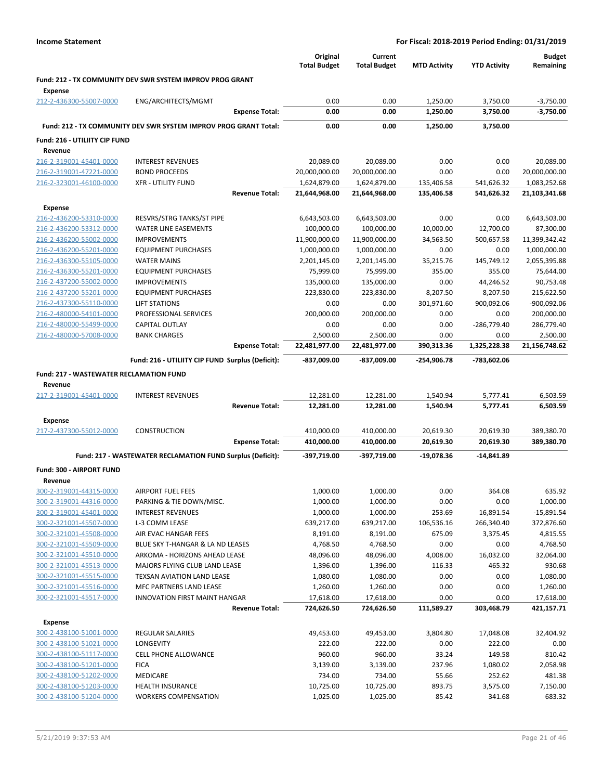|  | <b>Income Statement</b> |
|--|-------------------------|
|--|-------------------------|

|                                                    |                                                                  |                       | Original<br><b>Total Budget</b> | Current<br><b>Total Budget</b> | <b>MTD Activity</b>    | <b>YTD Activity</b>     | <b>Budget</b><br>Remaining |
|----------------------------------------------------|------------------------------------------------------------------|-----------------------|---------------------------------|--------------------------------|------------------------|-------------------------|----------------------------|
|                                                    | <b>Fund: 212 - TX COMMUNITY DEV SWR SYSTEM IMPROV PROG GRANT</b> |                       |                                 |                                |                        |                         |                            |
| Expense                                            |                                                                  |                       |                                 |                                |                        |                         |                            |
| 212-2-436300-55007-0000                            | ENG/ARCHITECTS/MGMT                                              |                       | 0.00                            | 0.00                           | 1,250.00               | 3,750.00                | $-3,750.00$                |
|                                                    |                                                                  | <b>Expense Total:</b> | 0.00                            | 0.00                           | 1,250.00               | 3,750.00                | $-3,750.00$                |
|                                                    | Fund: 212 - TX COMMUNITY DEV SWR SYSTEM IMPROV PROG GRANT Total: |                       | 0.00                            | 0.00                           | 1,250.00               | 3,750.00                |                            |
| Fund: 216 - UTILIITY CIP FUND                      |                                                                  |                       |                                 |                                |                        |                         |                            |
| Revenue                                            |                                                                  |                       |                                 |                                |                        |                         |                            |
| 216-2-319001-45401-0000                            | <b>INTEREST REVENUES</b>                                         |                       | 20,089.00                       | 20,089.00                      | 0.00                   | 0.00                    | 20,089.00                  |
| 216-2-319001-47221-0000                            | <b>BOND PROCEEDS</b>                                             |                       | 20,000,000.00                   | 20,000,000.00                  | 0.00                   | 0.00                    | 20,000,000.00              |
| 216-2-323001-46100-0000                            | <b>XFR - UTILITY FUND</b>                                        |                       | 1,624,879.00                    | 1,624,879.00                   | 135,406.58             | 541,626.32              | 1,083,252.68               |
|                                                    |                                                                  | <b>Revenue Total:</b> | 21,644,968.00                   | 21,644,968.00                  | 135,406.58             | 541,626.32              | 21,103,341.68              |
| <b>Expense</b>                                     |                                                                  |                       |                                 |                                |                        |                         |                            |
| 216-2-436200-53310-0000                            | RESVRS/STRG TANKS/ST PIPE                                        |                       | 6,643,503.00                    | 6,643,503.00                   | 0.00                   | 0.00                    | 6,643,503.00               |
| 216-2-436200-53312-0000<br>216-2-436200-55002-0000 | <b>WATER LINE EASEMENTS</b><br><b>IMPROVEMENTS</b>               |                       | 100,000.00<br>11,900,000.00     | 100,000.00<br>11,900,000.00    | 10,000.00<br>34,563.50 | 12,700.00<br>500,657.58 | 87,300.00<br>11,399,342.42 |
| 216-2-436200-55201-0000                            | <b>EQUIPMENT PURCHASES</b>                                       |                       | 1,000,000.00                    | 1,000,000.00                   | 0.00                   | 0.00                    | 1,000,000.00               |
| 216-2-436300-55105-0000                            | <b>WATER MAINS</b>                                               |                       | 2,201,145.00                    | 2,201,145.00                   | 35,215.76              | 145,749.12              | 2,055,395.88               |
| 216-2-436300-55201-0000                            | <b>EQUIPMENT PURCHASES</b>                                       |                       | 75,999.00                       | 75,999.00                      | 355.00                 | 355.00                  | 75,644.00                  |
| 216-2-437200-55002-0000                            | <b>IMPROVEMENTS</b>                                              |                       | 135,000.00                      | 135,000.00                     | 0.00                   | 44,246.52               | 90,753.48                  |
| 216-2-437200-55201-0000                            | <b>EQUIPMENT PURCHASES</b>                                       |                       | 223,830.00                      | 223,830.00                     | 8,207.50               | 8,207.50                | 215,622.50                 |
| 216-2-437300-55110-0000                            | <b>LIFT STATIONS</b>                                             |                       | 0.00                            | 0.00                           | 301,971.60             | 900,092.06              | $-900,092.06$              |
| 216-2-480000-54101-0000                            | PROFESSIONAL SERVICES                                            |                       | 200,000.00                      | 200,000.00                     | 0.00                   | 0.00                    | 200,000.00                 |
| 216-2-480000-55499-0000                            | <b>CAPITAL OUTLAY</b>                                            |                       | 0.00                            | 0.00                           | 0.00                   | -286,779.40             | 286,779.40                 |
| 216-2-480000-57008-0000                            | <b>BANK CHARGES</b>                                              |                       | 2,500.00                        | 2,500.00                       | 0.00                   | 0.00                    | 2,500.00                   |
|                                                    |                                                                  | <b>Expense Total:</b> | 22,481,977.00                   | 22,481,977.00                  | 390,313.36             | 1,325,228.38            | 21,156,748.62              |
|                                                    | Fund: 216 - UTILIITY CIP FUND Surplus (Deficit):                 |                       | -837,009.00                     | -837,009.00                    | -254,906.78            | -783,602.06             |                            |
| <b>Fund: 217 - WASTEWATER RECLAMATION FUND</b>     |                                                                  |                       |                                 |                                |                        |                         |                            |
| Revenue                                            |                                                                  |                       |                                 |                                |                        |                         |                            |
| 217-2-319001-45401-0000                            | <b>INTEREST REVENUES</b>                                         |                       | 12,281.00                       | 12,281.00                      | 1,540.94               | 5,777.41                | 6,503.59                   |
|                                                    |                                                                  | <b>Revenue Total:</b> | 12,281.00                       | 12,281.00                      | 1,540.94               | 5,777.41                | 6,503.59                   |
| <b>Expense</b>                                     |                                                                  |                       |                                 |                                |                        |                         |                            |
| 217-2-437300-55012-0000                            | <b>CONSTRUCTION</b>                                              |                       | 410,000.00                      | 410,000.00                     | 20,619.30              | 20,619.30               | 389,380.70                 |
|                                                    |                                                                  | <b>Expense Total:</b> | 410,000.00                      | 410,000.00                     | 20,619.30              | 20,619.30               | 389,380.70                 |
|                                                    | Fund: 217 - WASTEWATER RECLAMATION FUND Surplus (Deficit):       |                       | -397,719.00                     | -397,719.00                    | $-19,078.36$           | $-14,841.89$            |                            |
| Fund: 300 - AIRPORT FUND                           |                                                                  |                       |                                 |                                |                        |                         |                            |
| Revenue                                            |                                                                  |                       |                                 |                                |                        |                         |                            |
| 300-2-319001-44315-0000                            | AIRPORT FUEL FEES                                                |                       | 1,000.00                        | 1,000.00                       | 0.00                   | 364.08                  | 635.92                     |
| 300-2-319001-44316-0000<br>300-2-319001-45401-0000 | PARKING & TIE DOWN/MISC.<br><b>INTEREST REVENUES</b>             |                       | 1,000.00<br>1,000.00            | 1,000.00                       | 0.00<br>253.69         | 0.00                    | 1,000.00<br>$-15,891.54$   |
| 300-2-321001-45507-0000                            | L-3 COMM LEASE                                                   |                       | 639,217.00                      | 1,000.00<br>639,217.00         | 106,536.16             | 16,891.54<br>266,340.40 | 372,876.60                 |
| 300-2-321001-45508-0000                            | AIR EVAC HANGAR FEES                                             |                       | 8,191.00                        | 8,191.00                       | 675.09                 | 3,375.45                | 4,815.55                   |
| 300-2-321001-45509-0000                            | BLUE SKY T-HANGAR & LA ND LEASES                                 |                       | 4,768.50                        | 4,768.50                       | 0.00                   | 0.00                    | 4,768.50                   |
| 300-2-321001-45510-0000                            | ARKOMA - HORIZONS AHEAD LEASE                                    |                       | 48,096.00                       | 48,096.00                      | 4,008.00               | 16,032.00               | 32,064.00                  |
| 300-2-321001-45513-0000                            | MAJORS FLYING CLUB LAND LEASE                                    |                       | 1,396.00                        | 1,396.00                       | 116.33                 | 465.32                  | 930.68                     |
| 300-2-321001-45515-0000                            | TEXSAN AVIATION LAND LEASE                                       |                       | 1,080.00                        | 1,080.00                       | 0.00                   | 0.00                    | 1,080.00                   |
| 300-2-321001-45516-0000                            | MFC PARTNERS LAND LEASE                                          |                       | 1,260.00                        | 1,260.00                       | 0.00                   | 0.00                    | 1,260.00                   |
| 300-2-321001-45517-0000                            | INNOVATION FIRST MAINT HANGAR                                    |                       | 17,618.00                       | 17,618.00                      | 0.00                   | 0.00                    | 17,618.00                  |
|                                                    |                                                                  | <b>Revenue Total:</b> | 724,626.50                      | 724,626.50                     | 111,589.27             | 303,468.79              | 421,157.71                 |
| Expense                                            |                                                                  |                       |                                 |                                |                        |                         |                            |
| 300-2-438100-51001-0000                            | REGULAR SALARIES                                                 |                       | 49,453.00                       | 49,453.00                      | 3,804.80               | 17,048.08               | 32,404.92                  |
| 300-2-438100-51021-0000                            | LONGEVITY                                                        |                       | 222.00                          | 222.00                         | 0.00                   | 222.00                  | 0.00                       |
| 300-2-438100-51117-0000                            | CELL PHONE ALLOWANCE                                             |                       | 960.00                          | 960.00                         | 33.24                  | 149.58                  | 810.42                     |
| 300-2-438100-51201-0000                            | <b>FICA</b>                                                      |                       | 3,139.00                        | 3,139.00                       | 237.96                 | 1,080.02                | 2,058.98                   |
| 300-2-438100-51202-0000<br>300-2-438100-51203-0000 | MEDICARE<br>HEALTH INSURANCE                                     |                       | 734.00<br>10,725.00             | 734.00<br>10,725.00            | 55.66<br>893.75        | 252.62<br>3,575.00      | 481.38<br>7,150.00         |
| 300-2-438100-51204-0000                            | <b>WORKERS COMPENSATION</b>                                      |                       | 1,025.00                        | 1,025.00                       | 85.42                  | 341.68                  | 683.32                     |
|                                                    |                                                                  |                       |                                 |                                |                        |                         |                            |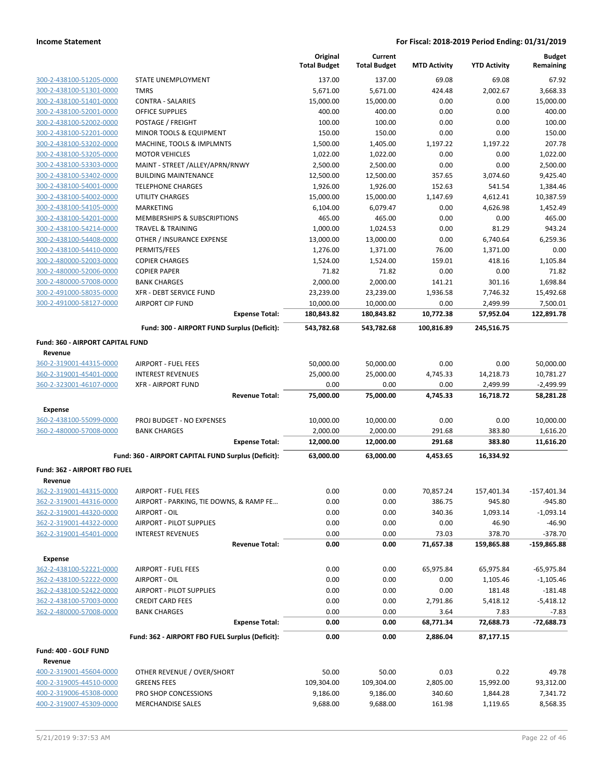|                                                    |                                                     | Original<br><b>Total Budget</b> | Current<br><b>Total Budget</b> | <b>MTD Activity</b> | <b>YTD Activity</b> | <b>Budget</b><br>Remaining |
|----------------------------------------------------|-----------------------------------------------------|---------------------------------|--------------------------------|---------------------|---------------------|----------------------------|
| 300-2-438100-51205-0000                            | STATE UNEMPLOYMENT                                  | 137.00                          | 137.00                         | 69.08               | 69.08               | 67.92                      |
| 300-2-438100-51301-0000                            | <b>TMRS</b>                                         | 5,671.00                        | 5,671.00                       | 424.48              | 2,002.67            | 3,668.33                   |
| 300-2-438100-51401-0000                            | <b>CONTRA - SALARIES</b>                            | 15,000.00                       | 15,000.00                      | 0.00                | 0.00                | 15,000.00                  |
| 300-2-438100-52001-0000                            | <b>OFFICE SUPPLIES</b>                              | 400.00                          | 400.00                         | 0.00                | 0.00                | 400.00                     |
| 300-2-438100-52002-0000                            | POSTAGE / FREIGHT                                   | 100.00                          | 100.00                         | 0.00                | 0.00                | 100.00                     |
| 300-2-438100-52201-0000                            | MINOR TOOLS & EQUIPMENT                             | 150.00                          | 150.00                         | 0.00                | 0.00                | 150.00                     |
| 300-2-438100-53202-0000                            | MACHINE, TOOLS & IMPLMNTS                           | 1,500.00                        | 1,405.00                       | 1,197.22            | 1,197.22            | 207.78                     |
| 300-2-438100-53205-0000                            | <b>MOTOR VEHICLES</b>                               | 1,022.00                        | 1,022.00                       | 0.00                | 0.00                | 1,022.00                   |
| 300-2-438100-53303-0000                            | MAINT - STREET /ALLEY/APRN/RNWY                     | 2,500.00                        | 2,500.00                       | 0.00                | 0.00                | 2,500.00                   |
| 300-2-438100-53402-0000                            | <b>BUILDING MAINTENANCE</b>                         | 12,500.00                       | 12,500.00                      | 357.65              | 3,074.60            | 9,425.40                   |
| 300-2-438100-54001-0000                            | <b>TELEPHONE CHARGES</b>                            | 1,926.00                        | 1,926.00                       | 152.63              | 541.54              | 1,384.46                   |
| 300-2-438100-54002-0000                            | <b>UTILITY CHARGES</b>                              | 15,000.00                       | 15,000.00                      | 1,147.69            | 4,612.41            | 10,387.59                  |
| 300-2-438100-54105-0000                            | MARKETING                                           | 6,104.00                        | 6,079.47                       | 0.00                | 4,626.98            | 1,452.49                   |
| 300-2-438100-54201-0000                            | MEMBERSHIPS & SUBSCRIPTIONS                         | 465.00                          | 465.00                         | 0.00                | 0.00                | 465.00                     |
| 300-2-438100-54214-0000                            | <b>TRAVEL &amp; TRAINING</b>                        | 1,000.00                        | 1,024.53                       | 0.00                | 81.29               | 943.24                     |
| 300-2-438100-54408-0000                            | OTHER / INSURANCE EXPENSE                           | 13,000.00                       | 13,000.00                      | 0.00                | 6,740.64            | 6,259.36                   |
| 300-2-438100-54410-0000                            | PERMITS/FEES                                        | 1,276.00                        | 1,371.00                       | 76.00               | 1,371.00            | 0.00                       |
| 300-2-480000-52003-0000                            | <b>COPIER CHARGES</b>                               | 1,524.00                        | 1,524.00                       | 159.01              | 418.16              | 1,105.84                   |
| 300-2-480000-52006-0000                            | <b>COPIER PAPER</b>                                 | 71.82                           | 71.82                          | 0.00                | 0.00                | 71.82                      |
| 300-2-480000-57008-0000                            | <b>BANK CHARGES</b>                                 | 2,000.00                        | 2,000.00                       | 141.21              | 301.16              | 1,698.84                   |
| 300-2-491000-58035-0000                            | XFR - DEBT SERVICE FUND                             | 23,239.00                       | 23,239.00                      | 1,936.58            | 7,746.32            | 15,492.68                  |
| 300-2-491000-58127-0000                            | <b>AIRPORT CIP FUND</b>                             | 10,000.00                       | 10,000.00                      | 0.00                | 2,499.99            | 7,500.01                   |
|                                                    | <b>Expense Total:</b>                               | 180,843.82                      | 180,843.82                     | 10,772.38           | 57,952.04           | 122,891.78                 |
|                                                    | Fund: 300 - AIRPORT FUND Surplus (Deficit):         | 543,782.68                      | 543,782.68                     | 100,816.89          | 245,516.75          |                            |
| <b>Fund: 360 - AIRPORT CAPITAL FUND</b><br>Revenue |                                                     |                                 |                                |                     |                     |                            |
| 360-2-319001-44315-0000                            | AIRPORT - FUEL FEES                                 | 50,000.00                       | 50,000.00                      | 0.00                | 0.00                | 50,000.00                  |
| 360-2-319001-45401-0000                            | <b>INTEREST REVENUES</b>                            | 25,000.00                       | 25,000.00                      | 4,745.33            | 14,218.73           | 10,781.27                  |
| 360-2-323001-46107-0000                            | <b>XFR - AIRPORT FUND</b>                           | 0.00                            | 0.00                           | 0.00                | 2,499.99            | $-2,499.99$                |
|                                                    | <b>Revenue Total:</b>                               | 75,000.00                       | 75,000.00                      | 4,745.33            | 16,718.72           | 58,281.28                  |
| Expense                                            |                                                     |                                 |                                |                     |                     |                            |
| 360-2-438100-55099-0000                            | <b>PROJ BUDGET - NO EXPENSES</b>                    | 10,000.00                       | 10,000.00                      | 0.00                | 0.00                | 10,000.00                  |
| 360-2-480000-57008-0000                            | <b>BANK CHARGES</b>                                 | 2,000.00                        | 2,000.00                       | 291.68              | 383.80              | 1,616.20                   |
|                                                    | <b>Expense Total:</b>                               | 12,000.00                       | 12,000.00                      | 291.68              | 383.80              | 11,616.20                  |
|                                                    | Fund: 360 - AIRPORT CAPITAL FUND Surplus (Deficit): | 63,000.00                       | 63,000.00                      | 4,453.65            | 16,334.92           |                            |
|                                                    |                                                     |                                 |                                |                     |                     |                            |
| Fund: 362 - AIRPORT FBO FUEL<br>Revenue            |                                                     |                                 |                                |                     |                     |                            |
| 362-2-319001-44315-0000                            | <b>AIRPORT - FUEL FEES</b>                          | 0.00                            | 0.00                           | 70,857.24           | 157,401.34          | $-157,401.34$              |
| 362-2-319001-44316-0000                            | AIRPORT - PARKING, TIE DOWNS, & RAMP FE             | 0.00                            | 0.00                           | 386.75              | 945.80              | $-945.80$                  |
| 362-2-319001-44320-0000                            | AIRPORT - OIL                                       | 0.00                            | 0.00                           | 340.36              | 1,093.14            | $-1,093.14$                |
| 362-2-319001-44322-0000                            | AIRPORT - PILOT SUPPLIES                            | 0.00                            | 0.00                           | 0.00                | 46.90               | $-46.90$                   |
| 362-2-319001-45401-0000                            | <b>INTEREST REVENUES</b>                            | 0.00                            | 0.00                           | 73.03               | 378.70              | $-378.70$                  |
|                                                    | <b>Revenue Total:</b>                               | 0.00                            | 0.00                           | 71,657.38           | 159,865.88          | $-159,865.88$              |
| <b>Expense</b>                                     |                                                     |                                 |                                |                     |                     |                            |
| 362-2-438100-52221-0000                            | <b>AIRPORT - FUEL FEES</b>                          | 0.00                            | 0.00                           | 65,975.84           | 65,975.84           | $-65,975.84$               |
| 362-2-438100-52222-0000                            | AIRPORT - OIL                                       | 0.00                            | 0.00                           | 0.00                | 1,105.46            | $-1,105.46$                |
| 362-2-438100-52422-0000                            | AIRPORT - PILOT SUPPLIES                            | 0.00                            | 0.00                           | 0.00                | 181.48              | $-181.48$                  |
| 362-2-438100-57003-0000                            | <b>CREDIT CARD FEES</b>                             | 0.00                            | 0.00                           | 2,791.86            | 5,418.12            | $-5,418.12$                |
| 362-2-480000-57008-0000                            | <b>BANK CHARGES</b>                                 | 0.00                            | 0.00                           | 3.64                | 7.83                | $-7.83$                    |
|                                                    | <b>Expense Total:</b>                               | 0.00                            | 0.00                           | 68,771.34           | 72,688.73           | $-72,688.73$               |
|                                                    | Fund: 362 - AIRPORT FBO FUEL Surplus (Deficit):     | 0.00                            | 0.00                           | 2,886.04            | 87,177.15           |                            |
| Fund: 400 - GOLF FUND                              |                                                     |                                 |                                |                     |                     |                            |
| Revenue                                            |                                                     |                                 |                                |                     |                     |                            |
| 400-2-319001-45604-0000                            | OTHER REVENUE / OVER/SHORT                          | 50.00                           | 50.00                          | 0.03                | 0.22                | 49.78                      |
| 400-2-319005-44510-0000                            | <b>GREENS FEES</b>                                  | 109,304.00                      | 109,304.00                     | 2,805.00            | 15,992.00           | 93,312.00                  |
| 400-2-319006-45308-0000                            | PRO SHOP CONCESSIONS                                | 9,186.00                        | 9,186.00                       | 340.60              | 1,844.28            | 7,341.72                   |
| 400-2-319007-45309-0000                            | <b>MERCHANDISE SALES</b>                            | 9,688.00                        | 9,688.00                       | 161.98              | 1,119.65            | 8,568.35                   |
|                                                    |                                                     |                                 |                                |                     |                     |                            |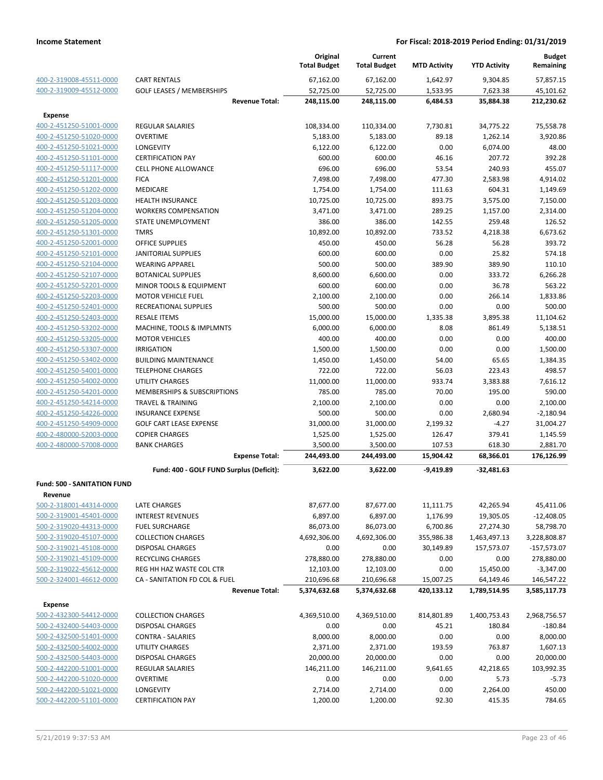|                                    |                                          | Original<br><b>Total Budget</b> | Current<br><b>Total Budget</b> | <b>MTD Activity</b> | <b>YTD Activity</b> | <b>Budget</b><br>Remaining |
|------------------------------------|------------------------------------------|---------------------------------|--------------------------------|---------------------|---------------------|----------------------------|
| 400-2-319008-45511-0000            | <b>CART RENTALS</b>                      | 67,162.00                       | 67,162.00                      | 1,642.97            | 9,304.85            | 57,857.15                  |
| 400-2-319009-45512-0000            | <b>GOLF LEASES / MEMBERSHIPS</b>         | 52,725.00                       | 52,725.00                      | 1,533.95            | 7,623.38            | 45,101.62                  |
|                                    | <b>Revenue Total:</b>                    | 248,115.00                      | 248,115.00                     | 6,484.53            | 35,884.38           | 212,230.62                 |
| <b>Expense</b>                     |                                          |                                 |                                |                     |                     |                            |
| 400-2-451250-51001-0000            | <b>REGULAR SALARIES</b>                  | 108,334.00                      | 110,334.00                     | 7,730.81            | 34,775.22           | 75,558.78                  |
| 400-2-451250-51020-0000            | <b>OVERTIME</b>                          | 5,183.00                        | 5,183.00                       | 89.18               | 1,262.14            | 3,920.86                   |
| 400-2-451250-51021-0000            | LONGEVITY                                | 6,122.00                        | 6,122.00                       | 0.00                | 6,074.00            | 48.00                      |
| 400-2-451250-51101-0000            | <b>CERTIFICATION PAY</b>                 | 600.00                          | 600.00                         | 46.16               | 207.72              | 392.28                     |
| 400-2-451250-51117-0000            | <b>CELL PHONE ALLOWANCE</b>              | 696.00                          | 696.00                         | 53.54               | 240.93              | 455.07                     |
| 400-2-451250-51201-0000            | <b>FICA</b>                              | 7,498.00                        | 7,498.00                       | 477.30              | 2,583.98            | 4,914.02                   |
| 400-2-451250-51202-0000            | MEDICARE                                 | 1,754.00                        | 1,754.00                       | 111.63              | 604.31              | 1,149.69                   |
| 400-2-451250-51203-0000            | <b>HEALTH INSURANCE</b>                  | 10,725.00                       | 10,725.00                      | 893.75              | 3,575.00            | 7,150.00                   |
| 400-2-451250-51204-0000            | <b>WORKERS COMPENSATION</b>              | 3,471.00                        | 3,471.00                       | 289.25              | 1,157.00            | 2,314.00                   |
| 400-2-451250-51205-0000            | STATE UNEMPLOYMENT                       | 386.00                          | 386.00                         | 142.55              | 259.48              | 126.52                     |
| 400-2-451250-51301-0000            | <b>TMRS</b>                              | 10,892.00                       | 10,892.00                      | 733.52              | 4,218.38            | 6,673.62                   |
| 400-2-451250-52001-0000            | <b>OFFICE SUPPLIES</b>                   | 450.00                          | 450.00                         | 56.28               | 56.28               | 393.72                     |
| 400-2-451250-52101-0000            | <b>JANITORIAL SUPPLIES</b>               | 600.00                          | 600.00                         | 0.00                | 25.82               | 574.18                     |
| 400-2-451250-52104-0000            | <b>WEARING APPAREL</b>                   | 500.00                          | 500.00                         | 389.90              | 389.90              | 110.10                     |
| 400-2-451250-52107-0000            | <b>BOTANICAL SUPPLIES</b>                | 8,600.00                        | 6,600.00                       | 0.00                | 333.72              | 6,266.28                   |
| 400-2-451250-52201-0000            | MINOR TOOLS & EQUIPMENT                  | 600.00                          | 600.00                         | 0.00                | 36.78               | 563.22                     |
| 400-2-451250-52203-0000            | <b>MOTOR VEHICLE FUEL</b>                | 2,100.00                        | 2,100.00                       | 0.00                | 266.14              | 1,833.86                   |
| 400-2-451250-52401-0000            | RECREATIONAL SUPPLIES                    | 500.00                          | 500.00                         | 0.00                | 0.00                | 500.00                     |
| 400-2-451250-52403-0000            | <b>RESALE ITEMS</b>                      | 15,000.00                       | 15,000.00                      | 1,335.38            | 3,895.38            | 11,104.62                  |
| 400-2-451250-53202-0000            | MACHINE, TOOLS & IMPLMNTS                | 6,000.00                        | 6,000.00                       | 8.08                | 861.49              | 5,138.51                   |
| 400-2-451250-53205-0000            | <b>MOTOR VEHICLES</b>                    | 400.00                          | 400.00                         | 0.00                | 0.00                | 400.00                     |
| 400-2-451250-53307-0000            | <b>IRRIGATION</b>                        | 1,500.00                        | 1,500.00                       | 0.00                | 0.00                | 1,500.00                   |
| 400-2-451250-53402-0000            | <b>BUILDING MAINTENANCE</b>              | 1,450.00                        | 1,450.00                       | 54.00               | 65.65               | 1,384.35                   |
| 400-2-451250-54001-0000            | <b>TELEPHONE CHARGES</b>                 | 722.00                          | 722.00                         | 56.03               | 223.43              | 498.57                     |
| 400-2-451250-54002-0000            | UTILITY CHARGES                          | 11,000.00                       | 11,000.00                      | 933.74              | 3,383.88            | 7,616.12                   |
| 400-2-451250-54201-0000            | MEMBERSHIPS & SUBSCRIPTIONS              | 785.00                          | 785.00                         | 70.00               | 195.00              | 590.00                     |
| 400-2-451250-54214-0000            | <b>TRAVEL &amp; TRAINING</b>             | 2,100.00                        | 2,100.00                       | 0.00                | 0.00                | 2,100.00                   |
| 400-2-451250-54226-0000            | <b>INSURANCE EXPENSE</b>                 | 500.00                          | 500.00                         | 0.00                | 2,680.94            | $-2,180.94$                |
| 400-2-451250-54909-0000            | <b>GOLF CART LEASE EXPENSE</b>           | 31,000.00                       | 31,000.00                      | 2,199.32            | $-4.27$             | 31,004.27                  |
| 400-2-480000-52003-0000            | <b>COPIER CHARGES</b>                    | 1,525.00                        | 1,525.00                       | 126.47              | 379.41              | 1,145.59                   |
| 400-2-480000-57008-0000            | <b>BANK CHARGES</b>                      | 3,500.00                        | 3,500.00                       | 107.53              | 618.30              | 2,881.70                   |
|                                    | <b>Expense Total:</b>                    | 244,493.00                      | 244,493.00                     | 15,904.42           | 68,366.01           | 176,126.99                 |
|                                    |                                          |                                 |                                |                     |                     |                            |
|                                    | Fund: 400 - GOLF FUND Surplus (Deficit): | 3,622.00                        | 3,622.00                       | $-9,419.89$         | $-32,481.63$        |                            |
| <b>Fund: 500 - SANITATION FUND</b> |                                          |                                 |                                |                     |                     |                            |
| <b>Revenue</b>                     |                                          |                                 |                                |                     |                     |                            |
| 500-2-318001-44314-0000            | LATE CHARGES                             | 87,677.00                       | 87,677.00                      | 11,111.75           | 42,265.94           | 45,411.06                  |
| 500-2-319001-45401-0000            | <b>INTEREST REVENUES</b>                 | 6,897.00                        | 6,897.00                       | 1,176.99            | 19,305.05           | $-12,408.05$               |
| 500-2-319020-44313-0000            | <b>FUEL SURCHARGE</b>                    | 86,073.00                       | 86,073.00                      | 6,700.86            | 27,274.30           | 58,798.70                  |
| 500-2-319020-45107-0000            | <b>COLLECTION CHARGES</b>                | 4,692,306.00                    | 4,692,306.00                   | 355,986.38          | 1,463,497.13        | 3,228,808.87               |
| 500-2-319021-45108-0000            | <b>DISPOSAL CHARGES</b>                  | 0.00                            | 0.00                           | 30,149.89           | 157,573.07          | $-157,573.07$              |
| 500-2-319021-45109-0000            | <b>RECYCLING CHARGES</b>                 | 278,880.00                      | 278,880.00                     | 0.00                | 0.00                | 278,880.00                 |
| 500-2-319022-45612-0000            | REG HH HAZ WASTE COL CTR                 | 12,103.00                       | 12,103.00                      | 0.00                | 15,450.00           | $-3,347.00$                |
| 500-2-324001-46612-0000            | CA - SANITATION FD COL & FUEL            | 210,696.68                      | 210,696.68                     | 15,007.25           | 64,149.46           | 146,547.22                 |
|                                    | <b>Revenue Total:</b>                    | 5,374,632.68                    | 5,374,632.68                   | 420,133.12          | 1,789,514.95        | 3,585,117.73               |
| <b>Expense</b>                     |                                          |                                 |                                |                     |                     |                            |
| 500-2-432300-54412-0000            | <b>COLLECTION CHARGES</b>                | 4,369,510.00                    | 4,369,510.00                   | 814,801.89          | 1,400,753.43        | 2,968,756.57               |
| 500-2-432400-54403-0000            | <b>DISPOSAL CHARGES</b>                  | 0.00                            | 0.00                           | 45.21               | 180.84              | $-180.84$                  |
| 500-2-432500-51401-0000            | <b>CONTRA - SALARIES</b>                 | 8,000.00                        | 8,000.00                       | 0.00                | 0.00                | 8,000.00                   |
| 500-2-432500-54002-0000            | UTILITY CHARGES                          | 2,371.00                        | 2,371.00                       | 193.59              | 763.87              | 1,607.13                   |
| 500-2-432500-54403-0000            | DISPOSAL CHARGES                         | 20,000.00                       | 20,000.00                      | 0.00                | 0.00                | 20,000.00                  |
| 500-2-442200-51001-0000            | <b>REGULAR SALARIES</b>                  | 146,211.00                      | 146,211.00                     | 9,641.65            | 42,218.65           | 103,992.35                 |
| 500-2-442200-51020-0000            | <b>OVERTIME</b>                          | 0.00                            | 0.00                           | 0.00                | 5.73                | $-5.73$                    |
| 500-2-442200-51021-0000            | LONGEVITY                                | 2,714.00                        | 2,714.00                       | 0.00                | 2,264.00            | 450.00                     |
| 500-2-442200-51101-0000            | <b>CERTIFICATION PAY</b>                 | 1,200.00                        | 1,200.00                       | 92.30               | 415.35              | 784.65                     |
|                                    |                                          |                                 |                                |                     |                     |                            |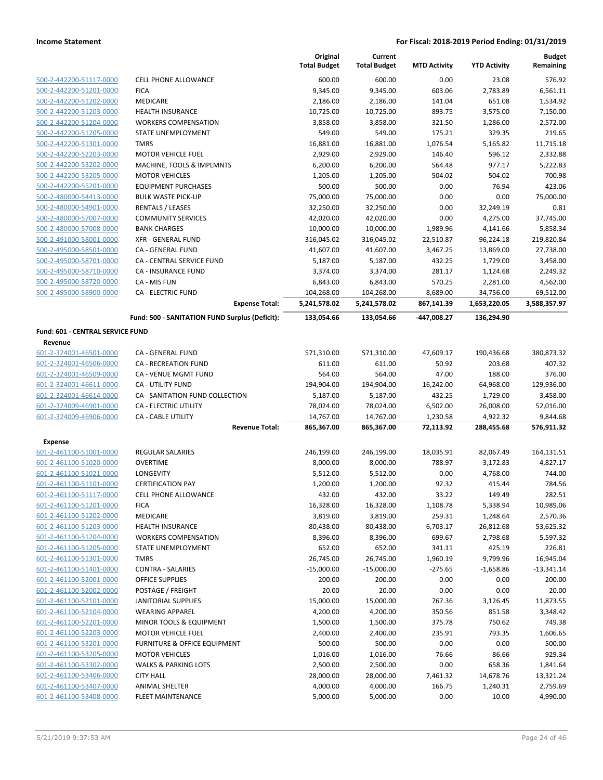|                                             |                                                | Original<br><b>Total Budget</b> | Current<br><b>Total Budget</b> | <b>MTD Activity</b> | <b>YTD Activity</b> | <b>Budget</b><br>Remaining |
|---------------------------------------------|------------------------------------------------|---------------------------------|--------------------------------|---------------------|---------------------|----------------------------|
| 500-2-442200-51117-0000                     | <b>CELL PHONE ALLOWANCE</b>                    | 600.00                          | 600.00                         | 0.00                | 23.08               | 576.92                     |
| 500-2-442200-51201-0000                     | <b>FICA</b>                                    | 9,345.00                        | 9,345.00                       | 603.06              | 2,783.89            | 6,561.11                   |
| 500-2-442200-51202-0000                     | MEDICARE                                       | 2,186.00                        | 2,186.00                       | 141.04              | 651.08              | 1,534.92                   |
| 500-2-442200-51203-0000                     | HEALTH INSURANCE                               | 10,725.00                       | 10,725.00                      | 893.75              | 3,575.00            | 7,150.00                   |
| 500-2-442200-51204-0000                     | <b>WORKERS COMPENSATION</b>                    | 3,858.00                        | 3,858.00                       | 321.50              | 1,286.00            | 2,572.00                   |
| 500-2-442200-51205-0000                     | STATE UNEMPLOYMENT                             | 549.00                          | 549.00                         | 175.21              | 329.35              | 219.65                     |
| 500-2-442200-51301-0000                     | <b>TMRS</b>                                    | 16,881.00                       | 16,881.00                      | 1,076.54            | 5,165.82            | 11,715.18                  |
| 500-2-442200-52203-0000                     | <b>MOTOR VEHICLE FUEL</b>                      | 2,929.00                        | 2,929.00                       | 146.40              | 596.12              | 2,332.88                   |
| 500-2-442200-53202-0000                     | MACHINE, TOOLS & IMPLMNTS                      | 6,200.00                        | 6,200.00                       | 564.48              | 977.17              | 5,222.83                   |
| 500-2-442200-53205-0000                     | <b>MOTOR VEHICLES</b>                          | 1,205.00                        | 1,205.00                       | 504.02              | 504.02              | 700.98                     |
| 500-2-442200-55201-0000                     | <b>EQUIPMENT PURCHASES</b>                     | 500.00                          | 500.00                         | 0.00                | 76.94               | 423.06                     |
| 500-2-480000-54413-0000                     | <b>BULK WASTE PICK-UP</b>                      | 75,000.00                       | 75,000.00                      | 0.00                | 0.00                | 75,000.00                  |
| 500-2-480000-54901-0000                     | <b>RENTALS / LEASES</b>                        | 32,250.00                       | 32,250.00                      | 0.00                | 32,249.19           | 0.81                       |
| 500-2-480000-57007-0000                     | <b>COMMUNITY SERVICES</b>                      | 42,020.00                       | 42,020.00                      | 0.00                | 4,275.00            | 37,745.00                  |
| 500-2-480000-57008-0000                     | <b>BANK CHARGES</b>                            | 10,000.00                       | 10,000.00                      | 1,989.96            | 4,141.66            | 5,858.34                   |
| 500-2-491000-58001-0000                     | <b>XFR - GENERAL FUND</b>                      | 316,045.02                      | 316,045.02                     | 22,510.87           | 96,224.18           | 219,820.84                 |
| 500-2-495000-58501-0000                     | CA - GENERAL FUND                              | 41,607.00                       | 41,607.00                      | 3,467.25            | 13,869.00           | 27,738.00                  |
| 500-2-495000-58701-0000                     | CA - CENTRAL SERVICE FUND                      | 5,187.00                        | 5,187.00                       | 432.25              | 1,729.00            | 3,458.00                   |
| 500-2-495000-58710-0000                     | <b>CA - INSURANCE FUND</b>                     | 3,374.00                        | 3,374.00                       | 281.17              | 1,124.68            | 2,249.32                   |
| 500-2-495000-58720-0000                     | CA - MIS FUN                                   | 6,843.00                        | 6,843.00                       | 570.25              | 2,281.00            | 4,562.00                   |
| 500-2-495000-58900-0000                     | <b>CA - ELECTRIC FUND</b>                      | 104,268.00                      | 104,268.00                     | 8,689.00            | 34,756.00           | 69,512.00                  |
|                                             | <b>Expense Total:</b>                          | 5,241,578.02                    | 5,241,578.02                   | 867,141.39          | 1,653,220.05        | 3,588,357.97               |
|                                             | Fund: 500 - SANITATION FUND Surplus (Deficit): | 133,054.66                      | 133,054.66                     | -447,008.27         | 136,294.90          |                            |
| Fund: 601 - CENTRAL SERVICE FUND<br>Revenue |                                                |                                 |                                |                     |                     |                            |
| 601-2-324001-46501-0000                     | CA - GENERAL FUND                              | 571,310.00                      | 571,310.00                     | 47,609.17           | 190,436.68          | 380,873.32                 |
| 601-2-324001-46506-0000                     | <b>CA - RECREATION FUND</b>                    | 611.00                          | 611.00                         | 50.92               | 203.68              | 407.32                     |
| 601-2-324001-46509-0000                     | CA - VENUE MGMT FUND                           | 564.00                          | 564.00                         | 47.00               | 188.00              | 376.00                     |
| 601-2-324001-46611-0000                     | CA - UTILITY FUND                              | 194,904.00                      | 194,904.00                     | 16,242.00           | 64,968.00           | 129,936.00                 |
| 601-2-324001-46614-0000                     | CA - SANITATION FUND COLLECTION                | 5,187.00                        | 5,187.00                       | 432.25              | 1,729.00            | 3,458.00                   |
| 601-2-324009-46901-0000                     | CA - ELECTRIC UTILITY                          | 78,024.00                       | 78,024.00                      | 6,502.00            | 26,008.00           | 52,016.00                  |
| 601-2-324009-46906-0000                     | CA - CABLE UTILITY                             | 14,767.00                       | 14,767.00                      | 1,230.58            | 4,922.32            | 9,844.68                   |
|                                             | <b>Revenue Total:</b>                          | 865,367.00                      | 865,367.00                     | 72,113.92           | 288,455.68          | 576,911.32                 |
| <b>Expense</b>                              |                                                |                                 |                                |                     |                     |                            |
| 601-2-461100-51001-0000                     | <b>REGULAR SALARIES</b>                        | 246,199.00                      | 246,199.00                     | 18,035.91           | 82,067.49           | 164,131.51                 |
| 601-2-461100-51020-0000                     | <b>OVERTIME</b>                                | 8,000.00                        | 8,000.00                       | 788.97              | 3,172.83            | 4,827.17                   |
| 601-2-461100-51021-0000                     | LONGEVITY                                      | 5,512.00                        | 5,512.00                       | 0.00                | 4,768.00            | 744.00                     |
| 601-2-461100-51101-0000                     | <b>CERTIFICATION PAY</b>                       | 1,200.00                        | 1,200.00                       | 92.32               | 415.44              | 784.56                     |
| 601-2-461100-51117-0000                     | CELL PHONE ALLOWANCE                           | 432.00                          | 432.00                         | 33.22               | 149.49              | 282.51                     |
| 601-2-461100-51201-0000                     | <b>FICA</b>                                    | 16,328.00                       | 16,328.00                      | 1,108.78            | 5,338.94            | 10,989.06                  |
| 601-2-461100-51202-0000                     | MEDICARE                                       | 3,819.00                        | 3,819.00                       | 259.31              | 1,248.64            | 2,570.36                   |
| 601-2-461100-51203-0000                     | <b>HEALTH INSURANCE</b>                        | 80,438.00                       | 80,438.00                      | 6,703.17            | 26,812.68           | 53,625.32                  |
| 601-2-461100-51204-0000                     | <b>WORKERS COMPENSATION</b>                    | 8,396.00                        | 8,396.00                       | 699.67              | 2,798.68            | 5,597.32                   |
| 601-2-461100-51205-0000                     | STATE UNEMPLOYMENT                             | 652.00                          | 652.00                         | 341.11              | 425.19              | 226.81                     |
| 601-2-461100-51301-0000                     | <b>TMRS</b>                                    | 26,745.00                       | 26,745.00                      | 1,960.19            | 9,799.96            | 16,945.04                  |
| 601-2-461100-51401-0000                     | <b>CONTRA - SALARIES</b>                       | $-15,000.00$                    | $-15,000.00$                   | $-275.65$           | $-1,658.86$         | $-13,341.14$               |
| 601-2-461100-52001-0000                     | <b>OFFICE SUPPLIES</b>                         | 200.00                          | 200.00                         | 0.00                | 0.00                | 200.00                     |
| 601-2-461100-52002-0000                     | POSTAGE / FREIGHT                              | 20.00                           | 20.00                          | 0.00                | 0.00                | 20.00                      |
| 601-2-461100-52101-0000                     | <b>JANITORIAL SUPPLIES</b>                     | 15,000.00                       | 15,000.00                      | 767.36              | 3,126.45            | 11,873.55                  |
| 601-2-461100-52104-0000                     | <b>WEARING APPAREL</b>                         | 4,200.00                        | 4,200.00                       | 350.56              | 851.58              | 3,348.42                   |
| 601-2-461100-52201-0000                     | MINOR TOOLS & EQUIPMENT                        | 1,500.00                        | 1,500.00                       | 375.78              | 750.62              | 749.38                     |
| 601-2-461100-52203-0000                     | <b>MOTOR VEHICLE FUEL</b>                      | 2,400.00                        | 2,400.00                       | 235.91              | 793.35              | 1,606.65                   |
| 601-2-461100-53201-0000                     | FURNITURE & OFFICE EQUIPMENT                   | 500.00                          | 500.00                         | 0.00                | 0.00                | 500.00                     |
| 601-2-461100-53205-0000                     | <b>MOTOR VEHICLES</b>                          | 1,016.00                        | 1,016.00                       | 76.66               | 86.66               | 929.34                     |
| 601-2-461100-53302-0000                     | <b>WALKS &amp; PARKING LOTS</b>                | 2,500.00                        | 2,500.00                       | 0.00                | 658.36              | 1,841.64                   |
| 601-2-461100-53406-0000                     | <b>CITY HALL</b>                               | 28,000.00                       | 28,000.00                      | 7,461.32            | 14,678.76           | 13,321.24                  |
| 601-2-461100-53407-0000                     | ANIMAL SHELTER                                 | 4,000.00                        | 4,000.00                       | 166.75              | 1,240.31            | 2,759.69                   |
| 601-2-461100-53408-0000                     | <b>FLEET MAINTENANCE</b>                       | 5,000.00                        | 5,000.00                       | 0.00                | 10.00               | 4,990.00                   |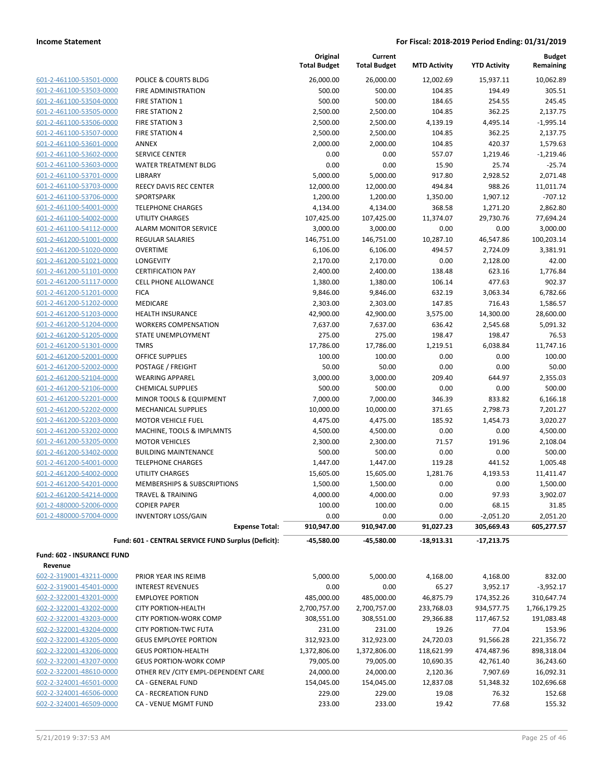| 601-2-461100-53501-0000         |
|---------------------------------|
| 601-2-461100-53503-0000         |
| 601-2-461100-53504-0000         |
| 601-2-461100-53505-0000         |
| 601-2-461100-53506-0000         |
| 601-2-461100-53507-0000         |
| 601-2-461100-53601-0000         |
| 601-2-461100-53602-0000         |
| 601-2-461100-53603-0000         |
| 601-2-461100-53701-0000         |
| -2-461100-53703-0000<br>601     |
| 601-2-461100-53706-0000         |
| 601-2-461100-54001-0000         |
| 601-2-461100-54002-0000         |
| 2-461100-54112-0000<br>601      |
| 601-2-461200-51001-0000         |
| 601-2-461200-51020-0000         |
| 601-2-461200-51021-0000         |
| $601 -$<br>-2-461200-51101-0000 |
| 601-2-461200-51117-0000         |
| 601-2-461200-51201-0000         |
| 601-2-461200-51202-0000         |
| 601-2-461200-51203-0000         |
| 601-2-461200-51204-0000         |
| 601-2-461200-51205-0000         |
| 601-2-461200-51301-0000         |
| 601-2-461200-52001-0000         |
| 601-2-461200-52002-0000         |
| 601-2-461200-52104-0000         |
| 601-2-461200-52106-0000         |
| 601-2-461200-52201-0000         |
| 601-2-461200-52202-0000         |
| 601-2-461200-52203-0000         |
| 601-2-461200-53202-0000         |
| 601-2-461200-53205-0000         |
| 601-2-461200-53402-0000         |
|                                 |
| 601-2-461200-54001-0000         |
| 601-2-461200-54002-0000         |
| 601-2-461200-54201-0000         |
| -2-461200-54214-0000<br>601     |
| 601-2-480000-52006-0000         |
| 601-2-480000-57004-0000         |

|                            |                                                     | Original<br><b>Total Budget</b> | Current<br><b>Total Budget</b> | <b>MTD Activity</b> | <b>YTD Activity</b> | <b>Budget</b><br>Remaining |
|----------------------------|-----------------------------------------------------|---------------------------------|--------------------------------|---------------------|---------------------|----------------------------|
| 601-2-461100-53501-0000    | POLICE & COURTS BLDG                                | 26,000.00                       | 26,000.00                      | 12,002.69           | 15,937.11           | 10,062.89                  |
| 601-2-461100-53503-0000    | <b>FIRE ADMINISTRATION</b>                          | 500.00                          | 500.00                         | 104.85              | 194.49              | 305.51                     |
| 601-2-461100-53504-0000    | <b>FIRE STATION 1</b>                               | 500.00                          | 500.00                         | 184.65              | 254.55              | 245.45                     |
| 601-2-461100-53505-0000    | <b>FIRE STATION 2</b>                               | 2,500.00                        | 2,500.00                       | 104.85              | 362.25              | 2,137.75                   |
| 601-2-461100-53506-0000    | <b>FIRE STATION 3</b>                               | 2,500.00                        | 2,500.00                       | 4,139.19            | 4,495.14            | $-1,995.14$                |
| 601-2-461100-53507-0000    | <b>FIRE STATION 4</b>                               | 2,500.00                        | 2,500.00                       | 104.85              | 362.25              | 2,137.75                   |
| 601-2-461100-53601-0000    | ANNEX                                               | 2,000.00                        | 2,000.00                       | 104.85              | 420.37              | 1,579.63                   |
| 601-2-461100-53602-0000    | <b>SERVICE CENTER</b>                               | 0.00                            | 0.00                           | 557.07              | 1,219.46            | $-1,219.46$                |
| 601-2-461100-53603-0000    | <b>WATER TREATMENT BLDG</b>                         | 0.00                            | 0.00                           | 15.90               | 25.74               | $-25.74$                   |
| 601-2-461100-53701-0000    | <b>LIBRARY</b>                                      | 5,000.00                        | 5,000.00                       | 917.80              | 2,928.52            | 2,071.48                   |
| 601-2-461100-53703-0000    | <b>REECY DAVIS REC CENTER</b>                       | 12,000.00                       | 12,000.00                      | 494.84              | 988.26              | 11,011.74                  |
| 601-2-461100-53706-0000    | SPORTSPARK                                          | 1,200.00                        | 1,200.00                       | 1,350.00            | 1,907.12            | $-707.12$                  |
| 601-2-461100-54001-0000    | <b>TELEPHONE CHARGES</b>                            | 4,134.00                        | 4,134.00                       | 368.58              | 1,271.20            | 2,862.80                   |
| 601-2-461100-54002-0000    | <b>UTILITY CHARGES</b>                              | 107,425.00                      | 107,425.00                     | 11,374.07           | 29,730.76           | 77,694.24                  |
| 601-2-461100-54112-0000    | <b>ALARM MONITOR SERVICE</b>                        | 3,000.00                        | 3,000.00                       | 0.00                | 0.00                | 3,000.00                   |
| 601-2-461200-51001-0000    | <b>REGULAR SALARIES</b>                             | 146,751.00                      | 146,751.00                     | 10,287.10           | 46,547.86           | 100,203.14                 |
| 601-2-461200-51020-0000    | <b>OVERTIME</b>                                     | 6,106.00                        | 6,106.00                       | 494.57              | 2,724.09            | 3,381.91                   |
| 601-2-461200-51021-0000    | LONGEVITY                                           | 2,170.00                        | 2,170.00                       | 0.00                | 2,128.00            | 42.00                      |
| 601-2-461200-51101-0000    | <b>CERTIFICATION PAY</b>                            | 2,400.00                        | 2,400.00                       | 138.48              | 623.16              | 1,776.84                   |
| 601-2-461200-51117-0000    | <b>CELL PHONE ALLOWANCE</b>                         | 1,380.00                        | 1,380.00                       | 106.14              | 477.63              | 902.37                     |
| 601-2-461200-51201-0000    | <b>FICA</b>                                         | 9,846.00                        | 9,846.00                       | 632.19              | 3,063.34            | 6,782.66                   |
| 601-2-461200-51202-0000    | MEDICARE                                            | 2,303.00                        | 2,303.00                       | 147.85              | 716.43              | 1,586.57                   |
| 601-2-461200-51203-0000    | <b>HEALTH INSURANCE</b>                             | 42,900.00                       | 42,900.00                      | 3,575.00            | 14,300.00           | 28,600.00                  |
| 601-2-461200-51204-0000    | <b>WORKERS COMPENSATION</b>                         | 7,637.00                        | 7,637.00                       | 636.42              | 2,545.68            | 5,091.32                   |
| 601-2-461200-51205-0000    | STATE UNEMPLOYMENT                                  | 275.00                          | 275.00                         | 198.47              | 198.47              | 76.53                      |
| 601-2-461200-51301-0000    | <b>TMRS</b>                                         | 17,786.00                       | 17,786.00                      | 1,219.51            | 6,038.84            | 11,747.16                  |
| 601-2-461200-52001-0000    | <b>OFFICE SUPPLIES</b>                              | 100.00                          | 100.00                         | 0.00                | 0.00                | 100.00                     |
| 601-2-461200-52002-0000    | POSTAGE / FREIGHT                                   | 50.00                           | 50.00                          | 0.00                | 0.00                | 50.00                      |
| 601-2-461200-52104-0000    | <b>WEARING APPAREL</b>                              | 3,000.00                        | 3,000.00                       | 209.40              | 644.97              | 2,355.03                   |
| 601-2-461200-52106-0000    | <b>CHEMICAL SUPPLIES</b>                            | 500.00                          | 500.00                         | 0.00                | 0.00                | 500.00                     |
| 601-2-461200-52201-0000    | MINOR TOOLS & EQUIPMENT                             | 7,000.00                        | 7,000.00                       | 346.39              | 833.82              | 6,166.18                   |
| 601-2-461200-52202-0000    | MECHANICAL SUPPLIES                                 | 10,000.00                       | 10,000.00                      | 371.65              | 2,798.73            | 7,201.27                   |
| 601-2-461200-52203-0000    | <b>MOTOR VEHICLE FUEL</b>                           | 4,475.00                        | 4,475.00                       | 185.92              | 1,454.73            | 3,020.27                   |
| 601-2-461200-53202-0000    | MACHINE, TOOLS & IMPLMNTS                           | 4,500.00                        | 4,500.00                       | 0.00                | 0.00                | 4,500.00                   |
| 601-2-461200-53205-0000    | <b>MOTOR VEHICLES</b>                               | 2,300.00                        | 2,300.00                       | 71.57               | 191.96              | 2,108.04                   |
| 601-2-461200-53402-0000    | <b>BUILDING MAINTENANCE</b>                         | 500.00                          | 500.00                         | 0.00                | 0.00                | 500.00                     |
| 601-2-461200-54001-0000    | <b>TELEPHONE CHARGES</b>                            | 1,447.00                        | 1,447.00                       | 119.28              | 441.52              | 1,005.48                   |
| 601-2-461200-54002-0000    | <b>UTILITY CHARGES</b>                              | 15,605.00                       | 15,605.00                      | 1,281.76            | 4,193.53            | 11,411.47                  |
| 601-2-461200-54201-0000    | MEMBERSHIPS & SUBSCRIPTIONS                         | 1,500.00                        | 1,500.00                       | 0.00                | 0.00                | 1,500.00                   |
| 601-2-461200-54214-0000    | TRAVEL & TRAINING                                   | 4,000.00                        | 4,000.00                       | 0.00                | 97.93               | 3,902.07                   |
| 601-2-480000-52006-0000    | <b>COPIER PAPER</b>                                 | 100.00                          | 100.00                         | 0.00                | 68.15               | 31.85                      |
| 601-2-480000-57004-0000    | <b>INVENTORY LOSS/GAIN</b>                          | 0.00                            | 0.00                           | 0.00                | $-2,051.20$         | 2,051.20                   |
|                            | <b>Expense Total:</b>                               | 910,947.00                      | 910,947.00                     | 91,027.23           | 305,669.43          | 605,277.57                 |
|                            | Fund: 601 - CENTRAL SERVICE FUND Surplus (Deficit): | -45,580.00                      | -45,580.00                     | $-18,913.31$        | $-17,213.75$        |                            |
| Fund: 602 - INSURANCE FUND |                                                     |                                 |                                |                     |                     |                            |
| Revenue                    |                                                     |                                 |                                |                     |                     |                            |
| 602-2-319001-43211-0000    | PRIOR YEAR INS REIMB                                | 5,000.00                        | 5,000.00                       | 4,168.00            | 4,168.00            | 832.00                     |
| 602-2-319001-45401-0000    | <b>INTEREST REVENUES</b>                            | 0.00                            | 0.00                           | 65.27               | 3,952.17            | $-3,952.17$                |
| 602-2-322001-43201-0000    | <b>EMPLOYEE PORTION</b>                             | 485,000.00                      | 485,000.00                     | 46,875.79           | 174,352.26          | 310,647.74                 |
| 602-2-322001-43202-0000    | <b>CITY PORTION-HEALTH</b>                          | 2,700,757.00                    | 2,700,757.00                   | 233,768.03          | 934,577.75          | 1,766,179.25               |
| 602-2-322001-43203-0000    | <b>CITY PORTION-WORK COMP</b>                       | 308,551.00                      | 308,551.00                     | 29,366.88           | 117,467.52          | 191,083.48                 |
| 602-2-322001-43204-0000    | <b>CITY PORTION-TWC FUTA</b>                        | 231.00                          | 231.00                         | 19.26               | 77.04               | 153.96                     |
| 602-2-322001-43205-0000    | <b>GEUS EMPLOYEE PORTION</b>                        | 312,923.00                      | 312,923.00                     | 24,720.03           | 91,566.28           | 221,356.72                 |
| 602-2-322001-43206-0000    | <b>GEUS PORTION-HEALTH</b>                          | 1,372,806.00                    | 1,372,806.00                   | 118,621.99          | 474,487.96          | 898,318.04                 |
| 602-2-322001-43207-0000    | <b>GEUS PORTION-WORK COMP</b>                       | 79,005.00                       | 79,005.00                      | 10,690.35           | 42,761.40           | 36,243.60                  |
| 602-2-322001-48610-0000    | OTHER REV / CITY EMPL-DEPENDENT CARE                | 24,000.00                       | 24,000.00                      | 2,120.36            | 7,907.69            | 16,092.31                  |
| 602-2-324001-46501-0000    | CA - GENERAL FUND                                   | 154,045.00                      | 154,045.00                     | 12,837.08           | 51,348.32           | 102,696.68                 |

602-2-324001-46506-0000 CA - RECREATION FUND 229.00 229.00 19.08 76.32 152.68 602-2-324001-46509-0000 CA - VENUE MGMT FUND 233.00 233.00 19.42 77.68 155.32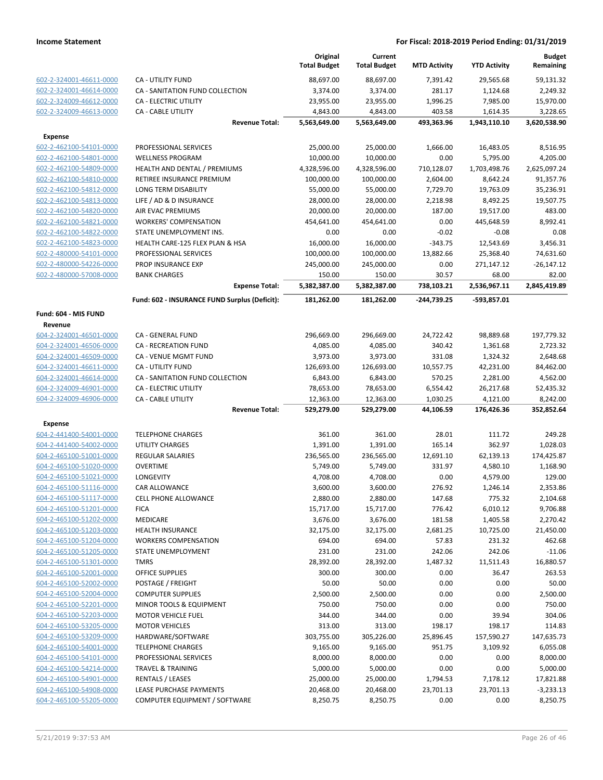|                         |                                               | Original<br><b>Total Budget</b> | Current<br><b>Total Budget</b> | <b>MTD Activity</b> | <b>YTD Activity</b>   | <b>Budget</b><br>Remaining |
|-------------------------|-----------------------------------------------|---------------------------------|--------------------------------|---------------------|-----------------------|----------------------------|
| 602-2-324001-46611-0000 | CA - UTILITY FUND                             | 88,697.00                       | 88,697.00                      | 7,391.42            | 29,565.68             | 59,131.32                  |
| 602-2-324001-46614-0000 | CA - SANITATION FUND COLLECTION               | 3,374.00                        | 3,374.00                       | 281.17              | 1,124.68              | 2,249.32                   |
| 602-2-324009-46612-0000 | CA - ELECTRIC UTILITY                         | 23,955.00                       | 23,955.00                      | 1,996.25            | 7,985.00              | 15,970.00                  |
| 602-2-324009-46613-0000 | CA - CABLE UTILITY                            | 4,843.00                        | 4,843.00                       | 403.58              | 1,614.35              | 3,228.65                   |
|                         | <b>Revenue Total:</b>                         | 5,563,649.00                    | 5,563,649.00                   | 493,363.96          | 1,943,110.10          | 3,620,538.90               |
| <b>Expense</b>          |                                               |                                 |                                |                     |                       |                            |
| 602-2-462100-54101-0000 | PROFESSIONAL SERVICES                         | 25,000.00                       | 25,000.00                      | 1,666.00            | 16,483.05             | 8,516.95                   |
| 602-2-462100-54801-0000 | <b>WELLNESS PROGRAM</b>                       | 10,000.00                       | 10,000.00                      | 0.00                | 5,795.00              | 4,205.00                   |
| 602-2-462100-54809-0000 | HEALTH AND DENTAL / PREMIUMS                  | 4,328,596.00                    | 4,328,596.00                   | 710,128.07          | 1,703,498.76          | 2,625,097.24               |
| 602-2-462100-54810-0000 | RETIREE INSURANCE PREMIUM                     | 100,000.00                      | 100,000.00                     | 2,604.00            | 8,642.24              | 91,357.76                  |
| 602-2-462100-54812-0000 | LONG TERM DISABILITY                          | 55,000.00                       | 55,000.00                      | 7,729.70            | 19,763.09             | 35,236.91                  |
| 602-2-462100-54813-0000 | LIFE / AD & D INSURANCE                       | 28,000.00                       | 28,000.00                      | 2,218.98            | 8,492.25              | 19,507.75                  |
| 602-2-462100-54820-0000 | AIR EVAC PREMIUMS                             | 20,000.00                       | 20,000.00                      | 187.00              | 19,517.00             | 483.00                     |
| 602-2-462100-54821-0000 | <b>WORKERS' COMPENSATION</b>                  | 454,641.00                      | 454,641.00                     | 0.00                | 445,648.59            | 8,992.41                   |
| 602-2-462100-54822-0000 | STATE UNEMPLOYMENT INS.                       | 0.00                            | 0.00                           | $-0.02$             | $-0.08$               | 0.08                       |
| 602-2-462100-54823-0000 | HEALTH CARE-125 FLEX PLAN & HSA               | 16,000.00                       | 16,000.00                      | $-343.75$           | 12,543.69             | 3,456.31                   |
| 602-2-480000-54101-0000 | PROFESSIONAL SERVICES                         | 100,000.00                      | 100,000.00                     | 13,882.66           |                       |                            |
| 602-2-480000-54226-0000 | PROP INSURANCE EXP                            |                                 |                                |                     | 25,368.40             | 74,631.60                  |
|                         |                                               | 245,000.00                      | 245,000.00                     | 0.00                | 271,147.12            | -26,147.12                 |
| 602-2-480000-57008-0000 | <b>BANK CHARGES</b><br><b>Expense Total:</b>  | 150.00<br>5,382,387.00          | 150.00<br>5,382,387.00         | 30.57<br>738,103.21 | 68.00<br>2,536,967.11 | 82.00<br>2,845,419.89      |
|                         |                                               |                                 |                                |                     |                       |                            |
|                         | Fund: 602 - INSURANCE FUND Surplus (Deficit): | 181,262.00                      | 181,262.00                     | -244,739.25         | -593,857.01           |                            |
| Fund: 604 - MIS FUND    |                                               |                                 |                                |                     |                       |                            |
| Revenue                 |                                               |                                 |                                |                     |                       |                            |
| 604-2-324001-46501-0000 | CA - GENERAL FUND                             | 296,669.00                      | 296,669.00                     | 24,722.42           | 98,889.68             | 197,779.32                 |
| 604-2-324001-46506-0000 | CA - RECREATION FUND                          | 4,085.00                        | 4,085.00                       | 340.42              | 1,361.68              | 2,723.32                   |
| 604-2-324001-46509-0000 | CA - VENUE MGMT FUND                          | 3,973.00                        | 3,973.00                       | 331.08              | 1,324.32              | 2,648.68                   |
| 604-2-324001-46611-0000 | <b>CA - UTILITY FUND</b>                      | 126,693.00                      | 126,693.00                     | 10,557.75           | 42,231.00             | 84,462.00                  |
| 604-2-324001-46614-0000 | CA - SANITATION FUND COLLECTION               | 6,843.00                        | 6,843.00                       | 570.25              | 2,281.00              | 4,562.00                   |
| 604-2-324009-46901-0000 | CA - ELECTRIC UTILITY                         | 78,653.00                       | 78,653.00                      | 6,554.42            | 26,217.68             | 52,435.32                  |
| 604-2-324009-46906-0000 | CA - CABLE UTILITY                            | 12,363.00                       | 12,363.00                      | 1,030.25            | 4,121.00              | 8,242.00                   |
|                         | <b>Revenue Total:</b>                         | 529,279.00                      | 529,279.00                     | 44,106.59           | 176,426.36            | 352,852.64                 |
| Expense                 |                                               |                                 |                                |                     |                       |                            |
| 604-2-441400-54001-0000 | <b>TELEPHONE CHARGES</b>                      | 361.00                          | 361.00                         | 28.01               | 111.72                | 249.28                     |
| 604-2-441400-54002-0000 | <b>UTILITY CHARGES</b>                        | 1,391.00                        | 1,391.00                       | 165.14              | 362.97                | 1,028.03                   |
| 604-2-465100-51001-0000 | REGULAR SALARIES                              | 236,565.00                      | 236,565.00                     | 12,691.10           | 62,139.13             | 174,425.87                 |
| 604-2-465100-51020-0000 | <b>OVERTIME</b>                               | 5,749.00                        | 5,749.00                       | 331.97              | 4,580.10              | 1,168.90                   |
| 604-2-465100-51021-0000 | <b>LONGEVITY</b>                              | 4,708.00                        | 4,708.00                       | 0.00                | 4,579.00              | 129.00                     |
| 604-2-465100-51116-0000 | <b>CAR ALLOWANCE</b>                          | 3,600.00                        | 3,600.00                       | 276.92              | 1,246.14              | 2,353.86                   |
| 604-2-465100-51117-0000 | <b>CELL PHONE ALLOWANCE</b>                   | 2,880.00                        | 2,880.00                       | 147.68              | 775.32                | 2,104.68                   |
| 604-2-465100-51201-0000 | <b>FICA</b>                                   | 15,717.00                       | 15,717.00                      | 776.42              | 6,010.12              | 9,706.88                   |
| 604-2-465100-51202-0000 | MEDICARE                                      | 3,676.00                        | 3,676.00                       | 181.58              | 1,405.58              | 2,270.42                   |
| 604-2-465100-51203-0000 | <b>HEALTH INSURANCE</b>                       | 32,175.00                       | 32,175.00                      | 2,681.25            | 10,725.00             | 21,450.00                  |
| 604-2-465100-51204-0000 | <b>WORKERS COMPENSATION</b>                   | 694.00                          | 694.00                         | 57.83               | 231.32                | 462.68                     |
| 604-2-465100-51205-0000 | <b>STATE UNEMPLOYMENT</b>                     | 231.00                          | 231.00                         | 242.06              | 242.06                | $-11.06$                   |
| 604-2-465100-51301-0000 | <b>TMRS</b>                                   | 28,392.00                       | 28,392.00                      | 1,487.32            | 11,511.43             | 16,880.57                  |
| 604-2-465100-52001-0000 | <b>OFFICE SUPPLIES</b>                        | 300.00                          | 300.00                         | 0.00                | 36.47                 | 263.53                     |
| 604-2-465100-52002-0000 | POSTAGE / FREIGHT                             | 50.00                           | 50.00                          | 0.00                | 0.00                  | 50.00                      |
| 604-2-465100-52004-0000 | <b>COMPUTER SUPPLIES</b>                      | 2,500.00                        | 2,500.00                       | 0.00                | 0.00                  | 2,500.00                   |
| 604-2-465100-52201-0000 | MINOR TOOLS & EQUIPMENT                       | 750.00                          | 750.00                         | 0.00                | 0.00                  | 750.00                     |
| 604-2-465100-52203-0000 | <b>MOTOR VEHICLE FUEL</b>                     | 344.00                          | 344.00                         | 0.00                | 39.94                 | 304.06                     |
| 604-2-465100-53205-0000 | <b>MOTOR VEHICLES</b>                         | 313.00                          | 313.00                         | 198.17              | 198.17                | 114.83                     |
| 604-2-465100-53209-0000 | HARDWARE/SOFTWARE                             | 303,755.00                      | 305,226.00                     | 25,896.45           | 157,590.27            | 147,635.73                 |
| 604-2-465100-54001-0000 | <b>TELEPHONE CHARGES</b>                      | 9,165.00                        | 9,165.00                       | 951.75              | 3,109.92              | 6,055.08                   |
| 604-2-465100-54101-0000 | PROFESSIONAL SERVICES                         | 8,000.00                        | 8,000.00                       | 0.00                | 0.00                  | 8,000.00                   |
| 604-2-465100-54214-0000 | <b>TRAVEL &amp; TRAINING</b>                  | 5,000.00                        | 5,000.00                       | 0.00                | 0.00                  | 5,000.00                   |
| 604-2-465100-54901-0000 | RENTALS / LEASES                              | 25,000.00                       | 25,000.00                      | 1,794.53            | 7,178.12              | 17,821.88                  |
| 604-2-465100-54908-0000 | LEASE PURCHASE PAYMENTS                       | 20,468.00                       | 20,468.00                      | 23,701.13           | 23,701.13             | $-3,233.13$                |
| 604-2-465100-55205-0000 | COMPUTER EQUIPMENT / SOFTWARE                 | 8,250.75                        | 8,250.75                       | 0.00                | 0.00                  | 8,250.75                   |
|                         |                                               |                                 |                                |                     |                       |                            |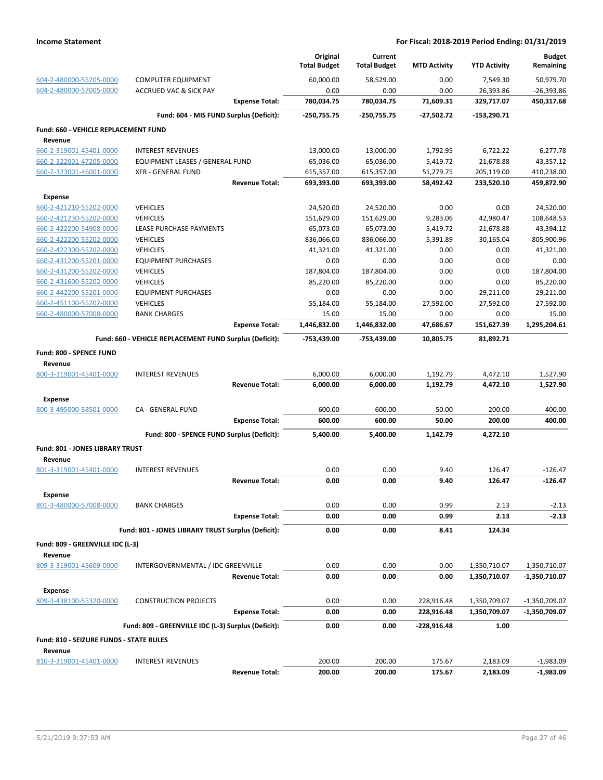|                                                    |                                                         |                       | Original<br><b>Total Budget</b> | Current<br><b>Total Budget</b> | <b>MTD Activity</b>    | <b>YTD Activity</b>      | <b>Budget</b><br>Remaining |
|----------------------------------------------------|---------------------------------------------------------|-----------------------|---------------------------------|--------------------------------|------------------------|--------------------------|----------------------------|
| 604-2-480000-55205-0000                            | <b>COMPUTER EQUIPMENT</b>                               |                       | 60,000.00                       | 58,529.00                      | 0.00                   | 7,549.30                 | 50,979.70                  |
| 604-2-480000-57005-0000                            | <b>ACCRUED VAC &amp; SICK PAY</b>                       |                       | 0.00                            | 0.00                           | 0.00                   | 26,393.86                | $-26,393.86$               |
|                                                    |                                                         | <b>Expense Total:</b> | 780,034.75                      | 780,034.75                     | 71,609.31              | 329,717.07               | 450,317.68                 |
|                                                    | Fund: 604 - MIS FUND Surplus (Deficit):                 |                       | -250,755.75                     | $-250,755.75$                  | $-27,502.72$           | -153,290.71              |                            |
| Fund: 660 - VEHICLE REPLACEMENT FUND               |                                                         |                       |                                 |                                |                        |                          |                            |
| Revenue                                            |                                                         |                       |                                 |                                |                        |                          |                            |
| 660-2-319001-45401-0000                            | <b>INTEREST REVENUES</b>                                |                       | 13,000.00                       | 13,000.00                      | 1,792.95               | 6,722.22                 | 6,277.78                   |
| 660-2-322001-47205-0000                            | EQUIPMENT LEASES / GENERAL FUND                         |                       | 65,036.00                       | 65,036.00                      | 5,419.72               | 21,678.88                | 43,357.12                  |
| 660-2-323001-46001-0000                            | <b>XFR - GENERAL FUND</b>                               | <b>Revenue Total:</b> | 615,357.00<br>693,393.00        | 615,357.00<br>693,393.00       | 51,279.75<br>58,492.42 | 205,119.00<br>233,520.10 | 410,238.00<br>459,872.90   |
|                                                    |                                                         |                       |                                 |                                |                        |                          |                            |
| <b>Expense</b>                                     |                                                         |                       |                                 |                                |                        |                          |                            |
| 660-2-421210-55202-0000                            | <b>VEHICLES</b>                                         |                       | 24,520.00                       | 24,520.00                      | 0.00                   | 0.00                     | 24,520.00                  |
| 660-2-421230-55202-0000                            | <b>VEHICLES</b>                                         |                       | 151,629.00                      | 151,629.00                     | 9,283.06               | 42,980.47                | 108,648.53                 |
| 660-2-422200-54908-0000                            | LEASE PURCHASE PAYMENTS                                 |                       | 65,073.00                       | 65,073.00                      | 5,419.72               | 21,678.88                | 43,394.12                  |
| 660-2-422200-55202-0000                            | <b>VEHICLES</b>                                         |                       | 836,066.00                      | 836,066.00                     | 5,391.89               | 30,165.04                | 805,900.96                 |
| 660-2-422300-55202-0000                            | <b>VEHICLES</b>                                         |                       | 41,321.00                       | 41,321.00                      | 0.00                   | 0.00                     | 41,321.00                  |
| 660-2-431200-55201-0000                            | <b>EQUIPMENT PURCHASES</b>                              |                       | 0.00                            | 0.00                           | 0.00                   | 0.00                     | 0.00                       |
| 660-2-431200-55202-0000<br>660-2-431600-55202-0000 | <b>VEHICLES</b>                                         |                       | 187,804.00<br>85,220.00         | 187,804.00                     | 0.00                   | 0.00                     | 187,804.00                 |
|                                                    | <b>VEHICLES</b>                                         |                       |                                 | 85,220.00                      | 0.00                   | 0.00                     | 85,220.00                  |
| 660-2-442200-55201-0000                            | <b>EQUIPMENT PURCHASES</b>                              |                       | 0.00                            | 0.00                           | 0.00                   | 29,211.00                | $-29,211.00$               |
| 660-2-451100-55202-0000                            | <b>VEHICLES</b>                                         |                       | 55,184.00                       | 55,184.00                      | 27,592.00              | 27,592.00                | 27,592.00                  |
| 660-2-480000-57008-0000                            | <b>BANK CHARGES</b>                                     | <b>Expense Total:</b> | 15.00<br>1,446,832.00           | 15.00<br>1,446,832.00          | 0.00<br>47,686.67      | 0.00<br>151,627.39       | 15.00<br>1,295,204.61      |
|                                                    | Fund: 660 - VEHICLE REPLACEMENT FUND Surplus (Deficit): |                       | -753,439.00                     | -753,439.00                    | 10.805.75              | 81,892.71                |                            |
|                                                    |                                                         |                       |                                 |                                |                        |                          |                            |
| Fund: 800 - SPENCE FUND<br>Revenue                 |                                                         |                       |                                 |                                |                        |                          |                            |
| 800-3-319001-45401-0000                            | <b>INTEREST REVENUES</b>                                |                       | 6,000.00                        | 6,000.00                       | 1,192.79               | 4,472.10                 | 1,527.90                   |
|                                                    |                                                         | <b>Revenue Total:</b> | 6,000.00                        | 6,000.00                       | 1,192.79               | 4,472.10                 | 1,527.90                   |
| <b>Expense</b>                                     |                                                         |                       |                                 |                                |                        |                          |                            |
| 800-3-495000-58501-0000                            | CA - GENERAL FUND                                       |                       | 600.00                          | 600.00                         | 50.00                  | 200.00                   | 400.00                     |
|                                                    |                                                         | <b>Expense Total:</b> | 600.00                          | 600.00                         | 50.00                  | 200.00                   | 400.00                     |
|                                                    | Fund: 800 - SPENCE FUND Surplus (Deficit):              |                       | 5,400.00                        | 5,400.00                       | 1,142.79               | 4,272.10                 |                            |
| Fund: 801 - JONES LIBRARY TRUST                    |                                                         |                       |                                 |                                |                        |                          |                            |
| Revenue                                            |                                                         |                       |                                 |                                |                        |                          |                            |
| 801-3-319001-45401-0000                            | <b>INTEREST REVENUES</b>                                |                       | 0.00                            | 0.00                           | 9.40                   | 126.47                   | $-126.47$                  |
|                                                    |                                                         | <b>Revenue Total:</b> | 0.00                            | 0.00                           | 9.40                   | 126.47                   | $-126.47$                  |
| Expense                                            |                                                         |                       |                                 |                                |                        |                          |                            |
| 801-3-480000-57008-0000                            | <b>BANK CHARGES</b>                                     |                       | 0.00<br>0.00                    | 0.00<br>0.00                   | 0.99<br>0.99           | 2.13<br>2.13             | $-2.13$<br>$-2.13$         |
|                                                    |                                                         | <b>Expense Total:</b> |                                 |                                |                        |                          |                            |
|                                                    | Fund: 801 - JONES LIBRARY TRUST Surplus (Deficit):      |                       | 0.00                            | 0.00                           | 8.41                   | 124.34                   |                            |
| Fund: 809 - GREENVILLE IDC (L-3)                   |                                                         |                       |                                 |                                |                        |                          |                            |
| Revenue                                            |                                                         |                       |                                 |                                |                        |                          |                            |
| 809-3-319001-45609-0000                            | INTERGOVERNMENTAL / IDC GREENVILLE                      |                       | 0.00                            | 0.00                           | 0.00                   | 1,350,710.07             | $-1,350,710.07$            |
|                                                    |                                                         | <b>Revenue Total:</b> | 0.00                            | 0.00                           | 0.00                   | 1,350,710.07             | $-1,350,710.07$            |
| Expense                                            |                                                         |                       |                                 |                                |                        |                          |                            |
| 809-3-438100-55320-0000                            | <b>CONSTRUCTION PROJECTS</b>                            |                       | 0.00                            | 0.00                           | 228,916.48             | 1,350,709.07             | $-1,350,709.07$            |
|                                                    |                                                         | <b>Expense Total:</b> | 0.00                            | 0.00                           | 228,916.48             | 1,350,709.07             | -1,350,709.07              |
|                                                    | Fund: 809 - GREENVILLE IDC (L-3) Surplus (Deficit):     |                       | 0.00                            | 0.00                           | -228,916.48            | 1.00                     |                            |
| Fund: 810 - SEIZURE FUNDS - STATE RULES            |                                                         |                       |                                 |                                |                        |                          |                            |
| Revenue                                            |                                                         |                       |                                 |                                |                        |                          |                            |
| 810-3-319001-45401-0000                            | <b>INTEREST REVENUES</b>                                | <b>Revenue Total:</b> | 200.00<br>200.00                | 200.00<br>200.00               | 175.67<br>175.67       | 2,183.09<br>2,183.09     | $-1,983.09$<br>$-1,983.09$ |
|                                                    |                                                         |                       |                                 |                                |                        |                          |                            |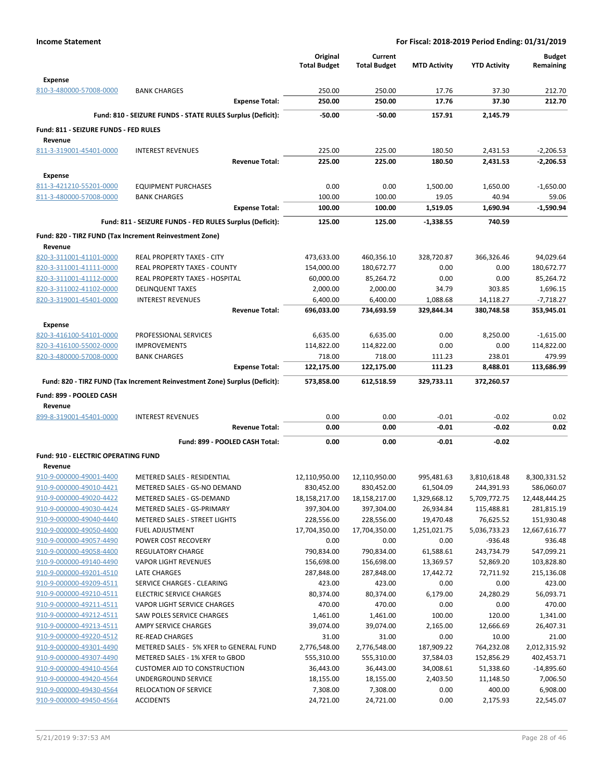|                                                    |                                                                            | Original                 | Current                  |                        |                        | <b>Budget</b>            |
|----------------------------------------------------|----------------------------------------------------------------------------|--------------------------|--------------------------|------------------------|------------------------|--------------------------|
|                                                    |                                                                            | <b>Total Budget</b>      | <b>Total Budget</b>      | <b>MTD Activity</b>    | <b>YTD Activity</b>    | Remaining                |
| <b>Expense</b>                                     |                                                                            |                          |                          |                        |                        |                          |
| 810-3-480000-57008-0000                            | <b>BANK CHARGES</b>                                                        | 250.00                   | 250.00                   | 17.76                  | 37.30                  | 212.70                   |
|                                                    | <b>Expense Total:</b>                                                      | 250.00                   | 250.00                   | 17.76                  | 37.30                  | 212.70                   |
|                                                    | Fund: 810 - SEIZURE FUNDS - STATE RULES Surplus (Deficit):                 | $-50.00$                 | $-50.00$                 | 157.91                 | 2.145.79               |                          |
|                                                    |                                                                            |                          |                          |                        |                        |                          |
| Fund: 811 - SEIZURE FUNDS - FED RULES              |                                                                            |                          |                          |                        |                        |                          |
| Revenue<br>811-3-319001-45401-0000                 | <b>INTEREST REVENUES</b>                                                   | 225.00                   | 225.00                   | 180.50                 | 2,431.53               | $-2,206.53$              |
|                                                    | <b>Revenue Total:</b>                                                      | 225.00                   | 225.00                   | 180.50                 | 2.431.53               | $-2,206.53$              |
|                                                    |                                                                            |                          |                          |                        |                        |                          |
| <b>Expense</b>                                     |                                                                            |                          |                          |                        |                        |                          |
| 811-3-421210-55201-0000                            | <b>EQUIPMENT PURCHASES</b>                                                 | 0.00                     | 0.00                     | 1,500.00               | 1,650.00               | $-1,650.00$              |
| 811-3-480000-57008-0000                            | <b>BANK CHARGES</b>                                                        | 100.00                   | 100.00                   | 19.05                  | 40.94                  | 59.06                    |
|                                                    | <b>Expense Total:</b>                                                      | 100.00                   | 100.00                   | 1,519.05               | 1,690.94               | $-1,590.94$              |
|                                                    | Fund: 811 - SEIZURE FUNDS - FED RULES Surplus (Deficit):                   | 125.00                   | 125.00                   | $-1,338.55$            | 740.59                 |                          |
|                                                    | Fund: 820 - TIRZ FUND (Tax Increment Reinvestment Zone)                    |                          |                          |                        |                        |                          |
| Revenue                                            |                                                                            |                          |                          |                        |                        |                          |
| 820-3-311001-41101-0000                            | <b>REAL PROPERTY TAXES - CITY</b>                                          | 473,633.00               | 460,356.10               | 328,720.87             | 366,326.46             | 94,029.64                |
| 820-3-311001-41111-0000                            | REAL PROPERTY TAXES - COUNTY                                               | 154,000.00               | 180,672.77               | 0.00                   | 0.00                   | 180,672.77               |
| 820-3-311001-41112-0000                            | REAL PROPERTY TAXES - HOSPITAL                                             | 60,000.00                | 85,264.72                | 0.00                   | 0.00                   | 85,264.72                |
| 820-3-311002-41102-0000                            | <b>DELINQUENT TAXES</b>                                                    | 2,000.00                 | 2,000.00                 | 34.79                  | 303.85                 | 1,696.15                 |
| 820-3-319001-45401-0000                            | <b>INTEREST REVENUES</b>                                                   | 6,400.00                 | 6,400.00                 | 1,088.68               | 14,118.27              | $-7,718.27$              |
|                                                    | <b>Revenue Total:</b>                                                      | 696,033.00               | 734,693.59               | 329,844.34             | 380,748.58             | 353,945.01               |
| <b>Expense</b>                                     |                                                                            |                          |                          |                        |                        |                          |
| 820-3-416100-54101-0000                            | PROFESSIONAL SERVICES                                                      | 6,635.00                 | 6,635.00                 | 0.00                   | 8,250.00               | $-1,615.00$              |
| 820-3-416100-55002-0000                            | <b>IMPROVEMENTS</b>                                                        | 114,822.00               | 114,822.00               | 0.00                   | 0.00                   | 114,822.00               |
| 820-3-480000-57008-0000                            | <b>BANK CHARGES</b>                                                        | 718.00                   | 718.00                   | 111.23                 | 238.01                 | 479.99                   |
|                                                    | <b>Expense Total:</b>                                                      | 122,175.00               | 122,175.00               | 111.23                 | 8,488.01               | 113,686.99               |
|                                                    | Fund: 820 - TIRZ FUND (Tax Increment Reinvestment Zone) Surplus (Deficit): | 573,858.00               | 612,518.59               | 329,733.11             | 372,260.57             |                          |
| Fund: 899 - POOLED CASH                            |                                                                            |                          |                          |                        |                        |                          |
| Revenue                                            |                                                                            |                          |                          |                        |                        |                          |
|                                                    |                                                                            |                          |                          |                        |                        |                          |
|                                                    |                                                                            |                          |                          |                        |                        |                          |
| 899-8-319001-45401-0000                            | <b>INTEREST REVENUES</b><br><b>Revenue Total:</b>                          | 0.00<br>0.00             | 0.00<br>0.00             | $-0.01$<br>$-0.01$     | $-0.02$<br>$-0.02$     | 0.02<br>0.02             |
|                                                    |                                                                            |                          |                          |                        |                        |                          |
|                                                    | Fund: 899 - POOLED CASH Total:                                             | 0.00                     | 0.00                     | $-0.01$                | -0.02                  |                          |
| <b>Fund: 910 - ELECTRIC OPERATING FUND</b>         |                                                                            |                          |                          |                        |                        |                          |
| Revenue                                            |                                                                            |                          |                          |                        |                        |                          |
| 910-9-000000-49001-4400                            | METERED SALES - RESIDENTIAL                                                | 12,110,950.00            | 12,110,950.00            | 995,481.63             | 3,810,618.48           | 8,300,331.52             |
| 910-9-000000-49010-4421                            | METERED SALES - GS-NO DEMAND                                               | 830,452.00               | 830,452.00               | 61,504.09              | 244,391.93             | 586,060.07               |
| 910-9-000000-49020-4422                            | METERED SALES - GS-DEMAND                                                  | 18,158,217.00            | 18,158,217.00            | 1,329,668.12           | 5,709,772.75           | 12,448,444.25            |
| 910-9-000000-49030-4424                            | METERED SALES - GS-PRIMARY                                                 | 397,304.00               | 397,304.00               | 26,934.84              | 115,488.81             | 281,815.19               |
| 910-9-000000-49040-4440                            | <b>METERED SALES - STREET LIGHTS</b>                                       | 228,556.00               | 228,556.00               | 19,470.48              | 76,625.52              | 151,930.48               |
| 910-9-000000-49050-4400                            | <b>FUEL ADJUSTMENT</b>                                                     | 17,704,350.00            | 17,704,350.00            | 1,251,021.75           | 5,036,733.23           | 12,667,616.77            |
| 910-9-000000-49057-4490                            | POWER COST RECOVERY                                                        | 0.00                     | 0.00                     | 0.00                   | $-936.48$              | 936.48                   |
| 910-9-000000-49058-4400                            | <b>REGULATORY CHARGE</b>                                                   | 790,834.00               | 790,834.00               | 61,588.61              | 243,734.79             | 547,099.21               |
| 910-9-000000-49140-4490<br>910-9-000000-49201-4510 | <b>VAPOR LIGHT REVENUES</b><br><b>LATE CHARGES</b>                         | 156,698.00<br>287,848.00 | 156,698.00<br>287,848.00 | 13,369.57<br>17,442.72 | 52,869.20<br>72,711.92 | 103,828.80<br>215,136.08 |
| 910-9-000000-49209-4511                            | SERVICE CHARGES - CLEARING                                                 | 423.00                   | 423.00                   | 0.00                   | 0.00                   | 423.00                   |
| 910-9-000000-49210-4511                            | <b>ELECTRIC SERVICE CHARGES</b>                                            | 80,374.00                | 80,374.00                | 6,179.00               | 24,280.29              | 56,093.71                |
| 910-9-000000-49211-4511                            | <b>VAPOR LIGHT SERVICE CHARGES</b>                                         | 470.00                   | 470.00                   | 0.00                   | 0.00                   | 470.00                   |
| 910-9-000000-49212-4511                            | SAW POLES SERVICE CHARGES                                                  | 1,461.00                 | 1,461.00                 | 100.00                 | 120.00                 | 1,341.00                 |
| 910-9-000000-49213-4511                            | AMPY SERVICE CHARGES                                                       | 39,074.00                | 39,074.00                | 2,165.00               | 12,666.69              | 26,407.31                |
| 910-9-000000-49220-4512                            | <b>RE-READ CHARGES</b>                                                     | 31.00                    | 31.00                    | 0.00                   | 10.00                  | 21.00                    |
| 910-9-000000-49301-4490                            | METERED SALES - 5% XFER to GENERAL FUND                                    | 2,776,548.00             | 2,776,548.00             | 187,909.22             | 764,232.08             | 2,012,315.92             |
| 910-9-000000-49307-4490                            | METERED SALES - 1% XFER to GBOD                                            | 555,310.00               | 555,310.00               | 37,584.03              | 152,856.29             | 402,453.71               |
| 910-9-000000-49410-4564                            | <b>CUSTOMER AID TO CONSTRUCTION</b>                                        | 36,443.00                | 36,443.00                | 34,008.61              | 51,338.60              | $-14,895.60$             |
| 910-9-000000-49420-4564                            | UNDERGROUND SERVICE                                                        | 18,155.00                | 18,155.00                | 2,403.50               | 11,148.50              | 7,006.50                 |
| 910-9-000000-49430-4564<br>910-9-000000-49450-4564 | RELOCATION OF SERVICE<br><b>ACCIDENTS</b>                                  | 7,308.00<br>24,721.00    | 7,308.00<br>24,721.00    | 0.00<br>0.00           | 400.00<br>2,175.93     | 6,908.00<br>22,545.07    |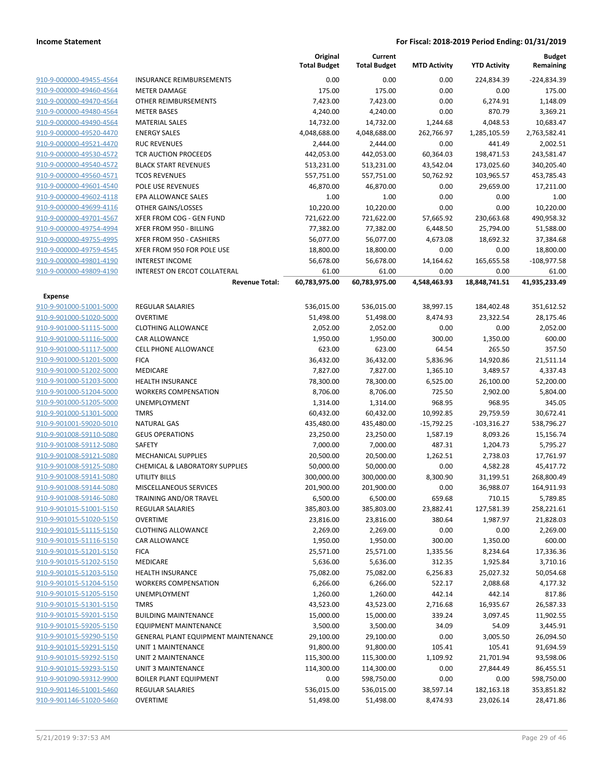|                                    |                                            | Original<br><b>Total Budget</b> | Current<br><b>Total Budget</b> | <b>MTD Activity</b> | <b>YTD Activity</b> | <b>Budget</b><br>Remaining |
|------------------------------------|--------------------------------------------|---------------------------------|--------------------------------|---------------------|---------------------|----------------------------|
| 910-9-000000-49455-4564            | <b>INSURANCE REIMBURSEMENTS</b>            | 0.00                            | 0.00                           | 0.00                | 224,834.39          | -224,834.39                |
| 910-9-000000-49460-4564            | <b>METER DAMAGE</b>                        | 175.00                          | 175.00                         | 0.00                | 0.00                | 175.00                     |
| 910-9-000000-49470-4564            | OTHER REIMBURSEMENTS                       | 7,423.00                        | 7,423.00                       | 0.00                | 6,274.91            | 1,148.09                   |
| 910-9-000000-49480-4564            | <b>METER BASES</b>                         | 4,240.00                        | 4,240.00                       | 0.00                | 870.79              | 3,369.21                   |
| 910-9-000000-49490-4564            | <b>MATERIAL SALES</b>                      | 14,732.00                       | 14,732.00                      | 1,244.68            | 4,048.53            | 10,683.47                  |
| 910-9-000000-49520-4470            | <b>ENERGY SALES</b>                        | 4,048,688.00                    | 4,048,688.00                   | 262,766.97          | 1,285,105.59        | 2,763,582.41               |
| 910-9-000000-49521-4470            | <b>RUC REVENUES</b>                        | 2,444.00                        | 2,444.00                       | 0.00                | 441.49              | 2,002.51                   |
| 910-9-000000-49530-4572            | <b>TCR AUCTION PROCEEDS</b>                | 442,053.00                      | 442,053.00                     | 60,364.03           | 198,471.53          | 243,581.47                 |
| 910-9-000000-49540-4572            | <b>BLACK START REVENUES</b>                | 513,231.00                      | 513,231.00                     | 43,542.04           | 173,025.60          | 340,205.40                 |
| 910-9-000000-49560-4571            | <b>TCOS REVENUES</b>                       | 557,751.00                      | 557,751.00                     | 50,762.92           | 103,965.57          | 453,785.43                 |
| 910-9-000000-49601-4540            | POLE USE REVENUES                          | 46,870.00                       | 46,870.00                      | 0.00                | 29,659.00           | 17,211.00                  |
| 910-9-000000-49602-4118            | EPA ALLOWANCE SALES                        | 1.00                            | 1.00                           | 0.00                | 0.00                | 1.00                       |
| 910-9-000000-49699-4116            | OTHER GAINS/LOSSES                         | 10,220.00                       | 10,220.00                      | 0.00                | 0.00                | 10,220.00                  |
| 910-9-000000-49701-4567            |                                            |                                 |                                |                     |                     |                            |
| 910-9-000000-49754-4994            | XFER FROM COG - GEN FUND                   | 721,622.00                      | 721,622.00                     | 57,665.92           | 230,663.68          | 490,958.32                 |
|                                    | XFER FROM 950 - BILLING                    | 77,382.00                       | 77,382.00                      | 6,448.50            | 25,794.00           | 51,588.00                  |
| 910-9-000000-49755-4995            | XFER FROM 950 - CASHIERS                   | 56,077.00                       | 56,077.00                      | 4,673.08            | 18,692.32           | 37,384.68                  |
| 910-9-000000-49759-4545            | XFER FROM 950 FOR POLE USE                 | 18,800.00                       | 18,800.00                      | 0.00                | 0.00                | 18,800.00                  |
| 910-9-000000-49801-4190            | <b>INTEREST INCOME</b>                     | 56,678.00                       | 56,678.00                      | 14,164.62           | 165,655.58          | $-108,977.58$              |
| 910-9-000000-49809-4190            | INTEREST ON ERCOT COLLATERAL               | 61.00                           | 61.00                          | 0.00                | 0.00                | 61.00                      |
|                                    | <b>Revenue Total:</b>                      | 60,783,975.00                   | 60,783,975.00                  | 4,548,463.93        | 18,848,741.51       | 41,935,233.49              |
| Expense<br>910-9-901000-51001-5000 | <b>REGULAR SALARIES</b>                    | 536,015.00                      | 536,015.00                     | 38,997.15           | 184,402.48          |                            |
|                                    | <b>OVERTIME</b>                            |                                 |                                |                     |                     | 351,612.52                 |
| 910-9-901000-51020-5000            |                                            | 51,498.00                       | 51,498.00                      | 8,474.93            | 23,322.54           | 28,175.46                  |
| 910-9-901000-51115-5000            | <b>CLOTHING ALLOWANCE</b>                  | 2,052.00                        | 2,052.00                       | 0.00                | 0.00                | 2,052.00                   |
| 910-9-901000-51116-5000            | CAR ALLOWANCE                              | 1,950.00                        | 1,950.00                       | 300.00              | 1,350.00            | 600.00                     |
| 910-9-901000-51117-5000            | <b>CELL PHONE ALLOWANCE</b>                | 623.00                          | 623.00                         | 64.54               | 265.50              | 357.50                     |
| 910-9-901000-51201-5000            | <b>FICA</b>                                | 36,432.00                       | 36,432.00                      | 5,836.96            | 14,920.86           | 21,511.14                  |
| 910-9-901000-51202-5000            | MEDICARE                                   | 7,827.00                        | 7,827.00                       | 1,365.10            | 3,489.57            | 4,337.43                   |
| 910-9-901000-51203-5000            | <b>HEALTH INSURANCE</b>                    | 78,300.00                       | 78,300.00                      | 6,525.00            | 26,100.00           | 52,200.00                  |
| 910-9-901000-51204-5000            | <b>WORKERS COMPENSATION</b>                | 8,706.00                        | 8,706.00                       | 725.50              | 2,902.00            | 5,804.00                   |
| 910-9-901000-51205-5000            | UNEMPLOYMENT                               | 1,314.00                        | 1,314.00                       | 968.95              | 968.95              | 345.05                     |
| 910-9-901000-51301-5000            | <b>TMRS</b>                                | 60,432.00                       | 60,432.00                      | 10,992.85           | 29,759.59           | 30,672.41                  |
| 910-9-901001-59020-5010            | <b>NATURAL GAS</b>                         | 435,480.00                      | 435,480.00                     | $-15,792.25$        | $-103,316.27$       | 538,796.27                 |
| 910-9-901008-59110-5080            | <b>GEUS OPERATIONS</b>                     | 23,250.00                       | 23,250.00                      | 1,587.19            | 8,093.26            | 15,156.74                  |
| 910-9-901008-59112-5080            | <b>SAFETY</b>                              | 7,000.00                        | 7,000.00                       | 487.31              | 1,204.73            | 5,795.27                   |
| 910-9-901008-59121-5080            | <b>MECHANICAL SUPPLIES</b>                 | 20,500.00                       | 20,500.00                      | 1,262.51            | 2,738.03            | 17,761.97                  |
| 910-9-901008-59125-5080            | CHEMICAL & LABORATORY SUPPLIES             | 50,000.00                       | 50,000.00                      | 0.00                | 4,582.28            | 45,417.72                  |
| 910-9-901008-59141-5080            | <b>UTILITY BILLS</b>                       | 300,000.00                      | 300,000.00                     | 8,300.90            | 31,199.51           | 268,800.49                 |
| 910-9-901008-59144-5080            | MISCELLANEOUS SERVICES                     | 201,900.00                      | 201,900.00                     | 0.00                | 36,988.07           | 164,911.93                 |
| 910-9-901008-59146-5080            | TRAINING AND/OR TRAVEL                     | 6,500.00                        | 6,500.00                       | 659.68              | 710.15              | 5,789.85                   |
| 910-9-901015-51001-5150            | <b>REGULAR SALARIES</b>                    | 385,803.00                      | 385,803.00                     | 23,882.41           | 127,581.39          | 258,221.61                 |
| 910-9-901015-51020-5150            | <b>OVERTIME</b>                            | 23,816.00                       | 23,816.00                      | 380.64              | 1,987.97            | 21,828.03                  |
| 910-9-901015-51115-5150            | <b>CLOTHING ALLOWANCE</b>                  | 2,269.00                        | 2,269.00                       | 0.00                | 0.00                | 2,269.00                   |
| 910-9-901015-51116-5150            | CAR ALLOWANCE                              | 1,950.00                        | 1,950.00                       | 300.00              | 1,350.00            | 600.00                     |
| 910-9-901015-51201-5150            | <b>FICA</b>                                | 25,571.00                       | 25,571.00                      | 1,335.56            | 8,234.64            | 17,336.36                  |
| 910-9-901015-51202-5150            | <b>MEDICARE</b>                            | 5,636.00                        | 5,636.00                       | 312.35              | 1,925.84            | 3,710.16                   |
| 910-9-901015-51203-5150            | <b>HEALTH INSURANCE</b>                    | 75,082.00                       | 75,082.00                      | 6,256.83            | 25,027.32           | 50,054.68                  |
| 910-9-901015-51204-5150            | <b>WORKERS COMPENSATION</b>                | 6,266.00                        | 6,266.00                       | 522.17              | 2,088.68            | 4,177.32                   |
| 910-9-901015-51205-5150            | <b>UNEMPLOYMENT</b>                        | 1,260.00                        | 1,260.00                       | 442.14              | 442.14              | 817.86                     |
| 910-9-901015-51301-5150            | <b>TMRS</b>                                | 43,523.00                       | 43,523.00                      | 2,716.68            | 16,935.67           | 26,587.33                  |
| 910-9-901015-59201-5150            | <b>BUILDING MAINTENANCE</b>                | 15,000.00                       | 15,000.00                      | 339.24              | 3,097.45            | 11,902.55                  |
| 910-9-901015-59205-5150            | <b>EQUIPMENT MAINTENANCE</b>               | 3,500.00                        | 3,500.00                       | 34.09               | 54.09               | 3,445.91                   |
| 910-9-901015-59290-5150            | <b>GENERAL PLANT EQUIPMENT MAINTENANCE</b> | 29,100.00                       | 29,100.00                      | 0.00                | 3,005.50            | 26,094.50                  |
| 910-9-901015-59291-5150            | UNIT 1 MAINTENANCE                         | 91,800.00                       | 91,800.00                      | 105.41              | 105.41              | 91,694.59                  |
| 910-9-901015-59292-5150            | UNIT 2 MAINTENANCE                         | 115,300.00                      | 115,300.00                     | 1,109.92            | 21,701.94           | 93,598.06                  |
| 910-9-901015-59293-5150            | <b>UNIT 3 MAINTENANCE</b>                  |                                 |                                |                     |                     |                            |
|                                    |                                            | 114,300.00                      | 114,300.00                     | 0.00                | 27,844.49           | 86,455.51                  |
| 910-9-901090-59312-9900            | <b>BOILER PLANT EQUIPMENT</b>              | 0.00                            | 598,750.00                     | 0.00                | 0.00                | 598,750.00                 |
| 910-9-901146-51001-5460            | REGULAR SALARIES                           | 536,015.00                      | 536,015.00                     | 38,597.14           | 182,163.18          | 353,851.82                 |
| 910-9-901146-51020-5460            | <b>OVERTIME</b>                            | 51,498.00                       | 51,498.00                      | 8,474.93            | 23,026.14           | 28,471.86                  |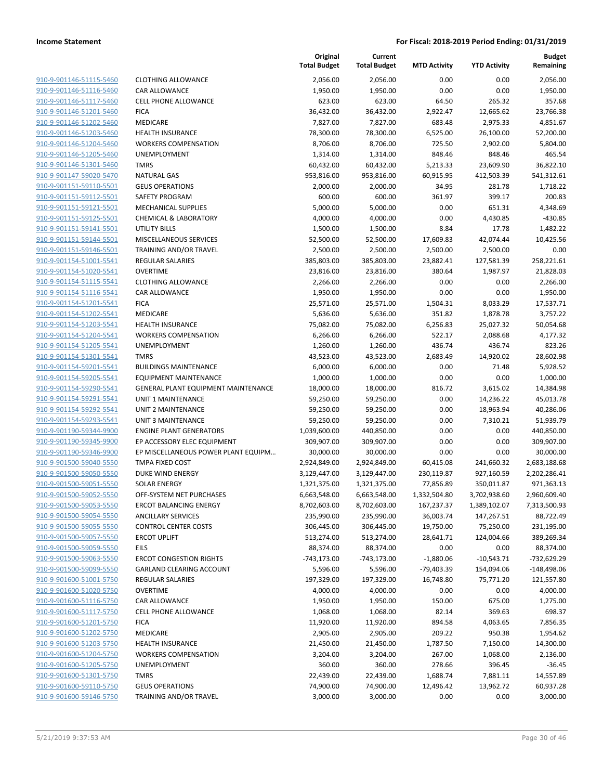|                         |                                     | Original<br><b>Total Budget</b> | Current<br><b>Total Budget</b> | <b>MTD Activity</b> | <b>YTD Activity</b> | <b>Budget</b><br>Remaining |
|-------------------------|-------------------------------------|---------------------------------|--------------------------------|---------------------|---------------------|----------------------------|
| 910-9-901146-51115-5460 | <b>CLOTHING ALLOWANCE</b>           | 2,056.00                        | 2,056.00                       | 0.00                | 0.00                | 2,056.00                   |
| 910-9-901146-51116-5460 | CAR ALLOWANCE                       | 1,950.00                        | 1,950.00                       | 0.00                | 0.00                | 1,950.00                   |
| 910-9-901146-51117-5460 | <b>CELL PHONE ALLOWANCE</b>         | 623.00                          | 623.00                         | 64.50               | 265.32              | 357.68                     |
| 910-9-901146-51201-5460 | <b>FICA</b>                         | 36,432.00                       | 36,432.00                      | 2,922.47            | 12,665.62           | 23,766.38                  |
| 910-9-901146-51202-5460 | MEDICARE                            | 7,827.00                        | 7,827.00                       | 683.48              | 2,975.33            | 4,851.67                   |
| 910-9-901146-51203-5460 | <b>HEALTH INSURANCE</b>             | 78,300.00                       | 78,300.00                      | 6,525.00            | 26,100.00           | 52,200.00                  |
| 910-9-901146-51204-5460 | <b>WORKERS COMPENSATION</b>         | 8,706.00                        | 8,706.00                       | 725.50              | 2,902.00            | 5,804.00                   |
| 910-9-901146-51205-5460 | UNEMPLOYMENT                        | 1,314.00                        | 1,314.00                       | 848.46              | 848.46              | 465.54                     |
| 910-9-901146-51301-5460 | <b>TMRS</b>                         | 60,432.00                       | 60,432.00                      | 5,213.33            | 23,609.90           | 36,822.10                  |
| 910-9-901147-59020-5470 | <b>NATURAL GAS</b>                  | 953,816.00                      | 953,816.00                     | 60,915.95           | 412,503.39          | 541,312.61                 |
| 910-9-901151-59110-5501 | <b>GEUS OPERATIONS</b>              | 2,000.00                        | 2,000.00                       | 34.95               | 281.78              | 1,718.22                   |
| 910-9-901151-59112-5501 | SAFETY PROGRAM                      | 600.00                          | 600.00                         | 361.97              | 399.17              | 200.83                     |
| 910-9-901151-59121-5501 | <b>MECHANICAL SUPPLIES</b>          | 5,000.00                        | 5,000.00                       | 0.00                | 651.31              | 4,348.69                   |
| 910-9-901151-59125-5501 | <b>CHEMICAL &amp; LABORATORY</b>    | 4,000.00                        | 4,000.00                       | 0.00                | 4,430.85            | $-430.85$                  |
| 910-9-901151-59141-5501 | <b>UTILITY BILLS</b>                | 1,500.00                        | 1,500.00                       | 8.84                | 17.78               | 1,482.22                   |
| 910-9-901151-59144-5501 | MISCELLANEOUS SERVICES              | 52,500.00                       | 52,500.00                      | 17,609.83           | 42,074.44           | 10,425.56                  |
| 910-9-901151-59146-5501 | TRAINING AND/OR TRAVEL              | 2,500.00                        | 2,500.00                       | 2,500.00            | 2,500.00            | 0.00                       |
| 910-9-901154-51001-5541 | <b>REGULAR SALARIES</b>             | 385,803.00                      | 385,803.00                     | 23,882.41           | 127,581.39          | 258,221.61                 |
| 910-9-901154-51020-5541 | <b>OVERTIME</b>                     | 23,816.00                       | 23,816.00                      | 380.64              | 1,987.97            | 21,828.03                  |
| 910-9-901154-51115-5541 | <b>CLOTHING ALLOWANCE</b>           | 2,266.00                        | 2,266.00                       | 0.00                | 0.00                | 2,266.00                   |
| 910-9-901154-51116-5541 | CAR ALLOWANCE                       | 1,950.00                        | 1,950.00                       | 0.00                | 0.00                | 1,950.00                   |
| 910-9-901154-51201-5541 | <b>FICA</b>                         | 25,571.00                       | 25,571.00                      | 1,504.31            | 8,033.29            | 17,537.71                  |
| 910-9-901154-51202-5541 | MEDICARE                            | 5,636.00                        | 5,636.00                       | 351.82              | 1,878.78            | 3,757.22                   |
| 910-9-901154-51203-5541 | <b>HEALTH INSURANCE</b>             | 75,082.00                       | 75,082.00                      | 6,256.83            | 25,027.32           | 50,054.68                  |
| 910-9-901154-51204-5541 | <b>WORKERS COMPENSATION</b>         | 6,266.00                        | 6,266.00                       | 522.17              | 2,088.68            | 4,177.32                   |
| 910-9-901154-51205-5541 | UNEMPLOYMENT                        | 1,260.00                        | 1,260.00                       | 436.74              | 436.74              | 823.26                     |
| 910-9-901154-51301-5541 | <b>TMRS</b>                         | 43,523.00                       | 43,523.00                      | 2,683.49            | 14,920.02           | 28,602.98                  |
| 910-9-901154-59201-5541 | <b>BUILDINGS MAINTENANCE</b>        | 6,000.00                        | 6,000.00                       | 0.00                | 71.48               | 5,928.52                   |
| 910-9-901154-59205-5541 | <b>EQUIPMENT MAINTENANCE</b>        | 1,000.00                        | 1,000.00                       | 0.00                | 0.00                | 1,000.00                   |
| 910-9-901154-59290-5541 | GENERAL PLANT EQUIPMENT MAINTENANCE | 18,000.00                       | 18,000.00                      | 816.72              | 3,615.02            | 14,384.98                  |
| 910-9-901154-59291-5541 | <b>UNIT 1 MAINTENANCE</b>           | 59,250.00                       | 59,250.00                      | 0.00                | 14,236.22           | 45,013.78                  |
| 910-9-901154-59292-5541 | UNIT 2 MAINTENANCE                  | 59,250.00                       | 59,250.00                      | 0.00                | 18,963.94           | 40,286.06                  |
| 910-9-901154-59293-5541 | <b>UNIT 3 MAINTENANCE</b>           | 59,250.00                       | 59,250.00                      | 0.00                | 7,310.21            | 51,939.79                  |
| 910-9-901190-59344-9900 | <b>ENGINE PLANT GENERATORS</b>      | 1,039,600.00                    | 440,850.00                     | 0.00                | 0.00                | 440,850.00                 |
| 910-9-901190-59345-9900 | EP ACCESSORY ELEC EQUIPMENT         | 309,907.00                      | 309,907.00                     | 0.00                | 0.00                | 309,907.00                 |
| 910-9-901190-59346-9900 | EP MISCELLANEOUS POWER PLANT EQUIPM | 30,000.00                       | 30,000.00                      | 0.00                | 0.00                | 30,000.00                  |
| 910-9-901500-59040-5550 | TMPA FIXED COST                     | 2,924,849.00                    | 2,924,849.00                   | 60,415.08           | 241,660.32          | 2,683,188.68               |
| 910-9-901500-59050-5550 | <b>DUKE WIND ENERGY</b>             | 3,129,447.00                    | 3,129,447.00                   | 230,119.87          | 927,160.59          | 2,202,286.41               |
| 910-9-901500-59051-5550 | <b>SOLAR ENERGY</b>                 | 1,321,375.00                    | 1,321,375.00                   | 77,856.89           | 350,011.87          | 971,363.13                 |
| 910-9-901500-59052-5550 | OFF-SYSTEM NET PURCHASES            | 6,663,548.00                    | 6,663,548.00                   | 1,332,504.80        | 3,702,938.60        | 2,960,609.40               |
| 910-9-901500-59053-5550 | <b>ERCOT BALANCING ENERGY</b>       | 8,702,603.00                    | 8,702,603.00                   | 167,237.37          | 1,389,102.07        | 7,313,500.93               |
| 910-9-901500-59054-5550 | <b>ANCILLARY SERVICES</b>           | 235,990.00                      | 235,990.00                     | 36,003.74           | 147,267.51          | 88,722.49                  |
| 910-9-901500-59055-5550 | <b>CONTROL CENTER COSTS</b>         | 306,445.00                      | 306,445.00                     | 19,750.00           | 75,250.00           | 231,195.00                 |
| 910-9-901500-59057-5550 | <b>ERCOT UPLIFT</b>                 | 513,274.00                      | 513,274.00                     | 28,641.71           | 124,004.66          | 389,269.34                 |
| 910-9-901500-59059-5550 | <b>EILS</b>                         | 88,374.00                       | 88,374.00                      | 0.00                | 0.00                | 88,374.00                  |
| 910-9-901500-59063-5550 | <b>ERCOT CONGESTION RIGHTS</b>      | -743,173.00                     | -743,173.00                    | $-1,880.06$         | -10,543.71          | -732,629.29                |
| 910-9-901500-59099-5550 | GARLAND CLEARING ACCOUNT            | 5,596.00                        | 5,596.00                       | -79,403.39          | 154,094.06          | $-148,498.06$              |
| 910-9-901600-51001-5750 | <b>REGULAR SALARIES</b>             | 197,329.00                      | 197,329.00                     | 16,748.80           | 75,771.20           | 121,557.80                 |
| 910-9-901600-51020-5750 | <b>OVERTIME</b>                     | 4,000.00                        | 4,000.00                       | 0.00                | 0.00                | 4,000.00                   |
| 910-9-901600-51116-5750 | CAR ALLOWANCE                       | 1,950.00                        | 1,950.00                       | 150.00              | 675.00              | 1,275.00                   |
| 910-9-901600-51117-5750 | <b>CELL PHONE ALLOWANCE</b>         | 1,068.00                        | 1,068.00                       | 82.14               | 369.63              | 698.37                     |
| 910-9-901600-51201-5750 | <b>FICA</b>                         | 11,920.00                       | 11,920.00                      | 894.58              | 4,063.65            | 7,856.35                   |
| 910-9-901600-51202-5750 | MEDICARE                            | 2,905.00                        | 2,905.00                       | 209.22              | 950.38              | 1,954.62                   |
| 910-9-901600-51203-5750 | <b>HEALTH INSURANCE</b>             | 21,450.00                       | 21,450.00                      | 1,787.50            | 7,150.00            | 14,300.00                  |
| 910-9-901600-51204-5750 | <b>WORKERS COMPENSATION</b>         | 3,204.00                        | 3,204.00                       | 267.00              | 1,068.00            | 2,136.00                   |
| 910-9-901600-51205-5750 | UNEMPLOYMENT                        | 360.00                          | 360.00                         | 278.66              | 396.45              | -36.45                     |
| 910-9-901600-51301-5750 | <b>TMRS</b>                         | 22,439.00                       | 22,439.00                      | 1,688.74            | 7,881.11            | 14,557.89                  |
| 910-9-901600-59110-5750 | <b>GEUS OPERATIONS</b>              | 74,900.00                       | 74,900.00                      | 12,496.42           | 13,962.72           | 60,937.28                  |
| 910-9-901600-59146-5750 | TRAINING AND/OR TRAVEL              | 3,000.00                        | 3,000.00                       | 0.00                | 0.00                | 3,000.00                   |
|                         |                                     |                                 |                                |                     |                     |                            |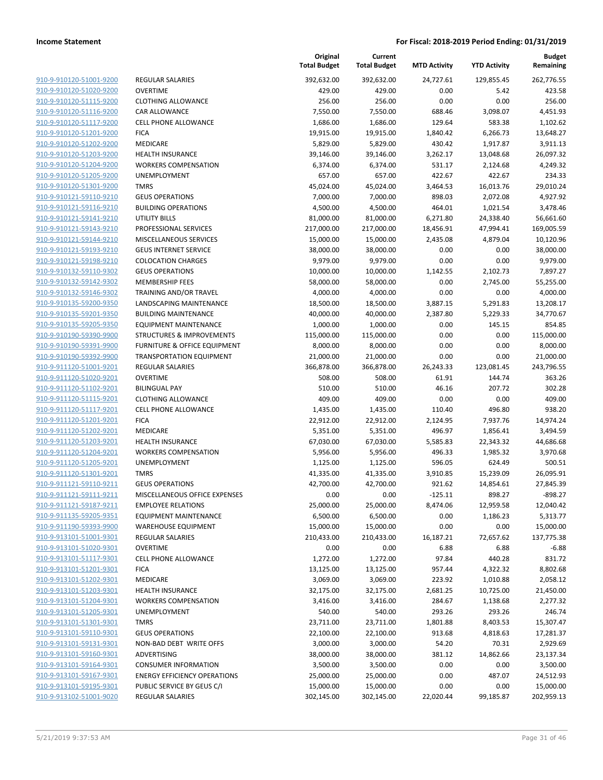**Current**

**Original**

**Budget Remaining**

|                         |                                     | <b>Total Budget</b> | <b>Total Budget</b> | <b>MTD Activity</b> | <b>YTD Activity</b> | Remaining  |
|-------------------------|-------------------------------------|---------------------|---------------------|---------------------|---------------------|------------|
| 910-9-910120-51001-9200 | <b>REGULAR SALARIES</b>             | 392,632.00          | 392,632.00          | 24,727.61           | 129,855.45          | 262,776.55 |
| 910-9-910120-51020-9200 | <b>OVERTIME</b>                     | 429.00              | 429.00              | 0.00                | 5.42                | 423.58     |
| 910-9-910120-51115-9200 | <b>CLOTHING ALLOWANCE</b>           | 256.00              | 256.00              | 0.00                | 0.00                | 256.00     |
| 910-9-910120-51116-9200 | <b>CAR ALLOWANCE</b>                | 7,550.00            | 7,550.00            | 688.46              | 3,098.07            | 4,451.93   |
| 910-9-910120-51117-9200 | <b>CELL PHONE ALLOWANCE</b>         | 1,686.00            | 1,686.00            | 129.64              | 583.38              | 1,102.62   |
| 910-9-910120-51201-9200 | <b>FICA</b>                         | 19,915.00           | 19,915.00           | 1,840.42            | 6,266.73            | 13,648.27  |
| 910-9-910120-51202-9200 | MEDICARE                            | 5,829.00            | 5,829.00            | 430.42              | 1,917.87            | 3,911.13   |
| 910-9-910120-51203-9200 | <b>HEALTH INSURANCE</b>             | 39,146.00           | 39,146.00           | 3,262.17            | 13,048.68           | 26,097.32  |
| 910-9-910120-51204-9200 | <b>WORKERS COMPENSATION</b>         | 6,374.00            | 6,374.00            | 531.17              | 2,124.68            | 4,249.32   |
| 910-9-910120-51205-9200 | UNEMPLOYMENT                        | 657.00              | 657.00              | 422.67              | 422.67              | 234.33     |
| 910-9-910120-51301-9200 | <b>TMRS</b>                         | 45,024.00           | 45,024.00           | 3,464.53            | 16,013.76           | 29,010.24  |
| 910-9-910121-59110-9210 | <b>GEUS OPERATIONS</b>              | 7,000.00            | 7,000.00            | 898.03              | 2,072.08            | 4,927.92   |
| 910-9-910121-59116-9210 | <b>BUILDING OPERATIONS</b>          | 4,500.00            | 4,500.00            | 464.01              | 1,021.54            | 3,478.46   |
| 910-9-910121-59141-9210 | <b>UTILITY BILLS</b>                | 81,000.00           | 81,000.00           | 6,271.80            | 24,338.40           | 56,661.60  |
| 910-9-910121-59143-9210 | PROFESSIONAL SERVICES               | 217,000.00          | 217,000.00          | 18,456.91           | 47,994.41           | 169,005.59 |
| 910-9-910121-59144-9210 | MISCELLANEOUS SERVICES              | 15,000.00           | 15,000.00           | 2,435.08            | 4,879.04            | 10,120.96  |
| 910-9-910121-59193-9210 | <b>GEUS INTERNET SERVICE</b>        | 38,000.00           | 38,000.00           | 0.00                | 0.00                | 38,000.00  |
| 910-9-910121-59198-9210 | <b>COLOCATION CHARGES</b>           | 9,979.00            | 9,979.00            | 0.00                | 0.00                | 9,979.00   |
| 910-9-910132-59110-9302 | <b>GEUS OPERATIONS</b>              | 10,000.00           | 10,000.00           | 1,142.55            | 2,102.73            | 7,897.27   |
| 910-9-910132-59142-9302 | <b>MEMBERSHIP FEES</b>              | 58,000.00           | 58,000.00           | 0.00                | 2,745.00            | 55,255.00  |
| 910-9-910132-59146-9302 | <b>TRAINING AND/OR TRAVEL</b>       | 4,000.00            | 4,000.00            | 0.00                | 0.00                | 4,000.00   |
| 910-9-910135-59200-9350 | LANDSCAPING MAINTENANCE             | 18,500.00           | 18,500.00           | 3,887.15            | 5,291.83            | 13,208.17  |
| 910-9-910135-59201-9350 | <b>BUILDING MAINTENANCE</b>         | 40,000.00           | 40,000.00           | 2,387.80            | 5,229.33            | 34,770.67  |
| 910-9-910135-59205-9350 | <b>EQUIPMENT MAINTENANCE</b>        | 1,000.00            | 1,000.00            | 0.00                | 145.15              | 854.85     |
| 910-9-910190-59390-9900 | STRUCTURES & IMPROVEMENTS           | 115,000.00          | 115,000.00          | 0.00                | 0.00                | 115,000.00 |
| 910-9-910190-59391-9900 | FURNITURE & OFFICE EQUIPMENT        | 8,000.00            | 8,000.00            | 0.00                | 0.00                | 8,000.00   |
| 910-9-910190-59392-9900 | <b>TRANSPORTATION EQUIPMENT</b>     | 21,000.00           | 21,000.00           | 0.00                | 0.00                | 21,000.00  |
| 910-9-911120-51001-9201 | <b>REGULAR SALARIES</b>             | 366,878.00          | 366,878.00          | 26,243.33           | 123,081.45          | 243,796.55 |
| 910-9-911120-51020-9201 | <b>OVERTIME</b>                     | 508.00              | 508.00              | 61.91               | 144.74              | 363.26     |
| 910-9-911120-51102-9201 | <b>BILINGUAL PAY</b>                | 510.00              | 510.00              | 46.16               | 207.72              | 302.28     |
| 910-9-911120-51115-9201 | <b>CLOTHING ALLOWANCE</b>           | 409.00              | 409.00              | 0.00                | 0.00                | 409.00     |
| 910-9-911120-51117-9201 | CELL PHONE ALLOWANCE                | 1,435.00            | 1,435.00            | 110.40              | 496.80              | 938.20     |
| 910-9-911120-51201-9201 | <b>FICA</b>                         | 22,912.00           | 22,912.00           | 2,124.95            | 7,937.76            | 14,974.24  |
| 910-9-911120-51202-9201 | MEDICARE                            | 5,351.00            | 5,351.00            | 496.97              | 1,856.41            | 3,494.59   |
| 910-9-911120-51203-9201 | <b>HEALTH INSURANCE</b>             | 67,030.00           | 67,030.00           | 5,585.83            | 22,343.32           | 44,686.68  |
| 910-9-911120-51204-9201 | <b>WORKERS COMPENSATION</b>         | 5,956.00            | 5,956.00            | 496.33              | 1,985.32            | 3,970.68   |
| 910-9-911120-51205-9201 | UNEMPLOYMENT                        | 1,125.00            | 1,125.00            | 596.05              | 624.49              | 500.51     |
| 910-9-911120-51301-9201 | <b>TMRS</b>                         | 41,335.00           | 41,335.00           | 3,910.85            | 15,239.09           | 26,095.91  |
| 910-9-911121-59110-9211 | <b>GEUS OPERATIONS</b>              | 42,700.00           | 42,700.00           | 921.62              | 14,854.61           | 27,845.39  |
| 910-9-911121-59111-9211 | MISCELLANEOUS OFFICE EXPENSES       | 0.00                | 0.00                | $-125.11$           | 898.27              | $-898.27$  |
| 910-9-911121-59187-9211 | <b>EMPLOYEE RELATIONS</b>           | 25,000.00           | 25,000.00           | 8,474.06            | 12,959.58           | 12,040.42  |
| 910-9-911135-59205-9351 | EQUIPMENT MAINTENANCE               | 6,500.00            | 6,500.00            | 0.00                | 1,186.23            | 5,313.77   |
| 910-9-911190-59393-9900 | <b>WAREHOUSE EQUIPMENT</b>          | 15,000.00           | 15,000.00           | 0.00                | 0.00                | 15,000.00  |
| 910-9-913101-51001-9301 | <b>REGULAR SALARIES</b>             | 210,433.00          | 210,433.00          | 16,187.21           | 72,657.62           | 137,775.38 |
| 910-9-913101-51020-9301 | <b>OVERTIME</b>                     | 0.00                | 0.00                | 6.88                | 6.88                | $-6.88$    |
| 910-9-913101-51117-9301 | <b>CELL PHONE ALLOWANCE</b>         | 1,272.00            | 1,272.00            | 97.84               | 440.28              | 831.72     |
| 910-9-913101-51201-9301 | <b>FICA</b>                         | 13,125.00           | 13,125.00           | 957.44              | 4,322.32            | 8,802.68   |
| 910-9-913101-51202-9301 | MEDICARE                            | 3,069.00            | 3,069.00            | 223.92              | 1,010.88            | 2,058.12   |
| 910-9-913101-51203-9301 | HEALTH INSURANCE                    | 32,175.00           | 32,175.00           | 2,681.25            | 10,725.00           | 21,450.00  |
| 910-9-913101-51204-9301 | <b>WORKERS COMPENSATION</b>         | 3,416.00            | 3,416.00            | 284.67              | 1,138.68            | 2,277.32   |
| 910-9-913101-51205-9301 | UNEMPLOYMENT                        | 540.00              | 540.00              | 293.26              | 293.26              | 246.74     |
| 910-9-913101-51301-9301 | <b>TMRS</b>                         | 23,711.00           | 23,711.00           | 1,801.88            | 8,403.53            | 15,307.47  |
| 910-9-913101-59110-9301 | <b>GEUS OPERATIONS</b>              | 22,100.00           | 22,100.00           | 913.68              | 4,818.63            | 17,281.37  |
| 910-9-913101-59131-9301 | NON-BAD DEBT WRITE OFFS             | 3,000.00            | 3,000.00            | 54.20               | 70.31               | 2,929.69   |
| 910-9-913101-59160-9301 | ADVERTISING                         | 38,000.00           | 38,000.00           | 381.12              | 14,862.66           | 23,137.34  |
| 910-9-913101-59164-9301 | <b>CONSUMER INFORMATION</b>         | 3,500.00            | 3,500.00            | 0.00                | 0.00                | 3,500.00   |
| 910-9-913101-59167-9301 | <b>ENERGY EFFICIENCY OPERATIONS</b> | 25,000.00           | 25,000.00           | 0.00                | 487.07              | 24,512.93  |
| 910-9-913101-59195-9301 | PUBLIC SERVICE BY GEUS C/I          | 15,000.00           | 15,000.00           | 0.00                | 0.00                | 15,000.00  |
| 910-9-913102-51001-9020 | <b>REGULAR SALARIES</b>             | 302,145.00          | 302,145.00          | 22,020.44           | 99,185.87           | 202,959.13 |
|                         |                                     |                     |                     |                     |                     |            |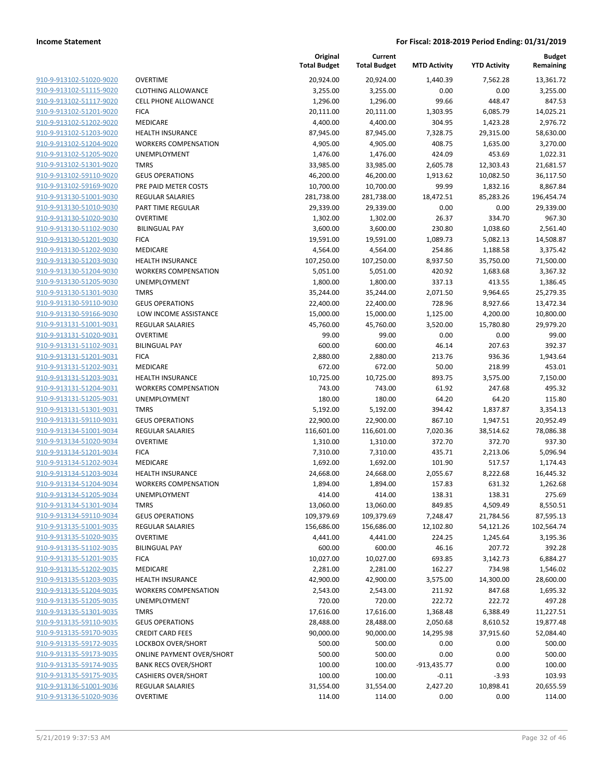| 910-9-913102-51020-9020                            |
|----------------------------------------------------|
| 910-9-913102-51115-9020                            |
| 910-9-913102-51117-9020                            |
| 910-9-913102-51201-9020                            |
| 910-9-913102-51202-9020                            |
| 910-9-913102-51203-9020                            |
| 910-9-913102-51204-9020                            |
| 910-9-913102-51205-9020                            |
| 910-9-913102-51301-9020                            |
| 910-9-913102-59110-9020                            |
| 910-9-913102-59169-9020                            |
| 910-9-913130-51001-9030                            |
| 910-9-913130-51010-9030                            |
| 910-9-913130-51020-9030                            |
| 910-9-913130-51102-9030                            |
| 910-9-913130-51201-9030                            |
| 910-9-913130-51202-9030                            |
| 910-9-913130-51203-9030                            |
| 910-9-913130-51204-9030                            |
| 910-9-913130-51205-9030                            |
| 910-9-913130-51301-9030                            |
| 910-9-913130-59110-9030                            |
| 910-9-913130-59166-9030                            |
| 910-9-913131-51001-9031                            |
| 910-9-913131-51020-9031                            |
| 910-9-913131-51102-9031                            |
| 910-9-913131-51201-9031                            |
| 910-9-913131-51202-9031                            |
| 910-9-913131-51203-9031                            |
| 910-9-913131-51204-9031                            |
| 910-9-913131-51205-9031                            |
| 910-9-913131-51301-9031                            |
| 910-9-913131-59110-9031                            |
| 910-9-913134-51001-9034<br>910-9-913134-51020-9034 |
| 910-9-913134-51201-9034                            |
|                                                    |
| 910-9-913134-51202-9034                            |
| 910-9-913134-51203-9034<br>910-9-913134-51204-9034 |
| 910-9-913134-51205-9034                            |
| 910-9-913134-51301-9034                            |
| 910-9-913134-59110-9034                            |
| 910-9-913135-51001-9035                            |
| 910-9-913135-51020-9035                            |
| 910-9-913135-51102-9035                            |
| 910-9-913135-51201-9035                            |
| 910-9-913135-51202-9035                            |
| 910-9-913135-51203-9035                            |
| 910-9-913135-51204-9035                            |
| 910-9-913135-51205-9035                            |
| 910-9-913135-51301-9035                            |
| 910-9-913135-59110-9035                            |
| 910-9-913135-59170-9035                            |
| 910-9-913135-59172-9035                            |
| 910-9-913135-59173-9035                            |
| 910-9-913135-59174-9035                            |
| 910-9-913135-59175-9035                            |
| 910-9-913136-51001-9036                            |
| 910-9-913136-51020-9036                            |

|                                                    |                                                 | Original<br><b>Total Budget</b> | Current<br><b>Total Budget</b> | <b>MTD Activity</b>   | <b>YTD Activity</b>   | Budget<br>Remaining    |
|----------------------------------------------------|-------------------------------------------------|---------------------------------|--------------------------------|-----------------------|-----------------------|------------------------|
| 910-9-913102-51020-9020                            | <b>OVERTIME</b>                                 | 20,924.00                       | 20,924.00                      | 1,440.39              | 7,562.28              | 13,361.72              |
| 910-9-913102-51115-9020                            | <b>CLOTHING ALLOWANCE</b>                       | 3,255.00                        | 3,255.00                       | 0.00                  | 0.00                  | 3,255.00               |
| 910-9-913102-51117-9020                            | <b>CELL PHONE ALLOWANCE</b>                     | 1,296.00                        | 1,296.00                       | 99.66                 | 448.47                | 847.53                 |
| 910-9-913102-51201-9020                            | <b>FICA</b>                                     | 20,111.00                       | 20,111.00                      | 1,303.95              | 6,085.79              | 14,025.21              |
| 910-9-913102-51202-9020                            | MEDICARE                                        | 4,400.00                        | 4,400.00                       | 304.95                | 1,423.28              | 2,976.72               |
| 910-9-913102-51203-9020                            | <b>HEALTH INSURANCE</b>                         | 87,945.00                       | 87,945.00                      | 7,328.75              | 29,315.00             | 58,630.00              |
| 910-9-913102-51204-9020                            | <b>WORKERS COMPENSATION</b>                     | 4,905.00                        | 4,905.00                       | 408.75                | 1,635.00              | 3,270.00               |
| 910-9-913102-51205-9020                            | <b>UNEMPLOYMENT</b>                             | 1,476.00                        | 1,476.00                       | 424.09                | 453.69                | 1,022.31               |
| 910-9-913102-51301-9020                            | <b>TMRS</b>                                     | 33,985.00                       | 33,985.00                      | 2,605.78              | 12,303.43             | 21,681.57              |
| 910-9-913102-59110-9020                            | <b>GEUS OPERATIONS</b>                          | 46,200.00                       | 46,200.00                      | 1,913.62              | 10,082.50             | 36,117.50              |
| 910-9-913102-59169-9020                            | PRE PAID METER COSTS                            | 10,700.00                       | 10,700.00                      | 99.99                 | 1,832.16              | 8,867.84               |
| 910-9-913130-51001-9030                            | <b>REGULAR SALARIES</b>                         | 281,738.00                      | 281,738.00                     | 18,472.51             | 85,283.26             | 196,454.74             |
| 910-9-913130-51010-9030                            | PART TIME REGULAR                               | 29,339.00                       | 29,339.00                      | 0.00                  | 0.00                  | 29,339.00              |
| 910-9-913130-51020-9030                            | <b>OVERTIME</b>                                 | 1,302.00                        | 1,302.00                       | 26.37                 | 334.70                | 967.30                 |
| 910-9-913130-51102-9030                            | <b>BILINGUAL PAY</b>                            | 3,600.00                        | 3,600.00                       | 230.80                | 1,038.60              | 2,561.40               |
| 910-9-913130-51201-9030                            | <b>FICA</b>                                     | 19,591.00                       | 19,591.00                      | 1,089.73              | 5,082.13              | 14,508.87              |
| 910-9-913130-51202-9030                            | <b>MEDICARE</b>                                 | 4,564.00                        | 4,564.00                       | 254.86                | 1,188.58              | 3,375.42               |
| 910-9-913130-51203-9030                            | <b>HEALTH INSURANCE</b>                         | 107,250.00                      | 107,250.00                     | 8,937.50              | 35,750.00             | 71,500.00              |
| 910-9-913130-51204-9030                            | <b>WORKERS COMPENSATION</b>                     | 5,051.00                        | 5,051.00                       | 420.92                | 1,683.68              | 3,367.32               |
| 910-9-913130-51205-9030                            | UNEMPLOYMENT                                    | 1,800.00                        | 1,800.00                       | 337.13                | 413.55                | 1,386.45               |
| 910-9-913130-51301-9030                            | <b>TMRS</b>                                     | 35,244.00                       | 35,244.00                      | 2,071.50              | 9,964.65              | 25,279.35              |
| 910-9-913130-59110-9030                            | <b>GEUS OPERATIONS</b>                          | 22,400.00                       | 22,400.00                      | 728.96                | 8,927.66              | 13,472.34              |
| 910-9-913130-59166-9030                            | LOW INCOME ASSISTANCE                           | 15,000.00                       | 15,000.00                      | 1,125.00              | 4,200.00              | 10,800.00              |
| 910-9-913131-51001-9031                            | REGULAR SALARIES                                | 45,760.00                       | 45,760.00                      | 3,520.00              | 15,780.80             | 29,979.20              |
| 910-9-913131-51020-9031                            | <b>OVERTIME</b>                                 | 99.00                           | 99.00                          | 0.00                  | 0.00                  | 99.00                  |
| 910-9-913131-51102-9031                            | <b>BILINGUAL PAY</b>                            | 600.00                          | 600.00                         | 46.14                 | 207.63                | 392.37                 |
| 910-9-913131-51201-9031                            | <b>FICA</b>                                     | 2,880.00                        | 2,880.00                       | 213.76                | 936.36                | 1,943.64               |
| 910-9-913131-51202-9031                            | <b>MEDICARE</b>                                 | 672.00                          | 672.00                         | 50.00                 | 218.99                | 453.01                 |
| 910-9-913131-51203-9031                            | <b>HEALTH INSURANCE</b>                         | 10,725.00                       | 10,725.00                      | 893.75                | 3,575.00              | 7,150.00               |
| 910-9-913131-51204-9031                            | <b>WORKERS COMPENSATION</b>                     | 743.00                          | 743.00                         | 61.92                 | 247.68                | 495.32                 |
| 910-9-913131-51205-9031                            | UNEMPLOYMENT                                    | 180.00                          | 180.00                         | 64.20                 | 64.20                 | 115.80                 |
| 910-9-913131-51301-9031                            | <b>TMRS</b>                                     | 5,192.00                        | 5,192.00                       | 394.42                | 1,837.87              | 3,354.13               |
| 910-9-913131-59110-9031                            | <b>GEUS OPERATIONS</b>                          | 22,900.00                       | 22,900.00                      | 867.10                | 1,947.51              | 20,952.49              |
| 910-9-913134-51001-9034                            | REGULAR SALARIES                                | 116,601.00                      | 116,601.00                     | 7,020.36              | 38,514.62             | 78,086.38              |
| 910-9-913134-51020-9034                            | <b>OVERTIME</b>                                 | 1,310.00                        | 1,310.00                       | 372.70                | 372.70                | 937.30                 |
| 910-9-913134-51201-9034                            | <b>FICA</b>                                     | 7,310.00                        | 7,310.00                       | 435.71                | 2,213.06              | 5,096.94               |
| 910-9-913134-51202-9034                            | MEDICARE                                        | 1,692.00                        | 1,692.00                       | 101.90                | 517.57                | 1,174.43               |
| 910-9-913134-51203-9034                            | <b>HEALTH INSURANCE</b>                         | 24,668.00                       | 24,668.00                      | 2,055.67              | 8,222.68              | 16,445.32              |
| 910-9-913134-51204-9034                            | <b>WORKERS COMPENSATION</b>                     | 1,894.00                        | 1,894.00                       | 157.83                | 631.32                | 1,262.68               |
| 910-9-913134-51205-9034                            | UNEMPLOYMENT                                    | 414.00                          | 414.00                         | 138.31                | 138.31                | 275.69                 |
| 910-9-913134-51301-9034                            | TMRS                                            | 13,060.00                       | 13,060.00                      | 849.85                | 4,509.49              | 8,550.51               |
| 910-9-913134-59110-9034                            | <b>GEUS OPERATIONS</b>                          | 109,379.69                      | 109,379.69                     | 7,248.47              | 21,784.56             | 87,595.13              |
| 910-9-913135-51001-9035                            | REGULAR SALARIES<br><b>OVERTIME</b>             | 156,686.00                      | 156,686.00                     | 12,102.80             | 54,121.26             | 102,564.74             |
| 910-9-913135-51020-9035<br>910-9-913135-51102-9035 |                                                 | 4,441.00                        | 4,441.00<br>600.00             | 224.25                | 1,245.64              | 3,195.36<br>392.28     |
| 910-9-913135-51201-9035                            | <b>BILINGUAL PAY</b>                            | 600.00                          |                                | 46.16<br>693.85       | 207.72                |                        |
|                                                    | <b>FICA</b>                                     | 10,027.00                       | 10,027.00                      |                       | 3,142.73              | 6,884.27               |
| 910-9-913135-51202-9035<br>910-9-913135-51203-9035 | MEDICARE                                        | 2,281.00                        | 2,281.00                       | 162.27                | 734.98                | 1,546.02               |
| 910-9-913135-51204-9035                            | HEALTH INSURANCE<br><b>WORKERS COMPENSATION</b> | 42,900.00                       | 42,900.00                      | 3,575.00              | 14,300.00             | 28,600.00<br>1,695.32  |
|                                                    |                                                 | 2,543.00                        | 2,543.00                       | 211.92                | 847.68                | 497.28                 |
| 910-9-913135-51205-9035<br>910-9-913135-51301-9035 | UNEMPLOYMENT<br><b>TMRS</b>                     | 720.00<br>17,616.00             | 720.00<br>17,616.00            | 222.72<br>1,368.48    | 222.72<br>6,388.49    | 11,227.51              |
| 910-9-913135-59110-9035                            | <b>GEUS OPERATIONS</b>                          |                                 |                                |                       |                       |                        |
| 910-9-913135-59170-9035                            | <b>CREDIT CARD FEES</b>                         | 28,488.00<br>90,000.00          | 28,488.00<br>90,000.00         | 2,050.68<br>14,295.98 | 8,610.52<br>37,915.60 | 19,877.48<br>52,084.40 |
| 910-9-913135-59172-9035                            | LOCKBOX OVER/SHORT                              | 500.00                          | 500.00                         | 0.00                  | 0.00                  | 500.00                 |
| 910-9-913135-59173-9035                            | <b>ONLINE PAYMENT OVER/SHORT</b>                | 500.00                          | 500.00                         | 0.00                  | 0.00                  | 500.00                 |
| 910-9-913135-59174-9035                            | <b>BANK RECS OVER/SHORT</b>                     | 100.00                          | 100.00                         | $-913,435.77$         | 0.00                  | 100.00                 |
| 910-9-913135-59175-9035                            | <b>CASHIERS OVER/SHORT</b>                      | 100.00                          | 100.00                         | $-0.11$               | $-3.93$               | 103.93                 |
| 910-9-913136-51001-9036                            | REGULAR SALARIES                                | 31,554.00                       | 31,554.00                      | 2,427.20              | 10,898.41             | 20,655.59              |
| 910-9-913136-51020-9036                            | OVERTIME                                        | 114.00                          | 114.00                         | 0.00                  | 0.00                  | 114.00                 |
|                                                    |                                                 |                                 |                                |                       |                       |                        |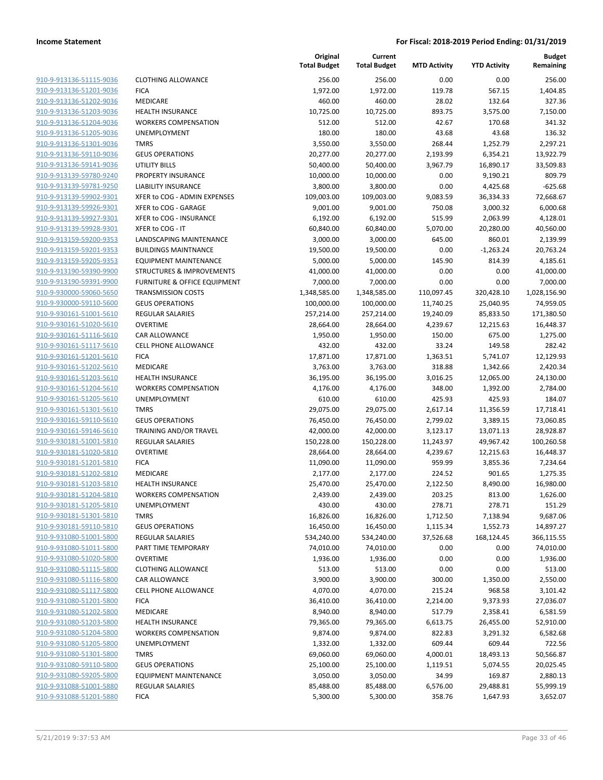| 910-9-913136-51115-9036        |
|--------------------------------|
| 910-9-913136-51201-9036        |
| 910-9-913136-51202-9036        |
| 910-9-913136-51203-9036        |
| 910-9-913136-51204-9036        |
| 910-9-913136-51205-9036        |
| 910-9-913136-51301-9036        |
| 910-9-913136-59110-9036        |
| 910-9-913136-59141-9036        |
| 910-9-913139-59780-9240        |
| 910-9-913139-59781-9250        |
| 910-9-913139-59902-9301        |
| 910-9-913139-59926-9301        |
| <u>910-9-913139-59927-9301</u> |
| 910-9-913139-59928-9301        |
| 910-9-913159-59200-9353        |
| 910-9-913159-59201-9353        |
|                                |
| 910-9-913159-59205-9353        |
| 910-9-913190-59390-9900        |
| 910-9-913190-59391-9900        |
| 910-9-930000-59060-5650        |
| 910-9-930000-59110-5600        |
| 910-9-930161-51001-5610        |
| <u>910-9-930161-51020-5610</u> |
| 910-9-930161-51116-5610        |
| 910-9-930161-51117-5610        |
| 910-9-930161-51201-5610        |
| 910-9-930161-51202-5610        |
| <u>910-9-930161-51203-5610</u> |
| 910-9-930161-51204-5610        |
| 910-9-930161-51205-5610        |
| 910-9-930161-51301-5610        |
| 910-9-930161-59110-5610        |
| <u>910-9-930161-59146-5610</u> |
| 910-9-930181-51001-5810        |
| 910-9-930181-51020-5810        |
| 910-9-930181-51201-5810        |
| 910-9-930181-51202-5810        |
| 910-9-930181-51203-5810        |
| 910-9-930181-51204-5810        |
| 910-9-930181-51205-5810        |
|                                |
| <u>910-9-930181-51301-5810</u> |
| 910-9-930181-59110-5810        |
| 910-9-931080-51001-5800        |
| <u>910-9-931080-51011-5800</u> |
| 910-9-931080-51020-5800        |
| 910-9-931080-51115-5800        |
| 910-9-931080-51116-5800        |
| <u>910-9-931080-51117-5800</u> |
| 910-9-931080-51201-5800        |
| 910-9-931080-51202-5800        |
| 910-9-931080-51203-5800        |
| 910-9-931080-51204-5800        |
| <u>910-9-931080-51205-5800</u> |
| <u>910-9-931080-51301-5800</u> |
| 910-9-931080-59110-5800        |
| 910-9-931080-59205-5800        |
| 910-9-931088-51001-5880        |
| <u>910-9-931088-51201-5880</u> |
|                                |

|                         |                                      | Original<br><b>Total Budget</b> | Current<br><b>Total Budget</b> | <b>MTD Activity</b> | <b>YTD Activity</b> | <b>Budget</b><br>Remaining |
|-------------------------|--------------------------------------|---------------------------------|--------------------------------|---------------------|---------------------|----------------------------|
| 910-9-913136-51115-9036 | <b>CLOTHING ALLOWANCE</b>            | 256.00                          | 256.00                         | 0.00                | 0.00                | 256.00                     |
| 910-9-913136-51201-9036 | <b>FICA</b>                          | 1,972.00                        | 1,972.00                       | 119.78              | 567.15              | 1,404.85                   |
| 910-9-913136-51202-9036 | MEDICARE                             | 460.00                          | 460.00                         | 28.02               | 132.64              | 327.36                     |
| 910-9-913136-51203-9036 | <b>HEALTH INSURANCE</b>              | 10,725.00                       | 10,725.00                      | 893.75              | 3,575.00            | 7,150.00                   |
| 910-9-913136-51204-9036 | <b>WORKERS COMPENSATION</b>          | 512.00                          | 512.00                         | 42.67               | 170.68              | 341.32                     |
| 910-9-913136-51205-9036 | <b>UNEMPLOYMENT</b>                  | 180.00                          | 180.00                         | 43.68               | 43.68               | 136.32                     |
| 910-9-913136-51301-9036 | <b>TMRS</b>                          | 3,550.00                        | 3,550.00                       | 268.44              | 1,252.79            | 2,297.21                   |
| 910-9-913136-59110-9036 | <b>GEUS OPERATIONS</b>               | 20,277.00                       | 20,277.00                      | 2,193.99            | 6,354.21            | 13,922.79                  |
| 910-9-913136-59141-9036 | <b>UTILITY BILLS</b>                 | 50,400.00                       | 50,400.00                      | 3,967.79            | 16,890.17           | 33,509.83                  |
| 910-9-913139-59780-9240 | PROPERTY INSURANCE                   | 10,000.00                       | 10,000.00                      | 0.00                | 9,190.21            | 809.79                     |
| 910-9-913139-59781-9250 | <b>LIABILITY INSURANCE</b>           | 3,800.00                        | 3,800.00                       | 0.00                | 4,425.68            | $-625.68$                  |
| 910-9-913139-59902-9301 | XFER to COG - ADMIN EXPENSES         | 109,003.00                      | 109,003.00                     | 9,083.59            | 36,334.33           | 72,668.67                  |
| 910-9-913139-59926-9301 | XFER to COG - GARAGE                 | 9,001.00                        | 9,001.00                       | 750.08              | 3,000.32            | 6,000.68                   |
| 910-9-913139-59927-9301 | XFER to COG - INSURANCE              | 6,192.00                        | 6,192.00                       | 515.99              | 2,063.99            | 4,128.01                   |
| 910-9-913139-59928-9301 | XFER to COG - IT                     | 60,840.00                       | 60,840.00                      | 5,070.00            | 20,280.00           | 40,560.00                  |
| 910-9-913159-59200-9353 | LANDSCAPING MAINTENANCE              | 3,000.00                        | 3,000.00                       | 645.00              | 860.01              | 2,139.99                   |
| 910-9-913159-59201-9353 | <b>BUILDINGS MAINTNANCE</b>          | 19,500.00                       | 19,500.00                      | 0.00                | $-1,263.24$         | 20,763.24                  |
| 910-9-913159-59205-9353 | <b>EQUIPMENT MAINTENANCE</b>         | 5,000.00                        | 5,000.00                       | 145.90              | 814.39              | 4,185.61                   |
| 910-9-913190-59390-9900 | <b>STRUCTURES &amp; IMPROVEMENTS</b> | 41,000.00                       | 41,000.00                      | 0.00                | 0.00                | 41,000.00                  |
| 910-9-913190-59391-9900 | FURNITURE & OFFICE EQUIPMENT         | 7,000.00                        | 7,000.00                       | 0.00                | 0.00                | 7,000.00                   |
| 910-9-930000-59060-5650 | <b>TRANSMISSION COSTS</b>            | 1,348,585.00                    | 1,348,585.00                   | 110,097.45          | 320,428.10          | 1,028,156.90               |
| 910-9-930000-59110-5600 | <b>GEUS OPERATIONS</b>               | 100,000.00                      | 100,000.00                     | 11,740.25           | 25,040.95           | 74,959.05                  |
| 910-9-930161-51001-5610 | <b>REGULAR SALARIES</b>              | 257,214.00                      | 257,214.00                     | 19,240.09           | 85,833.50           | 171,380.50                 |
| 910-9-930161-51020-5610 | <b>OVERTIME</b>                      | 28,664.00                       | 28,664.00                      | 4,239.67            | 12,215.63           | 16,448.37                  |
| 910-9-930161-51116-5610 | <b>CAR ALLOWANCE</b>                 | 1,950.00                        | 1,950.00                       | 150.00              | 675.00              | 1,275.00                   |
| 910-9-930161-51117-5610 | <b>CELL PHONE ALLOWANCE</b>          | 432.00                          | 432.00                         | 33.24               | 149.58              | 282.42                     |
| 910-9-930161-51201-5610 | <b>FICA</b>                          | 17,871.00                       | 17,871.00                      | 1,363.51            | 5,741.07            | 12,129.93                  |
| 910-9-930161-51202-5610 | MEDICARE                             | 3,763.00                        | 3,763.00                       | 318.88              | 1,342.66            | 2,420.34                   |
| 910-9-930161-51203-5610 | <b>HEALTH INSURANCE</b>              | 36,195.00                       | 36,195.00                      | 3,016.25            | 12,065.00           | 24,130.00                  |
| 910-9-930161-51204-5610 | <b>WORKERS COMPENSATION</b>          | 4,176.00                        | 4,176.00                       | 348.00              | 1,392.00            | 2,784.00                   |
| 910-9-930161-51205-5610 | UNEMPLOYMENT                         | 610.00                          | 610.00                         | 425.93              | 425.93              | 184.07                     |
| 910-9-930161-51301-5610 | <b>TMRS</b>                          | 29,075.00                       | 29,075.00                      | 2,617.14            | 11,356.59           | 17,718.41                  |
| 910-9-930161-59110-5610 | <b>GEUS OPERATIONS</b>               | 76,450.00                       | 76,450.00                      | 2,799.02            | 3,389.15            | 73,060.85                  |
| 910-9-930161-59146-5610 | TRAINING AND/OR TRAVEL               | 42,000.00                       | 42,000.00                      | 3,123.17            | 13,071.13           | 28,928.87                  |
| 910-9-930181-51001-5810 | <b>REGULAR SALARIES</b>              | 150,228.00                      | 150,228.00                     | 11,243.97           | 49,967.42           | 100,260.58                 |
| 910-9-930181-51020-5810 | <b>OVERTIME</b>                      | 28,664.00                       | 28,664.00                      | 4,239.67            | 12,215.63           | 16,448.37                  |
| 910-9-930181-51201-5810 | <b>FICA</b>                          | 11,090.00                       | 11,090.00                      | 959.99              | 3,855.36            | 7,234.64                   |
| 910-9-930181-51202-5810 | MEDICARE                             | 2,177.00                        | 2,177.00                       | 224.52              | 901.65              | 1,275.35                   |
| 910-9-930181-51203-5810 | <b>HEALTH INSURANCE</b>              | 25,470.00                       | 25,470.00                      | 2,122.50            | 8,490.00            | 16,980.00                  |
| 910-9-930181-51204-5810 | <b>WORKERS COMPENSATION</b>          | 2,439.00                        | 2,439.00                       | 203.25              | 813.00              | 1,626.00                   |
| 910-9-930181-51205-5810 | <b>UNEMPLOYMENT</b>                  | 430.00                          | 430.00                         | 278.71              | 278.71              | 151.29                     |
| 910-9-930181-51301-5810 | <b>TMRS</b>                          | 16,826.00                       | 16,826.00                      | 1,712.50            | 7,138.94            | 9,687.06                   |
| 910-9-930181-59110-5810 | <b>GEUS OPERATIONS</b>               | 16,450.00                       | 16,450.00                      | 1,115.34            | 1,552.73            | 14,897.27                  |
| 910-9-931080-51001-5800 | REGULAR SALARIES                     | 534,240.00                      | 534,240.00                     | 37,526.68           | 168,124.45          | 366,115.55                 |
| 910-9-931080-51011-5800 | PART TIME TEMPORARY                  | 74,010.00                       | 74,010.00                      | 0.00                | 0.00                | 74,010.00                  |
| 910-9-931080-51020-5800 | <b>OVERTIME</b>                      | 1,936.00                        | 1,936.00                       | 0.00                | 0.00                | 1,936.00                   |
| 910-9-931080-51115-5800 | <b>CLOTHING ALLOWANCE</b>            | 513.00                          | 513.00                         | 0.00                | 0.00                | 513.00                     |
| 910-9-931080-51116-5800 | CAR ALLOWANCE                        | 3,900.00                        | 3,900.00                       | 300.00              | 1,350.00            | 2,550.00                   |
| 910-9-931080-51117-5800 | <b>CELL PHONE ALLOWANCE</b>          | 4,070.00                        | 4,070.00                       | 215.24              | 968.58              | 3,101.42                   |
| 910-9-931080-51201-5800 | <b>FICA</b>                          | 36,410.00                       | 36,410.00                      | 2,214.00            | 9,373.93            | 27,036.07                  |
| 910-9-931080-51202-5800 | MEDICARE                             | 8,940.00                        | 8,940.00                       | 517.79              | 2,358.41            | 6,581.59                   |
| 910-9-931080-51203-5800 | <b>HEALTH INSURANCE</b>              | 79,365.00                       | 79,365.00                      | 6,613.75            | 26,455.00           | 52,910.00                  |
| 910-9-931080-51204-5800 | <b>WORKERS COMPENSATION</b>          | 9,874.00                        | 9,874.00                       | 822.83              | 3,291.32            | 6,582.68                   |
| 910-9-931080-51205-5800 | UNEMPLOYMENT                         | 1,332.00                        | 1,332.00                       | 609.44              | 609.44              | 722.56                     |
| 910-9-931080-51301-5800 | <b>TMRS</b>                          | 69,060.00                       | 69,060.00                      | 4,000.01            | 18,493.13           | 50,566.87                  |
| 910-9-931080-59110-5800 | <b>GEUS OPERATIONS</b>               | 25,100.00                       | 25,100.00                      | 1,119.51            | 5,074.55            | 20,025.45                  |
| 910-9-931080-59205-5800 | <b>EQUIPMENT MAINTENANCE</b>         | 3,050.00                        | 3,050.00                       | 34.99               | 169.87              | 2,880.13                   |
| 910-9-931088-51001-5880 | REGULAR SALARIES                     | 85,488.00                       | 85,488.00                      | 6,576.00            | 29,488.81           | 55,999.19                  |
| 910-9-931088-51201-5880 | <b>FICA</b>                          | 5,300.00                        | 5,300.00                       | 358.76              | 1,647.93            | 3,652.07                   |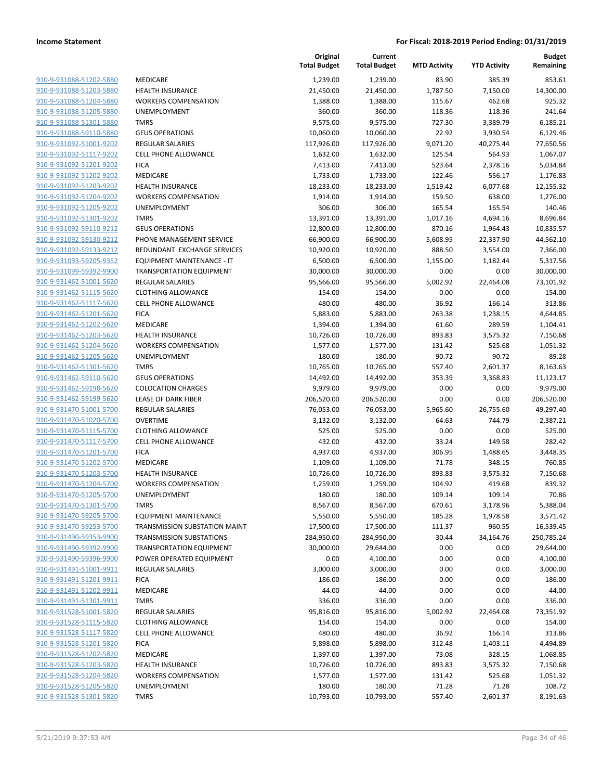| 910-9-931088-51202-5880                            |
|----------------------------------------------------|
| 910-9-931088-51203-5880                            |
| 910-9-931088-51204-5880                            |
| 910-9-931088-51205-5880                            |
| 910-9-931088-51301-5880                            |
| 910-9-931088-59110-5880                            |
| <u>910-9-931092-51001-9202</u>                     |
| 910-9-931092-51117-9202                            |
| 910-9-931092-51201-9202                            |
| 910-9-931092-51202-9202                            |
| 910-9-931092-51203-9202                            |
| <u>910-9-931092-51204-9202</u>                     |
| 910-9-931092-51205-9202                            |
| 910-9-931092-51301-9202                            |
| 910-9-931092-59110-9212                            |
|                                                    |
| 910-9-931092-59130-9212                            |
| <u>910-9-931092-59133-9212</u>                     |
| 910-9-931093-59205-9352                            |
| 910-9-931099-59392-9900                            |
| 910-9-931462-51001-5620                            |
| 910-9-931462-51115-5620                            |
| 910-9-931462-51117-5620                            |
| 910-9-931462-51201-5620                            |
| 910-9-931462-51202-5620                            |
| 910-9-931462-51203-5620                            |
| 910-9-931462-51204-5620                            |
| <u>910-9-931462-51205-5620</u>                     |
| 910-9-931462-51301-5620                            |
| 910-9-931462-59110-5620                            |
| 910-9-931462-59198-5620                            |
| <u>910-9-931462-59199-5620</u>                     |
| 910-9-931470-51001-5700                            |
| 910-9-931470-51020-5700                            |
| 910-9-931470-51115-5700                            |
| 910-9-931470-51117-5700                            |
| 910-9-931470-51201-5700                            |
| <u>910-9-931470-51202-5700</u>                     |
| 910-9-931470-51203-5700                            |
| 910-9-931470-51204-5700                            |
| 910-9-931470-51205-5700                            |
|                                                    |
| 910-9-931470-51301-5700                            |
| <u>910-9-931470-59205-5700</u>                     |
| 910-9-931470-59253-5700                            |
| 910-9-931490-59353-9900                            |
| 910-9-931490-59392-9900                            |
| 910-9-931490-59396-9900                            |
| 910-9-931491-51001-9911                            |
| 910-9-931491-51201-9911                            |
| 910-9-931491-51202-9911                            |
| 910-9-931491-51301-9911                            |
| 910-9-931528-51001-5820                            |
| <u>910-9-931528-51115-5820</u>                     |
| <u>910-9-931528-51117-5820</u>                     |
| 910-9-931528-51201-5820                            |
| 910-9-931528-51202-5820                            |
|                                                    |
|                                                    |
| 910-9-931528-51203-5820                            |
| <u>910-9-931528-51204-5820</u>                     |
| 910-9-931528-51205-5820<br>910-9-931528-51301-5820 |

|                                                    |                                                      | Original<br><b>Total Budget</b> | Current<br><b>Total Budget</b> | <b>MTD Activity</b> | <b>YTD Activity</b> | Budget<br>Remaining    |
|----------------------------------------------------|------------------------------------------------------|---------------------------------|--------------------------------|---------------------|---------------------|------------------------|
| 910-9-931088-51202-5880                            | MEDICARE                                             | 1,239.00                        | 1,239.00                       | 83.90               | 385.39              | 853.61                 |
| 910-9-931088-51203-5880                            | <b>HEALTH INSURANCE</b>                              | 21,450.00                       | 21,450.00                      | 1,787.50            | 7,150.00            | 14,300.00              |
| 910-9-931088-51204-5880                            | <b>WORKERS COMPENSATION</b>                          | 1,388.00                        | 1,388.00                       | 115.67              | 462.68              | 925.32                 |
| 910-9-931088-51205-5880                            | UNEMPLOYMENT                                         | 360.00                          | 360.00                         | 118.36              | 118.36              | 241.64                 |
| 910-9-931088-51301-5880                            | <b>TMRS</b>                                          | 9,575.00                        | 9,575.00                       | 727.30              | 3,389.79            | 6,185.21               |
| 910-9-931088-59110-5880                            | <b>GEUS OPERATIONS</b>                               | 10,060.00                       | 10,060.00                      | 22.92               | 3,930.54            | 6,129.46               |
| 910-9-931092-51001-9202                            | <b>REGULAR SALARIES</b>                              | 117,926.00                      | 117,926.00                     | 9,071.20            | 40,275.44           | 77,650.56              |
| 910-9-931092-51117-9202                            | CELL PHONE ALLOWANCE                                 | 1,632.00                        | 1,632.00                       | 125.54              | 564.93              | 1,067.07               |
| 910-9-931092-51201-9202                            | <b>FICA</b>                                          | 7,413.00                        | 7,413.00                       | 523.64              | 2,378.16            | 5,034.84               |
| 910-9-931092-51202-9202                            | MEDICARE                                             | 1,733.00                        | 1,733.00                       | 122.46              | 556.17              | 1,176.83               |
| 910-9-931092-51203-9202                            | <b>HEALTH INSURANCE</b>                              | 18,233.00                       | 18,233.00                      | 1,519.42            | 6,077.68            | 12,155.32              |
| 910-9-931092-51204-9202                            | <b>WORKERS COMPENSATION</b>                          | 1,914.00                        | 1,914.00                       | 159.50              | 638.00              | 1,276.00               |
| 910-9-931092-51205-9202                            | <b>UNEMPLOYMENT</b>                                  | 306.00                          | 306.00                         | 165.54              | 165.54              | 140.46                 |
| 910-9-931092-51301-9202                            | <b>TMRS</b>                                          | 13,391.00                       | 13,391.00                      | 1,017.16            | 4,694.16            | 8,696.84               |
| 910-9-931092-59110-9212                            | <b>GEUS OPERATIONS</b>                               | 12,800.00                       | 12,800.00                      | 870.16              | 1,964.43            | 10,835.57              |
| 910-9-931092-59130-9212                            | PHONE MANAGEMENT SERVICE                             | 66,900.00                       | 66,900.00                      | 5,608.95            | 22,337.90           | 44,562.10              |
| 910-9-931092-59133-9212                            | REDUNDANT EXCHANGE SERVICES                          | 10,920.00                       | 10,920.00                      | 888.50              | 3,554.00            | 7,366.00               |
| 910-9-931093-59205-9352                            | EQUIPMENT MAINTENANCE - IT                           | 6,500.00                        | 6,500.00                       | 1,155.00            | 1,182.44            | 5,317.56               |
| 910-9-931099-59392-9900<br>910-9-931462-51001-5620 | <b>TRANSPORTATION EQUIPMENT</b><br>REGULAR SALARIES  | 30,000.00<br>95,566.00          | 30,000.00<br>95,566.00         | 0.00<br>5,002.92    | 0.00<br>22,464.08   | 30,000.00<br>73,101.92 |
| 910-9-931462-51115-5620                            | <b>CLOTHING ALLOWANCE</b>                            | 154.00                          | 154.00                         | 0.00                | 0.00                | 154.00                 |
| 910-9-931462-51117-5620                            | <b>CELL PHONE ALLOWANCE</b>                          | 480.00                          | 480.00                         | 36.92               | 166.14              | 313.86                 |
| 910-9-931462-51201-5620                            | <b>FICA</b>                                          | 5,883.00                        | 5,883.00                       | 263.38              | 1,238.15            | 4,644.85               |
| 910-9-931462-51202-5620                            | MEDICARE                                             | 1,394.00                        | 1,394.00                       | 61.60               | 289.59              | 1,104.41               |
| 910-9-931462-51203-5620                            | <b>HEALTH INSURANCE</b>                              | 10,726.00                       | 10,726.00                      | 893.83              | 3,575.32            | 7,150.68               |
| 910-9-931462-51204-5620                            | <b>WORKERS COMPENSATION</b>                          | 1,577.00                        | 1,577.00                       | 131.42              | 525.68              | 1,051.32               |
| 910-9-931462-51205-5620                            | <b>UNEMPLOYMENT</b>                                  | 180.00                          | 180.00                         | 90.72               | 90.72               | 89.28                  |
| 910-9-931462-51301-5620                            | <b>TMRS</b>                                          | 10,765.00                       | 10,765.00                      | 557.40              | 2,601.37            | 8,163.63               |
| 910-9-931462-59110-5620                            | <b>GEUS OPERATIONS</b>                               | 14,492.00                       | 14,492.00                      | 353.39              | 3,368.83            | 11,123.17              |
| 910-9-931462-59198-5620                            | <b>COLOCATION CHARGES</b>                            | 9,979.00                        | 9,979.00                       | 0.00                | 0.00                | 9,979.00               |
| 910-9-931462-59199-5620                            | LEASE OF DARK FIBER                                  | 206,520.00                      | 206,520.00                     | 0.00                | 0.00                | 206,520.00             |
| 910-9-931470-51001-5700                            | <b>REGULAR SALARIES</b>                              | 76,053.00                       | 76,053.00                      | 5,965.60            | 26,755.60           | 49,297.40              |
| 910-9-931470-51020-5700                            | <b>OVERTIME</b>                                      | 3,132.00                        | 3,132.00                       | 64.63               | 744.79              | 2,387.21               |
| 910-9-931470-51115-5700                            | <b>CLOTHING ALLOWANCE</b>                            | 525.00                          | 525.00                         | 0.00                | 0.00                | 525.00                 |
| 910-9-931470-51117-5700                            | CELL PHONE ALLOWANCE                                 | 432.00                          | 432.00                         | 33.24               | 149.58              | 282.42                 |
| 910-9-931470-51201-5700                            | <b>FICA</b>                                          | 4,937.00                        | 4,937.00                       | 306.95              | 1,488.65            | 3,448.35               |
| 910-9-931470-51202-5700                            | <b>MEDICARE</b>                                      | 1,109.00                        | 1,109.00                       | 71.78               | 348.15              | 760.85                 |
| 910-9-931470-51203-5700                            | HEALTH INSURANCE                                     | 10,726.00                       | 10,726.00                      | 893.83              | 3,575.32            | 7,150.68               |
| 910-9-931470-51204-5700                            | <b>WORKERS COMPENSATION</b>                          | 1,259.00                        | 1,259.00                       | 104.92              | 419.68              | 839.32                 |
| 910-9-931470-51205-5700                            | UNEMPLOYMENT                                         | 180.00                          | 180.00                         | 109.14              | 109.14              | 70.86                  |
| 910-9-931470-51301-5700                            | <b>TMRS</b>                                          | 8,567.00                        | 8,567.00                       | 670.61              | 3,178.96            | 5,388.04               |
| 910-9-931470-59205-5700                            | <b>EQUIPMENT MAINTENANCE</b>                         | 5,550.00                        | 5,550.00                       | 185.28              | 1,978.58            | 3,571.42               |
| 910-9-931470-59253-5700                            | TRANSMISSION SUBSTATION MAINT                        | 17,500.00                       | 17,500.00                      | 111.37              | 960.55              | 16,539.45              |
| 910-9-931490-59353-9900                            | <b>TRANSMISSION SUBSTATIONS</b>                      | 284,950.00                      | 284,950.00                     | 30.44               | 34,164.76           | 250,785.24             |
| 910-9-931490-59392-9900                            | <b>TRANSPORTATION EQUIPMENT</b>                      | 30,000.00                       | 29,644.00                      | 0.00                | 0.00                | 29,644.00              |
| 910-9-931490-59396-9900                            | POWER OPERATED EQUIPMENT                             | 0.00                            | 4,100.00                       | 0.00                | 0.00                | 4,100.00               |
| 910-9-931491-51001-9911                            | <b>REGULAR SALARIES</b>                              | 3,000.00                        | 3,000.00                       | 0.00                | 0.00                | 3,000.00               |
| 910-9-931491-51201-9911                            | <b>FICA</b>                                          | 186.00                          | 186.00                         | 0.00                | 0.00                | 186.00                 |
| 910-9-931491-51202-9911                            | MEDICARE                                             | 44.00                           | 44.00                          | 0.00                | 0.00                | 44.00                  |
| 910-9-931491-51301-9911                            | <b>TMRS</b>                                          | 336.00                          | 336.00                         | 0.00                | 0.00                | 336.00                 |
| 910-9-931528-51001-5820<br>910-9-931528-51115-5820 | <b>REGULAR SALARIES</b><br><b>CLOTHING ALLOWANCE</b> | 95,816.00                       | 95,816.00                      | 5,002.92            | 22,464.08           | 73,351.92<br>154.00    |
|                                                    | <b>CELL PHONE ALLOWANCE</b>                          | 154.00                          | 154.00<br>480.00               | 0.00                | 0.00                |                        |
| 910-9-931528-51117-5820<br>910-9-931528-51201-5820 | <b>FICA</b>                                          | 480.00<br>5,898.00              | 5,898.00                       | 36.92<br>312.48     | 166.14              | 313.86                 |
| 910-9-931528-51202-5820                            | MEDICARE                                             | 1,397.00                        | 1,397.00                       | 73.08               | 1,403.11<br>328.15  | 4,494.89<br>1,068.85   |
| 910-9-931528-51203-5820                            | <b>HEALTH INSURANCE</b>                              | 10,726.00                       | 10,726.00                      | 893.83              | 3,575.32            | 7,150.68               |
| 910-9-931528-51204-5820                            | <b>WORKERS COMPENSATION</b>                          | 1,577.00                        | 1,577.00                       | 131.42              | 525.68              | 1,051.32               |
| 910-9-931528-51205-5820                            | <b>UNEMPLOYMENT</b>                                  | 180.00                          | 180.00                         | 71.28               | 71.28               | 108.72                 |
| 910-9-931528-51301-5820                            | <b>TMRS</b>                                          | 10,793.00                       | 10,793.00                      | 557.40              | 2,601.37            | 8,191.63               |
|                                                    |                                                      |                                 |                                |                     |                     |                        |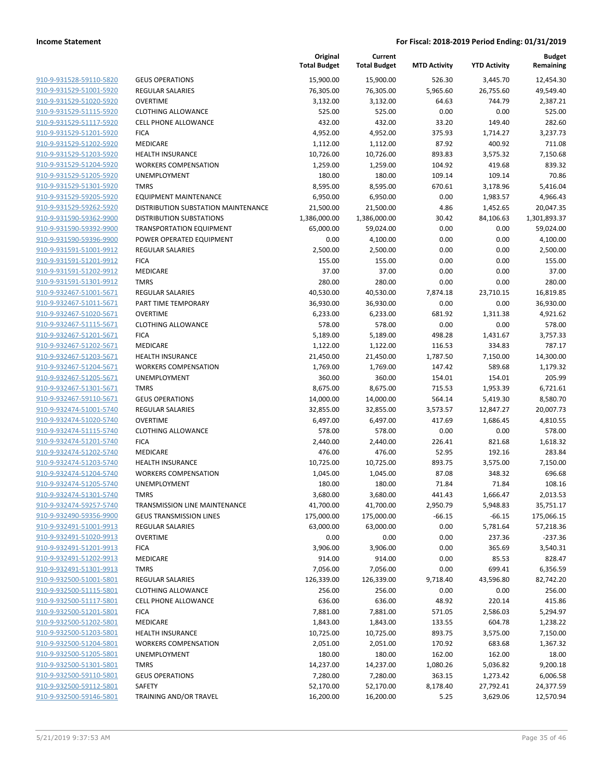| 910-9-931528-59110-5820        |  |
|--------------------------------|--|
| 910-9-931529-51001-5920        |  |
| 910-9-931529-51020-5920        |  |
| 910-9-931529-51115-5920        |  |
| <u>910-9-931529-51117-5920</u> |  |
| 910-9-931529-51201-5920        |  |
| 910-9-931529-51202-5920        |  |
| 910-9-931529-51203-5920        |  |
| 910-9-931529-51204-5920        |  |
|                                |  |
| 910-9-931529-51205-5920        |  |
| 910-9-931529-51301-5920        |  |
| 910-9-931529-59205-5920        |  |
| 910-9-931529-59262-5920        |  |
| 910-9-931590-59362-9900        |  |
| <u>910-9-931590-59392-9900</u> |  |
| 910-9-931590-59396-9900        |  |
| 910-9-931591-51001-9912        |  |
| 910-9-931591-51201-9912        |  |
| 910-9-931591-51202-9912        |  |
| <u>910-9-931591-51301-9912</u> |  |
| 910-9-932467-51001-5671        |  |
| 910-9-932467-51011-5671        |  |
| 910-9-932467-51020-5671        |  |
| 910-9-932467-51115-5671        |  |
| 910-9-932467-51201-5671        |  |
| <u>910-9-932467-51202-5671</u> |  |
| 910-9-932467-51203-5671        |  |
| 910-9-932467-51204-5671        |  |
| 910-9-932467-51205-5671        |  |
| 910-9-932467-51301-5671        |  |
| 910-9-932467-59110-5671        |  |
| 910-9-932474-51001-5740        |  |
| 910-9-932474-51020-5740        |  |
| 910-9-932474-51115-5740        |  |
| 910-9-932474-51201-5740        |  |
| 910-9-932474-51202-5740        |  |
| 910-9-932474-51203-5740        |  |
| 910-9-932474-51204-5740        |  |
| 910-9-932474-51205-5740        |  |
| 910-9-932474-51301-5740        |  |
| 910-9-932474-59257-5740        |  |
| 910-9-932490-59356-9900        |  |
| 910-9-932491-51001-9913        |  |
|                                |  |
| 910-9-932491-51020-9913        |  |
| 910-9-932491-51201-9913        |  |
| 910-9-932491-51202-9913        |  |
| 910-9-932491-51301-9913        |  |
| 910-9-932500-51001-5801        |  |
| 910-9-932500-51115-5801        |  |
| <u>910-9-932500-51117-5801</u> |  |
| 910-9-932500-51201-5801        |  |
| 910-9-932500-51202-5801        |  |
| 910-9-932500-51203-5801        |  |
| 910-9-932500-51204-5801        |  |
| <u>910-9-932500-51205-5801</u> |  |
| 910-9-932500-51301-5801        |  |
| 910-9-932500-59110-5801        |  |
| 910-9-932500-59112-5801        |  |
| 910-9-932500-59146-5801        |  |
|                                |  |

|                                |                                     | Original<br><b>Total Budget</b> | Current<br><b>Total Budget</b> | <b>MTD Activity</b> | <b>YTD Activity</b> | <b>Budget</b><br>Remaining |
|--------------------------------|-------------------------------------|---------------------------------|--------------------------------|---------------------|---------------------|----------------------------|
| 910-9-931528-59110-5820        | <b>GEUS OPERATIONS</b>              | 15,900.00                       | 15,900.00                      | 526.30              | 3,445.70            | 12,454.30                  |
| 910-9-931529-51001-5920        | <b>REGULAR SALARIES</b>             | 76,305.00                       | 76,305.00                      | 5,965.60            | 26,755.60           | 49,549.40                  |
| 910-9-931529-51020-5920        | <b>OVERTIME</b>                     | 3,132.00                        | 3,132.00                       | 64.63               | 744.79              | 2,387.21                   |
| 910-9-931529-51115-5920        | <b>CLOTHING ALLOWANCE</b>           | 525.00                          | 525.00                         | 0.00                | 0.00                | 525.00                     |
| 910-9-931529-51117-5920        | CELL PHONE ALLOWANCE                | 432.00                          | 432.00                         | 33.20               | 149.40              | 282.60                     |
| 910-9-931529-51201-5920        | <b>FICA</b>                         | 4,952.00                        | 4,952.00                       | 375.93              | 1,714.27            | 3,237.73                   |
| 910-9-931529-51202-5920        | MEDICARE                            | 1,112.00                        | 1,112.00                       | 87.92               | 400.92              | 711.08                     |
| 910-9-931529-51203-5920        | <b>HEALTH INSURANCE</b>             | 10,726.00                       | 10,726.00                      | 893.83              | 3,575.32            | 7,150.68                   |
| 910-9-931529-51204-5920        | <b>WORKERS COMPENSATION</b>         | 1,259.00                        | 1,259.00                       | 104.92              | 419.68              | 839.32                     |
| 910-9-931529-51205-5920        | <b>UNEMPLOYMENT</b>                 | 180.00                          | 180.00                         | 109.14              | 109.14              | 70.86                      |
| 910-9-931529-51301-5920        | <b>TMRS</b>                         | 8,595.00                        | 8,595.00                       | 670.61              | 3,178.96            | 5,416.04                   |
| 910-9-931529-59205-5920        | <b>EQUIPMENT MAINTENANCE</b>        | 6,950.00                        | 6,950.00                       | 0.00                | 1,983.57            | 4,966.43                   |
| 910-9-931529-59262-5920        | DISTRIBUTION SUBSTATION MAINTENANCE | 21,500.00                       | 21,500.00                      | 4.86                | 1,452.65            | 20,047.35                  |
| 910-9-931590-59362-9900        | <b>DISTRIBUTION SUBSTATIONS</b>     | 1,386,000.00                    | 1,386,000.00                   | 30.42               | 84,106.63           | 1,301,893.37               |
| 910-9-931590-59392-9900        | <b>TRANSPORTATION EQUIPMENT</b>     | 65,000.00                       | 59,024.00                      | 0.00                | 0.00                | 59,024.00                  |
| 910-9-931590-59396-9900        | POWER OPERATED EQUIPMENT            | 0.00                            | 4,100.00                       | 0.00                | 0.00                | 4,100.00                   |
| 910-9-931591-51001-9912        | <b>REGULAR SALARIES</b>             | 2,500.00                        | 2,500.00                       | 0.00                | 0.00                | 2,500.00                   |
| 910-9-931591-51201-9912        | <b>FICA</b>                         | 155.00                          | 155.00                         | 0.00                | 0.00                | 155.00                     |
| 910-9-931591-51202-9912        | <b>MEDICARE</b>                     | 37.00                           | 37.00                          | 0.00                | 0.00                | 37.00                      |
| 910-9-931591-51301-9912        | <b>TMRS</b>                         | 280.00                          | 280.00                         | 0.00                | 0.00                | 280.00                     |
| 910-9-932467-51001-5671        | <b>REGULAR SALARIES</b>             | 40,530.00                       | 40,530.00                      | 7,874.18            | 23,710.15           | 16,819.85                  |
| 910-9-932467-51011-5671        | PART TIME TEMPORARY                 | 36,930.00                       | 36,930.00                      | 0.00                | 0.00                | 36,930.00                  |
| 910-9-932467-51020-5671        | <b>OVERTIME</b>                     | 6,233.00                        | 6,233.00                       | 681.92              | 1,311.38            | 4,921.62                   |
| 910-9-932467-51115-5671        | <b>CLOTHING ALLOWANCE</b>           | 578.00                          | 578.00                         | 0.00                | 0.00                | 578.00                     |
| 910-9-932467-51201-5671        | <b>FICA</b>                         | 5,189.00                        | 5,189.00                       | 498.28              | 1,431.67            | 3,757.33                   |
| 910-9-932467-51202-5671        | <b>MEDICARE</b>                     | 1,122.00                        | 1,122.00                       | 116.53              | 334.83              | 787.17                     |
| 910-9-932467-51203-5671        | <b>HEALTH INSURANCE</b>             | 21,450.00                       | 21,450.00                      | 1,787.50            | 7,150.00            | 14,300.00                  |
| 910-9-932467-51204-5671        | <b>WORKERS COMPENSATION</b>         | 1,769.00                        | 1,769.00                       | 147.42              | 589.68              | 1,179.32                   |
| 910-9-932467-51205-5671        | <b>UNEMPLOYMENT</b>                 | 360.00                          | 360.00                         | 154.01              | 154.01              | 205.99                     |
| 910-9-932467-51301-5671        | <b>TMRS</b>                         | 8,675.00                        | 8,675.00                       | 715.53              | 1,953.39            | 6,721.61                   |
| 910-9-932467-59110-5671        | <b>GEUS OPERATIONS</b>              | 14,000.00                       | 14,000.00                      | 564.14              | 5,419.30            | 8,580.70                   |
| 910-9-932474-51001-5740        | <b>REGULAR SALARIES</b>             | 32,855.00                       | 32,855.00                      | 3,573.57            | 12,847.27           | 20,007.73                  |
| 910-9-932474-51020-5740        | <b>OVERTIME</b>                     | 6,497.00                        | 6,497.00                       | 417.69              | 1,686.45            | 4,810.55                   |
| 910-9-932474-51115-5740        | <b>CLOTHING ALLOWANCE</b>           | 578.00                          | 578.00                         | 0.00                | 0.00                | 578.00                     |
| 910-9-932474-51201-5740        | <b>FICA</b>                         | 2,440.00                        | 2,440.00                       | 226.41              | 821.68              | 1,618.32                   |
| 910-9-932474-51202-5740        | <b>MEDICARE</b>                     | 476.00                          | 476.00                         | 52.95               | 192.16              | 283.84                     |
| 910-9-932474-51203-5740        | <b>HEALTH INSURANCE</b>             | 10,725.00                       | 10,725.00                      | 893.75              | 3,575.00            | 7,150.00                   |
| 910-9-932474-51204-5740        | <b>WORKERS COMPENSATION</b>         | 1,045.00                        | 1,045.00                       | 87.08               | 348.32              | 696.68                     |
| 910-9-932474-51205-5740        | <b>UNEMPLOYMENT</b>                 | 180.00                          | 180.00                         | 71.84               | 71.84               | 108.16                     |
| <u>910-9-932474-51301-5740</u> | TMRS                                | 3,680.00                        | 3,680.00                       | 441.43              | 1,666.47            | 2,013.53                   |
| 910-9-932474-59257-5740        | TRANSMISSION LINE MAINTENANCE       | 41,700.00                       | 41,700.00                      | 2,950.79            | 5,948.83            | 35,751.17                  |
| 910-9-932490-59356-9900        | <b>GEUS TRANSMISSION LINES</b>      | 175,000.00                      | 175,000.00                     | $-66.15$            | $-66.15$            | 175,066.15                 |
| 910-9-932491-51001-9913        | <b>REGULAR SALARIES</b>             | 63,000.00                       | 63,000.00                      | 0.00                | 5,781.64            | 57,218.36                  |
| 910-9-932491-51020-9913        | <b>OVERTIME</b>                     | 0.00                            | 0.00                           | 0.00                | 237.36              | $-237.36$                  |
| 910-9-932491-51201-9913        | <b>FICA</b>                         | 3,906.00                        | 3,906.00                       | 0.00                | 365.69              | 3,540.31                   |
| 910-9-932491-51202-9913        | <b>MEDICARE</b>                     | 914.00                          | 914.00                         | 0.00                | 85.53               | 828.47                     |
| 910-9-932491-51301-9913        | <b>TMRS</b>                         | 7,056.00                        | 7,056.00                       | 0.00                | 699.41              | 6,356.59                   |
| 910-9-932500-51001-5801        | <b>REGULAR SALARIES</b>             | 126,339.00                      | 126,339.00                     | 9,718.40            | 43,596.80           | 82,742.20                  |
| 910-9-932500-51115-5801        | <b>CLOTHING ALLOWANCE</b>           | 256.00                          | 256.00                         | 0.00                | 0.00                | 256.00                     |
| 910-9-932500-51117-5801        | <b>CELL PHONE ALLOWANCE</b>         | 636.00                          | 636.00                         | 48.92               | 220.14              | 415.86                     |
| 910-9-932500-51201-5801        | <b>FICA</b>                         | 7,881.00                        | 7,881.00                       | 571.05              | 2,586.03            | 5,294.97                   |
| 910-9-932500-51202-5801        | MEDICARE                            | 1,843.00                        | 1,843.00                       | 133.55              | 604.78              | 1,238.22                   |
| 910-9-932500-51203-5801        | <b>HEALTH INSURANCE</b>             | 10,725.00                       | 10,725.00                      | 893.75              | 3,575.00            | 7,150.00                   |
| 910-9-932500-51204-5801        | <b>WORKERS COMPENSATION</b>         | 2,051.00                        | 2,051.00                       | 170.92              | 683.68              | 1,367.32                   |
| 910-9-932500-51205-5801        | UNEMPLOYMENT                        | 180.00                          | 180.00                         | 162.00              | 162.00              | 18.00                      |
| 910-9-932500-51301-5801        | <b>TMRS</b>                         | 14,237.00                       | 14,237.00                      | 1,080.26            | 5,036.82            | 9,200.18                   |
| 910-9-932500-59110-5801        | <b>GEUS OPERATIONS</b>              | 7,280.00                        | 7,280.00                       | 363.15              | 1,273.42            | 6,006.58                   |
| 910-9-932500-59112-5801        | SAFETY                              | 52,170.00                       | 52,170.00                      | 8,178.40            | 27,792.41           | 24,377.59                  |
| 910-9-932500-59146-5801        | TRAINING AND/OR TRAVEL              | 16,200.00                       | 16,200.00                      | 5.25                | 3,629.06            | 12,570.94                  |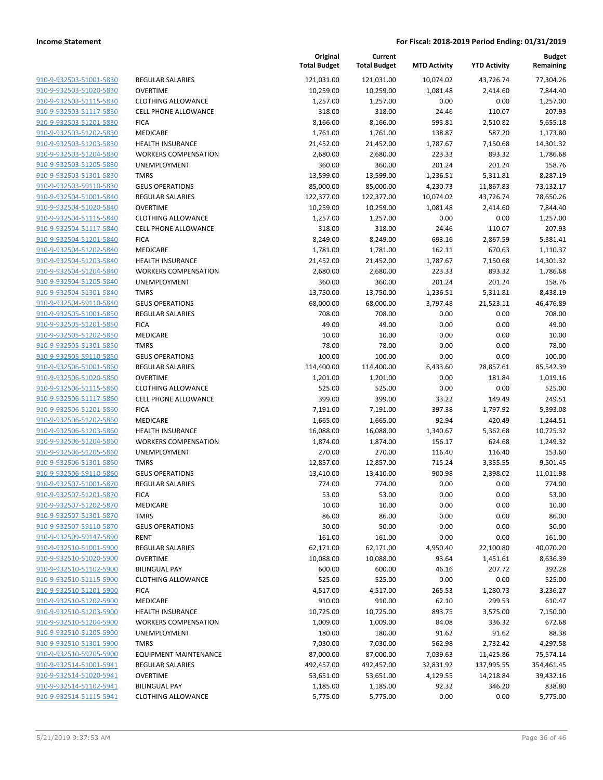|                         |                              | Original<br><b>Total Budget</b> | Current<br><b>Total Budget</b> | <b>MTD Activity</b> | <b>YTD Activity</b> | <b>Budget</b><br>Remaining |
|-------------------------|------------------------------|---------------------------------|--------------------------------|---------------------|---------------------|----------------------------|
| 910-9-932503-51001-5830 | REGULAR SALARIES             | 121,031.00                      | 121,031.00                     | 10,074.02           | 43,726.74           | 77,304.26                  |
| 910-9-932503-51020-5830 | <b>OVERTIME</b>              | 10,259.00                       | 10,259.00                      | 1,081.48            | 2,414.60            | 7,844.40                   |
| 910-9-932503-51115-5830 | <b>CLOTHING ALLOWANCE</b>    | 1,257.00                        | 1,257.00                       | 0.00                | 0.00                | 1,257.00                   |
| 910-9-932503-51117-5830 | <b>CELL PHONE ALLOWANCE</b>  | 318.00                          | 318.00                         | 24.46               | 110.07              | 207.93                     |
| 910-9-932503-51201-5830 | <b>FICA</b>                  | 8,166.00                        | 8,166.00                       | 593.81              | 2,510.82            | 5,655.18                   |
| 910-9-932503-51202-5830 | MEDICARE                     | 1,761.00                        | 1,761.00                       | 138.87              | 587.20              | 1,173.80                   |
| 910-9-932503-51203-5830 | <b>HEALTH INSURANCE</b>      | 21,452.00                       | 21,452.00                      | 1,787.67            | 7,150.68            | 14,301.32                  |
| 910-9-932503-51204-5830 | <b>WORKERS COMPENSATION</b>  | 2,680.00                        | 2,680.00                       | 223.33              | 893.32              | 1,786.68                   |
| 910-9-932503-51205-5830 | <b>UNEMPLOYMENT</b>          | 360.00                          | 360.00                         | 201.24              | 201.24              | 158.76                     |
| 910-9-932503-51301-5830 | <b>TMRS</b>                  | 13,599.00                       | 13,599.00                      | 1,236.51            | 5,311.81            | 8,287.19                   |
| 910-9-932503-59110-5830 | <b>GEUS OPERATIONS</b>       | 85,000.00                       | 85,000.00                      | 4,230.73            | 11,867.83           | 73,132.17                  |
| 910-9-932504-51001-5840 | REGULAR SALARIES             | 122,377.00                      | 122,377.00                     | 10,074.02           | 43,726.74           | 78,650.26                  |
| 910-9-932504-51020-5840 | <b>OVERTIME</b>              | 10,259.00                       | 10,259.00                      | 1,081.48            | 2,414.60            | 7,844.40                   |
| 910-9-932504-51115-5840 | <b>CLOTHING ALLOWANCE</b>    | 1,257.00                        | 1,257.00                       | 0.00                | 0.00                | 1,257.00                   |
| 910-9-932504-51117-5840 | <b>CELL PHONE ALLOWANCE</b>  | 318.00                          | 318.00                         | 24.46               | 110.07              | 207.93                     |
| 910-9-932504-51201-5840 | <b>FICA</b>                  | 8,249.00                        | 8,249.00                       | 693.16              | 2,867.59            | 5,381.41                   |
| 910-9-932504-51202-5840 | MEDICARE                     | 1,781.00                        | 1,781.00                       | 162.11              | 670.63              | 1,110.37                   |
| 910-9-932504-51203-5840 | <b>HEALTH INSURANCE</b>      | 21,452.00                       | 21,452.00                      | 1,787.67            | 7,150.68            | 14,301.32                  |
| 910-9-932504-51204-5840 | <b>WORKERS COMPENSATION</b>  | 2,680.00                        | 2,680.00                       | 223.33              | 893.32              | 1,786.68                   |
| 910-9-932504-51205-5840 | <b>UNEMPLOYMENT</b>          | 360.00                          | 360.00                         | 201.24              | 201.24              | 158.76                     |
| 910-9-932504-51301-5840 | <b>TMRS</b>                  | 13,750.00                       | 13,750.00                      | 1,236.51            | 5,311.81            | 8,438.19                   |
| 910-9-932504-59110-5840 | <b>GEUS OPERATIONS</b>       | 68,000.00                       | 68,000.00                      | 3,797.48            | 21,523.11           | 46,476.89                  |
| 910-9-932505-51001-5850 | REGULAR SALARIES             | 708.00                          | 708.00                         | 0.00                | 0.00                | 708.00                     |
| 910-9-932505-51201-5850 | <b>FICA</b>                  | 49.00                           | 49.00                          | 0.00                | 0.00                | 49.00                      |
| 910-9-932505-51202-5850 | <b>MEDICARE</b>              | 10.00                           | 10.00                          | 0.00                | 0.00                | 10.00                      |
| 910-9-932505-51301-5850 | <b>TMRS</b>                  | 78.00                           | 78.00                          | 0.00                | 0.00                | 78.00                      |
| 910-9-932505-59110-5850 | <b>GEUS OPERATIONS</b>       | 100.00                          | 100.00                         | 0.00                | 0.00                | 100.00                     |
| 910-9-932506-51001-5860 | REGULAR SALARIES             | 114,400.00                      | 114,400.00                     | 6,433.60            | 28,857.61           | 85,542.39                  |
| 910-9-932506-51020-5860 | <b>OVERTIME</b>              | 1,201.00                        | 1,201.00                       | 0.00                | 181.84              | 1,019.16                   |
| 910-9-932506-51115-5860 | <b>CLOTHING ALLOWANCE</b>    | 525.00                          | 525.00                         | 0.00                | 0.00                | 525.00                     |
| 910-9-932506-51117-5860 | CELL PHONE ALLOWANCE         | 399.00                          | 399.00                         | 33.22               | 149.49              | 249.51                     |
| 910-9-932506-51201-5860 | <b>FICA</b>                  | 7,191.00                        | 7,191.00                       | 397.38              | 1,797.92            | 5,393.08                   |
| 910-9-932506-51202-5860 | MEDICARE                     | 1,665.00                        | 1,665.00                       | 92.94               | 420.49              | 1,244.51                   |
| 910-9-932506-51203-5860 | <b>HEALTH INSURANCE</b>      | 16,088.00                       | 16,088.00                      | 1,340.67            | 5,362.68            | 10,725.32                  |
| 910-9-932506-51204-5860 | <b>WORKERS COMPENSATION</b>  | 1,874.00                        | 1,874.00                       | 156.17              | 624.68              | 1,249.32                   |
| 910-9-932506-51205-5860 | UNEMPLOYMENT                 | 270.00                          | 270.00                         | 116.40              | 116.40              | 153.60                     |
| 910-9-932506-51301-5860 | <b>TMRS</b>                  | 12,857.00                       | 12,857.00                      | 715.24              | 3,355.55            | 9,501.45                   |
| 910-9-932506-59110-5860 | <b>GEUS OPERATIONS</b>       | 13,410.00                       | 13,410.00                      | 900.98              | 2,398.02            | 11,011.98                  |
| 910-9-932507-51001-5870 | <b>REGULAR SALARIES</b>      | 774.00                          | 774.00                         | 0.00                | 0.00                | 774.00                     |
| 910-9-932507-51201-5870 | <b>FICA</b>                  | 53.00                           | 53.00                          | 0.00                | 0.00                | 53.00                      |
| 910-9-932507-51202-5870 | MEDICARE                     | 10.00                           | 10.00                          | 0.00                | 0.00                | 10.00                      |
| 910-9-932507-51301-5870 | <b>TMRS</b>                  | 86.00                           | 86.00                          | 0.00                | 0.00                | 86.00                      |
| 910-9-932507-59110-5870 | <b>GEUS OPERATIONS</b>       | 50.00                           | 50.00                          | 0.00                | 0.00                | 50.00                      |
| 910-9-932509-59147-5890 | <b>RENT</b>                  | 161.00                          | 161.00                         | 0.00                | 0.00                | 161.00                     |
| 910-9-932510-51001-5900 | <b>REGULAR SALARIES</b>      | 62,171.00                       | 62,171.00                      | 4,950.40            | 22,100.80           | 40,070.20                  |
| 910-9-932510-51020-5900 | <b>OVERTIME</b>              | 10,088.00                       | 10,088.00                      | 93.64               | 1,451.61            | 8,636.39                   |
| 910-9-932510-51102-5900 | <b>BILINGUAL PAY</b>         | 600.00                          | 600.00                         | 46.16               | 207.72              | 392.28                     |
| 910-9-932510-51115-5900 | <b>CLOTHING ALLOWANCE</b>    | 525.00                          | 525.00                         | 0.00                | 0.00                | 525.00                     |
| 910-9-932510-51201-5900 | <b>FICA</b>                  | 4,517.00                        | 4,517.00                       | 265.53              | 1,280.73            | 3,236.27                   |
| 910-9-932510-51202-5900 | <b>MEDICARE</b>              | 910.00                          | 910.00                         | 62.10               | 299.53              | 610.47                     |
| 910-9-932510-51203-5900 | <b>HEALTH INSURANCE</b>      | 10,725.00                       | 10,725.00                      | 893.75              | 3,575.00            | 7,150.00                   |
| 910-9-932510-51204-5900 | <b>WORKERS COMPENSATION</b>  | 1,009.00                        | 1,009.00                       | 84.08               | 336.32              | 672.68                     |
| 910-9-932510-51205-5900 | UNEMPLOYMENT                 | 180.00                          | 180.00                         | 91.62               | 91.62               | 88.38                      |
| 910-9-932510-51301-5900 | <b>TMRS</b>                  | 7,030.00                        | 7,030.00                       | 562.98              | 2,732.42            | 4,297.58                   |
| 910-9-932510-59205-5900 | <b>EQUIPMENT MAINTENANCE</b> | 87,000.00                       | 87,000.00                      | 7,039.63            | 11,425.86           | 75,574.14                  |
| 910-9-932514-51001-5941 | REGULAR SALARIES             | 492,457.00                      | 492,457.00                     | 32,831.92           | 137,995.55          | 354,461.45                 |
| 910-9-932514-51020-5941 | <b>OVERTIME</b>              | 53,651.00                       | 53,651.00                      | 4,129.55            | 14,218.84           | 39,432.16                  |
| 910-9-932514-51102-5941 | <b>BILINGUAL PAY</b>         | 1,185.00                        | 1,185.00                       | 92.32               | 346.20              | 838.80                     |
| 910-9-932514-51115-5941 | <b>CLOTHING ALLOWANCE</b>    | 5,775.00                        | 5,775.00                       | 0.00                | 0.00                | 5,775.00                   |
|                         |                              |                                 |                                |                     |                     |                            |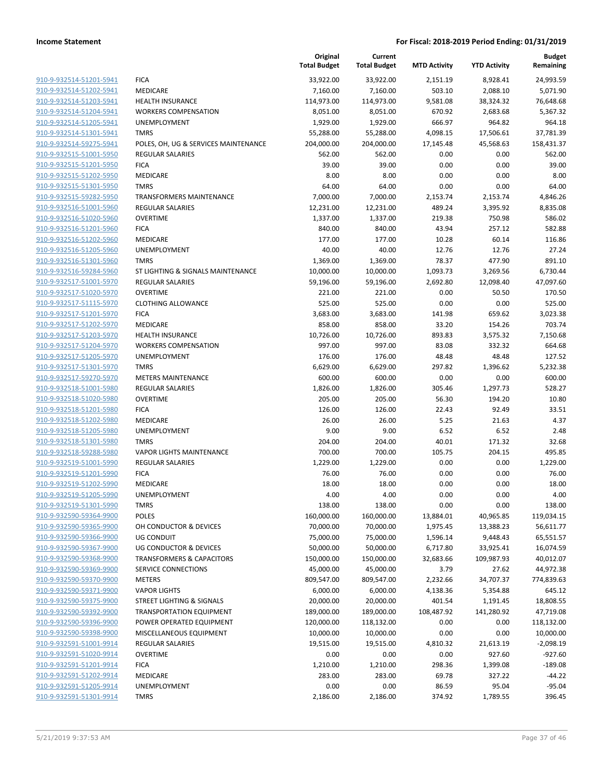|                                                    |                                      | Original<br><b>Total Budget</b> | Current<br><b>Total Budget</b> | <b>MTD Activity</b> | <b>YTD Activity</b> | <b>Budget</b><br>Remaining |
|----------------------------------------------------|--------------------------------------|---------------------------------|--------------------------------|---------------------|---------------------|----------------------------|
| 910-9-932514-51201-5941                            | <b>FICA</b>                          | 33,922.00                       | 33,922.00                      | 2,151.19            | 8,928.41            | 24,993.59                  |
| 910-9-932514-51202-5941                            | <b>MEDICARE</b>                      | 7,160.00                        | 7,160.00                       | 503.10              | 2,088.10            | 5,071.90                   |
| 910-9-932514-51203-5941                            | <b>HEALTH INSURANCE</b>              | 114,973.00                      | 114,973.00                     | 9,581.08            | 38,324.32           | 76,648.68                  |
| 910-9-932514-51204-5941                            | <b>WORKERS COMPENSATION</b>          | 8,051.00                        | 8,051.00                       | 670.92              | 2,683.68            | 5,367.32                   |
| 910-9-932514-51205-5941                            | <b>UNEMPLOYMENT</b>                  | 1,929.00                        | 1,929.00                       | 666.97              | 964.82              | 964.18                     |
| 910-9-932514-51301-5941                            | <b>TMRS</b>                          | 55,288.00                       | 55,288.00                      | 4,098.15            | 17,506.61           | 37,781.39                  |
| 910-9-932514-59275-5941                            | POLES, OH, UG & SERVICES MAINTENANCE | 204,000.00                      | 204,000.00                     | 17,145.48           | 45,568.63           | 158,431.37                 |
| 910-9-932515-51001-5950                            | <b>REGULAR SALARIES</b>              | 562.00                          | 562.00                         | 0.00                | 0.00                | 562.00                     |
| 910-9-932515-51201-5950                            | <b>FICA</b>                          | 39.00                           | 39.00                          | 0.00                | 0.00                | 39.00                      |
| 910-9-932515-51202-5950                            | <b>MEDICARE</b>                      | 8.00                            | 8.00                           | 0.00                | 0.00                | 8.00                       |
| 910-9-932515-51301-5950                            | <b>TMRS</b>                          | 64.00                           | 64.00                          | 0.00                | 0.00                | 64.00                      |
| 910-9-932515-59282-5950                            | <b>TRANSFORMERS MAINTENANCE</b>      | 7,000.00                        | 7,000.00                       | 2,153.74            | 2,153.74            | 4,846.26                   |
| 910-9-932516-51001-5960                            | REGULAR SALARIES                     | 12,231.00                       | 12,231.00                      | 489.24              | 3,395.92            | 8,835.08                   |
| 910-9-932516-51020-5960                            | <b>OVERTIME</b>                      | 1,337.00                        | 1,337.00                       | 219.38              | 750.98              | 586.02                     |
| 910-9-932516-51201-5960                            | <b>FICA</b>                          | 840.00                          | 840.00                         | 43.94               | 257.12              | 582.88                     |
| 910-9-932516-51202-5960                            | MEDICARE                             | 177.00                          | 177.00                         | 10.28               | 60.14               | 116.86                     |
| 910-9-932516-51205-5960                            | UNEMPLOYMENT                         | 40.00                           | 40.00                          | 12.76               | 12.76               | 27.24                      |
| 910-9-932516-51301-5960                            | <b>TMRS</b>                          | 1,369.00                        | 1,369.00                       | 78.37               | 477.90              | 891.10                     |
| 910-9-932516-59284-5960                            | ST LIGHTING & SIGNALS MAINTENANCE    | 10,000.00                       | 10,000.00                      | 1,093.73            | 3,269.56            | 6,730.44                   |
| 910-9-932517-51001-5970                            | <b>REGULAR SALARIES</b>              | 59,196.00                       | 59,196.00                      | 2,692.80            | 12,098.40           | 47,097.60                  |
| 910-9-932517-51020-5970                            | <b>OVERTIME</b>                      | 221.00                          | 221.00                         | 0.00                | 50.50               | 170.50                     |
| 910-9-932517-51115-5970                            | <b>CLOTHING ALLOWANCE</b>            | 525.00                          | 525.00                         | 0.00                | 0.00                | 525.00                     |
| 910-9-932517-51201-5970                            | <b>FICA</b>                          | 3,683.00                        | 3,683.00                       | 141.98              | 659.62              | 3,023.38                   |
| 910-9-932517-51202-5970                            | MEDICARE                             | 858.00                          | 858.00                         | 33.20               | 154.26              | 703.74                     |
| 910-9-932517-51203-5970                            | <b>HEALTH INSURANCE</b>              | 10,726.00                       | 10,726.00                      | 893.83              | 3,575.32            | 7,150.68                   |
| 910-9-932517-51204-5970                            | <b>WORKERS COMPENSATION</b>          | 997.00                          | 997.00                         | 83.08               | 332.32              | 664.68                     |
| 910-9-932517-51205-5970                            | UNEMPLOYMENT                         | 176.00                          | 176.00                         | 48.48               | 48.48               | 127.52                     |
| 910-9-932517-51301-5970                            | <b>TMRS</b>                          | 6,629.00                        | 6,629.00                       | 297.82              | 1,396.62            | 5,232.38                   |
| 910-9-932517-59270-5970                            | <b>METERS MAINTENANCE</b>            | 600.00                          | 600.00                         | 0.00                | 0.00                | 600.00                     |
| 910-9-932518-51001-5980                            | <b>REGULAR SALARIES</b>              | 1,826.00                        | 1,826.00                       | 305.46              | 1,297.73            | 528.27                     |
| 910-9-932518-51020-5980                            | <b>OVERTIME</b>                      | 205.00                          | 205.00                         | 56.30               | 194.20              | 10.80                      |
| 910-9-932518-51201-5980<br>910-9-932518-51202-5980 | <b>FICA</b><br>MEDICARE              | 126.00<br>26.00                 | 126.00<br>26.00                | 22.43<br>5.25       | 92.49<br>21.63      | 33.51<br>4.37              |
| 910-9-932518-51205-5980                            | <b>UNEMPLOYMENT</b>                  | 9.00                            | 9.00                           | 6.52                | 6.52                | 2.48                       |
| 910-9-932518-51301-5980                            | <b>TMRS</b>                          | 204.00                          | 204.00                         | 40.01               | 171.32              | 32.68                      |
| 910-9-932518-59288-5980                            | <b>VAPOR LIGHTS MAINTENANCE</b>      | 700.00                          | 700.00                         | 105.75              | 204.15              | 495.85                     |
| 910-9-932519-51001-5990                            | REGULAR SALARIES                     | 1,229.00                        | 1,229.00                       | 0.00                | 0.00                | 1,229.00                   |
| 910-9-932519-51201-5990                            | <b>FICA</b>                          | 76.00                           | 76.00                          | 0.00                | 0.00                | 76.00                      |
| 910-9-932519-51202-5990                            | MEDICARE                             | 18.00                           | 18.00                          | 0.00                | 0.00                | 18.00                      |
| 910-9-932519-51205-5990                            | UNEMPLOYMENT                         | 4.00                            | 4.00                           | 0.00                | 0.00                | 4.00                       |
| 910-9-932519-51301-5990                            | TMRS                                 | 138.00                          | 138.00                         | 0.00                | 0.00                | 138.00                     |
| 910-9-932590-59364-9900                            | POLES                                | 160,000.00                      | 160,000.00                     | 13,884.01           | 40,965.85           | 119,034.15                 |
| 910-9-932590-59365-9900                            | OH CONDUCTOR & DEVICES               | 70,000.00                       | 70,000.00                      | 1,975.45            | 13,388.23           | 56,611.77                  |
| 910-9-932590-59366-9900                            | <b>UG CONDUIT</b>                    | 75,000.00                       | 75,000.00                      | 1,596.14            | 9,448.43            | 65,551.57                  |
| 910-9-932590-59367-9900                            | UG CONDUCTOR & DEVICES               | 50,000.00                       | 50,000.00                      | 6,717.80            | 33,925.41           | 16,074.59                  |
| 910-9-932590-59368-9900                            | <b>TRANSFORMERS &amp; CAPACITORS</b> | 150,000.00                      | 150,000.00                     | 32,683.66           | 109,987.93          | 40,012.07                  |
| 910-9-932590-59369-9900                            | SERVICE CONNECTIONS                  | 45,000.00                       | 45,000.00                      | 3.79                | 27.62               | 44,972.38                  |
| 910-9-932590-59370-9900                            | <b>METERS</b>                        | 809,547.00                      | 809,547.00                     | 2,232.66            | 34,707.37           | 774,839.63                 |
| 910-9-932590-59371-9900                            | <b>VAPOR LIGHTS</b>                  | 6,000.00                        | 6,000.00                       | 4,138.36            | 5,354.88            | 645.12                     |
| 910-9-932590-59375-9900                            | STREET LIGHTING & SIGNALS            | 20,000.00                       | 20,000.00                      | 401.54              | 1,191.45            | 18,808.55                  |
| 910-9-932590-59392-9900                            | <b>TRANSPORTATION EQUIPMENT</b>      | 189,000.00                      | 189,000.00                     | 108,487.92          | 141,280.92          | 47,719.08                  |
| 910-9-932590-59396-9900                            | POWER OPERATED EQUIPMENT             | 120,000.00                      | 118,132.00                     | 0.00                | 0.00                | 118,132.00                 |
| 910-9-932590-59398-9900                            | MISCELLANEOUS EQUIPMENT              | 10,000.00                       | 10,000.00                      | 0.00                | 0.00                | 10,000.00                  |
| 910-9-932591-51001-9914                            | <b>REGULAR SALARIES</b>              | 19,515.00                       | 19,515.00                      | 4,810.32            | 21,613.19           | $-2,098.19$                |
| 910-9-932591-51020-9914                            | <b>OVERTIME</b>                      | 0.00                            | 0.00                           | 0.00                | 927.60              | $-927.60$                  |
| 910-9-932591-51201-9914                            | <b>FICA</b>                          | 1,210.00                        | 1,210.00                       | 298.36              | 1,399.08            | $-189.08$                  |
| 910-9-932591-51202-9914                            | MEDICARE                             | 283.00                          | 283.00                         | 69.78               | 327.22              | $-44.22$                   |
| 910-9-932591-51205-9914                            | UNEMPLOYMENT                         | 0.00                            | 0.00                           | 86.59               | 95.04               | $-95.04$                   |
| 910-9-932591-51301-9914                            | <b>TMRS</b>                          | 2,186.00                        | 2,186.00                       | 374.92              | 1,789.55            | 396.45                     |
|                                                    |                                      |                                 |                                |                     |                     |                            |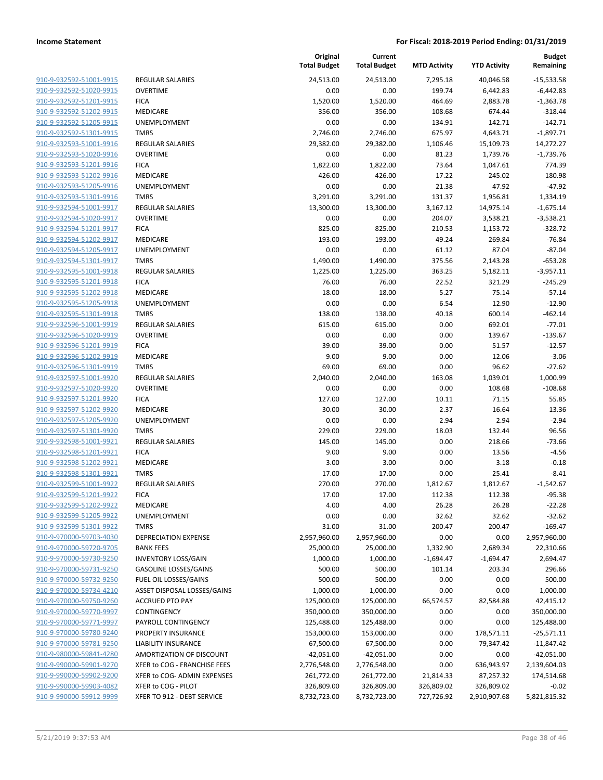| 910-9-932592-51001-9915        |
|--------------------------------|
| 910-9-932592-51020-9915        |
| 910-9-932592-51201-9915        |
| 910-9-932592-51202-9915        |
| 910-9-932592-51205-9915        |
| 910-9-932592-51301-9915        |
| <u>910-9-932593-51001-9916</u> |
| 910-9-932593-51020-9916        |
| 910-9-932593-51201-9916        |
| 910-9-932593-51202-9916        |
| 910-9-932593-51205-9916        |
| 910-9-932593-51301-9916        |
| 910-9-932594-51001-9917        |
| 910-9-932594-51020-9917        |
| 910-9-932594-51201-9917        |
| 910-9-932594-51202-9917        |
| <u>910-9-932594-51205-9917</u> |
| 910-9-932594-51301-9917        |
| 910-9-932595-51001-9918        |
| 910-9-932595-51201-9918        |
| <u>910-9-932595-51202-9918</u> |
| 910-9-932595-51205-9918        |
| 910-9-932595-51301-9918        |
| 910-9-932596-51001-9919        |
| 910-9-932596-51020-9919        |
| <u>910-9-932596-51201-9919</u> |
| <u>910-9-932596-51202-9919</u> |
| <u>910-9-932596-51301-9919</u> |
| 910-9-932597-51001-9920        |
| 910-9-932597-51020-9920        |
| <u>910-9-932597-51201-9920</u> |
| 910-9-932597-51202-9920        |
| 910-9-932597-51205-9920        |
| 910-9-932597-51301-9920        |
| 910-9-932598-51001-9921        |
| 910-9-932598-51201-9921        |
| <u>910-9-932598-51202-9921</u> |
| 910-9-932598-51301-9921        |
| 910-9-932599-51001-9922        |
| 910-9-932599-51201-9922        |
| 910-9-932599-51202-9922        |
| 910-9-932599-51205-9922        |
| <u>910-9-932599-51301-9922</u> |
| 910-9-970000-59703-4030        |
| 910-9-970000-59720-9705        |
| <u>910-9-970000-59730-9250</u> |
| 910-9-970000-59731-9250        |
| 910-9-970000-59732-9250        |
| 910-9-970000-59734-4210        |
| 910-9-970000-59750-9260        |
| 910-9-970000-59770-9997        |
| <u>910-9-970000-59771-9997</u> |
| 910-9-970000-59780-9240        |
| 910-9-970000-59781-9250        |
| 910-9-980000-59841-4280        |
| 910-9-990000-59901-9270        |
| 910-9-990000-59902-9200        |
| 910-9-990000-59903-4082        |
| 910-9-990000-59912-9999        |
|                                |

|                         |                              | Original<br><b>Total Budget</b> | Current<br><b>Total Budget</b> | <b>MTD Activity</b> | <b>YTD Activity</b> | <b>Budget</b><br>Remaining |
|-------------------------|------------------------------|---------------------------------|--------------------------------|---------------------|---------------------|----------------------------|
| 910-9-932592-51001-9915 | <b>REGULAR SALARIES</b>      | 24,513.00                       | 24,513.00                      | 7,295.18            | 40,046.58           | $-15,533.58$               |
| 910-9-932592-51020-9915 | <b>OVERTIME</b>              | 0.00                            | 0.00                           | 199.74              | 6,442.83            | $-6,442.83$                |
| 910-9-932592-51201-9915 | <b>FICA</b>                  | 1,520.00                        | 1,520.00                       | 464.69              | 2,883.78            | $-1,363.78$                |
| 910-9-932592-51202-9915 | MEDICARE                     | 356.00                          | 356.00                         | 108.68              | 674.44              | $-318.44$                  |
| 910-9-932592-51205-9915 | UNEMPLOYMENT                 | 0.00                            | 0.00                           | 134.91              | 142.71              | $-142.71$                  |
| 910-9-932592-51301-9915 | <b>TMRS</b>                  | 2,746.00                        | 2,746.00                       | 675.97              | 4,643.71            | $-1,897.71$                |
| 910-9-932593-51001-9916 | REGULAR SALARIES             | 29,382.00                       | 29,382.00                      | 1,106.46            | 15,109.73           | 14,272.27                  |
| 910-9-932593-51020-9916 | <b>OVERTIME</b>              | 0.00                            | 0.00                           | 81.23               | 1,739.76            | $-1,739.76$                |
| 910-9-932593-51201-9916 | <b>FICA</b>                  | 1,822.00                        | 1,822.00                       | 73.64               | 1,047.61            | 774.39                     |
| 910-9-932593-51202-9916 | <b>MEDICARE</b>              | 426.00                          | 426.00                         | 17.22               | 245.02              | 180.98                     |
| 910-9-932593-51205-9916 | UNEMPLOYMENT                 | 0.00                            | 0.00                           | 21.38               | 47.92               | $-47.92$                   |
| 910-9-932593-51301-9916 | <b>TMRS</b>                  | 3,291.00                        | 3,291.00                       | 131.37              | 1,956.81            | 1,334.19                   |
| 910-9-932594-51001-9917 | <b>REGULAR SALARIES</b>      | 13,300.00                       | 13,300.00                      | 3,167.12            | 14,975.14           | $-1,675.14$                |
| 910-9-932594-51020-9917 | <b>OVERTIME</b>              | 0.00                            | 0.00                           | 204.07              | 3,538.21            | $-3,538.21$                |
| 910-9-932594-51201-9917 | <b>FICA</b>                  | 825.00                          | 825.00                         | 210.53              | 1,153.72            | $-328.72$                  |
| 910-9-932594-51202-9917 | MEDICARE                     | 193.00                          | 193.00                         | 49.24               | 269.84              | $-76.84$                   |
| 910-9-932594-51205-9917 | UNEMPLOYMENT                 | 0.00                            | 0.00                           | 61.12               | 87.04               | $-87.04$                   |
| 910-9-932594-51301-9917 | <b>TMRS</b>                  | 1,490.00                        | 1,490.00                       | 375.56              | 2,143.28            | $-653.28$                  |
| 910-9-932595-51001-9918 | <b>REGULAR SALARIES</b>      | 1,225.00                        | 1,225.00                       | 363.25              | 5,182.11            | $-3,957.11$                |
| 910-9-932595-51201-9918 | <b>FICA</b>                  | 76.00                           | 76.00                          | 22.52               | 321.29              | $-245.29$                  |
| 910-9-932595-51202-9918 | MEDICARE                     | 18.00                           | 18.00                          | 5.27                | 75.14               | $-57.14$                   |
| 910-9-932595-51205-9918 | UNEMPLOYMENT                 | 0.00                            | 0.00                           | 6.54                | 12.90               | $-12.90$                   |
| 910-9-932595-51301-9918 | <b>TMRS</b>                  | 138.00                          | 138.00                         | 40.18               | 600.14              | $-462.14$                  |
| 910-9-932596-51001-9919 | <b>REGULAR SALARIES</b>      | 615.00                          | 615.00                         | 0.00                | 692.01              | $-77.01$                   |
| 910-9-932596-51020-9919 | <b>OVERTIME</b>              | 0.00                            | 0.00                           | 0.00                | 139.67              | $-139.67$                  |
| 910-9-932596-51201-9919 | <b>FICA</b>                  | 39.00                           | 39.00                          | 0.00                | 51.57               | $-12.57$                   |
| 910-9-932596-51202-9919 | MEDICARE                     | 9.00                            | 9.00                           | 0.00                | 12.06               | $-3.06$                    |
| 910-9-932596-51301-9919 | <b>TMRS</b>                  | 69.00                           | 69.00                          | 0.00                | 96.62               | $-27.62$                   |
| 910-9-932597-51001-9920 | <b>REGULAR SALARIES</b>      | 2,040.00                        | 2,040.00                       | 163.08              | 1,039.01            | 1,000.99                   |
| 910-9-932597-51020-9920 | <b>OVERTIME</b>              | 0.00                            | 0.00                           | 0.00                | 108.68              | $-108.68$                  |
| 910-9-932597-51201-9920 | <b>FICA</b>                  | 127.00                          | 127.00                         | 10.11               | 71.15               | 55.85                      |
| 910-9-932597-51202-9920 | MEDICARE                     | 30.00                           | 30.00                          | 2.37                | 16.64               | 13.36                      |
| 910-9-932597-51205-9920 | UNEMPLOYMENT                 | 0.00                            | 0.00                           | 2.94                | 2.94                | $-2.94$                    |
| 910-9-932597-51301-9920 | <b>TMRS</b>                  | 229.00                          | 229.00                         | 18.03               | 132.44              | 96.56                      |
| 910-9-932598-51001-9921 | <b>REGULAR SALARIES</b>      | 145.00                          | 145.00                         | 0.00                | 218.66              | $-73.66$                   |
| 910-9-932598-51201-9921 | <b>FICA</b>                  | 9.00                            | 9.00                           | 0.00                | 13.56               | $-4.56$                    |
| 910-9-932598-51202-9921 | <b>MEDICARE</b>              | 3.00                            | 3.00                           | 0.00                | 3.18                | $-0.18$                    |
| 910-9-932598-51301-9921 | <b>TMRS</b>                  | 17.00                           | 17.00                          | 0.00                | 25.41               | $-8.41$                    |
| 910-9-932599-51001-9922 | <b>REGULAR SALARIES</b>      | 270.00                          | 270.00                         | 1,812.67            | 1,812.67            | $-1,542.67$                |
| 910-9-932599-51201-9922 | <b>FICA</b>                  | 17.00                           | 17.00                          | 112.38              | 112.38              | $-95.38$                   |
| 910-9-932599-51202-9922 | MEDICARE                     | 4.00                            | 4.00                           | 26.28               | 26.28               | $-22.28$                   |
| 910-9-932599-51205-9922 | UNEMPLOYMENT                 | 0.00                            | 0.00                           | 32.62               | 32.62               | $-32.62$                   |
| 910-9-932599-51301-9922 | <b>TMRS</b>                  | 31.00                           | 31.00                          | 200.47              | 200.47              | $-169.47$                  |
| 910-9-970000-59703-4030 | <b>DEPRECIATION EXPENSE</b>  | 2,957,960.00                    | 2,957,960.00                   | 0.00                | 0.00                | 2,957,960.00               |
| 910-9-970000-59720-9705 | <b>BANK FEES</b>             | 25,000.00                       | 25,000.00                      | 1,332.90            | 2,689.34            | 22,310.66                  |
| 910-9-970000-59730-9250 | <b>INVENTORY LOSS/GAIN</b>   | 1,000.00                        | 1,000.00                       | $-1,694.47$         | $-1,694.47$         | 2,694.47                   |
| 910-9-970000-59731-9250 | <b>GASOLINE LOSSES/GAINS</b> | 500.00                          | 500.00                         | 101.14              | 203.34              | 296.66                     |
| 910-9-970000-59732-9250 | FUEL OIL LOSSES/GAINS        | 500.00                          | 500.00                         | 0.00                | 0.00                | 500.00                     |
| 910-9-970000-59734-4210 | ASSET DISPOSAL LOSSES/GAINS  | 1,000.00                        | 1,000.00                       | 0.00                | 0.00                | 1,000.00                   |
| 910-9-970000-59750-9260 | <b>ACCRUED PTO PAY</b>       | 125,000.00                      | 125,000.00                     | 66,574.57           | 82,584.88           | 42,415.12                  |
| 910-9-970000-59770-9997 | CONTINGENCY                  | 350,000.00                      | 350,000.00                     | 0.00                | 0.00                | 350,000.00                 |
| 910-9-970000-59771-9997 | PAYROLL CONTINGENCY          | 125,488.00                      | 125,488.00                     | 0.00                | 0.00                | 125,488.00                 |
| 910-9-970000-59780-9240 | PROPERTY INSURANCE           | 153,000.00                      | 153,000.00                     | 0.00                | 178,571.11          | $-25,571.11$               |
| 910-9-970000-59781-9250 | <b>LIABILITY INSURANCE</b>   | 67,500.00                       | 67,500.00                      | 0.00                | 79,347.42           | $-11,847.42$               |
| 910-9-980000-59841-4280 | AMORTIZATION OF DISCOUNT     | $-42,051.00$                    | $-42,051.00$                   | 0.00                | 0.00                | $-42,051.00$               |
| 910-9-990000-59901-9270 | XFER to COG - FRANCHISE FEES | 2,776,548.00                    | 2,776,548.00                   | 0.00                | 636,943.97          | 2,139,604.03               |
| 910-9-990000-59902-9200 | XFER to COG- ADMIN EXPENSES  | 261,772.00                      | 261,772.00                     | 21,814.33           | 87,257.32           | 174,514.68                 |
| 910-9-990000-59903-4082 | XFER to COG - PILOT          | 326,809.00                      | 326,809.00                     | 326,809.02          | 326,809.02          | $-0.02$                    |
| 910-9-990000-59912-9999 | XFER TO 912 - DEBT SERVICE   | 8,732,723.00                    | 8,732,723.00                   | 727,726.92          | 2,910,907.68        | 5,821,815.32               |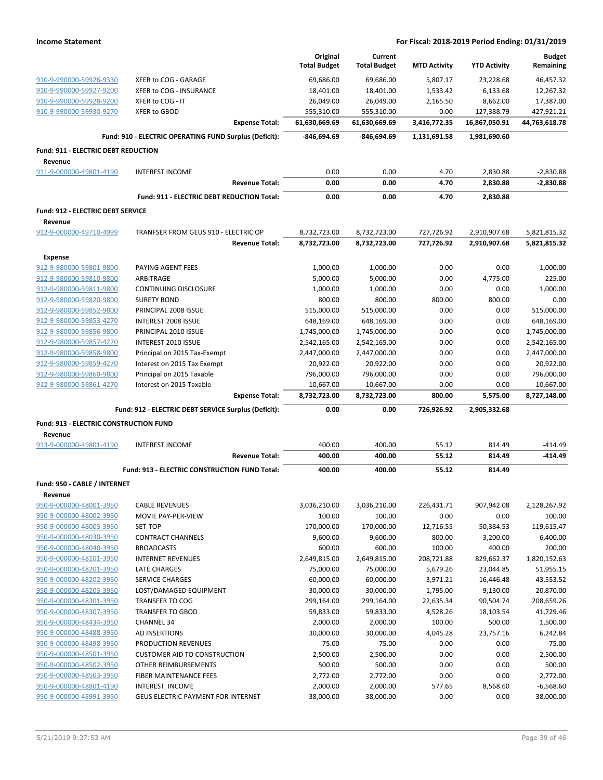|                                               |                                                        | Original            | Current             |                     |                     | <b>Budget</b> |
|-----------------------------------------------|--------------------------------------------------------|---------------------|---------------------|---------------------|---------------------|---------------|
|                                               |                                                        | <b>Total Budget</b> | <b>Total Budget</b> | <b>MTD Activity</b> | <b>YTD Activity</b> | Remaining     |
| 910-9-990000-59926-9330                       | XFER to COG - GARAGE                                   | 69,686.00           | 69,686.00           | 5,807.17            | 23,228.68           | 46,457.32     |
| 910-9-990000-59927-9200                       | XFER to COG - INSURANCE                                | 18,401.00           | 18,401.00           | 1,533.42            | 6,133.68            | 12,267.32     |
| 910-9-990000-59928-9200                       | XFER to COG - IT                                       | 26,049.00           | 26,049.00           | 2,165.50            | 8,662.00            | 17,387.00     |
| 910-9-990000-59930-9270                       | XFER to GBOD                                           | 555,310.00          | 555,310.00          | 0.00                | 127,388.79          | 427,921.21    |
|                                               | <b>Expense Total:</b>                                  | 61,630,669.69       | 61,630,669.69       | 3,416,772.35        | 16,867,050.91       | 44,763,618.78 |
|                                               | Fund: 910 - ELECTRIC OPERATING FUND Surplus (Deficit): | -846,694.69         | -846,694.69         | 1,131,691.58        | 1,981,690.60        |               |
| Fund: 911 - ELECTRIC DEBT REDUCTION           |                                                        |                     |                     |                     |                     |               |
| Revenue                                       |                                                        |                     |                     |                     |                     |               |
| 911-9-000000-49801-4190                       | <b>INTEREST INCOME</b>                                 | 0.00                | 0.00                | 4.70                | 2,830.88            | $-2,830.88$   |
|                                               | <b>Revenue Total:</b>                                  | 0.00                | 0.00                | 4.70                | 2,830.88            | $-2,830.88$   |
|                                               | Fund: 911 - ELECTRIC DEBT REDUCTION Total:             | 0.00                | 0.00                | 4.70                | 2,830.88            |               |
| <b>Fund: 912 - ELECTRIC DEBT SERVICE</b>      |                                                        |                     |                     |                     |                     |               |
| Revenue                                       |                                                        |                     |                     |                     |                     |               |
| 912-9-000000-49710-4999                       | TRANFSER FROM GEUS 910 - ELECTRIC OP                   | 8,732,723.00        | 8,732,723.00        | 727,726.92          | 2,910,907.68        | 5,821,815.32  |
|                                               | <b>Revenue Total:</b>                                  | 8,732,723.00        | 8,732,723.00        | 727,726.92          | 2,910,907.68        | 5,821,815.32  |
| <b>Expense</b>                                |                                                        |                     |                     |                     |                     |               |
| 912-9-980000-59801-9800                       | PAYING AGENT FEES                                      | 1,000.00            | 1,000.00            | 0.00                | 0.00                | 1,000.00      |
| 912-9-980000-59810-9800                       | ARBITRAGE                                              | 5,000.00            | 5,000.00            | 0.00                | 4,775.00            | 225.00        |
| 912-9-980000-59811-9800                       | <b>CONTINUING DISCLOSURE</b>                           | 1,000.00            | 1,000.00            | 0.00                | 0.00                | 1,000.00      |
| 912-9-980000-59820-9800                       | <b>SURETY BOND</b>                                     | 800.00              | 800.00              | 800.00              | 800.00              | 0.00          |
| 912-9-980000-59852-9800                       | PRINCIPAL 2008 ISSUE                                   | 515,000.00          | 515,000.00          | 0.00                | 0.00                | 515,000.00    |
| 912-9-980000-59853-4270                       | <b>INTEREST 2008 ISSUE</b>                             | 648,169.00          | 648,169.00          | 0.00                | 0.00                | 648,169.00    |
| 912-9-980000-59856-9800                       | PRINCIPAL 2010 ISSUE                                   | 1,745,000.00        | 1,745,000.00        | 0.00                | 0.00                | 1,745,000.00  |
| 912-9-980000-59857-4270                       | <b>INTEREST 2010 ISSUE</b>                             | 2,542,165.00        | 2,542,165.00        | 0.00                | 0.00                | 2,542,165.00  |
| 912-9-980000-59858-9800                       | Principal on 2015 Tax-Exempt                           | 2,447,000.00        | 2,447,000.00        | 0.00                | 0.00                | 2,447,000.00  |
| 912-9-980000-59859-4270                       | Interest on 2015 Tax Exempt                            | 20,922.00           | 20,922.00           | 0.00                | 0.00                | 20,922.00     |
| 912-9-980000-59860-9800                       | Principal on 2015 Taxable                              | 796,000.00          | 796,000.00          | 0.00                | 0.00                | 796,000.00    |
| 912-9-980000-59861-4270                       | Interest on 2015 Taxable                               | 10,667.00           | 10,667.00           | 0.00                | 0.00                | 10,667.00     |
|                                               | <b>Expense Total:</b>                                  | 8,732,723.00        | 8,732,723.00        | 800.00              | 5,575.00            | 8,727,148.00  |
|                                               | Fund: 912 - ELECTRIC DEBT SERVICE Surplus (Deficit):   | 0.00                | 0.00                | 726,926.92          | 2,905,332.68        |               |
| <b>Fund: 913 - ELECTRIC CONSTRUCTION FUND</b> |                                                        |                     |                     |                     |                     |               |
| Revenue                                       |                                                        |                     |                     |                     |                     |               |
| 913-9-000000-49801-4190                       | <b>INTEREST INCOME</b>                                 | 400.00              | 400.00              | 55.12               | 814.49              | $-414.49$     |
|                                               | <b>Revenue Total:</b>                                  | 400.00              | 400.00              | 55.12               | 814.49              | $-414.49$     |
|                                               | Fund: 913 - ELECTRIC CONSTRUCTION FUND Total:          | 400.00              | 400.00              | 55.12               | 814.49              |               |
| Fund: 950 - CABLE / INTERNET                  |                                                        |                     |                     |                     |                     |               |
| Revenue                                       |                                                        |                     |                     |                     |                     |               |
| 950-9-000000-48001-3950                       | <b>CABLE REVENUES</b>                                  | 3,036,210.00        | 3,036,210.00        | 226,431.71          | 907,942.08          | 2,128,267.92  |
| 950-9-000000-48002-3950                       | <b>MOVIE PAY-PER-VIEW</b>                              | 100.00              | 100.00              | 0.00                | 0.00                | 100.00        |
| 950-9-000000-48003-3950                       | SET-TOP                                                | 170,000.00          | 170,000.00          | 12,716.55           | 50,384.53           | 119,615.47    |
| 950-9-000000-48030-3950                       | <b>CONTRACT CHANNELS</b>                               | 9,600.00            | 9,600.00            | 800.00              | 3,200.00            | 6,400.00      |
| 950-9-000000-48040-3950                       | <b>BROADCASTS</b>                                      | 600.00              | 600.00              | 100.00              | 400.00              | 200.00        |
| 950-9-000000-48101-3950                       | <b>INTERNET REVENUES</b>                               | 2,649,815.00        | 2,649,815.00        | 208,721.88          | 829,662.37          | 1,820,152.63  |
| 950-9-000000-48201-3950                       | <b>LATE CHARGES</b>                                    | 75,000.00           | 75,000.00           | 5,679.26            | 23,044.85           | 51,955.15     |
| 950-9-000000-48202-3950                       | <b>SERVICE CHARGES</b>                                 | 60,000.00           | 60,000.00           | 3,971.21            | 16,446.48           | 43,553.52     |
| 950-9-000000-48203-3950                       | LOST/DAMAGED EQUIPMENT                                 | 30,000.00           | 30,000.00           | 1,795.00            | 9,130.00            | 20,870.00     |
| 950-9-000000-48301-3950                       | <b>TRANSFER TO COG</b>                                 | 299,164.00          | 299,164.00          | 22,635.34           | 90,504.74           | 208,659.26    |
| 950-9-000000-48307-3950                       | <b>TRANSFER TO GBOD</b>                                | 59,833.00           | 59,833.00           | 4,528.26            | 18,103.54           | 41,729.46     |
| 950-9-000000-48434-3950                       | <b>CHANNEL 34</b>                                      | 2,000.00            | 2,000.00            | 100.00              | 500.00              | 1,500.00      |
| 950-9-000000-48488-3950                       | <b>AD INSERTIONS</b>                                   | 30,000.00           | 30,000.00           | 4,045.28            | 23,757.16           | 6,242.84      |
| 950-9-000000-48498-3950                       | <b>PRODUCTION REVENUES</b>                             | 75.00               | 75.00               | 0.00                | 0.00                | 75.00         |
| 950-9-000000-48501-3950                       | <b>CUSTOMER AID TO CONSTRUCTION</b>                    | 2,500.00            | 2,500.00            | 0.00                | 0.00                | 2,500.00      |
| 950-9-000000-48502-3950                       | OTHER REIMBURSEMENTS                                   | 500.00              | 500.00              | 0.00                | 0.00                | 500.00        |
| 950-9-000000-48503-3950                       | FIBER MAINTENANCE FEES                                 | 2,772.00            | 2,772.00            | 0.00                | 0.00                | 2,772.00      |
| 950-9-000000-48801-4190                       | INTEREST INCOME                                        | 2,000.00            | 2,000.00            | 577.65              | 8,568.60            | $-6,568.60$   |
| 950-9-000000-48991-3950                       | GEUS ELECTRIC PAYMENT FOR INTERNET                     | 38,000.00           | 38,000.00           | 0.00                | 0.00                | 38,000.00     |
|                                               |                                                        |                     |                     |                     |                     |               |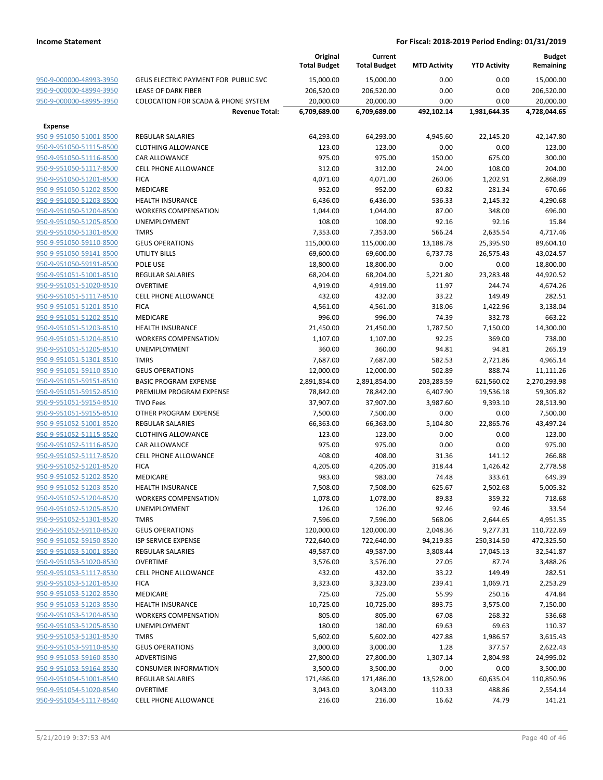|                         |                                                | Original<br><b>Total Budget</b> | Current<br><b>Total Budget</b> | <b>MTD Activity</b> | <b>YTD Activity</b> | <b>Budget</b><br>Remaining |
|-------------------------|------------------------------------------------|---------------------------------|--------------------------------|---------------------|---------------------|----------------------------|
| 950-9-000000-48993-3950 | GEUS ELECTRIC PAYMENT FOR PUBLIC SVC           | 15,000.00                       | 15,000.00                      | 0.00                | 0.00                | 15,000.00                  |
| 950-9-000000-48994-3950 | LEASE OF DARK FIBER                            | 206,520.00                      | 206,520.00                     | 0.00                | 0.00                | 206,520.00                 |
| 950-9-000000-48995-3950 | <b>COLOCATION FOR SCADA &amp; PHONE SYSTEM</b> | 20,000.00                       | 20,000.00                      | 0.00                | 0.00                | 20,000.00                  |
|                         | <b>Revenue Total:</b>                          | 6,709,689.00                    | 6,709,689.00                   | 492,102.14          | 1,981,644.35        | 4,728,044.65               |
| <b>Expense</b>          |                                                |                                 |                                |                     |                     |                            |
| 950-9-951050-51001-8500 | <b>REGULAR SALARIES</b>                        | 64,293.00                       | 64,293.00                      | 4,945.60            | 22,145.20           | 42,147.80                  |
| 950-9-951050-51115-8500 | <b>CLOTHING ALLOWANCE</b>                      | 123.00                          | 123.00                         | 0.00                | 0.00                | 123.00                     |
| 950-9-951050-51116-8500 | <b>CAR ALLOWANCE</b>                           | 975.00                          | 975.00                         | 150.00              | 675.00              | 300.00                     |
| 950-9-951050-51117-8500 | <b>CELL PHONE ALLOWANCE</b>                    | 312.00                          | 312.00                         | 24.00               | 108.00              | 204.00                     |
| 950-9-951050-51201-8500 | <b>FICA</b>                                    | 4,071.00                        | 4,071.00                       | 260.06              | 1,202.91            | 2,868.09                   |
| 950-9-951050-51202-8500 | <b>MEDICARE</b>                                | 952.00                          | 952.00                         | 60.82               | 281.34              | 670.66                     |
| 950-9-951050-51203-8500 | <b>HEALTH INSURANCE</b>                        | 6,436.00                        | 6,436.00                       | 536.33              | 2,145.32            | 4,290.68                   |
| 950-9-951050-51204-8500 | <b>WORKERS COMPENSATION</b>                    | 1,044.00                        | 1,044.00                       | 87.00               | 348.00              | 696.00                     |
| 950-9-951050-51205-8500 | <b>UNEMPLOYMENT</b>                            | 108.00                          | 108.00                         | 92.16               | 92.16               | 15.84                      |
| 950-9-951050-51301-8500 | <b>TMRS</b>                                    | 7,353.00                        | 7,353.00                       | 566.24              | 2,635.54            | 4,717.46                   |
| 950-9-951050-59110-8500 | <b>GEUS OPERATIONS</b>                         | 115,000.00                      | 115,000.00                     | 13,188.78           | 25,395.90           | 89,604.10                  |
| 950-9-951050-59141-8500 | UTILITY BILLS                                  | 69,600.00                       | 69,600.00                      | 6,737.78            | 26,575.43           | 43,024.57                  |
| 950-9-951050-59191-8500 | POLE USE                                       | 18,800.00                       | 18,800.00                      | 0.00                | 0.00                | 18,800.00                  |
| 950-9-951051-51001-8510 | <b>REGULAR SALARIES</b>                        | 68,204.00                       | 68,204.00                      | 5,221.80            | 23,283.48           | 44,920.52                  |
| 950-9-951051-51020-8510 | <b>OVERTIME</b>                                | 4,919.00                        | 4,919.00                       | 11.97               | 244.74              | 4,674.26                   |
| 950-9-951051-51117-8510 | <b>CELL PHONE ALLOWANCE</b>                    | 432.00                          | 432.00                         | 33.22               | 149.49              | 282.51                     |
| 950-9-951051-51201-8510 | <b>FICA</b>                                    | 4,561.00                        | 4,561.00                       | 318.06              | 1,422.96            | 3,138.04                   |
| 950-9-951051-51202-8510 | <b>MEDICARE</b>                                | 996.00                          | 996.00                         | 74.39               | 332.78              | 663.22                     |
| 950-9-951051-51203-8510 | <b>HEALTH INSURANCE</b>                        | 21,450.00                       | 21,450.00                      | 1,787.50            | 7,150.00            | 14,300.00                  |
| 950-9-951051-51204-8510 | <b>WORKERS COMPENSATION</b>                    | 1,107.00                        | 1,107.00                       | 92.25               | 369.00              | 738.00                     |
| 950-9-951051-51205-8510 | <b>UNEMPLOYMENT</b>                            | 360.00                          | 360.00                         | 94.81               | 94.81               | 265.19                     |
| 950-9-951051-51301-8510 | <b>TMRS</b>                                    | 7,687.00                        | 7,687.00                       | 582.53              | 2,721.86            | 4,965.14                   |
| 950-9-951051-59110-8510 | <b>GEUS OPERATIONS</b>                         | 12,000.00                       | 12,000.00                      | 502.89              | 888.74              | 11,111.26                  |
| 950-9-951051-59151-8510 | <b>BASIC PROGRAM EXPENSE</b>                   | 2,891,854.00                    | 2,891,854.00                   | 203,283.59          | 621,560.02          | 2,270,293.98               |
| 950-9-951051-59152-8510 | PREMIUM PROGRAM EXPENSE                        | 78,842.00                       | 78,842.00                      | 6,407.90            | 19,536.18           | 59,305.82                  |
| 950-9-951051-59154-8510 | <b>TIVO Fees</b>                               | 37,907.00                       | 37,907.00                      | 3,987.60            | 9,393.10            | 28,513.90                  |
| 950-9-951051-59155-8510 | OTHER PROGRAM EXPENSE                          | 7,500.00                        | 7,500.00                       | 0.00                | 0.00                | 7,500.00                   |
| 950-9-951052-51001-8520 | <b>REGULAR SALARIES</b>                        | 66,363.00                       | 66,363.00                      | 5,104.80            | 22,865.76           | 43,497.24                  |
| 950-9-951052-51115-8520 | <b>CLOTHING ALLOWANCE</b>                      | 123.00                          | 123.00                         | 0.00                | 0.00                | 123.00                     |
| 950-9-951052-51116-8520 | <b>CAR ALLOWANCE</b>                           | 975.00                          | 975.00                         | 0.00                | 0.00                | 975.00                     |
| 950-9-951052-51117-8520 | <b>CELL PHONE ALLOWANCE</b>                    | 408.00                          | 408.00                         | 31.36               | 141.12              | 266.88                     |
| 950-9-951052-51201-8520 | <b>FICA</b>                                    | 4,205.00                        | 4,205.00                       | 318.44              | 1,426.42            | 2,778.58                   |
| 950-9-951052-51202-8520 | <b>MEDICARE</b>                                | 983.00                          | 983.00                         | 74.48               | 333.61              | 649.39                     |
| 950-9-951052-51203-8520 | <b>HEALTH INSURANCE</b>                        | 7,508.00                        | 7,508.00                       | 625.67              | 2,502.68            | 5,005.32                   |
| 950-9-951052-51204-8520 | <b>WORKERS COMPENSATION</b>                    | 1,078.00                        | 1,078.00                       | 89.83               | 359.32              | 718.68                     |
| 950-9-951052-51205-8520 | UNEMPLOYMENT                                   | 126.00                          | 126.00                         | 92.46               | 92.46               | 33.54                      |
| 950-9-951052-51301-8520 | <b>TMRS</b>                                    | 7,596.00                        | 7,596.00                       | 568.06              | 2,644.65            | 4,951.35                   |
| 950-9-951052-59110-8520 | <b>GEUS OPERATIONS</b>                         | 120,000.00                      | 120,000.00                     | 2,048.36            | 9,277.31            | 110,722.69                 |
| 950-9-951052-59150-8520 | ISP SERVICE EXPENSE                            | 722,640.00                      | 722,640.00                     | 94,219.85           | 250,314.50          | 472,325.50                 |
| 950-9-951053-51001-8530 | <b>REGULAR SALARIES</b>                        | 49,587.00                       | 49,587.00                      | 3,808.44            | 17,045.13           | 32,541.87                  |
| 950-9-951053-51020-8530 | <b>OVERTIME</b>                                | 3,576.00                        | 3,576.00                       | 27.05               | 87.74               | 3,488.26                   |
| 950-9-951053-51117-8530 | <b>CELL PHONE ALLOWANCE</b>                    | 432.00                          | 432.00                         | 33.22               | 149.49              | 282.51                     |
| 950-9-951053-51201-8530 | <b>FICA</b>                                    | 3,323.00                        | 3,323.00                       | 239.41              | 1,069.71            | 2,253.29                   |
| 950-9-951053-51202-8530 | <b>MEDICARE</b>                                | 725.00                          | 725.00                         | 55.99               | 250.16              | 474.84                     |
| 950-9-951053-51203-8530 | <b>HEALTH INSURANCE</b>                        | 10,725.00                       | 10,725.00                      | 893.75              | 3,575.00            | 7,150.00                   |
| 950-9-951053-51204-8530 | <b>WORKERS COMPENSATION</b>                    | 805.00                          | 805.00                         | 67.08               | 268.32              | 536.68                     |
| 950-9-951053-51205-8530 | UNEMPLOYMENT                                   | 180.00                          | 180.00                         | 69.63               | 69.63               | 110.37                     |
| 950-9-951053-51301-8530 | <b>TMRS</b>                                    | 5,602.00                        | 5,602.00                       | 427.88              | 1,986.57            | 3,615.43                   |
| 950-9-951053-59110-8530 | <b>GEUS OPERATIONS</b>                         | 3,000.00                        | 3,000.00                       | 1.28                | 377.57              | 2,622.43                   |
| 950-9-951053-59160-8530 | ADVERTISING                                    | 27,800.00                       | 27,800.00                      | 1,307.14            | 2,804.98            | 24,995.02                  |
| 950-9-951053-59164-8530 | <b>CONSUMER INFORMATION</b>                    | 3,500.00                        | 3,500.00                       | 0.00                | 0.00                | 3,500.00                   |
| 950-9-951054-51001-8540 | <b>REGULAR SALARIES</b>                        | 171,486.00                      | 171,486.00                     | 13,528.00           | 60,635.04           | 110,850.96                 |
| 950-9-951054-51020-8540 | <b>OVERTIME</b>                                | 3,043.00                        | 3,043.00                       | 110.33              | 488.86              | 2,554.14                   |
| 950-9-951054-51117-8540 | CELL PHONE ALLOWANCE                           | 216.00                          | 216.00                         | 16.62               | 74.79               | 141.21                     |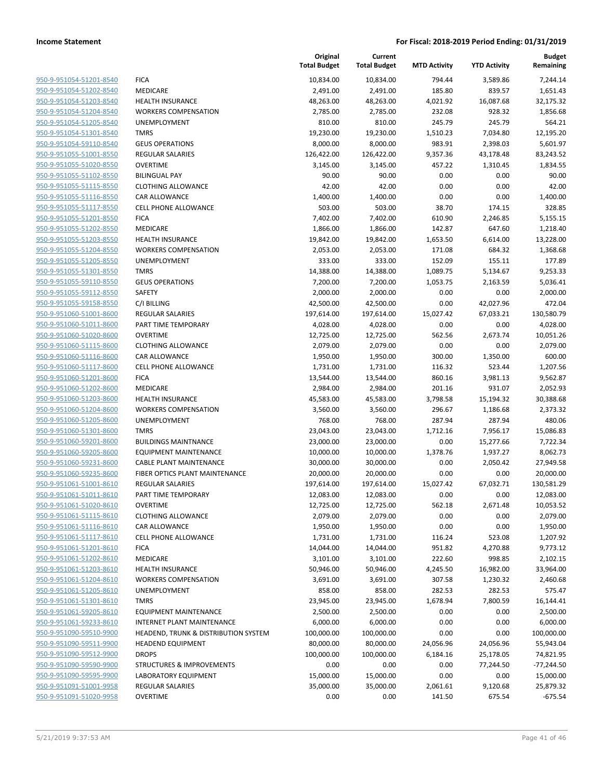|                                                    |                                              | Original<br><b>Total Budget</b> | Current<br><b>Total Budget</b> | <b>MTD Activity</b> | <b>YTD Activity</b> | <b>Budget</b><br>Remaining |
|----------------------------------------------------|----------------------------------------------|---------------------------------|--------------------------------|---------------------|---------------------|----------------------------|
| 950-9-951054-51201-8540                            | <b>FICA</b>                                  | 10,834.00                       | 10,834.00                      | 794.44              | 3,589.86            | 7,244.14                   |
| 950-9-951054-51202-8540                            | MEDICARE                                     | 2,491.00                        | 2,491.00                       | 185.80              | 839.57              | 1,651.43                   |
| 950-9-951054-51203-8540                            | <b>HEALTH INSURANCE</b>                      | 48,263.00                       | 48,263.00                      | 4,021.92            | 16,087.68           | 32,175.32                  |
| 950-9-951054-51204-8540                            | <b>WORKERS COMPENSATION</b>                  | 2,785.00                        | 2,785.00                       | 232.08              | 928.32              | 1,856.68                   |
| 950-9-951054-51205-8540                            | <b>UNEMPLOYMENT</b>                          | 810.00                          | 810.00                         | 245.79              | 245.79              | 564.21                     |
| 950-9-951054-51301-8540                            | <b>TMRS</b>                                  | 19,230.00                       | 19,230.00                      | 1,510.23            | 7,034.80            | 12,195.20                  |
| 950-9-951054-59110-8540                            | <b>GEUS OPERATIONS</b>                       | 8,000.00                        | 8,000.00                       | 983.91              | 2,398.03            | 5,601.97                   |
| 950-9-951055-51001-8550                            | REGULAR SALARIES                             | 126,422.00                      | 126,422.00                     | 9,357.36            | 43,178.48           | 83,243.52                  |
| 950-9-951055-51020-8550                            | <b>OVERTIME</b>                              | 3,145.00                        | 3,145.00                       | 457.22              | 1,310.45            | 1,834.55                   |
| 950-9-951055-51102-8550                            | <b>BILINGUAL PAY</b>                         | 90.00                           | 90.00                          | 0.00                | 0.00                | 90.00                      |
| 950-9-951055-51115-8550                            | <b>CLOTHING ALLOWANCE</b>                    | 42.00                           | 42.00                          | 0.00                | 0.00                | 42.00                      |
| 950-9-951055-51116-8550                            | CAR ALLOWANCE                                | 1,400.00                        | 1,400.00                       | 0.00                | 0.00                | 1,400.00                   |
| 950-9-951055-51117-8550                            | <b>CELL PHONE ALLOWANCE</b>                  | 503.00                          | 503.00                         | 38.70               | 174.15              | 328.85                     |
| 950-9-951055-51201-8550                            | <b>FICA</b>                                  | 7,402.00                        | 7,402.00                       | 610.90              | 2,246.85            | 5,155.15                   |
| 950-9-951055-51202-8550                            | MEDICARE                                     | 1,866.00                        | 1,866.00                       | 142.87              | 647.60              | 1,218.40                   |
| 950-9-951055-51203-8550                            | <b>HEALTH INSURANCE</b>                      | 19,842.00                       | 19,842.00                      | 1,653.50            | 6,614.00            | 13,228.00                  |
| 950-9-951055-51204-8550                            | <b>WORKERS COMPENSATION</b>                  | 2,053.00                        | 2,053.00                       | 171.08              | 684.32              | 1,368.68                   |
| 950-9-951055-51205-8550                            | <b>UNEMPLOYMENT</b>                          | 333.00                          | 333.00                         | 152.09              | 155.11              | 177.89                     |
| 950-9-951055-51301-8550                            | <b>TMRS</b>                                  | 14,388.00                       | 14,388.00                      | 1,089.75            | 5,134.67            | 9,253.33                   |
| 950-9-951055-59110-8550                            | <b>GEUS OPERATIONS</b>                       | 7,200.00                        | 7,200.00                       | 1,053.75            | 2,163.59            | 5,036.41                   |
| 950-9-951055-59112-8550                            | SAFETY                                       | 2,000.00                        | 2,000.00                       | 0.00                | 0.00                | 2,000.00                   |
| 950-9-951055-59158-8550                            | C/I BILLING                                  | 42,500.00                       | 42,500.00                      | 0.00                | 42,027.96           | 472.04                     |
| 950-9-951060-51001-8600                            | REGULAR SALARIES                             | 197,614.00                      | 197,614.00                     | 15,027.42           | 67,033.21           | 130,580.79                 |
| 950-9-951060-51011-8600                            | PART TIME TEMPORARY                          | 4,028.00                        | 4,028.00                       | 0.00                | 0.00                | 4,028.00                   |
| 950-9-951060-51020-8600                            | <b>OVERTIME</b>                              | 12,725.00                       | 12,725.00                      | 562.56              | 2,673.74            | 10,051.26                  |
| 950-9-951060-51115-8600                            | <b>CLOTHING ALLOWANCE</b>                    | 2,079.00                        | 2,079.00                       | 0.00                | 0.00                | 2,079.00                   |
| 950-9-951060-51116-8600                            | CAR ALLOWANCE                                | 1,950.00                        | 1,950.00                       | 300.00              | 1,350.00            | 600.00                     |
| 950-9-951060-51117-8600                            | <b>CELL PHONE ALLOWANCE</b>                  | 1,731.00                        | 1,731.00                       | 116.32              | 523.44              | 1,207.56                   |
| 950-9-951060-51201-8600                            | <b>FICA</b>                                  | 13,544.00                       | 13,544.00                      | 860.16              | 3,981.13            | 9,562.87                   |
| 950-9-951060-51202-8600                            | MEDICARE                                     | 2,984.00                        | 2,984.00                       | 201.16              | 931.07              | 2,052.93                   |
| 950-9-951060-51203-8600                            | <b>HEALTH INSURANCE</b>                      | 45,583.00                       | 45,583.00                      | 3,798.58            | 15,194.32           | 30,388.68                  |
| 950-9-951060-51204-8600                            | <b>WORKERS COMPENSATION</b>                  | 3,560.00                        | 3,560.00                       | 296.67              | 1,186.68            | 2,373.32                   |
| 950-9-951060-51205-8600                            | UNEMPLOYMENT                                 | 768.00                          | 768.00                         | 287.94              | 287.94              | 480.06                     |
| 950-9-951060-51301-8600                            | <b>TMRS</b>                                  | 23,043.00                       | 23,043.00                      | 1,712.16            | 7,956.17            | 15,086.83                  |
| 950-9-951060-59201-8600                            | <b>BUILDINGS MAINTNANCE</b>                  | 23,000.00                       | 23,000.00                      | 0.00                | 15,277.66           | 7,722.34                   |
| 950-9-951060-59205-8600                            | <b>EQUIPMENT MAINTENANCE</b>                 | 10,000.00                       | 10,000.00                      | 1,378.76            | 1,937.27            | 8,062.73                   |
| 950-9-951060-59231-8600                            | <b>CABLE PLANT MAINTENANCE</b>               | 30,000.00                       | 30,000.00                      | 0.00                | 2,050.42            | 27,949.58                  |
| 950-9-951060-59235-8600<br>950-9-951061-51001-8610 | FIBER OPTICS PLANT MAINTENANCE               | 20,000.00                       | 20,000.00                      | 0.00                | 0.00                | 20,000.00                  |
| 950-9-951061-51011-8610                            | <b>REGULAR SALARIES</b>                      | 197,614.00                      | 197,614.00                     | 15,027.42           | 67,032.71           | 130,581.29                 |
|                                                    | PART TIME TEMPORARY                          | 12,083.00                       | 12,083.00<br>12,725.00         | 0.00                | 0.00                | 12,083.00<br>10,053.52     |
| 950-9-951061-51020-8610<br>950-9-951061-51115-8610 | <b>OVERTIME</b><br><b>CLOTHING ALLOWANCE</b> | 12,725.00<br>2,079.00           | 2,079.00                       | 562.18<br>0.00      | 2,671.48<br>0.00    | 2,079.00                   |
| 950-9-951061-51116-8610                            | CAR ALLOWANCE                                | 1,950.00                        |                                | 0.00                | 0.00                | 1,950.00                   |
| 950-9-951061-51117-8610                            | <b>CELL PHONE ALLOWANCE</b>                  |                                 | 1,950.00                       |                     |                     | 1,207.92                   |
| 950-9-951061-51201-8610                            | <b>FICA</b>                                  | 1,731.00<br>14,044.00           | 1,731.00                       | 116.24<br>951.82    | 523.08<br>4,270.88  | 9,773.12                   |
| 950-9-951061-51202-8610                            | <b>MEDICARE</b>                              | 3,101.00                        | 14,044.00                      | 222.60              | 998.85              | 2,102.15                   |
| 950-9-951061-51203-8610                            | HEALTH INSURANCE                             | 50,946.00                       | 3,101.00<br>50,946.00          | 4,245.50            | 16,982.00           | 33,964.00                  |
| 950-9-951061-51204-8610                            | <b>WORKERS COMPENSATION</b>                  | 3,691.00                        | 3,691.00                       | 307.58              | 1,230.32            | 2,460.68                   |
| 950-9-951061-51205-8610                            | <b>UNEMPLOYMENT</b>                          | 858.00                          | 858.00                         | 282.53              | 282.53              | 575.47                     |
| 950-9-951061-51301-8610                            | <b>TMRS</b>                                  | 23,945.00                       | 23,945.00                      | 1,678.94            | 7,800.59            | 16,144.41                  |
| 950-9-951061-59205-8610                            | <b>EQUIPMENT MAINTENANCE</b>                 | 2,500.00                        | 2,500.00                       | 0.00                | 0.00                | 2,500.00                   |
| 950-9-951061-59233-8610                            | INTERNET PLANT MAINTENANCE                   | 6,000.00                        | 6,000.00                       | 0.00                | 0.00                | 6,000.00                   |
| 950-9-951090-59510-9900                            | HEADEND, TRUNK & DISTRIBUTION SYSTEM         | 100,000.00                      | 100,000.00                     | 0.00                | 0.00                | 100,000.00                 |
| 950-9-951090-59511-9900                            | <b>HEADEND EQUIPMENT</b>                     | 80,000.00                       | 80,000.00                      | 24,056.96           | 24,056.96           | 55,943.04                  |
| 950-9-951090-59512-9900                            | <b>DROPS</b>                                 | 100,000.00                      | 100,000.00                     | 6,184.16            | 25,178.05           | 74,821.95                  |
| 950-9-951090-59590-9900                            | <b>STRUCTURES &amp; IMPROVEMENTS</b>         | 0.00                            | 0.00                           | 0.00                | 77,244.50           | $-77,244.50$               |
| 950-9-951090-59595-9900                            | LABORATORY EQUIPMENT                         |                                 |                                | 0.00                | 0.00                |                            |
| 950-9-951091-51001-9958                            |                                              | 15,000.00                       | 15,000.00                      |                     |                     | 15,000.00                  |
| 950-9-951091-51020-9958                            | REGULAR SALARIES                             | 35,000.00                       | 35,000.00                      | 2,061.61            | 9,120.68            | 25,879.32                  |
|                                                    | <b>OVERTIME</b>                              | 0.00                            | 0.00                           | 141.50              | 675.54              | $-675.54$                  |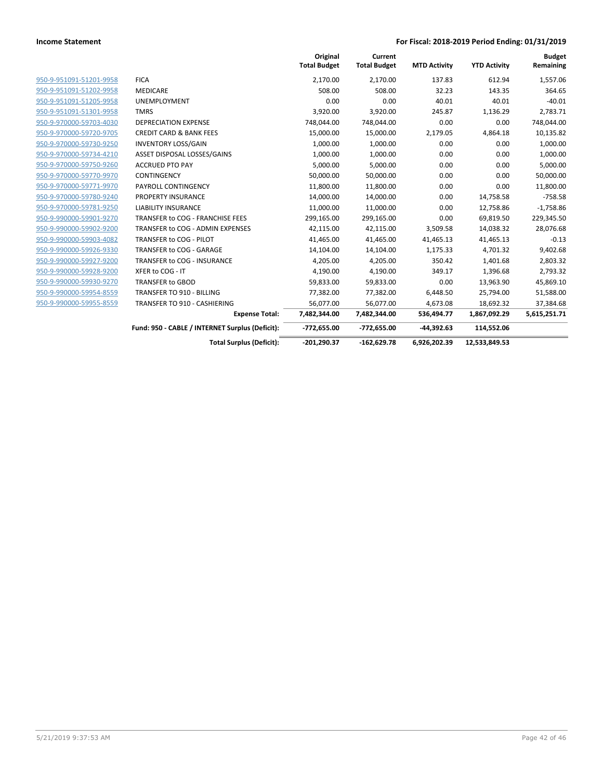|                         |                                                 | Original<br><b>Total Budget</b> | Current<br><b>Total Budget</b> | <b>MTD Activity</b> | <b>YTD Activity</b> | <b>Budget</b><br>Remaining |
|-------------------------|-------------------------------------------------|---------------------------------|--------------------------------|---------------------|---------------------|----------------------------|
| 950-9-951091-51201-9958 | <b>FICA</b>                                     | 2,170.00                        | 2,170.00                       | 137.83              | 612.94              | 1,557.06                   |
| 950-9-951091-51202-9958 | <b>MEDICARE</b>                                 | 508.00                          | 508.00                         | 32.23               | 143.35              | 364.65                     |
| 950-9-951091-51205-9958 | <b>UNEMPLOYMENT</b>                             | 0.00                            | 0.00                           | 40.01               | 40.01               | $-40.01$                   |
| 950-9-951091-51301-9958 | <b>TMRS</b>                                     | 3,920.00                        | 3,920.00                       | 245.87              | 1,136.29            | 2,783.71                   |
| 950-9-970000-59703-4030 | <b>DEPRECIATION EXPENSE</b>                     | 748,044.00                      | 748,044.00                     | 0.00                | 0.00                | 748,044.00                 |
| 950-9-970000-59720-9705 | <b>CREDIT CARD &amp; BANK FEES</b>              | 15,000.00                       | 15,000.00                      | 2,179.05            | 4,864.18            | 10,135.82                  |
| 950-9-970000-59730-9250 | <b>INVENTORY LOSS/GAIN</b>                      | 1,000.00                        | 1,000.00                       | 0.00                | 0.00                | 1,000.00                   |
| 950-9-970000-59734-4210 | ASSET DISPOSAL LOSSES/GAINS                     | 1,000.00                        | 1,000.00                       | 0.00                | 0.00                | 1,000.00                   |
| 950-9-970000-59750-9260 | <b>ACCRUED PTO PAY</b>                          | 5,000.00                        | 5,000.00                       | 0.00                | 0.00                | 5,000.00                   |
| 950-9-970000-59770-9970 | <b>CONTINGENCY</b>                              | 50,000.00                       | 50,000.00                      | 0.00                | 0.00                | 50,000.00                  |
| 950-9-970000-59771-9970 | PAYROLL CONTINGENCY                             | 11,800.00                       | 11,800.00                      | 0.00                | 0.00                | 11,800.00                  |
| 950-9-970000-59780-9240 | PROPERTY INSURANCE                              | 14,000.00                       | 14,000.00                      | 0.00                | 14,758.58           | $-758.58$                  |
| 950-9-970000-59781-9250 | <b>LIABILITY INSURANCE</b>                      | 11,000.00                       | 11,000.00                      | 0.00                | 12,758.86           | $-1,758.86$                |
| 950-9-990000-59901-9270 | TRANSFER to COG - FRANCHISE FEES                | 299,165.00                      | 299,165.00                     | 0.00                | 69,819.50           | 229,345.50                 |
| 950-9-990000-59902-9200 | TRANSFER to COG - ADMIN EXPENSES                | 42,115.00                       | 42,115.00                      | 3,509.58            | 14,038.32           | 28,076.68                  |
| 950-9-990000-59903-4082 | TRANSFER to COG - PILOT                         | 41,465.00                       | 41,465.00                      | 41,465.13           | 41,465.13           | $-0.13$                    |
| 950-9-990000-59926-9330 | TRANSFER to COG - GARAGE                        | 14,104.00                       | 14,104.00                      | 1,175.33            | 4,701.32            | 9,402.68                   |
| 950-9-990000-59927-9200 | TRANSFER to COG - INSURANCE                     | 4,205.00                        | 4,205.00                       | 350.42              | 1,401.68            | 2,803.32                   |
| 950-9-990000-59928-9200 | XFER to COG - IT                                | 4,190.00                        | 4,190.00                       | 349.17              | 1,396.68            | 2,793.32                   |
| 950-9-990000-59930-9270 | <b>TRANSFER to GBOD</b>                         | 59,833.00                       | 59,833.00                      | 0.00                | 13,963.90           | 45,869.10                  |
| 950-9-990000-59954-8559 | <b>TRANSFER TO 910 - BILLING</b>                | 77,382.00                       | 77,382.00                      | 6,448.50            | 25,794.00           | 51,588.00                  |
| 950-9-990000-59955-8559 | TRANSFER TO 910 - CASHIERING                    | 56,077.00                       | 56,077.00                      | 4,673.08            | 18,692.32           | 37,384.68                  |
|                         | <b>Expense Total:</b>                           | 7,482,344.00                    | 7,482,344.00                   | 536,494.77          | 1,867,092.29        | 5,615,251.71               |
|                         | Fund: 950 - CABLE / INTERNET Surplus (Deficit): | $-772,655.00$                   | -772,655.00                    | $-44.392.63$        | 114,552.06          |                            |
|                         | <b>Total Surplus (Deficit):</b>                 | $-201.290.37$                   | $-162.629.78$                  | 6,926,202.39        | 12,533,849.53       |                            |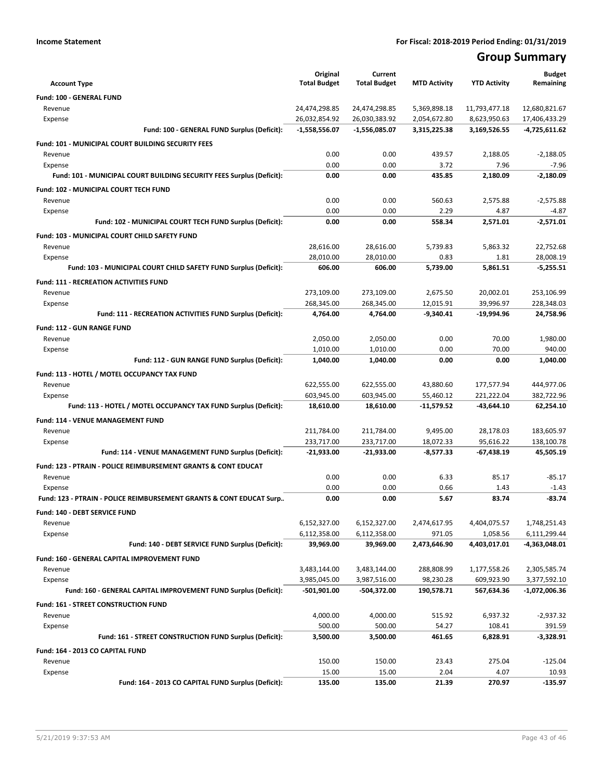# **Group Summary**

| <b>Account Type</b>                                                                  | Original<br><b>Total Budget</b> | Current<br><b>Total Budget</b> | <b>MTD Activity</b>     | <b>YTD Activity</b>      | <b>Budget</b><br>Remaining |
|--------------------------------------------------------------------------------------|---------------------------------|--------------------------------|-------------------------|--------------------------|----------------------------|
| Fund: 100 - GENERAL FUND                                                             |                                 |                                |                         |                          |                            |
| Revenue                                                                              | 24,474,298.85                   | 24,474,298.85                  | 5,369,898.18            | 11,793,477.18            | 12,680,821.67              |
| Expense                                                                              | 26,032,854.92                   | 26,030,383.92                  | 2,054,672.80            | 8,623,950.63             | 17,406,433.29              |
| Fund: 100 - GENERAL FUND Surplus (Deficit):                                          | $-1,558,556.07$                 | $-1,556,085.07$                | 3,315,225.38            | 3,169,526.55             | -4,725,611.62              |
| Fund: 101 - MUNICIPAL COURT BUILDING SECURITY FEES                                   |                                 |                                |                         |                          |                            |
| Revenue                                                                              | 0.00                            | 0.00                           | 439.57                  | 2,188.05                 | $-2,188.05$                |
| Expense                                                                              | 0.00                            | 0.00                           | 3.72                    | 7.96                     | $-7.96$                    |
| Fund: 101 - MUNICIPAL COURT BUILDING SECURITY FEES Surplus (Deficit):                | 0.00                            | 0.00                           | 435.85                  | 2,180.09                 | $-2.180.09$                |
| <b>Fund: 102 - MUNICIPAL COURT TECH FUND</b>                                         |                                 |                                |                         |                          |                            |
| Revenue                                                                              | 0.00                            | 0.00                           | 560.63                  | 2.575.88                 | $-2,575.88$                |
| Expense                                                                              | 0.00                            | 0.00                           | 2.29                    | 4.87                     | $-4.87$                    |
| Fund: 102 - MUNICIPAL COURT TECH FUND Surplus (Deficit):                             | 0.00                            | 0.00                           | 558.34                  | 2,571.01                 | $-2,571.01$                |
| Fund: 103 - MUNICIPAL COURT CHILD SAFETY FUND                                        |                                 |                                |                         |                          |                            |
| Revenue                                                                              | 28,616.00                       | 28,616.00                      | 5,739.83                | 5,863.32                 | 22,752.68                  |
| Expense                                                                              | 28,010.00                       | 28,010.00                      | 0.83                    | 1.81                     | 28,008.19                  |
| Fund: 103 - MUNICIPAL COURT CHILD SAFETY FUND Surplus (Deficit):                     | 606.00                          | 606.00                         | 5,739.00                | 5,861.51                 | $-5,255.51$                |
| <b>Fund: 111 - RECREATION ACTIVITIES FUND</b>                                        |                                 |                                |                         |                          |                            |
| Revenue                                                                              | 273,109.00                      | 273,109.00                     | 2,675.50                | 20,002.01                | 253,106.99                 |
| Expense                                                                              | 268,345.00                      | 268,345.00                     | 12,015.91               | 39,996.97                | 228,348.03                 |
| Fund: 111 - RECREATION ACTIVITIES FUND Surplus (Deficit):                            | 4,764.00                        | 4.764.00                       | $-9,340.41$             | -19,994.96               | 24,758.96                  |
| <b>Fund: 112 - GUN RANGE FUND</b>                                                    |                                 |                                |                         |                          |                            |
| Revenue                                                                              | 2,050.00                        | 2,050.00                       | 0.00                    | 70.00                    | 1,980.00                   |
| Expense                                                                              | 1,010.00                        | 1,010.00                       | 0.00                    | 70.00                    | 940.00                     |
| Fund: 112 - GUN RANGE FUND Surplus (Deficit):                                        | 1,040.00                        | 1,040.00                       | 0.00                    | 0.00                     | 1,040.00                   |
| Fund: 113 - HOTEL / MOTEL OCCUPANCY TAX FUND                                         |                                 |                                |                         |                          |                            |
| Revenue                                                                              | 622,555.00                      | 622,555.00                     | 43,880.60               | 177,577.94               | 444,977.06                 |
| Expense<br>Fund: 113 - HOTEL / MOTEL OCCUPANCY TAX FUND Surplus (Deficit):           | 603,945.00<br>18,610.00         | 603,945.00<br>18,610.00        | 55,460.12<br>-11,579.52 | 221,222.04<br>-43,644.10 | 382,722.96<br>62,254.10    |
|                                                                                      |                                 |                                |                         |                          |                            |
| Fund: 114 - VENUE MANAGEMENT FUND                                                    |                                 |                                |                         |                          |                            |
| Revenue                                                                              | 211,784.00<br>233,717.00        | 211,784.00<br>233,717.00       | 9,495.00<br>18,072.33   | 28,178.03<br>95,616.22   | 183,605.97<br>138,100.78   |
| Expense<br>Fund: 114 - VENUE MANAGEMENT FUND Surplus (Deficit):                      | $-21,933.00$                    | -21,933.00                     | $-8,577.33$             | $-67,438.19$             | 45,505.19                  |
|                                                                                      |                                 |                                |                         |                          |                            |
| <b>Fund: 123 - PTRAIN - POLICE REIMBURSEMENT GRANTS &amp; CONT EDUCAT</b><br>Revenue | 0.00                            | 0.00                           | 6.33                    | 85.17                    | $-85.17$                   |
| Expense                                                                              | 0.00                            | 0.00                           | 0.66                    | 1.43                     | $-1.43$                    |
| Fund: 123 - PTRAIN - POLICE REIMBURSEMENT GRANTS & CONT EDUCAT Surp                  | 0.00                            | 0.00                           | 5.67                    | 83.74                    | $-83.74$                   |
| Fund: 140 - DEBT SERVICE FUND                                                        |                                 |                                |                         |                          |                            |
| Revenue                                                                              | 6,152,327.00                    | 6,152,327.00                   | 2,474,617.95            | 4,404,075.57             | 1,748,251.43               |
| Expense                                                                              | 6,112,358.00                    | 6,112,358.00                   | 971.05                  | 1,058.56                 | 6,111,299.44               |
| Fund: 140 - DEBT SERVICE FUND Surplus (Deficit):                                     | 39,969.00                       | 39,969.00                      | 2,473,646.90            | 4,403,017.01             | -4,363,048.01              |
| Fund: 160 - GENERAL CAPITAL IMPROVEMENT FUND                                         |                                 |                                |                         |                          |                            |
| Revenue                                                                              | 3,483,144.00                    | 3,483,144.00                   | 288,808.99              | 1,177,558.26             | 2,305,585.74               |
| Expense                                                                              | 3,985,045.00                    | 3,987,516.00                   | 98,230.28               | 609,923.90               | 3,377,592.10               |
| Fund: 160 - GENERAL CAPITAL IMPROVEMENT FUND Surplus (Deficit):                      | $-501,901.00$                   | -504,372.00                    | 190,578.71              | 567,634.36               | -1,072,006.36              |
| Fund: 161 - STREET CONSTRUCTION FUND                                                 |                                 |                                |                         |                          |                            |
| Revenue                                                                              | 4,000.00                        | 4,000.00                       | 515.92                  | 6,937.32                 | $-2,937.32$                |
| Expense                                                                              | 500.00                          | 500.00                         | 54.27                   | 108.41                   | 391.59                     |
| Fund: 161 - STREET CONSTRUCTION FUND Surplus (Deficit):                              | 3,500.00                        | 3,500.00                       | 461.65                  | 6,828.91                 | $-3,328.91$                |
| Fund: 164 - 2013 CO CAPITAL FUND                                                     |                                 |                                |                         |                          |                            |
| Revenue                                                                              | 150.00                          | 150.00                         | 23.43                   | 275.04                   | $-125.04$                  |
| Expense                                                                              | 15.00                           | 15.00                          | 2.04                    | 4.07                     | 10.93                      |
| Fund: 164 - 2013 CO CAPITAL FUND Surplus (Deficit):                                  | 135.00                          | 135.00                         | 21.39                   | 270.97                   | $-135.97$                  |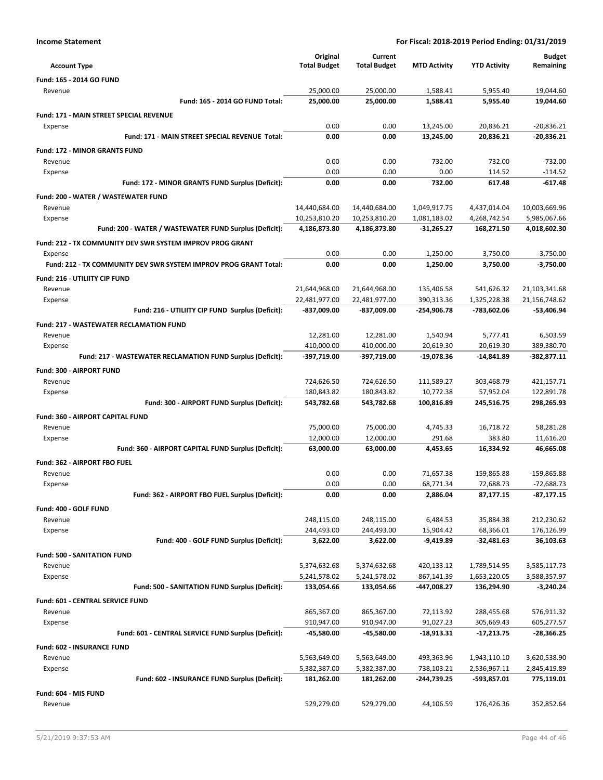| <b>Income Statement</b>                                          |                     |                     | For Fiscal: 2018-2019 Period Ending: 01/31/2019 |                     |               |
|------------------------------------------------------------------|---------------------|---------------------|-------------------------------------------------|---------------------|---------------|
|                                                                  | Original            | Current             |                                                 |                     | <b>Budget</b> |
| <b>Account Type</b>                                              | <b>Total Budget</b> | <b>Total Budget</b> | <b>MTD Activity</b>                             | <b>YTD Activity</b> | Remaining     |
| Fund: 165 - 2014 GO FUND                                         |                     |                     |                                                 |                     |               |
| Revenue                                                          | 25,000.00           | 25,000.00           | 1,588.41                                        | 5,955.40            | 19,044.60     |
| Fund: 165 - 2014 GO FUND Total:                                  | 25,000.00           | 25,000.00           | 1.588.41                                        | 5.955.40            | 19.044.60     |
| Fund: 171 - MAIN STREET SPECIAL REVENUE                          |                     |                     |                                                 |                     |               |
| Expense                                                          | 0.00                | 0.00                | 13,245.00                                       | 20,836.21           | $-20,836.21$  |
| Fund: 171 - MAIN STREET SPECIAL REVENUE Total:                   | 0.00                | 0.00                | 13,245.00                                       | 20,836.21           | $-20,836.21$  |
| <b>Fund: 172 - MINOR GRANTS FUND</b>                             |                     |                     |                                                 |                     |               |
| Revenue                                                          | 0.00                | 0.00                | 732.00                                          | 732.00              | $-732.00$     |
| Expense                                                          | 0.00                | 0.00                | 0.00                                            | 114.52              | $-114.52$     |
| Fund: 172 - MINOR GRANTS FUND Surplus (Deficit):                 | 0.00                | 0.00                | 732.00                                          | 617.48              | -617.48       |
| Fund: 200 - WATER / WASTEWATER FUND                              |                     |                     |                                                 |                     |               |
| Revenue                                                          | 14,440,684.00       | 14,440,684.00       | 1,049,917.75                                    | 4,437,014.04        | 10,003,669.96 |
| Expense                                                          | 10,253,810.20       | 10,253,810.20       | 1,081,183.02                                    | 4,268,742.54        | 5,985,067.66  |
| Fund: 200 - WATER / WASTEWATER FUND Surplus (Deficit):           | 4,186,873.80        | 4,186,873.80        | $-31,265.27$                                    | 168,271.50          | 4,018,602.30  |
| Fund: 212 - TX COMMUNITY DEV SWR SYSTEM IMPROV PROG GRANT        |                     |                     |                                                 |                     |               |
| Expense                                                          | 0.00                | 0.00                | 1,250.00                                        | 3,750.00            | $-3,750.00$   |
| Fund: 212 - TX COMMUNITY DEV SWR SYSTEM IMPROV PROG GRANT Total: | 0.00                | 0.00                | 1.250.00                                        | 3.750.00            | $-3.750.00$   |
| Fund: 216 - UTILIITY CIP FUND                                    |                     |                     |                                                 |                     |               |
| Revenue                                                          | 21,644,968.00       | 21,644,968.00       | 135,406.58                                      | 541,626.32          | 21,103,341.68 |
| Expense                                                          | 22,481,977.00       | 22,481,977.00       | 390,313.36                                      | 1,325,228.38        | 21,156,748.62 |
| Fund: 216 - UTILIITY CIP FUND Surplus (Deficit):                 | -837,009.00         | -837,009.00         | $-254,906.78$                                   | -783,602.06         | $-53,406.94$  |
| <b>Fund: 217 - WASTEWATER RECLAMATION FUND</b>                   |                     |                     |                                                 |                     |               |
| Revenue                                                          | 12,281.00           | 12,281.00           | 1,540.94                                        | 5,777.41            | 6,503.59      |
| Expense                                                          | 410,000.00          | 410,000.00          | 20,619.30                                       | 20,619.30           | 389,380.70    |
| Fund: 217 - WASTEWATER RECLAMATION FUND Surplus (Deficit):       | -397,719.00         | -397,719.00         | $-19,078.36$                                    | $-14,841.89$        | $-382,877.11$ |
| <b>Fund: 300 - AIRPORT FUND</b>                                  |                     |                     |                                                 |                     |               |
| Revenue                                                          | 724,626.50          | 724,626.50          | 111,589.27                                      | 303,468.79          | 421,157.71    |
| Expense                                                          | 180,843.82          | 180,843.82          | 10,772.38                                       | 57,952.04           | 122,891.78    |
| Fund: 300 - AIRPORT FUND Surplus (Deficit):                      | 543,782.68          | 543,782.68          | 100,816.89                                      | 245,516.75          | 298,265.93    |
| Fund: 360 - AIRPORT CAPITAL FUND                                 |                     |                     |                                                 |                     |               |
| Revenue                                                          | 75.000.00           | 75.000.00           | 4,745.33                                        | 16,718.72           | 58.281.28     |
| Expense                                                          | 12,000.00           | 12,000.00           | 291.68                                          | 383.80              | 11,616.20     |
| Fund: 360 - AIRPORT CAPITAL FUND Surplus (Deficit):              | 63,000.00           | 63,000.00           | 4,453.65                                        | 16,334.92           | 46,665.08     |
| Fund: 362 - AIRPORT FBO FUEL                                     |                     |                     |                                                 |                     |               |
| Revenue                                                          | 0.00                | 0.00                | 71,657.38                                       | 159,865.88          | $-159,865.88$ |
| Expense                                                          | 0.00                | 0.00                | 68,771.34                                       | 72,688.73           | $-72,688.73$  |
| Fund: 362 - AIRPORT FBO FUEL Surplus (Deficit):                  | 0.00                | 0.00                | 2,886.04                                        | 87,177.15           | $-87,177.15$  |
| Fund: 400 - GOLF FUND                                            |                     |                     |                                                 |                     |               |

| Expense                                 |                                                     | 244,493.00   | 244,493.00   | 15,904.42     | 68,366.01     | 176,126.99   |
|-----------------------------------------|-----------------------------------------------------|--------------|--------------|---------------|---------------|--------------|
|                                         | Fund: 400 - GOLF FUND Surplus (Deficit):            | 3,622.00     | 3,622.00     | $-9,419.89$   | $-32,481.63$  | 36,103.63    |
| <b>Fund: 500 - SANITATION FUND</b>      |                                                     |              |              |               |               |              |
| Revenue                                 |                                                     | 5,374,632.68 | 5,374,632.68 | 420,133.12    | 1,789,514.95  | 3,585,117.73 |
| Expense                                 |                                                     | 5,241,578.02 | 5,241,578.02 | 867,141.39    | 1,653,220.05  | 3,588,357.97 |
|                                         | Fund: 500 - SANITATION FUND Surplus (Deficit):      | 133,054.66   | 133,054.66   | -447,008.27   | 136,294.90    | $-3,240.24$  |
| <b>Fund: 601 - CENTRAL SERVICE FUND</b> |                                                     |              |              |               |               |              |
| Revenue                                 |                                                     | 865,367.00   | 865,367.00   | 72,113.92     | 288,455.68    | 576,911.32   |
| Expense                                 |                                                     | 910,947.00   | 910,947.00   | 91,027.23     | 305,669.43    | 605,277.57   |
|                                         | Fund: 601 - CENTRAL SERVICE FUND Surplus (Deficit): | $-45,580.00$ | $-45,580.00$ | $-18,913.31$  | $-17,213.75$  | $-28,366.25$ |
| <b>Fund: 602 - INSURANCE FUND</b>       |                                                     |              |              |               |               |              |
| Revenue                                 |                                                     | 5,563,649.00 | 5,563,649.00 | 493,363.96    | 1,943,110.10  | 3,620,538.90 |
| Expense                                 |                                                     | 5,382,387.00 | 5,382,387.00 | 738,103.21    | 2,536,967.11  | 2,845,419.89 |
|                                         | Fund: 602 - INSURANCE FUND Surplus (Deficit):       | 181,262.00   | 181,262.00   | $-244,739.25$ | $-593,857.01$ | 775,119.01   |
| Fund: 604 - MIS FUND                    |                                                     |              |              |               |               |              |
| Revenue                                 |                                                     | 529,279.00   | 529,279.00   | 44,106.59     | 176,426.36    | 352,852.64   |

Revenue 248,115.00 248,115.00 6,484.53 35,884.38 212,230.62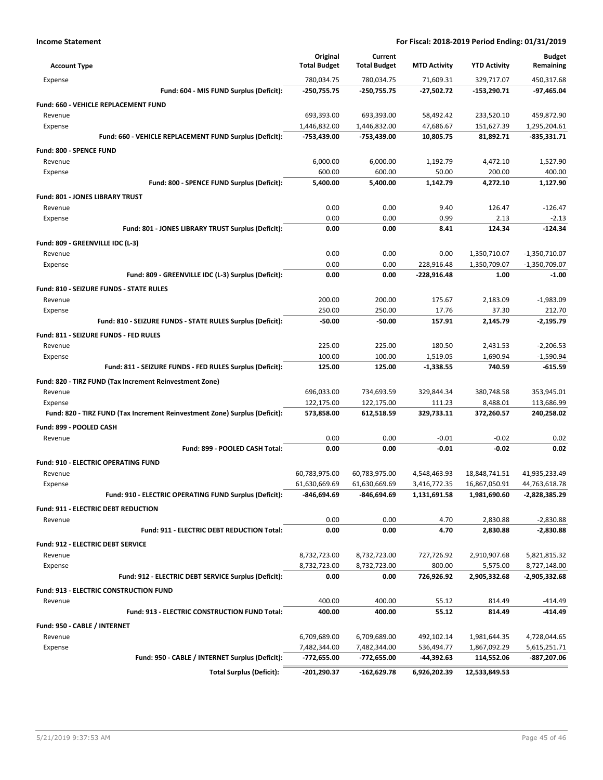| <b>Account Type</b>                                                        | Original<br><b>Total Budget</b> | Current<br><b>Total Budget</b> | <b>MTD Activity</b> | <b>YTD Activity</b> | <b>Budget</b><br>Remaining |
|----------------------------------------------------------------------------|---------------------------------|--------------------------------|---------------------|---------------------|----------------------------|
| Expense                                                                    | 780,034.75                      | 780,034.75                     | 71,609.31           | 329,717.07          | 450,317.68                 |
| Fund: 604 - MIS FUND Surplus (Deficit):                                    | -250,755.75                     | -250,755.75                    | $-27,502.72$        | -153,290.71         | $-97,465.04$               |
| Fund: 660 - VEHICLE REPLACEMENT FUND                                       |                                 |                                |                     |                     |                            |
| Revenue                                                                    | 693,393.00                      | 693,393.00                     | 58,492.42           | 233,520.10          | 459,872.90                 |
| Expense                                                                    | 1,446,832.00                    | 1,446,832.00                   | 47,686.67           | 151,627.39          | 1,295,204.61               |
| Fund: 660 - VEHICLE REPLACEMENT FUND Surplus (Deficit):                    | -753,439.00                     | -753,439.00                    | 10,805.75           | 81,892.71           | $-835,331.71$              |
| Fund: 800 - SPENCE FUND                                                    |                                 |                                |                     |                     |                            |
| Revenue                                                                    | 6,000.00                        | 6,000.00                       | 1,192.79            | 4,472.10            | 1,527.90                   |
| Expense                                                                    | 600.00                          | 600.00                         | 50.00               | 200.00              | 400.00                     |
| Fund: 800 - SPENCE FUND Surplus (Deficit):                                 | 5.400.00                        | 5,400.00                       | 1,142.79            | 4,272.10            | 1.127.90                   |
| Fund: 801 - JONES LIBRARY TRUST                                            |                                 |                                |                     |                     |                            |
| Revenue                                                                    | 0.00                            | 0.00                           | 9.40                | 126.47              | $-126.47$                  |
| Expense                                                                    | 0.00                            | 0.00                           | 0.99                | 2.13                | $-2.13$                    |
| Fund: 801 - JONES LIBRARY TRUST Surplus (Deficit):                         | 0.00                            | 0.00                           | 8.41                | 124.34              | $-124.34$                  |
| Fund: 809 - GREENVILLE IDC (L-3)                                           |                                 |                                |                     |                     |                            |
| Revenue                                                                    | 0.00                            | 0.00                           | 0.00                | 1,350,710.07        | $-1,350,710.07$            |
| Expense                                                                    | 0.00                            | 0.00                           | 228,916.48          | 1,350,709.07        | $-1,350,709.07$            |
| Fund: 809 - GREENVILLE IDC (L-3) Surplus (Deficit):                        | 0.00                            | 0.00                           | $-228,916.48$       | 1.00                | $-1.00$                    |
| <b>Fund: 810 - SEIZURE FUNDS - STATE RULES</b>                             |                                 |                                |                     |                     |                            |
| Revenue                                                                    | 200.00                          | 200.00                         | 175.67              | 2,183.09            | $-1,983.09$                |
| Expense                                                                    | 250.00                          | 250.00                         | 17.76               | 37.30               | 212.70                     |
| Fund: 810 - SEIZURE FUNDS - STATE RULES Surplus (Deficit):                 | $-50.00$                        | -50.00                         | 157.91              | 2,145.79            | -2,195.79                  |
| Fund: 811 - SEIZURE FUNDS - FED RULES                                      |                                 |                                |                     |                     |                            |
| Revenue                                                                    | 225.00                          | 225.00                         | 180.50              | 2,431.53            | $-2,206.53$                |
| Expense                                                                    | 100.00                          | 100.00                         | 1,519.05            | 1,690.94            | $-1,590.94$                |
| Fund: 811 - SEIZURE FUNDS - FED RULES Surplus (Deficit):                   | 125.00                          | 125.00                         | $-1,338.55$         | 740.59              | $-615.59$                  |
| Fund: 820 - TIRZ FUND (Tax Increment Reinvestment Zone)                    |                                 |                                |                     |                     |                            |
| Revenue                                                                    | 696,033.00                      | 734,693.59                     | 329,844.34          | 380,748.58          | 353,945.01                 |
| Expense                                                                    | 122,175.00                      | 122,175.00                     | 111.23              | 8,488.01            | 113,686.99                 |
| Fund: 820 - TIRZ FUND (Tax Increment Reinvestment Zone) Surplus (Deficit): | 573,858.00                      | 612,518.59                     | 329,733.11          | 372,260.57          | 240,258.02                 |
| Fund: 899 - POOLED CASH                                                    |                                 |                                |                     |                     |                            |
| Revenue                                                                    | 0.00                            | 0.00                           | $-0.01$             | $-0.02$             | 0.02                       |
| Fund: 899 - POOLED CASH Total:                                             | 0.00                            | 0.00                           | $-0.01$             | $-0.02$             | 0.02                       |
| <b>Fund: 910 - ELECTRIC OPERATING FUND</b>                                 |                                 |                                |                     |                     |                            |
| Revenue                                                                    | 60,783,975.00                   | 60,783,975.00                  | 4,548,463.93        | 18,848,741.51       | 41,935,233.49              |
| Expense                                                                    | 61,630,669.69                   | 61,630,669.69                  | 3,416,772.35        | 16,867,050.91       | 44,763,618.78              |
| Fund: 910 - ELECTRIC OPERATING FUND Surplus (Deficit):                     | -846,694.69                     | -846,694.69                    | 1,131,691.58        | 1,981,690.60        | -2,828,385.29              |
| Fund: 911 - ELECTRIC DEBT REDUCTION                                        |                                 |                                |                     |                     |                            |
| Revenue                                                                    | 0.00                            | 0.00                           | 4.70                | 2,830.88            | $-2,830.88$                |
| Fund: 911 - ELECTRIC DEBT REDUCTION Total:                                 | 0.00                            | 0.00                           | 4.70                | 2,830.88            | $-2,830.88$                |
| Fund: 912 - ELECTRIC DEBT SERVICE                                          |                                 |                                |                     |                     |                            |
| Revenue                                                                    | 8,732,723.00                    | 8,732,723.00                   | 727,726.92          | 2,910,907.68        | 5,821,815.32               |
| Expense                                                                    | 8,732,723.00                    | 8,732,723.00                   | 800.00              | 5,575.00            | 8,727,148.00               |
| Fund: 912 - ELECTRIC DEBT SERVICE Surplus (Deficit):                       | 0.00                            | 0.00                           | 726,926.92          | 2,905,332.68        | -2,905,332.68              |
| Fund: 913 - ELECTRIC CONSTRUCTION FUND                                     |                                 |                                |                     |                     |                            |
| Revenue                                                                    | 400.00                          | 400.00                         | 55.12               | 814.49              | $-414.49$                  |
| Fund: 913 - ELECTRIC CONSTRUCTION FUND Total:                              | 400.00                          | 400.00                         | 55.12               | 814.49              | -414.49                    |
| Fund: 950 - CABLE / INTERNET                                               |                                 |                                |                     |                     |                            |
| Revenue                                                                    | 6,709,689.00                    | 6,709,689.00                   | 492,102.14          | 1,981,644.35        | 4,728,044.65               |
| Expense                                                                    | 7,482,344.00                    | 7,482,344.00                   | 536,494.77          | 1,867,092.29        | 5,615,251.71               |
| Fund: 950 - CABLE / INTERNET Surplus (Deficit):                            | -772,655.00                     | -772,655.00                    | -44,392.63          | 114,552.06          | -887,207.06                |
| <b>Total Surplus (Deficit):</b>                                            | $-201,290.37$                   | $-162,629.78$                  | 6,926,202.39        | 12,533,849.53       |                            |